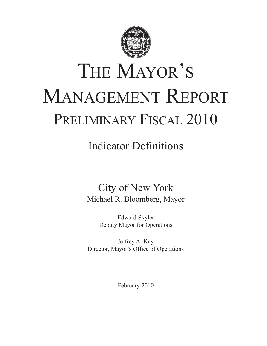

# THE MAYOR'S MANAGEMENT REPORT PRELIMINARY FISCAL 2010

## Indicator Definitions

## City of New York Michael R. Bloomberg, Mayor

Edward Skyler Deputy Mayor for Operations

Jeffrey A. Kay Director, Mayor's Office of Operations

February 2010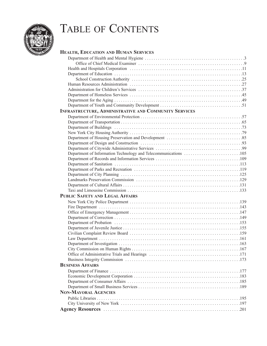# TABLE OF CONTENTS



| <b>INFRASTRUCTURE, ADMINISTRATIVE AND COMMUNITY SERVICES</b><br>Department of Information Technology and Telecommunications 105<br><b>PUBLIC SAFETY AND LEGAL AFFAIRS</b><br><b>BUSINESS AFFAIRS</b><br><b>NON-MAYORAL AGENCIES</b> | HEALTH, EDUCATION AND HUMAN SERVICES |  |
|-------------------------------------------------------------------------------------------------------------------------------------------------------------------------------------------------------------------------------------|--------------------------------------|--|
|                                                                                                                                                                                                                                     |                                      |  |
|                                                                                                                                                                                                                                     |                                      |  |
|                                                                                                                                                                                                                                     |                                      |  |
|                                                                                                                                                                                                                                     |                                      |  |
|                                                                                                                                                                                                                                     |                                      |  |
|                                                                                                                                                                                                                                     |                                      |  |
|                                                                                                                                                                                                                                     |                                      |  |
|                                                                                                                                                                                                                                     |                                      |  |
|                                                                                                                                                                                                                                     |                                      |  |
|                                                                                                                                                                                                                                     |                                      |  |
|                                                                                                                                                                                                                                     |                                      |  |
|                                                                                                                                                                                                                                     |                                      |  |
|                                                                                                                                                                                                                                     |                                      |  |
|                                                                                                                                                                                                                                     |                                      |  |
|                                                                                                                                                                                                                                     |                                      |  |
|                                                                                                                                                                                                                                     |                                      |  |
|                                                                                                                                                                                                                                     |                                      |  |
|                                                                                                                                                                                                                                     |                                      |  |
|                                                                                                                                                                                                                                     |                                      |  |
|                                                                                                                                                                                                                                     |                                      |  |
|                                                                                                                                                                                                                                     |                                      |  |
|                                                                                                                                                                                                                                     |                                      |  |
|                                                                                                                                                                                                                                     |                                      |  |
|                                                                                                                                                                                                                                     |                                      |  |
|                                                                                                                                                                                                                                     |                                      |  |
|                                                                                                                                                                                                                                     |                                      |  |
|                                                                                                                                                                                                                                     |                                      |  |
|                                                                                                                                                                                                                                     |                                      |  |
|                                                                                                                                                                                                                                     |                                      |  |
|                                                                                                                                                                                                                                     |                                      |  |
|                                                                                                                                                                                                                                     |                                      |  |
|                                                                                                                                                                                                                                     |                                      |  |
|                                                                                                                                                                                                                                     |                                      |  |
|                                                                                                                                                                                                                                     |                                      |  |
|                                                                                                                                                                                                                                     |                                      |  |
|                                                                                                                                                                                                                                     |                                      |  |
|                                                                                                                                                                                                                                     |                                      |  |
|                                                                                                                                                                                                                                     |                                      |  |
|                                                                                                                                                                                                                                     |                                      |  |
|                                                                                                                                                                                                                                     |                                      |  |
|                                                                                                                                                                                                                                     |                                      |  |
|                                                                                                                                                                                                                                     |                                      |  |
|                                                                                                                                                                                                                                     |                                      |  |
|                                                                                                                                                                                                                                     |                                      |  |
|                                                                                                                                                                                                                                     |                                      |  |
|                                                                                                                                                                                                                                     |                                      |  |
|                                                                                                                                                                                                                                     |                                      |  |
|                                                                                                                                                                                                                                     |                                      |  |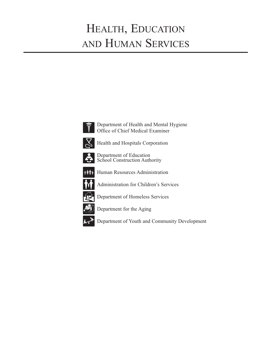# HEALTH, EDUCATION AND HUMAN SERVICES



Department of Health and Mental Hygiene Office of Chief Medical Examiner



Health and Hospitals Corporation



Department of Education **School Construction Authority** 



Human Resources Administration



Administration for Children's Services





Department for the Aging

Department of Youth and Community Development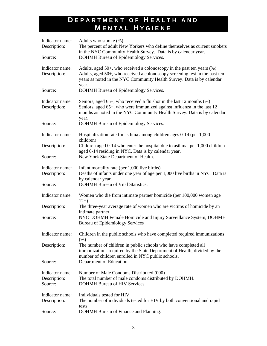| Indicator name:<br>Description:            | Adults who smoke (%)<br>The percent of adult New Yorkers who define themselves as current smokers<br>in the NYC Community Health Survey. Data is by calendar year.                                                                       |
|--------------------------------------------|------------------------------------------------------------------------------------------------------------------------------------------------------------------------------------------------------------------------------------------|
| Source:                                    | DOHMH Bureau of Epidemiology Services.                                                                                                                                                                                                   |
| Indicator name:<br>Description:            | Adults, aged 50+, who received a colonoscopy in the past ten years (%)<br>Adults, aged 50+, who received a colonoscopy screening test in the past ten<br>years as noted in the NYC Community Health Survey. Data is by calendar<br>year. |
| Source:                                    | DOHMH Bureau of Epidemiology Services.                                                                                                                                                                                                   |
| Indicator name:<br>Description:            | Seniors, aged $65+$ , who received a flu shot in the last 12 months $(\%)$<br>Seniors, aged 65+, who were immunized against influenza in the last 12<br>months as noted in the NYC Community Health Survey. Data is by calendar<br>year. |
| Source:                                    | DOHMH Bureau of Epidemiology Services.                                                                                                                                                                                                   |
| Indicator name:                            | Hospitalization rate for asthma among children ages 0-14 (per 1,000)                                                                                                                                                                     |
| Description:                               | children)<br>Children aged 0-14 who enter the hospital due to asthma, per 1,000 children<br>aged 0-14 residing in NYC. Data is by calendar year.                                                                                         |
| Source:                                    | New York State Department of Health.                                                                                                                                                                                                     |
| Indicator name:<br>Description:            | Infant mortality rate (per 1,000 live births)<br>Deaths of infants under one year of age per 1,000 live births in NYC. Data is<br>by calendar year.                                                                                      |
| Source:                                    | <b>DOHMH Bureau of Vital Statistics.</b>                                                                                                                                                                                                 |
| Indicator name:                            | Women who die from intimate partner homicide (per 100,000 women age<br>$12+)$                                                                                                                                                            |
| Description:                               | The three-year average rate of women who are victims of homicide by an<br>intimate partner.                                                                                                                                              |
| Source:                                    | NYC DOHMH Female Homicide and Injury Surveillance System, DOHMH<br><b>Bureau of Epidemiology Services</b>                                                                                                                                |
| Indicator name:                            | Children in the public schools who have completed required immunizations<br>(% )                                                                                                                                                         |
| Description:                               | The number of children in public schools who have completed all<br>immunizations required by the State Department of Health, divided by the<br>number of children enrolled in NYC public schools.                                        |
| Source:                                    | Department of Education.                                                                                                                                                                                                                 |
| Indicator name:<br>Description:<br>Source: | Number of Male Condoms Distributed (000)<br>The total number of male condoms distributed by DOHMH.<br><b>DOHMH Bureau of HIV Services</b>                                                                                                |
| Indicator name:<br>Description:<br>Source: | Individuals tested for HIV<br>The number of individuals tested for HIV by both conventional and rapid<br>tests.                                                                                                                          |
|                                            | DOHMH Bureau of Finance and Planning.                                                                                                                                                                                                    |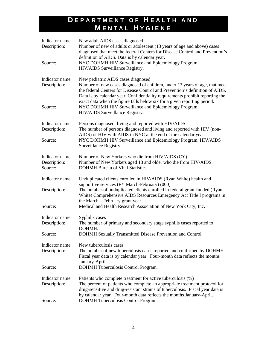| Indicator name:<br>Description:<br>Source: | New adult AIDS cases diagnosed<br>Number of new of adults or adolescent (13 years of age and above) cases<br>diagnosed that meet the federal Centers for Disease Control and Prevention's<br>definition of AIDS. Data is by calendar year.<br>NYC DOHMH HIV Surveillance and Epidemiology Program,<br>HIV/AIDS Surveillance Registry.                                                                                  |
|--------------------------------------------|------------------------------------------------------------------------------------------------------------------------------------------------------------------------------------------------------------------------------------------------------------------------------------------------------------------------------------------------------------------------------------------------------------------------|
| Indicator name:<br>Description:<br>Source: | New pediatric AIDS cases diagnosed<br>Number of new cases diagnosed of children, under 13 years of age, that meet<br>the federal Centers for Disease Control and Prevention's definition of AIDS.<br>Data is by calendar year. Confidentiality requirements prohibit reporting the<br>exact data when the figure falls below six for a given reporting period.<br>NYC DOHMH HIV Surveillance and Epidemiology Program, |
|                                            | HIV/AIDS Surveillance Registry.                                                                                                                                                                                                                                                                                                                                                                                        |
| Indicator name:<br>Description:            | Persons diagnosed, living and reported with HIV/AIDS<br>The number of persons diagnosed and living and reported with HIV (non-<br>AIDS) or HIV with AIDS in NYC at the end of the calendar year.                                                                                                                                                                                                                       |
| Source:                                    | NYC DOHMH HIV Surveillance and Epidemiology Program, HIV/AIDS<br>Surveillance Registry.                                                                                                                                                                                                                                                                                                                                |
| Indicator name:<br>Description:<br>Source: | Number of New Yorkers who die from HIV/AIDS (CY)<br>Number of New Yorkers aged 18 and older who die from HIV/AIDS.<br><b>DOHMH Bureau of Vital Statistics</b>                                                                                                                                                                                                                                                          |
| Indicator name:                            | Unduplicated clients enrolled in HIV/AIDS (Ryan White) health and<br>supportive services (FY March-February) (000)                                                                                                                                                                                                                                                                                                     |
| Description:                               | The number of unduplicated clients enrolled in federal grant-funded (Ryan<br>White) Comprehensive AIDS Resources Emergency Act Title I programs in<br>the March - February grant year.                                                                                                                                                                                                                                 |
| Source:                                    | Medical and Health Research Association of New York City, Inc.                                                                                                                                                                                                                                                                                                                                                         |
| Indicator name:<br>Description:            | Syphilis cases<br>The number of primary and secondary stage syphilis cases reported to<br>DOHMH.                                                                                                                                                                                                                                                                                                                       |
| Source:                                    | DOHMH Sexually Transmitted Disease Prevention and Control.                                                                                                                                                                                                                                                                                                                                                             |
| Indicator name:<br>Description:            | New tuberculosis cases<br>The number of new tuberculosis cases reported and confirmed by DOHMH.<br>Fiscal year data is by calendar year. Four-month data reflects the months<br>January-April.                                                                                                                                                                                                                         |
| Source:                                    | DOHMH Tuberculosis Control Program.                                                                                                                                                                                                                                                                                                                                                                                    |
| Indicator name:<br>Description:            | Patients who complete treatment for active tuberculosis (%)<br>The percent of patients who complete an appropriate treatment protocol for<br>drug-sensitive and drug-resistant strains of tuberculosis. Fiscal year data is<br>by calendar year. Four-month data reflects the months January-April.                                                                                                                    |
| Source:                                    | DOHMH Tuberculosis Control Program.                                                                                                                                                                                                                                                                                                                                                                                    |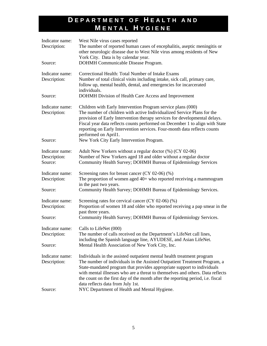| Indicator name:<br>Description:<br>Source: | West Nile virus cases reported<br>The number of reported human cases of encephalitis, aseptic meningitis or<br>other neurologic disease due to West Nile virus among residents of New<br>York City. Data is by calendar year.<br>DOHMH Communicable Disease Program.                                                                                                                                                                     |
|--------------------------------------------|------------------------------------------------------------------------------------------------------------------------------------------------------------------------------------------------------------------------------------------------------------------------------------------------------------------------------------------------------------------------------------------------------------------------------------------|
| Indicator name:<br>Description:            | Correctional Health: Total Number of Intake Exams<br>Number of total clinical visits including intake, sick call, primary care,<br>follow up, mental health, dental, and emergencies for incarcerated<br>individuals.                                                                                                                                                                                                                    |
| Source:                                    | DOHMH Division of Health Care Access and Improvement                                                                                                                                                                                                                                                                                                                                                                                     |
| Indicator name:<br>Description:            | Children with Early Intervention Program service plans (000)<br>The number of children with active Individualized Service Plans for the<br>provision of Early Intervention therapy services for developmental delays.<br>Fiscal year data reflects counts performed on December 1 to align with State<br>reporting on Early Intervention services. Four-month data reflects counts<br>performed on April1.                               |
| Source:                                    | New York City Early Intervention Program.                                                                                                                                                                                                                                                                                                                                                                                                |
| Indicator name:<br>Description:<br>Source: | Adult New Yorkers without a regular doctor (%) (CY 02-06)<br>Number of New Yorkers aged 18 and older without a regular doctor<br>Community Health Survey; DOHMH Bureau of Epidemiology Services                                                                                                                                                                                                                                          |
| Indicator name:<br>Description:            | Screening rates for breast cancer (CY 02-06) (%)<br>The proportion of women aged $40+$ who reported receiving a mammogram<br>in the past two years.                                                                                                                                                                                                                                                                                      |
| Source:                                    | Community Health Survey; DOHMH Bureau of Epidemiology Services.                                                                                                                                                                                                                                                                                                                                                                          |
| Indicator name:<br>Description:            | Screening rates for cervical cancer $(CY 02-06)$ (%)<br>Proportion of women 18 and older who reported receiving a pap smear in the<br>past three years.                                                                                                                                                                                                                                                                                  |
| Source:                                    | Community Health Survey; DOHMH Bureau of Epidemiology Services.                                                                                                                                                                                                                                                                                                                                                                          |
| Indicator name:<br>Description:            | Calls to LifeNet (000)<br>The number of calls received on the Department's LifeNet call lines,<br>including the Spanish language line, AYUDESE, and Asian LifeNet.                                                                                                                                                                                                                                                                       |
| Source:                                    | Mental Health Association of New York City, Inc.                                                                                                                                                                                                                                                                                                                                                                                         |
| Indicator name:<br>Description:            | Individuals in the assisted outpatient mental health treatment program<br>The number of individuals in the Assisted Outpatient Treatment Program, a<br>State-mandated program that provides appropriate support to individuals<br>with mental illnesses who are a threat to themselves and others. Data reflects<br>the count on the first day of the month after the reporting period, i.e. fiscal<br>data reflects data from July 1st. |
| Source:                                    | NYC Department of Health and Mental Hygiene.                                                                                                                                                                                                                                                                                                                                                                                             |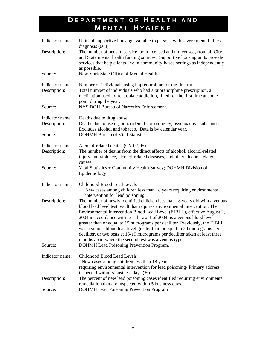| Indicator name:                 | Units of supportive housing available to persons with severe mental illness<br>diagnosis (000)                                                                                                                                                                                                                                                                                                                                                                                                                                                                                                                       |
|---------------------------------|----------------------------------------------------------------------------------------------------------------------------------------------------------------------------------------------------------------------------------------------------------------------------------------------------------------------------------------------------------------------------------------------------------------------------------------------------------------------------------------------------------------------------------------------------------------------------------------------------------------------|
| Description:                    | The number of beds in service, both licensed and unlicensed, from all City<br>and State mental health funding sources. Supportive housing units provide<br>services that help clients live in community-based settings as independently<br>as possible.                                                                                                                                                                                                                                                                                                                                                              |
| Source:                         | New York State Office of Mental Health.                                                                                                                                                                                                                                                                                                                                                                                                                                                                                                                                                                              |
| Indicator name:<br>Description: | Number of individuals using buprenorphine for the first time<br>Total number of individuals who had a buprenorphine prescription, a<br>medication used to treat opiate addiction, filled for the first time at some<br>point during the year.                                                                                                                                                                                                                                                                                                                                                                        |
| Source:                         | NYS DOH Bureau of Narcotics Enforcement.                                                                                                                                                                                                                                                                                                                                                                                                                                                                                                                                                                             |
| Indicator name:<br>Description: | Deaths due to drug abuse<br>Deaths due to use of, or accidental poisoning by, psychoactive substances.<br>Excludes alcohol and tobacco. Data is by calendar year.                                                                                                                                                                                                                                                                                                                                                                                                                                                    |
| Source:                         | <b>DOHMH Bureau of Vital Statistics.</b>                                                                                                                                                                                                                                                                                                                                                                                                                                                                                                                                                                             |
| Indicator name:<br>Description: | Alcohol-related deaths (CY 02-05)<br>The number of deaths from the direct effects of alcohol, alcohol-related<br>injury and violence, alcohol-related diseases, and other alcohol-related<br>causes.                                                                                                                                                                                                                                                                                                                                                                                                                 |
| Source:                         | Vital Statistics + Community Health Survey; DOHMH Division of<br>Epidemiology                                                                                                                                                                                                                                                                                                                                                                                                                                                                                                                                        |
| Indicator name:                 | Childhood Blood Lead Levels<br>New cases among children less than 18 years requiring environmental<br>intervention for lead poisoning                                                                                                                                                                                                                                                                                                                                                                                                                                                                                |
| Description:                    | The number of newly identified children less than 18 years old with a venous<br>blood lead level test result that requires environmental intervention. The<br>Environmental Intervention Blood Lead Level (EIBLL), effective August 2,<br>2004 in accordance with Local Law 1 of 2004, is a venous blood level<br>greater than or equal to 15 micrograms per deciliter. Previously, the EIBLL<br>was a venous blood lead level greater than or equal to 20 micrograms per<br>deciliter, or two tests at 15-19 micrograms per deciliter taken at least three<br>months apart where the second test was a venous type. |
| Source:                         | DOHMH Lead Poisoning Prevention Program.                                                                                                                                                                                                                                                                                                                                                                                                                                                                                                                                                                             |
| Indicator name:                 | Childhood Blood Lead Levels<br>- New cases among children less than 18 years<br>requiring environmental intervention for lead poisoning-Primary address<br>inspected within 5 business days (%)                                                                                                                                                                                                                                                                                                                                                                                                                      |
| Description:                    | The percent of new lead poisoning cases identified requiring environmental<br>remediation that are inspected within 5 business days.                                                                                                                                                                                                                                                                                                                                                                                                                                                                                 |
| Source:                         | <b>DOHMH Lead Poisoning Prevention Program</b>                                                                                                                                                                                                                                                                                                                                                                                                                                                                                                                                                                       |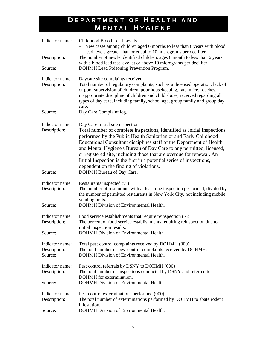| Indicator name:                            | Childhood Blood Lead Levels<br>New cases among children aged 6 months to less than 6 years with blood<br>lead levels greater than or equal to 10 micrograms per deciliter                                                                                                                                                                                                                                                                                                                                                    |
|--------------------------------------------|------------------------------------------------------------------------------------------------------------------------------------------------------------------------------------------------------------------------------------------------------------------------------------------------------------------------------------------------------------------------------------------------------------------------------------------------------------------------------------------------------------------------------|
| Description:                               | The number of newly identified children, ages 6 month to less than 6 years,<br>with a blood lead test level at or above 10 micrograms per deciliter.                                                                                                                                                                                                                                                                                                                                                                         |
| Source:                                    | DOHMH Lead Poisoning Prevention Program.                                                                                                                                                                                                                                                                                                                                                                                                                                                                                     |
| Indicator name:<br>Description:            | Daycare site complaints received<br>Total number of regulatory complaints, such as unlicensed operation, lack of<br>or poor supervision of children, poor housekeeping, rats, mice, roaches,<br>inappropriate discipline of children and child abuse, received regarding all<br>types of day care, including family, school age, group family and group day<br>care.                                                                                                                                                         |
| Source:                                    | Day Care Complaint log.                                                                                                                                                                                                                                                                                                                                                                                                                                                                                                      |
| Indicator name:<br>Description:            | Day Care Initial site inspections<br>Total number of complete inspections, identified as Initial Inspections,<br>performed by the Public Health Sanitarian or and Early Childhood<br>Educational Consultant disciplines staff of the Department of Health<br>and Mental Hygiene's Bureau of Day Care to any permitted, licensed,<br>or registered site, including those that are overdue for renewal. An<br>Initial Inspection is the first in a potential series of inspections,<br>dependent on the finding of violations. |
| Source:                                    | DOHMH Bureau of Day Care.                                                                                                                                                                                                                                                                                                                                                                                                                                                                                                    |
| Indicator name:<br>Description:            | Restaurants inspected (%)<br>The number of restaurants with at least one inspection performed, divided by<br>the number of permitted restaurants in New York City, not including mobile<br>vending units.                                                                                                                                                                                                                                                                                                                    |
| Source:                                    | <b>DOHMH</b> Division of Environmental Health.                                                                                                                                                                                                                                                                                                                                                                                                                                                                               |
| Indicator name:<br>Description:<br>Source: | Food service establishments that require reinspection (%)<br>The percent of food service establishments requiring reinspection due to<br>initial inspection results.<br>DOHMH Division of Environmental Health.                                                                                                                                                                                                                                                                                                              |
| Indicator name:<br>Description:<br>Source: | Total pest control complaints received by DOHMH (000)<br>The total number of pest control complaints received by DOHMH.<br>DOHMH Division of Environmental Health.                                                                                                                                                                                                                                                                                                                                                           |
| Indicator name:<br>Description:            | Pest control referrals by DSNY to DOHMH (000)<br>The total number of inspections conducted by DSNY and referred to<br>DOHMH for extermination.                                                                                                                                                                                                                                                                                                                                                                               |
| Source:                                    | DOHMH Division of Environmental Health.                                                                                                                                                                                                                                                                                                                                                                                                                                                                                      |
| Indicator name:<br>Description:<br>Source: | Pest control exterminations performed (000)<br>The total number of exterminations performed by DOHMH to abate rodent<br>infestation.<br>DOHMH Division of Environmental Health.                                                                                                                                                                                                                                                                                                                                              |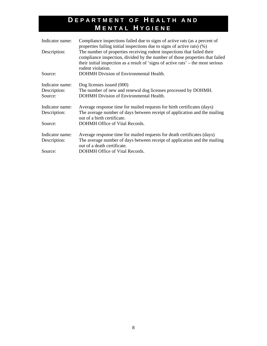| Indicator name:                 | Compliance inspections failed due to signs of active rats (as a percent of<br>properties failing initial inspections due to signs of active rats) (%)                                                                                                             |
|---------------------------------|-------------------------------------------------------------------------------------------------------------------------------------------------------------------------------------------------------------------------------------------------------------------|
| Description:                    | The number of properties receiving rodent inspections that failed their<br>compliance inspection, divided by the number of those properties that failed<br>their initial inspection as a result of 'signs of active rats' – the most serious<br>rodent violation. |
| Source:                         | <b>DOHMH</b> Division of Environmental Health.                                                                                                                                                                                                                    |
| Indicator name:                 | Dog licenses issued $(000)$                                                                                                                                                                                                                                       |
| Description:<br>Source:         | The number of new and renewal dog licenses processed by DOHMH.<br>DOHMH Division of Environmental Health.                                                                                                                                                         |
| Indicator name:<br>Description: | Average response time for mailed requests for birth certificates (days)<br>The average number of days between receipt of application and the mailing<br>out of a birth certificate.                                                                               |
| Source:                         | DOHMH Office of Vital Records.                                                                                                                                                                                                                                    |
| Indicator name:                 | Average response time for mailed requests for death certificates (days)                                                                                                                                                                                           |
| Description:                    | The average number of days between receipt of application and the mailing<br>out of a death certificate.                                                                                                                                                          |
| Source:                         | DOHMH Office of Vital Records.                                                                                                                                                                                                                                    |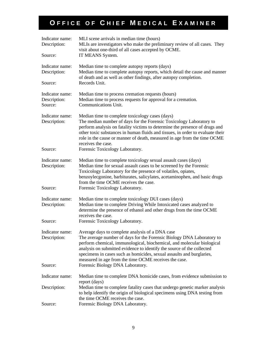### **O FFICE OF C HIEF M EDICAL E XAMINER**

| Indicator name:<br>Description:            | MLI scene arrivals in median time (hours)<br>MLIs are investigators who make the preliminary review of all cases. They<br>visit about one-third of all cases accepted by OCME.                                                                                                                                                                                                                                                 |
|--------------------------------------------|--------------------------------------------------------------------------------------------------------------------------------------------------------------------------------------------------------------------------------------------------------------------------------------------------------------------------------------------------------------------------------------------------------------------------------|
| Source:                                    | IT MEANS System.                                                                                                                                                                                                                                                                                                                                                                                                               |
| Indicator name:<br>Description:            | Median time to complete autopsy reports (days)<br>Median time to complete autopsy reports, which detail the cause and manner<br>of death and as well as other findings, after autopsy completion.                                                                                                                                                                                                                              |
| Source:                                    | Records Unit.                                                                                                                                                                                                                                                                                                                                                                                                                  |
| Indicator name:<br>Description:<br>Source: | Median time to process cremation requests (hours)<br>Median time to process requests for approval for a cremation.<br>Communications Unit.                                                                                                                                                                                                                                                                                     |
| Indicator name:<br>Description:            | Median time to complete toxicology cases (days)<br>The median number of days for the Forensic Toxicology Laboratory to<br>perform analysis on fatality victims to determine the presence of drugs and<br>other toxic substances in human fluids and tissues, in order to evaluate their<br>role in the cause or manner of death, measured in age from the time OCME<br>receives the case.                                      |
| Source:                                    | Forensic Toxicology Laboratory.                                                                                                                                                                                                                                                                                                                                                                                                |
| Indicator name:<br>Description:            | Median time to complete toxicology sexual assault cases (days)<br>Median time for sexual assault cases to be screened by the Forensic<br>Toxicology Laboratory for the presence of volatiles, opiates,<br>benzoylecgonine, barbiturates, salicylates, acetaminophen, and basic drugs<br>from the time OCME receives the case.                                                                                                  |
| Source:                                    | Forensic Toxicology Laboratory.                                                                                                                                                                                                                                                                                                                                                                                                |
| Indicator name:<br>Description:            | Median time to complete toxicology DUI cases (days)<br>Median time to complete Driving While Intoxicated cases analyzed to<br>determine the presence of ethanol and other drugs from the time OCME<br>receives the case.                                                                                                                                                                                                       |
| Source:                                    | Forensic Toxicology Laboratory.                                                                                                                                                                                                                                                                                                                                                                                                |
| Description:                               | Indicator name: Average days to complete analysis of a DNA case<br>The average number of days for the Forensic Biology DNA Laboratory to<br>perform chemical, immunological, biochemical, and molecular biological<br>analysis on submitted evidence to identify the source of the collected<br>specimens in cases such as homicides, sexual assaults and burglaries,<br>measured in age from the time OCME receives the case. |
| Source:                                    | Forensic Biology DNA Laboratory.                                                                                                                                                                                                                                                                                                                                                                                               |
| Indicator name:                            | Median time to complete DNA homicide cases, from evidence submission to<br>report (days)                                                                                                                                                                                                                                                                                                                                       |
| Description:                               | Median time to complete fatality cases that undergo genetic marker analysis<br>to help identify the origin of biological specimens using DNA testing from<br>the time OCME receives the case.                                                                                                                                                                                                                                  |
| Source:                                    | Forensic Biology DNA Laboratory.                                                                                                                                                                                                                                                                                                                                                                                               |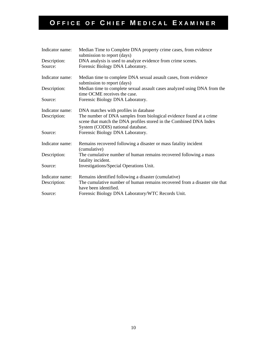### **O FFICE OF C HIEF M EDICAL E XAMINER**

| Indicator name: | Median Time to Complete DNA property crime cases, from evidence<br>submission to report (days)                                                                                 |
|-----------------|--------------------------------------------------------------------------------------------------------------------------------------------------------------------------------|
| Description:    | DNA analysis is used to analyze evidence from crime scenes.                                                                                                                    |
| Source:         | Forensic Biology DNA Laboratory.                                                                                                                                               |
| Indicator name: | Median time to complete DNA sexual assault cases, from evidence<br>submission to report (days)                                                                                 |
| Description:    | Median time to complete sexual assault cases analyzed using DNA from the<br>time OCME receives the case.                                                                       |
| Source:         | Forensic Biology DNA Laboratory.                                                                                                                                               |
| Indicator name: | DNA matches with profiles in database                                                                                                                                          |
| Description:    | The number of DNA samples from biological evidence found at a crime<br>scene that match the DNA profiles stored in the Combined DNA Index<br>System (CODIS) national database. |
| Source:         | Forensic Biology DNA Laboratory.                                                                                                                                               |
| Indicator name: | Remains recovered following a disaster or mass fatality incident<br>(cumulative)                                                                                               |
| Description:    | The cumulative number of human remains recovered following a mass<br>fatality incident.                                                                                        |
| Source:         | Investigations/Special Operations Unit.                                                                                                                                        |
| Indicator name: | Remains identified following a disaster (cumulative)                                                                                                                           |
| Description:    | The cumulative number of human remains recovered from a disaster site that<br>have been identified.                                                                            |
| Source:         | Forensic Biology DNA Laboratory/WTC Records Unit.                                                                                                                              |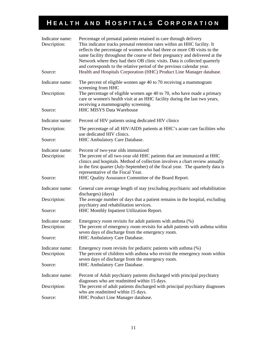### **H EALTH AND H OSPITALS C ORPORATION**

| Indicator name:<br>Description: | Percentage of prenatal patients retained in care through delivery<br>This indicator tracks prenatal retention rates within an HHC facility. It<br>reflects the percentage of women who had three or more OB visits to the<br>same facility throughout the course of their pregnancy and delivered at the<br>Network where they had their OB clinic visits. Data is collected quarterly<br>and corresponds to the relative period of the previous calendar year. |
|---------------------------------|-----------------------------------------------------------------------------------------------------------------------------------------------------------------------------------------------------------------------------------------------------------------------------------------------------------------------------------------------------------------------------------------------------------------------------------------------------------------|
| Source:                         | Health and Hospitals Corporation (HHC) Product Line Manager database.                                                                                                                                                                                                                                                                                                                                                                                           |
| Indicator name:                 | The percent of eligible women age 40 to 70 receiving a mammogram<br>screening from HHC                                                                                                                                                                                                                                                                                                                                                                          |
| Description:                    | The percentage of eligible women age 40 to 70, who have made a primary<br>care or women's health visit at an HHC facility during the last two years,<br>receiving a mammography screening.                                                                                                                                                                                                                                                                      |
| Source:                         | <b>HHC MISYS Data Warehouse</b>                                                                                                                                                                                                                                                                                                                                                                                                                                 |
| Indicator name:                 | Percent of HIV patients using dedicated HIV clinics                                                                                                                                                                                                                                                                                                                                                                                                             |
| Description:                    | The percentage of all HIV/AIDS patients at HHC's acute care facilities who<br>use dedicated HIV clinics.                                                                                                                                                                                                                                                                                                                                                        |
| Source:                         | HHC Ambulatory Care Database.                                                                                                                                                                                                                                                                                                                                                                                                                                   |
| Indicator name:<br>Description: | Percent of two-year olds immunized<br>The percent of all two-year old HHC patients that are immunized at HHC<br>clinics and hospitals. Method of collection involves a chart review annually<br>in the first quarter (July-September) of the fiscal year. The quarterly data is<br>representative of the Fiscal Year.                                                                                                                                           |
| Source:                         | HHC Quality Assurance Committee of the Board Report.                                                                                                                                                                                                                                                                                                                                                                                                            |
| Indicator name:                 | General care average length of stay (excluding psychiatric and rehabilitation<br>discharges) (days)                                                                                                                                                                                                                                                                                                                                                             |
| Description:                    | The average number of days that a patient remains in the hospital, excluding<br>psychiatry and rehabilitation services.                                                                                                                                                                                                                                                                                                                                         |
| Source:                         | HHC Monthly Inpatient Utilization Report.                                                                                                                                                                                                                                                                                                                                                                                                                       |
| Indicator name:<br>Description: | Emergency room revisits for adult patients with asthma (%)<br>The percent of emergency room revisits for adult patients with asthma within<br>seven days of discharge from the emergency room.                                                                                                                                                                                                                                                                  |
| Source:                         | HHC Ambulatory Care Database.                                                                                                                                                                                                                                                                                                                                                                                                                                   |
| Indicator name:<br>Description: | Emergency room revisits for pediatric patients with asthma (%)<br>The percent of children with asthma who revisit the emergency room within<br>seven days of discharge from the emergency room.                                                                                                                                                                                                                                                                 |
| Source:                         | HHC Ambulatory Care Database.                                                                                                                                                                                                                                                                                                                                                                                                                                   |
| Indicator name:                 | Percent of Adult psychiatry patients discharged with principal psychiatry<br>diagnoses who are readmitted within 15 days.                                                                                                                                                                                                                                                                                                                                       |
| Description:                    | The percent of adult patients discharged with principal psychiatry diagnoses<br>who are readmitted within 15 days.                                                                                                                                                                                                                                                                                                                                              |
| Source:                         | HHC Product Line Manager database.                                                                                                                                                                                                                                                                                                                                                                                                                              |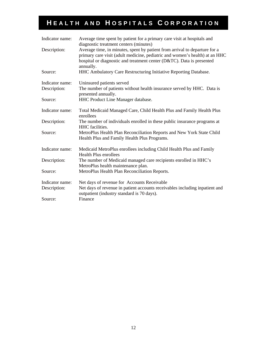### **H EALTH AND H OSPITALS C ORPORATION**

| Indicator name:                 | Average time spent by patient for a primary care visit at hospitals and<br>diagnostic treatment centers (minutes)                                                                                                                               |
|---------------------------------|-------------------------------------------------------------------------------------------------------------------------------------------------------------------------------------------------------------------------------------------------|
| Description:                    | Average time, in minutes, spent by patient from arrival to departure for a<br>primary care visit (adult medicine, pediatric and women's health) at an HHC<br>hospital or diagnostic and treatment center (D&TC). Data is presented<br>annually. |
| Source:                         | HHC Ambulatory Care Restructuring Initiative Reporting Database.                                                                                                                                                                                |
| Indicator name:<br>Description: | Uninsured patients served<br>The number of patients without health insurance served by HHC. Data is<br>presented annually.                                                                                                                      |
| Source:                         | HHC Product Line Manager database.                                                                                                                                                                                                              |
| Indicator name:                 | Total Medicaid Managed Care, Child Health Plus and Family Health Plus<br>enrollees                                                                                                                                                              |
| Description:                    | The number of individuals enrolled in these public insurance programs at<br>HHC facilities.                                                                                                                                                     |
| Source:                         | MetroPlus Health Plan Reconciliation Reports and New York State Child<br>Health Plus and Family Health Plus Programs.                                                                                                                           |
| Indicator name:                 | Medicaid MetroPlus enrollees including Child Health Plus and Family<br><b>Health Plus enrollees</b>                                                                                                                                             |
| Description:                    | The number of Medicaid managed care recipients enrolled in HHC's<br>MetroPlus health maintenance plan.                                                                                                                                          |
| Source:                         | MetroPlus Health Plan Reconciliation Reports.                                                                                                                                                                                                   |
| Indicator name:                 | Net days of revenue for Accounts Receivable                                                                                                                                                                                                     |
| Description:                    | Net days of revenue in patient accounts receivables including inpatient and<br>outpatient (industry standard is 70 days).                                                                                                                       |
| Source:                         | Finance                                                                                                                                                                                                                                         |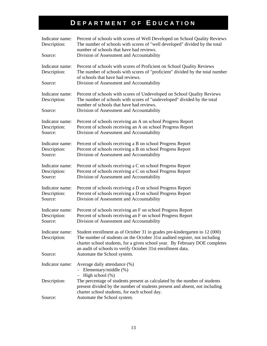| Indicator name:<br>Description:<br>Source: | Percent of schools with scores of Well Developed on School Quality Reviews<br>The number of schools with scores of "well developed" divided by the total<br>number of schools that have had reviews.<br>Division of Assessment and Accountability                                                                      |
|--------------------------------------------|------------------------------------------------------------------------------------------------------------------------------------------------------------------------------------------------------------------------------------------------------------------------------------------------------------------------|
| Indicator name:<br>Description:            | Percent of schools with scores of Proficient on School Quality Reviews<br>The number of schools with scores of "proficient" divided by the total number<br>of schools that have had reviews.                                                                                                                           |
| Source:                                    | Division of Assessment and Accountability                                                                                                                                                                                                                                                                              |
| Indicator name:<br>Description:            | Percent of schools with scores of Undeveloped on School Quality Reviews<br>The number of schools with scores of "undeveloped" divided by the total<br>number of schools that have had reviews.                                                                                                                         |
| Source:                                    | Division of Assessment and Accountability                                                                                                                                                                                                                                                                              |
| Indicator name:<br>Description:<br>Source: | Percent of schools receiving an A on school Progress Report<br>Percent of schools receiving an A on school Progress Report<br>Division of Assessment and Accountability                                                                                                                                                |
| Indicator name:<br>Description:<br>Source: | Percent of schools receiving a B on school Progress Report<br>Percent of schools receiving a B on school Progress Report<br>Division of Assessment and Accountability                                                                                                                                                  |
| Indicator name:<br>Description:<br>Source: | Percent of schools receiving a C on school Progress Report<br>Percent of schools receiving a C on school Progress Report<br>Division of Assessment and Accountability                                                                                                                                                  |
| Indicator name:<br>Description:<br>Source: | Percent of schools receiving a D on school Progress Report<br>Percent of schools receiving a D on school Progress Report<br>Division of Assessment and Accountability                                                                                                                                                  |
| Indicator name:<br>Description:<br>Source: | Percent of schools receiving an F on school Progress Report<br>Percent of schools receiving an F on school Progress Report<br>Division of Assessment and Accountability                                                                                                                                                |
| Description:                               | Indicator name: Student enrollment as of October 31 in grades pre-kindergarten to 12 (000)<br>The number of students on the October 31st audited register, not including<br>charter school students, for a given school year. By February DOE completes<br>an audit of schools to verify October 31st enrollment data. |
| Source:                                    | Automate the School system.                                                                                                                                                                                                                                                                                            |
| Indicator name:                            | Average daily attendance (%)<br>Elementary/middle (%)<br>High school $(\%)$                                                                                                                                                                                                                                            |
| Description:                               | The percentage of students present as calculated by the number of students<br>present divided by the number of students present and absent, not including<br>charter school students, for each school day.                                                                                                             |
| Source:                                    | Automate the School system.                                                                                                                                                                                                                                                                                            |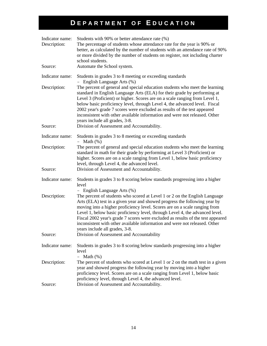| Indicator name:<br>Description:<br>Source: | Students with 90% or better attendance rate (%)<br>The percentage of students whose attendance rate for the year is 90% or<br>better, as calculated by the number of students with an attendance rate of 90%<br>or more divided by the number of students on register, not including charter<br>school students.<br>Automate the School system.                                                                                                                                                                                                                                             |
|--------------------------------------------|---------------------------------------------------------------------------------------------------------------------------------------------------------------------------------------------------------------------------------------------------------------------------------------------------------------------------------------------------------------------------------------------------------------------------------------------------------------------------------------------------------------------------------------------------------------------------------------------|
| Indicator name:                            | Students in grades 3 to 8 meeting or exceeding standards                                                                                                                                                                                                                                                                                                                                                                                                                                                                                                                                    |
| Description:<br>Source:                    | English Language Arts (%)<br>The percent of general and special education students who meet the learning<br>standard in English Language Arts (ELA) for their grade by performing at<br>Level 3 (Proficient) or higher. Scores are on a scale ranging from Level 1,<br>below basic proficiency level, through Level 4, the advanced level. Fiscal<br>2002 year's grade 7 scores were excluded as results of the test appeared<br>inconsistent with other available information and were not released. Other<br>years include all grades, 3-8.<br>Division of Assessment and Accountability. |
| Indicator name:                            | Students in grades 3 to 8 meeting or exceeding standards                                                                                                                                                                                                                                                                                                                                                                                                                                                                                                                                    |
| Description:                               | Math $(\%)$<br>The percent of general and special education students who meet the learning<br>standard in math for their grade by performing at Level 3 (Proficient) or<br>higher. Scores are on a scale ranging from Level 1, below basic proficiency<br>level, through Level 4, the advanced level.                                                                                                                                                                                                                                                                                       |
| Source:                                    | Division of Assessment and Accountability.                                                                                                                                                                                                                                                                                                                                                                                                                                                                                                                                                  |
| Indicator name:                            | Students in grades 3 to 8 scoring below standards progressing into a higher<br>level                                                                                                                                                                                                                                                                                                                                                                                                                                                                                                        |
| Description:                               | - English Language Arts (%)<br>The percent of students who scored at Level 1 or 2 on the English Language<br>Arts (ELA) test in a given year and showed progress the following year by<br>moving into a higher proficiency level. Scores are on a scale ranging from<br>Level 1, below basic proficiency level, through Level 4, the advanced level.<br>Fiscal 2002 year's grade 7 scores were excluded as results of the test appeared<br>inconsistent with other available information and were not released. Other<br>years include all grades, 3-8.                                     |
| Source:                                    | Division of Assessment and Accountability                                                                                                                                                                                                                                                                                                                                                                                                                                                                                                                                                   |
| Indicator name:                            | Students in grades 3 to 8 scoring below standards progressing into a higher<br>level<br>Math $(\%)$                                                                                                                                                                                                                                                                                                                                                                                                                                                                                         |
| Description:                               | The percent of students who scored at Level 1 or 2 on the math test in a given<br>year and showed progress the following year by moving into a higher<br>proficiency level. Scores are on a scale ranging from Level 1, below basic<br>proficiency level, through Level 4, the advanced level.                                                                                                                                                                                                                                                                                              |
| Source:                                    | Division of Assessment and Accountability.                                                                                                                                                                                                                                                                                                                                                                                                                                                                                                                                                  |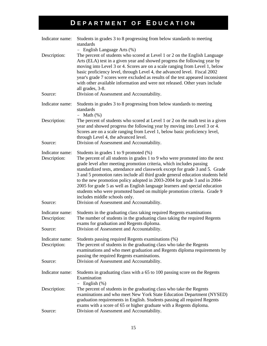| Indicator name:                            | Students in grades 3 to 8 progressing from below standards to meeting<br>standards                                                                                                                                                                                                                                                                                                                                                                                                                                                                                                                                                                                                          |
|--------------------------------------------|---------------------------------------------------------------------------------------------------------------------------------------------------------------------------------------------------------------------------------------------------------------------------------------------------------------------------------------------------------------------------------------------------------------------------------------------------------------------------------------------------------------------------------------------------------------------------------------------------------------------------------------------------------------------------------------------|
| Description:<br>Source:                    | - English Language Arts (%)<br>The percent of students who scored at Level 1 or 2 on the English Language<br>Arts (ELA) test in a given year and showed progress the following year by<br>moving into Level 3 or 4. Scores are on a scale ranging from Level 1, below<br>basic proficiency level, through Level 4, the advanced level. Fiscal 2002<br>year's grade 7 scores were excluded as results of the test appeared inconsistent<br>with other available information and were not released. Other years include<br>all grades, 3-8.<br>Division of Assessment and Accountability.                                                                                                     |
| Indicator name:                            | Students in grades 3 to 8 progressing from below standards to meeting<br>standards<br>$-$ Math $(\%)$                                                                                                                                                                                                                                                                                                                                                                                                                                                                                                                                                                                       |
| Description:<br>Source:                    | The percent of students who scored at Level 1 or 2 on the math test in a given<br>year and showed progress the following year by moving into Level 3 or 4.<br>Scores are on a scale ranging from Level 1, below basic proficiency level,<br>through Level 4, the advanced level.<br>Division of Assessment and Accountability.                                                                                                                                                                                                                                                                                                                                                              |
| Indicator name:<br>Description:<br>Source: | Students in grades 1 to 9 promoted $(\%)$<br>The percent of all students in grades 1 to 9 who were promoted into the next<br>grade level after meeting promotion criteria, which includes passing<br>standardized tests, attendance and classwork except for grade 3 and 5. Grade<br>3 and 5 promotion rates include all third grade general education students held<br>to the new promotion policy adopted in 2003-2004 for grade 3 and in 2004-<br>2005 for grade 5 as well as English language learners and special education<br>students who were promoted based on multiple promotion criteria. Grade 9<br>includes middle schools only.<br>Division of Assessment and Accountability. |
| Indicator name:<br>Description:<br>Source: | Students in the graduating class taking required Regents examinations<br>The number of students in the graduating class taking the required Regents<br>exams for graduation and Regents diploma.<br>Division of Assessment and Accountability.                                                                                                                                                                                                                                                                                                                                                                                                                                              |
| Indicator name:<br>Description:            | Students passing required Regents examinations (%)<br>The percent of students in the graduating class who take the Regents<br>examinations and who meet graduation and Regents diploma requirements by<br>passing the required Regents examinations.                                                                                                                                                                                                                                                                                                                                                                                                                                        |
| Source:                                    | Division of Assessment and Accountability.                                                                                                                                                                                                                                                                                                                                                                                                                                                                                                                                                                                                                                                  |
| Indicator name:                            | Students in graduating class with a 65 to 100 passing score on the Regents<br>Examination<br>English $(\%)$                                                                                                                                                                                                                                                                                                                                                                                                                                                                                                                                                                                 |
| Description:                               | The percent of students in the graduating class who take the Regents<br>examinations and who meet New York State Education Department (NYSED)<br>graduation requirements in English. Students passing all required Regents<br>exams with a score of 65 or higher graduate with a Regents diploma.                                                                                                                                                                                                                                                                                                                                                                                           |
| Source:                                    | Division of Assessment and Accountability.                                                                                                                                                                                                                                                                                                                                                                                                                                                                                                                                                                                                                                                  |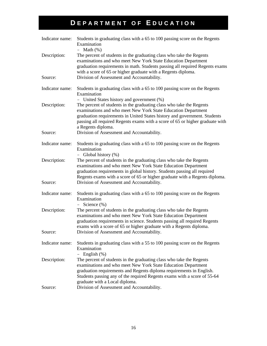| Indicator name: | Students in graduating class with a 65 to 100 passing score on the Regents<br>Examination<br>$-$ Math $(\%)$                                                                                                                                                                                                                |
|-----------------|-----------------------------------------------------------------------------------------------------------------------------------------------------------------------------------------------------------------------------------------------------------------------------------------------------------------------------|
| Description:    | The percent of students in the graduating class who take the Regents<br>examinations and who meet New York State Education Department<br>graduation requirements in math. Students passing all required Regents exams<br>with a score of 65 or higher graduate with a Regents diploma.                                      |
| Source:         | Division of Assessment and Accountability.                                                                                                                                                                                                                                                                                  |
| Indicator name: | Students in graduating class with a 65 to 100 passing score on the Regents<br>Examination<br>- United States history and government (%)                                                                                                                                                                                     |
| Description:    | The percent of students in the graduating class who take the Regents<br>examinations and who meet New York State Education Department<br>graduation requirements in United States history and government. Students<br>passing all required Regents exams with a score of 65 or higher graduate with<br>a Regents diploma.   |
| Source:         | Division of Assessment and Accountability.                                                                                                                                                                                                                                                                                  |
| Indicator name: | Students in graduating class with a 65 to 100 passing score on the Regents<br>Examination<br>$-$ Global history $(\%)$                                                                                                                                                                                                      |
| Description:    | The percent of students in the graduating class who take the Regents<br>examinations and who meet New York State Education Department<br>graduation requirements in global history. Students passing all required<br>Regents exams with a score of 65 or higher graduate with a Regents diploma.                            |
| Source:         | Division of Assessment and Accountability.                                                                                                                                                                                                                                                                                  |
| Indicator name: | Students in graduating class with a 65 to 100 passing score on the Regents<br>Examination<br>Science (%)                                                                                                                                                                                                                    |
| Description:    | The percent of students in the graduating class who take the Regents<br>examinations and who meet New York State Education Department<br>graduation requirements in science. Students passing all required Regents<br>exams with a score of 65 or higher graduate with a Regents diploma.                                   |
| Source:         | Division of Assessment and Accountability.                                                                                                                                                                                                                                                                                  |
| Indicator name: | Students in graduating class with a 55 to 100 passing score on the Regents<br>Examination<br>English $(\%)$                                                                                                                                                                                                                 |
| Description:    | The percent of students in the graduating class who take the Regents<br>examinations and who meet New York State Education Department<br>graduation requirements and Regents diploma requirements in English.<br>Students passing any of the required Regents exams with a score of 55-64<br>graduate with a Local diploma. |
| Source:         | Division of Assessment and Accountability.                                                                                                                                                                                                                                                                                  |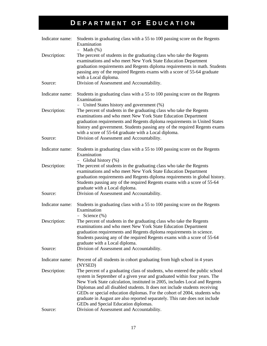| Indicator name: | Students in graduating class with a 55 to 100 passing score on the Regents<br>Examination<br>$-$ Math $(\%)$                                                                                                                                                                                                                                                                                                                                                                                                            |
|-----------------|-------------------------------------------------------------------------------------------------------------------------------------------------------------------------------------------------------------------------------------------------------------------------------------------------------------------------------------------------------------------------------------------------------------------------------------------------------------------------------------------------------------------------|
| Description:    | The percent of students in the graduating class who take the Regents<br>examinations and who meet New York State Education Department<br>graduation requirements and Regents diploma requirements in math. Students<br>passing any of the required Regents exams with a score of 55-64 graduate<br>with a Local diploma.                                                                                                                                                                                                |
| Source:         | Division of Assessment and Accountability.                                                                                                                                                                                                                                                                                                                                                                                                                                                                              |
| Indicator name: | Students in graduating class with a 55 to 100 passing score on the Regents<br>Examination<br>United States history and government (%)                                                                                                                                                                                                                                                                                                                                                                                   |
| Description:    | The percent of students in the graduating class who take the Regents<br>examinations and who meet New York State Education Department<br>graduation requirements and Regents diploma requirements in United States<br>history and government. Students passing any of the required Regents exams<br>with a score of 55-64 graduate with a Local diploma.                                                                                                                                                                |
| Source:         | Division of Assessment and Accountability.                                                                                                                                                                                                                                                                                                                                                                                                                                                                              |
| Indicator name: | Students in graduating class with a 55 to 100 passing score on the Regents<br>Examination<br>$-$ Global history $(\%)$                                                                                                                                                                                                                                                                                                                                                                                                  |
| Description:    | The percent of students in the graduating class who take the Regents<br>examinations and who meet New York State Education Department<br>graduation requirements and Regents diploma requirements in global history.<br>Students passing any of the required Regents exams with a score of 55-64<br>graduate with a Local diploma.                                                                                                                                                                                      |
| Source:         | Division of Assessment and Accountability.                                                                                                                                                                                                                                                                                                                                                                                                                                                                              |
| Indicator name: | Students in graduating class with a 55 to 100 passing score on the Regents<br>Examination<br>Science $(\% )$                                                                                                                                                                                                                                                                                                                                                                                                            |
| Description:    | The percent of students in the graduating class who take the Regents<br>examinations and who meet New York State Education Department<br>graduation requirements and Regents diploma requirements in science.<br>Students passing any of the required Regents exams with a score of 55-64<br>graduate with a Local diploma.                                                                                                                                                                                             |
| Source:         | Division of Assessment and Accountability.                                                                                                                                                                                                                                                                                                                                                                                                                                                                              |
| Indicator name: | Percent of all students in cohort graduating from high school in 4 years<br>(NYSED)                                                                                                                                                                                                                                                                                                                                                                                                                                     |
| Description:    | The percent of a graduating class of students, who entered the public school<br>system in September of a given year and graduated within four years. The<br>New York State calculation, instituted in 2005, includes Local and Regents<br>Diplomas and all disabled students. It does not include students receiving<br>GEDs or special education diplomas. For the cohort of 2004, students who<br>graduate in August are also reported separately. This rate does not include<br>GEDs and Special Education diplomas. |
| Source:         | Division of Assessment and Accountability.                                                                                                                                                                                                                                                                                                                                                                                                                                                                              |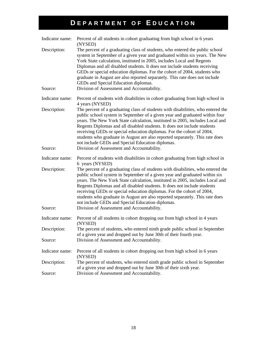| Indicator name: | Percent of all students in cohort graduating from high school in 6 years<br>(NYSED)                                                                                                                                                                                                                                                                                                                                                                                                                                                       |
|-----------------|-------------------------------------------------------------------------------------------------------------------------------------------------------------------------------------------------------------------------------------------------------------------------------------------------------------------------------------------------------------------------------------------------------------------------------------------------------------------------------------------------------------------------------------------|
| Description:    | The percent of a graduating class of students, who entered the public school<br>system in September of a given year and graduated within six years. The New<br>York State calculation, instituted in 2005, includes Local and Regents<br>Diplomas and all disabled students. It does not include students receiving<br>GEDs or special education diplomas. For the cohort of 2004, students who<br>graduate in August are also reported separately. This rate does not include<br>GEDs and Special Education diplomas.                    |
| Source:         | Division of Assessment and Accountability.                                                                                                                                                                                                                                                                                                                                                                                                                                                                                                |
| Indicator name: | Percent of students with disabilities in cohort graduating from high school in<br>4 years (NYSED)                                                                                                                                                                                                                                                                                                                                                                                                                                         |
| Description:    | The percent of a graduating class of students with disabilities, who entered the<br>public school system in September of a given year and graduated within four<br>years. The New York State calculation, instituted in 2005, includes Local and<br>Regents Diplomas and all disabled students. It does not include students<br>receiving GEDs or special education diplomas. For the cohort of 2004,<br>students who graduate in August are also reported separately. This rate does<br>not include GEDs and Special Education diplomas. |
| Source:         | Division of Assessment and Accountability.                                                                                                                                                                                                                                                                                                                                                                                                                                                                                                |
| Indicator name: | Percent of students with disabilities in cohort graduating from high school in<br>6 years (NYSED)                                                                                                                                                                                                                                                                                                                                                                                                                                         |
| Description:    | The percent of a graduating class of students with disabilities, who entered the<br>public school system in September of a given year and graduated within six<br>years. The New York State calculation, instituted in 2005, includes Local and<br>Regents Diplomas and all disabled students. It does not include students<br>receiving GEDs or special education diplomas. For the cohort of 2004,<br>students who graduate in August are also reported separately. This rate does<br>not include GEDs and Special Education diplomas.  |
| Source:         | Division of Assessment and Accountability.                                                                                                                                                                                                                                                                                                                                                                                                                                                                                                |
| Indicator name: | Percent of all students in cohort dropping out from high school in 4 years<br>(NYSED)                                                                                                                                                                                                                                                                                                                                                                                                                                                     |
| Description:    | The percent of students, who entered ninth grade public school in September<br>of a given year and dropped out by June 30th of their fourth year.                                                                                                                                                                                                                                                                                                                                                                                         |
| Source:         | Division of Assessment and Accountability.                                                                                                                                                                                                                                                                                                                                                                                                                                                                                                |
| Indicator name: | Percent of all students in cohort dropping out from high school in 6 years<br>(NYSED)                                                                                                                                                                                                                                                                                                                                                                                                                                                     |
| Description:    | The percent of students, who entered ninth grade public school in September<br>of a given year and dropped out by June 30th of their sixth year.                                                                                                                                                                                                                                                                                                                                                                                          |
| Source:         | Division of Assessment and Accountability.                                                                                                                                                                                                                                                                                                                                                                                                                                                                                                |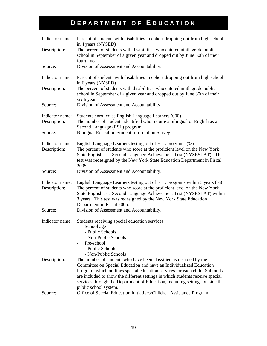| Indicator name:                            | Percent of students with disabilities in cohort dropping out from high school<br>in 4 years (NYSED)                                                                                                                                                                                                                                                                                                                 |
|--------------------------------------------|---------------------------------------------------------------------------------------------------------------------------------------------------------------------------------------------------------------------------------------------------------------------------------------------------------------------------------------------------------------------------------------------------------------------|
| Description:                               | The percent of students with disabilities, who entered ninth grade public<br>school in September of a given year and dropped out by June 30th of their<br>fourth year.                                                                                                                                                                                                                                              |
| Source:                                    | Division of Assessment and Accountability.                                                                                                                                                                                                                                                                                                                                                                          |
| Indicator name:                            | Percent of students with disabilities in cohort dropping out from high school<br>in 6 years (NYSED)                                                                                                                                                                                                                                                                                                                 |
| Description:                               | The percent of students with disabilities, who entered ninth grade public<br>school in September of a given year and dropped out by June 30th of their<br>sixth year.                                                                                                                                                                                                                                               |
| Source:                                    | Division of Assessment and Accountability.                                                                                                                                                                                                                                                                                                                                                                          |
| Indicator name:<br>Description:<br>Source: | Students enrolled as English Language Learners (000)<br>The number of students identified who require a bilingual or English as a<br>Second Language (ESL) program.<br>Bilingual Education Student Information Survey.                                                                                                                                                                                              |
|                                            |                                                                                                                                                                                                                                                                                                                                                                                                                     |
| Indicator name:<br>Description:            | English Language Learners testing out of ELL programs (%)<br>The percent of students who score at the proficient level on the New York<br>State English as a Second Language Achievement Test (NYSESLAT). This<br>test was redesigned by the New York State Education Department in Fiscal<br>2005.                                                                                                                 |
| Source:                                    | Division of Assessment and Accountability.                                                                                                                                                                                                                                                                                                                                                                          |
| Indicator name:<br>Description:            | English Language Learners testing out of ELL programs within 3 years (%)<br>The percent of students who score at the proficient level on the New York<br>State English as a Second Language Achievement Test (NYSESLAT) within<br>3 years. This test was redesigned by the New York State Education<br>Department in Fiscal 2005.                                                                                   |
| Source:                                    | Division of Assessment and Accountability.                                                                                                                                                                                                                                                                                                                                                                          |
| Indicator name:                            | Students receiving special education services<br>School age<br>- Public Schools<br>- Non-Public Schools                                                                                                                                                                                                                                                                                                             |
|                                            | Pre-school<br>- Public Schools<br>- Non-Public Schools                                                                                                                                                                                                                                                                                                                                                              |
| Description:                               | The number of students who have been classified as disabled by the<br>Committee on Special Education and have an Individualized Education<br>Program, which outlines special education services for each child. Subtotals<br>are included to show the different settings in which students receive special<br>services through the Department of Education, including settings outside the<br>public school system. |
| Source:                                    | Office of Special Education Initiatives/Children Assistance Program.                                                                                                                                                                                                                                                                                                                                                |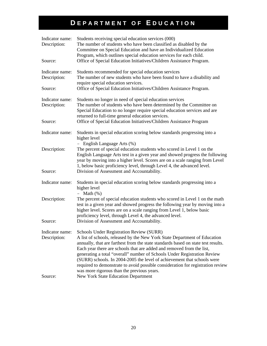| Indicator name:<br>Description:<br>Source: | Students receiving special education services (000)<br>The number of students who have been classified as disabled by the<br>Committee on Special Education and have an Individualized Education<br>Program, which outlines special education services for each child.<br>Office of Special Education Initiatives/Children Assistance Program.  |
|--------------------------------------------|-------------------------------------------------------------------------------------------------------------------------------------------------------------------------------------------------------------------------------------------------------------------------------------------------------------------------------------------------|
| Indicator name:<br>Description:            | Students recommended for special education services<br>The number of new students who have been found to have a disability and                                                                                                                                                                                                                  |
| Source:                                    | require special education services.<br>Office of Special Education Initiatives/Children Assistance Program.                                                                                                                                                                                                                                     |
| Indicator name:<br>Description:            | Students no longer in need of special education services<br>The number of students who have been determined by the Committee on<br>Special Education to no longer require special education services and are<br>returned to full-time general education services.                                                                               |
| Source:                                    | Office of Special Education Initiatives/Children Assistance Program                                                                                                                                                                                                                                                                             |
| Indicator name:                            | Students in special education scoring below standards progressing into a<br>higher level                                                                                                                                                                                                                                                        |
| Description:                               | - English Language Arts (%)<br>The percent of special education students who scored in Level 1 on the<br>English Language Arts test in a given year and showed progress the following<br>year by moving into a higher level. Scores are on a scale ranging from Level<br>1, below basic proficiency level, through Level 4, the advanced level. |
| Source:                                    | Division of Assessment and Accountability.                                                                                                                                                                                                                                                                                                      |
| Indicator name:                            | Students in special education scoring below standards progressing into a<br>higher level<br>$-$ Math $(\%)$                                                                                                                                                                                                                                     |
| Description:                               | The percent of special education students who scored in Level 1 on the math<br>test in a given year and showed progress the following year by moving into a<br>higher level. Scores are on a scale ranging from Level 1, below basic<br>proficiency level, through Level 4, the advanced level.                                                 |
| Source:                                    | Division of Assessment and Accountability.                                                                                                                                                                                                                                                                                                      |
| Description:                               | Indicator name: Schools Under Registration Review (SURR)<br>A list of schools, released by the New York State Department of Education<br>annually, that are farthest from the state standards based on state test results.<br>Each year there are schools that are added and removed from the list,                                             |
|                                            | generating a total "overall" number of Schools Under Registration Review<br>(SURR) schools. In 2004-2005 the level of achievement that schools were<br>required to demonstrate to avoid possible consideration for registration review<br>was more rigorous than the previous years.                                                            |
| Source:                                    | New York State Education Department                                                                                                                                                                                                                                                                                                             |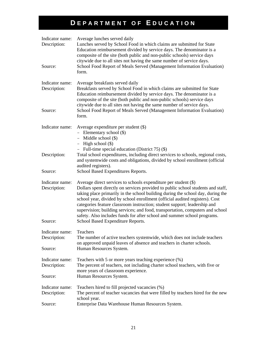| Indicator name:<br>Description:<br>Source: | Average lunches served daily<br>Lunches served by School Food in which claims are submitted for State<br>Education reimbursement divided by service days. The denominator is a<br>composite of the site (both public and non-public schools) service days<br>citywide due to all sites not having the same number of service days.<br>School Food Report of Meals Served (Management Information Evaluation)<br>form.                                                                                                                                                                                  |
|--------------------------------------------|--------------------------------------------------------------------------------------------------------------------------------------------------------------------------------------------------------------------------------------------------------------------------------------------------------------------------------------------------------------------------------------------------------------------------------------------------------------------------------------------------------------------------------------------------------------------------------------------------------|
| Indicator name:<br>Description:<br>Source: | Average breakfasts served daily<br>Breakfasts served by School Food in which claims are submitted for State<br>Education reimbursement divided by service days. The denominator is a<br>composite of the site (both public and non-public schools) service days<br>citywide due to all sites not having the same number of service days.<br>School Food Report of Meals Served (Management Information Evaluation)<br>form.                                                                                                                                                                            |
| Indicator name:                            | Average expenditure per student $(\$)$<br>- Elementary school (\$)<br>- Middle school (\$)<br>$-$ High school $(\$)$                                                                                                                                                                                                                                                                                                                                                                                                                                                                                   |
| Description:<br>Source:                    | - Full-time special education (District $75$ ) (\$)<br>Total school expenditures, including direct services to schools, regional costs,<br>and systemwide costs and obligations, divided by school enrollment (official<br>audited registers).<br>School Based Expenditures Reports.                                                                                                                                                                                                                                                                                                                   |
| Indicator name:<br>Description:<br>Source: | Average direct services to schools expenditure per student (\$)<br>Dollars spent directly on services provided to public school students and staff,<br>taking place primarily in the school building during the school day, during the<br>school year, divided by school enrollment (official audited registers). Cost<br>categories feature classroom instruction; student support; leadership and<br>supervision; building services; and food, transportation, computers and school<br>safety. Also includes funds for after school and summer school programs.<br>School Based Expenditure Reports. |
| Indicator name:<br>Description:<br>Source: | Teachers<br>The number of active teachers systemwide, which does not include teachers<br>on approved unpaid leaves of absence and teachers in charter schools.<br>Human Resources System.                                                                                                                                                                                                                                                                                                                                                                                                              |
| Indicator name:<br>Description:<br>Source: | Teachers with 5 or more years teaching experience $(\%)$<br>The percent of teachers, not including charter school teachers, with five or<br>more years of classroom experience.<br>Human Resources System.                                                                                                                                                                                                                                                                                                                                                                                             |
| Indicator name:<br>Description:<br>Source: | Teachers hired to fill projected vacancies (%)<br>The percent of teacher vacancies that were filled by teachers hired for the new<br>school year.<br>Enterprise Data Warehouse Human Resources System.                                                                                                                                                                                                                                                                                                                                                                                                 |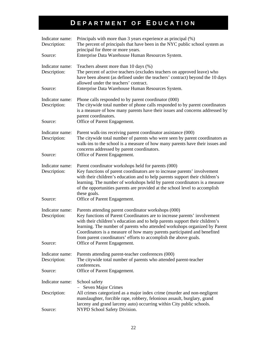| Indicator name:<br>Description:            | Principals with more than 3 years experience as principal (%)<br>The percent of principals that have been in the NYC public school system as<br>principal for three or more years.                                                                                                                                                                                                                                                                                              |
|--------------------------------------------|---------------------------------------------------------------------------------------------------------------------------------------------------------------------------------------------------------------------------------------------------------------------------------------------------------------------------------------------------------------------------------------------------------------------------------------------------------------------------------|
| Source:                                    | Enterprise Data Warehouse Human Resources System.                                                                                                                                                                                                                                                                                                                                                                                                                               |
| Indicator name:<br>Description:<br>Source: | Teachers absent more than 10 days (%)<br>The percent of active teachers (excludes teachers on approved leave) who<br>have been absent (as defined under the teachers' contract) beyond the 10 days<br>allowed under the teachers' contract.<br>Enterprise Data Warehouse Human Resources System.                                                                                                                                                                                |
|                                            |                                                                                                                                                                                                                                                                                                                                                                                                                                                                                 |
| Indicator name:<br>Description:            | Phone calls responded to by parent coordinator (000)<br>The citywide total number of phone calls responded to by parent coordinators<br>is a measure of how many parents have their issues and concerns addressed by<br>parent coordinators.                                                                                                                                                                                                                                    |
| Source:                                    | Office of Parent Engagement.                                                                                                                                                                                                                                                                                                                                                                                                                                                    |
| Indicator name:<br>Description:            | Parent walk-ins receiving parent coordinator assistance (000)<br>The citywide total number of parents who were seen by parent coordinators as<br>walk-ins to the school is a measure of how many parents have their issues and<br>concerns addressed by parent coordinators.                                                                                                                                                                                                    |
| Source:                                    | Office of Parent Engagement.                                                                                                                                                                                                                                                                                                                                                                                                                                                    |
| Indicator name:<br>Description:<br>Source: | Parent coordinator workshops held for parents (000)<br>Key functions of parent coordinators are to increase parents' involvement<br>with their children's education and to help parents support their children's<br>learning. The number of workshops held by parent coordinators is a measure<br>of the opportunities parents are provided at the school level to accomplish<br>these goals.<br>Office of Parent Engagement.                                                   |
|                                            |                                                                                                                                                                                                                                                                                                                                                                                                                                                                                 |
| Indicator name:<br>Description:<br>Source: | Parents attending parent coordinator workshops (000)<br>Key functions of Parent Coordinators are to increase parents' involvement<br>with their children's education and to help parents support their children's<br>learning. The number of parents who attended workshops organized by Parent<br>Coordinators is a measure of how many parents participated and benefited<br>from parent coordinators' efforts to accomplish the above goals.<br>Office of Parent Engagement. |
| Indicator name:                            | Parents attending parent-teacher conferences (000)                                                                                                                                                                                                                                                                                                                                                                                                                              |
| Description:                               | The citywide total number of parents who attended parent-teacher<br>conferences.                                                                                                                                                                                                                                                                                                                                                                                                |
| Source:                                    | Office of Parent Engagement.                                                                                                                                                                                                                                                                                                                                                                                                                                                    |
| Indicator name:                            | School safety                                                                                                                                                                                                                                                                                                                                                                                                                                                                   |
| Description:<br>Source:                    | Seven Major Crimes<br>All crimes categorized as a major index crime (murder and non-negligent<br>manslaughter, forcible rape, robbery, felonious assault, burglary, grand<br>larceny and grand larceny auto) occurring within City public schools.<br>NYPD School Safety Division.                                                                                                                                                                                              |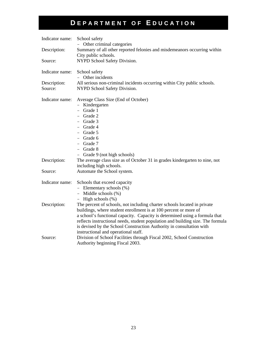| Indicator name:         | School safety<br>Other criminal categories                                                                                                                                                                                                                                                                                                                                                                                     |
|-------------------------|--------------------------------------------------------------------------------------------------------------------------------------------------------------------------------------------------------------------------------------------------------------------------------------------------------------------------------------------------------------------------------------------------------------------------------|
| Description:            | Summary of all other reported felonies and misdemeanors occurring within<br>City public schools.                                                                                                                                                                                                                                                                                                                               |
| Source:                 | NYPD School Safety Division.                                                                                                                                                                                                                                                                                                                                                                                                   |
| Indicator name:         | School safety<br>- Other incidents                                                                                                                                                                                                                                                                                                                                                                                             |
| Description:<br>Source: | All serious non-criminal incidents occurring within City public schools.<br>NYPD School Safety Division.                                                                                                                                                                                                                                                                                                                       |
| Indicator name:         | Average Class Size (End of October)<br>Kindergarten<br>Grade 1<br>$-$ Grade 2<br>$-$ Grade 3<br>$-$ Grade 4<br>$-$ Grade 5<br>$-$ Grade 6                                                                                                                                                                                                                                                                                      |
|                         | Grade 7<br>Grade 8                                                                                                                                                                                                                                                                                                                                                                                                             |
| Description:            | Grade 9 (not high schools)<br>The average class size as of October 31 in grades kindergarten to nine, not<br>including high schools.                                                                                                                                                                                                                                                                                           |
| Source:                 | Automate the School system.                                                                                                                                                                                                                                                                                                                                                                                                    |
| Indicator name:         | Schools that exceed capacity<br>- Elementary schools (%)<br>$-$ Middle schools $(\%)$<br>$-$ High schools $(\%)$                                                                                                                                                                                                                                                                                                               |
| Description:            | The percent of schools, not including charter schools located in private<br>buildings, where student enrollment is at 100 percent or more of<br>a school's functional capacity. Capacity is determined using a formula that<br>reflects instructional needs, student population and building size. The formula<br>is devised by the School Construction Authority in consultation with<br>instructional and operational staff. |
| Source:                 | Division of School Facilities through Fiscal 2002, School Construction<br>Authority beginning Fiscal 2003.                                                                                                                                                                                                                                                                                                                     |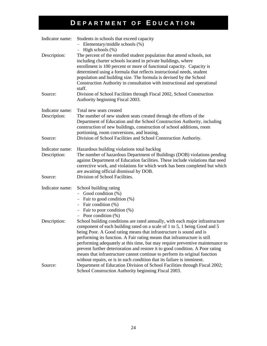| Indicator name:                 | Students in schools that exceed capacity<br>Elementary/middle schools (%)<br>High schools $(\%)$                                                                                                                                                                                                                                                                                                                                                                                                                                                                                                                                         |
|---------------------------------|------------------------------------------------------------------------------------------------------------------------------------------------------------------------------------------------------------------------------------------------------------------------------------------------------------------------------------------------------------------------------------------------------------------------------------------------------------------------------------------------------------------------------------------------------------------------------------------------------------------------------------------|
| Description:                    | The percent of the enrolled student population that attend schools, not<br>including charter schools located in private buildings, where<br>enrollment is 100 percent or more of functional capacity. Capacity is<br>determined using a formula that reflects instructional needs, student<br>population and building size. The formula is devised by the School<br>Construction Authority in consultation with instructional and operational<br>staff.                                                                                                                                                                                  |
| Source:                         | Division of School Facilities through Fiscal 2002, School Construction<br>Authority beginning Fiscal 2003.                                                                                                                                                                                                                                                                                                                                                                                                                                                                                                                               |
| Indicator name:<br>Description: | Total new seats created<br>The number of new student seats created through the efforts of the<br>Department of Education and the School Construction Authority, including<br>construction of new buildings, construction of school additions, room<br>portioning, room conversions, and leasing.                                                                                                                                                                                                                                                                                                                                         |
| Source:                         | Division of School Facilities and School Construction Authority.                                                                                                                                                                                                                                                                                                                                                                                                                                                                                                                                                                         |
| Indicator name:<br>Description: | Hazardous building violations total backlog<br>The number of hazardous Department of Buildings (DOB) violations pending<br>against Department of Education facilities. These include violations that need<br>corrective work, and violations for which work has been completed but which<br>are awaiting official dismissal by DOB.                                                                                                                                                                                                                                                                                                      |
| Source:                         | Division of School Facilities.                                                                                                                                                                                                                                                                                                                                                                                                                                                                                                                                                                                                           |
| Indicator name:                 | School building rating<br>Good condition (%)<br>$\sim$<br>- Fair to good condition $(\%)$<br>- Fair condition $(\%)$<br>Fair to poor condition $(\%)$<br>Poor condition (%)<br>$ \,$                                                                                                                                                                                                                                                                                                                                                                                                                                                     |
| Description:                    | School building conditions are rated annually, with each major infrastructure<br>component of each building rated on a scale of 1 to 5, 1 being Good and 5<br>being Poor. A Good rating means that infrastructure is sound and is<br>performing its function. A Fair rating means that infrastructure is still<br>performing adequately at this time, but may require preventive maintenance to<br>prevent further deterioration and restore it to good condition. A Poor rating<br>means that infrastructure cannot continue to perform its original function<br>without repairs, or is in such condition that its failure is imminent. |
| Source:                         | Department of Education Division of School Facilities through Fiscal 2002;<br>School Construction Authority beginning Fiscal 2003.                                                                                                                                                                                                                                                                                                                                                                                                                                                                                                       |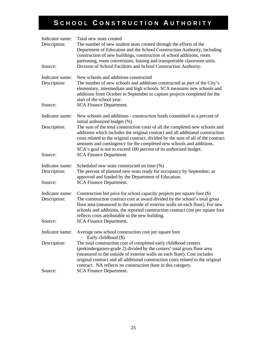#### **S CHOOL C ONSTRUCTION A UTHORITY**

| Indicator name:<br>Description:<br>Source: | Total new seats created<br>The number of new student seats created through the efforts of the<br>Department of Education and the School Construction Authority, including<br>construction of new buildings, construction of school additions, room<br>partioning, room conversions, leasing and transportable classroom units.<br>Division of School Facilities and School Construction Authority. |
|--------------------------------------------|----------------------------------------------------------------------------------------------------------------------------------------------------------------------------------------------------------------------------------------------------------------------------------------------------------------------------------------------------------------------------------------------------|
|                                            |                                                                                                                                                                                                                                                                                                                                                                                                    |
| Indicator name:<br>Description:            | New schools and additions constructed<br>The number of new schools and additions constructed as part of the City's<br>elementary, intermediate and high schools. SCA measures new schools and<br>additions from October to September to capture projects completed for the<br>start of the school year.                                                                                            |
| Source:                                    | <b>SCA Finance Department.</b>                                                                                                                                                                                                                                                                                                                                                                     |
| Indicator name:                            | New schools and additions - construction funds committed as a percent of<br>initial authorized budget (%)                                                                                                                                                                                                                                                                                          |
| Description:                               | The sum of the total construction costs of all the completed new schools and<br>additions which includes the original contract and all additional construction<br>costs related to the original contract, divided by the sum of all of the contract<br>amounts and contingency for the completed new schools and additions.<br>SCA's goal is not to exceed 100 percent of its authorized budget.   |
| Source:                                    | <b>SCA Finance Department</b>                                                                                                                                                                                                                                                                                                                                                                      |
| Indicator name:<br>Description:<br>Source: | Scheduled new seats constructed on time (%)<br>The percent of planned new seats ready for occupancy by September, as<br>approved and funded by the Department of Education.<br><b>SCA Finance Department.</b>                                                                                                                                                                                      |
|                                            |                                                                                                                                                                                                                                                                                                                                                                                                    |
| Indicator name:<br>Description:            | Construction bid price for school capacity projects per square foot (\$)<br>The construction contract cost at award divided by the school's total gross<br>floor area (measured to the outside of exterior walls on each floor). For new<br>schools and additions, the reported construction contract cost per square foot<br>reflects costs attributable to the new building.                     |
| Source:                                    | SCA Finance Department.                                                                                                                                                                                                                                                                                                                                                                            |
| Indicator name:                            | Average new school construction cost per square foot<br>Early childhood (\$)                                                                                                                                                                                                                                                                                                                       |
| Description:                               | The total construction cost of completed early childhood centers<br>(prekindergarten-grade 2) divided by the centers' total gross floor area<br>(measured to the outside of exterior walls on each floor). Cost includes<br>original contract and all additional construction costs related to the original<br>contract. NA reflects no construction done in this category.                        |
| Source:                                    | <b>SCA Finance Department.</b>                                                                                                                                                                                                                                                                                                                                                                     |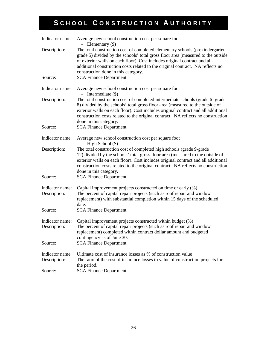#### **S CHOOL C ONSTRUCTION A UTHORITY**

| Indicator name:                 | Average new school construction cost per square foot<br>Elementary $(\$)$                                                                                                                                                                                                                                                                                               |
|---------------------------------|-------------------------------------------------------------------------------------------------------------------------------------------------------------------------------------------------------------------------------------------------------------------------------------------------------------------------------------------------------------------------|
| Description:                    | The total construction cost of completed elementary schools (prekindergarten-<br>grade 5) divided by the schools' total gross floor area (measured to the outside<br>of exterior walls on each floor). Cost includes original contract and all<br>additional construction costs related to the original contract. NA reflects no<br>construction done in this category. |
| Source:                         | <b>SCA Finance Department.</b>                                                                                                                                                                                                                                                                                                                                          |
| Indicator name:                 | Average new school construction cost per square foot<br>Intermediate (\$)                                                                                                                                                                                                                                                                                               |
| Description:                    | The total construction cost of completed intermediate schools (grade 6- grade<br>8) divided by the schools' total gross floor area (measured to the outside of<br>exterior walls on each floor). Cost includes original contract and all additional<br>construction costs related to the original contract. NA reflects no construction<br>done in this category.       |
| Source:                         | <b>SCA Finance Department.</b>                                                                                                                                                                                                                                                                                                                                          |
| Indicator name:                 | Average new school construction cost per square foot<br>High School (\$)                                                                                                                                                                                                                                                                                                |
| Description:                    | The total construction cost of completed high schools (grade 9-grade<br>12) divided by the schools' total gross floor area (measured to the outside of<br>exterior walls on each floor). Cost includes original contract and all additional<br>construction costs related to the original contract. NA reflects no construction<br>done in this category.               |
| Source:                         | <b>SCA Finance Department.</b>                                                                                                                                                                                                                                                                                                                                          |
| Indicator name:<br>Description: | Capital improvement projects constructed on time or early (%)<br>The percent of capital repair projects (such as roof repair and window<br>replacement) with substantial completion within 15 days of the scheduled<br>date.                                                                                                                                            |
| Source:                         | <b>SCA Finance Department.</b>                                                                                                                                                                                                                                                                                                                                          |
| Indicator name:<br>Description: | Capital improvement projects constructed within budget (%)<br>The percent of capital repair projects (such as roof repair and window<br>replacement) completed within contract dollar amount and budgeted<br>contingency as of June 30.                                                                                                                                 |
| Source:                         | <b>SCA Finance Department.</b>                                                                                                                                                                                                                                                                                                                                          |
| Indicator name:<br>Description: | Ultimate cost of insurance losses as % of construction value<br>The ratio of the cost of insurance losses to value of construction projects for<br>the period.                                                                                                                                                                                                          |
| Source:                         | <b>SCA Finance Department.</b>                                                                                                                                                                                                                                                                                                                                          |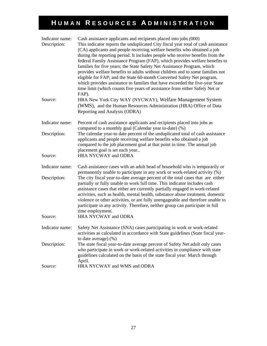| Indicator name:<br>Description: | Cash assistance applicants and recipients placed into jobs (000)<br>This indicator reports the unduplicated City fiscal year total of cash assistance<br>(CA) applicants and people receiving welfare benefits who obtained a job<br>during the reporting period. It includes people who receive benefits from the<br>federal Family Assistance Program (FAP), which provides welfare benefits to<br>families for five years; the State Safety Net Assistance Program, which<br>provides welfare benefits to adults without children and to some families not<br>eligible for FAP; and the State 60-month Converted Safety Net program,<br>which provides assistance to families that have exceeded the five-year State<br>time limit (which counts five years of assistance from either Safety Net or<br>FAP). |
|---------------------------------|-----------------------------------------------------------------------------------------------------------------------------------------------------------------------------------------------------------------------------------------------------------------------------------------------------------------------------------------------------------------------------------------------------------------------------------------------------------------------------------------------------------------------------------------------------------------------------------------------------------------------------------------------------------------------------------------------------------------------------------------------------------------------------------------------------------------|
| Source:                         | HRA New York City WAY (NYCWAY), Welfare Management System<br>(WMS), and the Human Resources Administration (HRA) Office of Data<br>Reporting and Analysis (ODRA)                                                                                                                                                                                                                                                                                                                                                                                                                                                                                                                                                                                                                                                |
| Indicator name:                 | Percent of cash assistance applicants and recipients placed into jobs as                                                                                                                                                                                                                                                                                                                                                                                                                                                                                                                                                                                                                                                                                                                                        |
| Description:                    | compared to a monthly goal (Calendar year to-date) (%)<br>The calendar year-to date percent of the unduplicated total of cash assistance<br>applicants and people receiving welfare benefits who obtained a job<br>compared to the job placement goal at that point in time. The annual job<br>placement goal is set each year                                                                                                                                                                                                                                                                                                                                                                                                                                                                                  |
| Source:                         | HRA NYCWAY and ODRA                                                                                                                                                                                                                                                                                                                                                                                                                                                                                                                                                                                                                                                                                                                                                                                             |
| Indicator name:<br>Description: | Cash assistance cases with an adult head of household who is temporarily or<br>permanently unable to participate in any work or work-related activity (%)<br>The city fiscal year-to-date average percent of the total cases that are either<br>partially or fully unable to work full time. This indicator includes cash<br>assistance cases that either are currently partially engaged in work-related<br>activities, such as health, mental health, substance abuse treatment, domestic<br>violence or other activities, or are fully unengageable and therefore unable to<br>participate in any activity. Therefore, neither group can participate in full<br>time employment.                                                                                                                             |
| Source:                         | HRA NYCWAY and ODRA                                                                                                                                                                                                                                                                                                                                                                                                                                                                                                                                                                                                                                                                                                                                                                                             |
| Indicator name:                 | Safety Net Assistance (SNA) cases participating in work or work-related<br>activities as calculated in accordance with State guidelines (State fiscal year-<br>to date average) $(\%)$                                                                                                                                                                                                                                                                                                                                                                                                                                                                                                                                                                                                                          |
| Description:                    | The state fiscal year-to-date average percent of Safety Net adult only cases<br>who participate in work or work-related activities in compliance with state<br>guidelines calculated on the basis of the state fiscal year: March through<br>April.                                                                                                                                                                                                                                                                                                                                                                                                                                                                                                                                                             |
| Source:                         | HRA NYCWAY and WMS and ODRA                                                                                                                                                                                                                                                                                                                                                                                                                                                                                                                                                                                                                                                                                                                                                                                     |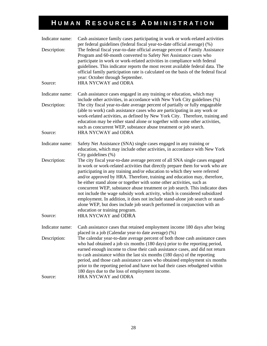| Indicator name:         | Cash assistance family cases participating in work or work-related activities<br>per federal guidelines (federal fiscal year-to-date official average) (%)                                                                                                                                                                                                                                                                                                                                                                                                                                                                                                                                                                                                     |
|-------------------------|----------------------------------------------------------------------------------------------------------------------------------------------------------------------------------------------------------------------------------------------------------------------------------------------------------------------------------------------------------------------------------------------------------------------------------------------------------------------------------------------------------------------------------------------------------------------------------------------------------------------------------------------------------------------------------------------------------------------------------------------------------------|
| Description:<br>Source: | The federal fiscal year-to-date official average percent of Family Assistance<br>Program and 60-month converted to Safety Net Assistance cases who<br>participate in work or work-related activities in compliance with federal<br>guidelines. This indicator reports the most recent available federal data. The<br>official family participation rate is calculated on the basis of the federal fiscal<br>year: October through September.<br>HRA NYCWAY and ODRA                                                                                                                                                                                                                                                                                            |
|                         |                                                                                                                                                                                                                                                                                                                                                                                                                                                                                                                                                                                                                                                                                                                                                                |
| Indicator name:         | Cash assistance cases engaged in any training or education, which may<br>include other activities, in accordance with New York City guidelines (%)                                                                                                                                                                                                                                                                                                                                                                                                                                                                                                                                                                                                             |
| Description:            | The city fiscal year-to-date average percent of partially or fully engageable<br>(able to work) cash assistance cases who are participating in any work or<br>work-related activities, as defined by New York City. Therefore, training and<br>education may be either stand alone or together with some other activities,<br>such as concurrent WEP, substance abuse treatment or job search.                                                                                                                                                                                                                                                                                                                                                                 |
| Source:                 | HRA NYCWAY and ODRA                                                                                                                                                                                                                                                                                                                                                                                                                                                                                                                                                                                                                                                                                                                                            |
| Indicator name:         | Safety Net Assistance (SNA) single cases engaged in any training or<br>education, which may include other activities, in accordance with New York<br>City guidelines $(\%)$                                                                                                                                                                                                                                                                                                                                                                                                                                                                                                                                                                                    |
| Description:            | The city fiscal year-to-date average percent of all SNA single cases engaged<br>in work or work-related activities that directly prepare them for work who are<br>participating in any training and/or education to which they were referred<br>and/or approved by HRA. Therefore, training and education may, therefore,<br>be either stand alone or together with some other activities, such as<br>concurrent WEP, substance abuse treatment or job search. This indicator does<br>not include the wage subsidy work activity, which is considered subsidized<br>employment. In addition, it does not include stand-alone job search or stand-<br>alone WEP, but does include job search performed in conjunction with an<br>education or training program. |
| Source:                 | <b>HRA NYCWAY and ODRA</b>                                                                                                                                                                                                                                                                                                                                                                                                                                                                                                                                                                                                                                                                                                                                     |
| Indicator name:         | Cash assistance cases that retained employment income 180 days after being<br>placed in a job (Calendar year-to date average) (%)                                                                                                                                                                                                                                                                                                                                                                                                                                                                                                                                                                                                                              |
| Description:            | The calendar year-to-date average percent of both those cash assistance cases<br>who had obtained a job six months (180 days) prior to the reporting period,<br>earned enough income to close their cash assistance cases, and did not return<br>to cash assistance within the last six months (180 days) of the reporting<br>period, and those cash assistance cases who obtained employment six months<br>prior to the reporting period and have not had their cases rebudgeted within<br>180 days due to the loss of employment income.                                                                                                                                                                                                                     |
| Source:                 | HRA NYCWAY and ODRA                                                                                                                                                                                                                                                                                                                                                                                                                                                                                                                                                                                                                                                                                                                                            |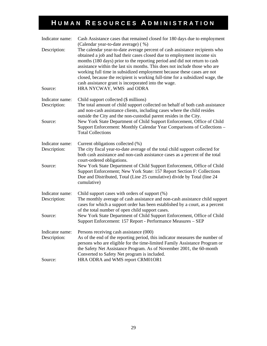| Indicator name:         | Cash Assistance cases that remained closed for 180 days due to employment<br>(Calendar year-to-date average) (%)                                                                                                                                                                                                                                                                                                                                                                                                                                                 |
|-------------------------|------------------------------------------------------------------------------------------------------------------------------------------------------------------------------------------------------------------------------------------------------------------------------------------------------------------------------------------------------------------------------------------------------------------------------------------------------------------------------------------------------------------------------------------------------------------|
| Description:<br>Source: | The calendar year-to-date average percent of cash assistance recipients who<br>obtained a job and had their cases closed due to employment income six<br>months (180 days) prior to the reporting period and did not return to cash<br>assistance within the last six months. This does not include those who are<br>working full time in subsidized employment because these cases are not<br>closed, because the recipient is working full-time for a subsidized wage, the<br>cash assistance grant is incorporated into the wage.<br>HRA NYCWAY, WMS and ODRA |
| Indicator name:         | Child support collected (\$ millions)                                                                                                                                                                                                                                                                                                                                                                                                                                                                                                                            |
| Description:            | The total amount of child support collected on behalf of both cash assistance<br>and non-cash assistance clients, including cases where the child resides                                                                                                                                                                                                                                                                                                                                                                                                        |
| Source:                 | outside the City and the non-custodial parent resides in the City.<br>New York State Department of Child Support Enforcement, Office of Child                                                                                                                                                                                                                                                                                                                                                                                                                    |
|                         | Support Enforcement: Monthly Calendar Year Comparisons of Collections -<br><b>Total Collections</b>                                                                                                                                                                                                                                                                                                                                                                                                                                                              |
| Indicator name:         | Current obligations collected (%)                                                                                                                                                                                                                                                                                                                                                                                                                                                                                                                                |
| Description:            | The city fiscal year-to-date average of the total child support collected for<br>both cash assistance and non-cash assistance cases as a percent of the total                                                                                                                                                                                                                                                                                                                                                                                                    |
| Source:                 | court-ordered obligations.<br>New York State Department of Child Support Enforcement, Office of Child                                                                                                                                                                                                                                                                                                                                                                                                                                                            |
|                         | Support Enforcement; New York State: 157 Report Section F: Collections<br>Due and Distributed, Total (Line 25 cumulative) divide by Total (line 24<br>cumulative)                                                                                                                                                                                                                                                                                                                                                                                                |
| Indicator name:         | Child support cases with orders of support $(\%)$                                                                                                                                                                                                                                                                                                                                                                                                                                                                                                                |
| Description:            | The monthly average of cash assistance and non-cash assistance child support<br>cases for which a support order has been established by a court, as a percent<br>of the total number of open child support cases.                                                                                                                                                                                                                                                                                                                                                |
| Source:                 | New York State Department of Child Support Enforcement, Office of Child<br>Support Enforcement: 157 Report - Performance Measures - SEP                                                                                                                                                                                                                                                                                                                                                                                                                          |
| Indicator name:         | Persons receiving cash assistance (000)                                                                                                                                                                                                                                                                                                                                                                                                                                                                                                                          |
| Description:            | As of the end of the reporting period, this indicator measures the number of<br>persons who are eligible for the time-limited Family Assistance Program or<br>the Safety Net Assistance Program. As of November 2001, the 60-month<br>Converted to Safety Net program is included.                                                                                                                                                                                                                                                                               |
| Source:                 | HRA ODRA and WMS report CRM01OR1                                                                                                                                                                                                                                                                                                                                                                                                                                                                                                                                 |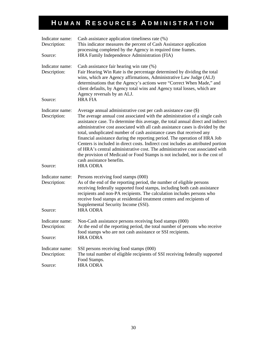| Indicator name:<br>Description:<br>Source: | Cash assistance application timeliness rate (%)<br>This indicator measures the percent of Cash Assistance application<br>processing completed by the Agency in required time frames.<br>HRA Family Independence Administration (FIA)                                                                                                                                                                                                                                                                                                                                                                                                                                                                                                                                                |
|--------------------------------------------|-------------------------------------------------------------------------------------------------------------------------------------------------------------------------------------------------------------------------------------------------------------------------------------------------------------------------------------------------------------------------------------------------------------------------------------------------------------------------------------------------------------------------------------------------------------------------------------------------------------------------------------------------------------------------------------------------------------------------------------------------------------------------------------|
| Indicator name:<br>Description:<br>Source: | Cash assistance fair hearing win rate (%)<br>Fair Hearing Win Rate is the percentage determined by dividing the total<br>wins, which are Agency affirmations, Administrative Law Judge (ALJ)<br>determinations that the Agency's actions were "Correct When Made," and<br>client defaults, by Agency total wins and Agency total losses, which are<br>Agency reversals by an ALJ.<br><b>HRAFIA</b>                                                                                                                                                                                                                                                                                                                                                                                  |
| Indicator name:<br>Description:<br>Source: | Average annual administrative cost per cash assistance case (\$)<br>The average annual cost associated with the administration of a single cash<br>assistance case. To determine this average, the total annual direct and indirect<br>administrative cost associated with all cash assistance cases is divided by the<br>total, unduplicated number of cash assistance cases that received any<br>financial assistance during the reporting period. The operation of HRA Job<br>Centers is included in direct costs. Indirect cost includes an attributed portion<br>of HRA's central administrative cost. The administrative cost associated with<br>the provision of Medicaid or Food Stamps is not included, nor is the cost of<br>cash assistance benefits.<br><b>HRA ODRA</b> |
| Indicator name:<br>Description:<br>Source: | Persons receiving food stamps (000)<br>As of the end of the reporting period, the number of eligible persons<br>receiving federally supported food stamps, including both cash assistance<br>recipients and non-PA recipients. The calculation includes persons who<br>receive food stamps at residential treatment centers and recipients of<br>Supplemental Security Income (SSI).<br><b>HRA ODRA</b>                                                                                                                                                                                                                                                                                                                                                                             |
| Indicator name:<br>Description:<br>Source: | Non-Cash assistance persons receiving food stamps (000)<br>At the end of the reporting period, the total number of persons who receive<br>food stamps who are not cash assistance or SSI recipients.<br><b>HRA ODRA</b>                                                                                                                                                                                                                                                                                                                                                                                                                                                                                                                                                             |
| Indicator name:<br>Description:<br>Source: | SSI persons receiving food stamps (000)<br>The total number of eligible recipients of SSI receiving federally supported<br>Food Stamps.<br><b>HRA ODRA</b>                                                                                                                                                                                                                                                                                                                                                                                                                                                                                                                                                                                                                          |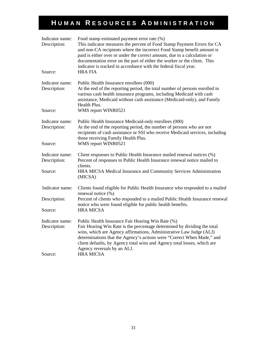| Indicator name:<br>Description: | Food stamp estimated payment error rate (%)<br>This indicator measures the percent of Food Stamp Payment Errors for CA<br>and non-CA recipients where the incorrect Food Stamp benefit amount is<br>paid is either over or under the correct amount, due to a calculation or<br>documentation error on the part of either the worker or the client. This<br>indicator is tracked in accordance with the federal fiscal year. |
|---------------------------------|------------------------------------------------------------------------------------------------------------------------------------------------------------------------------------------------------------------------------------------------------------------------------------------------------------------------------------------------------------------------------------------------------------------------------|
| Source:                         | <b>HRA FIA</b>                                                                                                                                                                                                                                                                                                                                                                                                               |
| Indicator name:<br>Description: | Public Health Insurance enrollees (000)<br>At the end of the reporting period, the total number of persons enrolled in<br>various cash health insurance programs, including Medicaid with cash<br>assistance, Medicaid without cash assistance (Medicaid-only), and Family<br>Health Plus.                                                                                                                                   |
| Source:                         | WMS report WINR0521                                                                                                                                                                                                                                                                                                                                                                                                          |
| Indicator name:<br>Description: | Public Health Insurance Medicaid-only enrollees (000)<br>At the end of the reporting period, the number of persons who are not<br>recipients of cash assistance or SSI who receive Medicaid services, including<br>those receiving Family Health Plus.                                                                                                                                                                       |
| Source:                         | WMS report WINR0521                                                                                                                                                                                                                                                                                                                                                                                                          |
| Indicator name:<br>Description: | Client responses to Public Health Insurance mailed renewal notices (%)<br>Percent of responses to Public Health Insurance renewal notice mailed to<br>clients.                                                                                                                                                                                                                                                               |
| Source:                         | HRA MICSA Medical Insurance and Community Services Administration<br>(MICSA)                                                                                                                                                                                                                                                                                                                                                 |
| Indicator name:                 | Clients found eligible for Public Health Insurance who responded to a mailed<br>renewal notice (%)                                                                                                                                                                                                                                                                                                                           |
| Description:                    | Percent of clients who responded to a mailed Public Health Insurance renewal<br>notice who were found eligible for public health benefits.                                                                                                                                                                                                                                                                                   |
| Source:                         | <b>HRA MICSA</b>                                                                                                                                                                                                                                                                                                                                                                                                             |
| Indicator name:<br>Description: | Public Health Insurance Fair Hearing Win Rate (%)<br>Fair Hearing Win Rate is the percentage determined by dividing the total<br>wins, which are Agency affirmations, Administrative Law Judge (ALJ)<br>determinations that the Agency's actions were "Correct When Made," and<br>client defaults, by Agency total wins and Agency total losses, which are<br>Agency reversals by an ALJ.                                    |
| Source:                         | <b>HRA MICSA</b>                                                                                                                                                                                                                                                                                                                                                                                                             |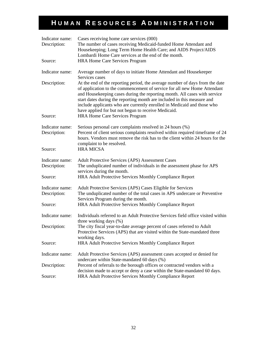| Indicator name:<br>Description: | Cases receiving home care services (000)<br>The number of cases receiving Medicaid-funded Home Attendant and<br>Housekeeping; Long Term Home Health Care; and AIDS Project/AIDS<br>Lombardi Home Care services at the end of the month.                                                                                                                                                                                                            |
|---------------------------------|----------------------------------------------------------------------------------------------------------------------------------------------------------------------------------------------------------------------------------------------------------------------------------------------------------------------------------------------------------------------------------------------------------------------------------------------------|
| Source:                         | <b>HRA Home Care Services Program</b>                                                                                                                                                                                                                                                                                                                                                                                                              |
| Indicator name:                 | Average number of days to initiate Home Attendant and Housekeeper<br>Services cases                                                                                                                                                                                                                                                                                                                                                                |
| Description:                    | At the end of the reporting period, the average number of days from the date<br>of application to the commencement of service for all new Home Attendant<br>and Housekeeping cases during the reporting month. All cases with service<br>start dates during the reporting month are included in this measure and<br>include applicants who are currently enrolled in Medicaid and those who<br>have applied for but not begun to receive Medicaid. |
| Source:                         | <b>HRA Home Care Services Program</b>                                                                                                                                                                                                                                                                                                                                                                                                              |
| Indicator name:<br>Description: | Serious personal care complaints resolved in 24 hours (%)<br>Percent of client serious complaints resolved within required timeframe of 24<br>hours. Vendors must remove the risk has to the client within 24 hours for the<br>complaint to be resolved.                                                                                                                                                                                           |
| Source:                         | <b>HRA MICSA</b>                                                                                                                                                                                                                                                                                                                                                                                                                                   |
| Indicator name:<br>Description: | <b>Adult Protective Services (APS) Assessment Cases</b><br>The unduplicated number of individuals in the assessment phase for APS<br>services during the month.                                                                                                                                                                                                                                                                                    |
| Source:                         | HRA Adult Protective Services Monthly Compliance Report                                                                                                                                                                                                                                                                                                                                                                                            |
| Indicator name:<br>Description: | Adult Protective Services (APS) Cases Eligible for Services<br>The unduplicated number of the total cases in APS undercare or Preventive<br>Services Program during the month.                                                                                                                                                                                                                                                                     |
| Source:                         | HRA Adult Protective Services Monthly Compliance Report                                                                                                                                                                                                                                                                                                                                                                                            |
| Indicator name:                 | Individuals referred to an Adult Protective Services field office visited within<br>three working days (%)                                                                                                                                                                                                                                                                                                                                         |
| Description:                    | The city fiscal year-to-date average percent of cases referred to Adult<br>Protective Services (APS) that are visited within the State-mandated three<br>working days.                                                                                                                                                                                                                                                                             |
| Source:                         | HRA Adult Protective Services Monthly Compliance Report                                                                                                                                                                                                                                                                                                                                                                                            |
| Indicator name:                 | Adult Protective Services (APS) assessment cases accepted or denied for<br>undercare within State-mandated 60 days (%)                                                                                                                                                                                                                                                                                                                             |
| Description:                    | Percent of referrals to the borough offices or contracted vendors with a<br>decision made to accept or deny a case within the State-mandated 60 days.                                                                                                                                                                                                                                                                                              |
| Source:                         | HRA Adult Protective Services Monthly Compliance Report                                                                                                                                                                                                                                                                                                                                                                                            |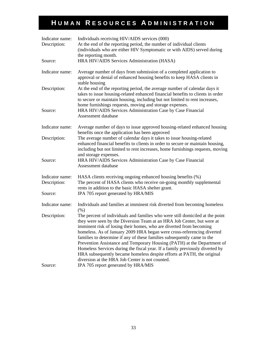| Indicator name:<br>Description: | Individuals receiving HIV/AIDS services (000)<br>At the end of the reporting period, the number of individual clients<br>(individuals who are either HIV Symptomatic or with AIDS) served during<br>the reporting month.                                                                                                                                                                                                                                                                                                                                                                                                                                                    |
|---------------------------------|-----------------------------------------------------------------------------------------------------------------------------------------------------------------------------------------------------------------------------------------------------------------------------------------------------------------------------------------------------------------------------------------------------------------------------------------------------------------------------------------------------------------------------------------------------------------------------------------------------------------------------------------------------------------------------|
| Source:                         | HRA HIV/AIDS Services Administration (HASA)                                                                                                                                                                                                                                                                                                                                                                                                                                                                                                                                                                                                                                 |
| Indicator name:                 | Average number of days from submission of a completed application to<br>approval or denial of enhanced housing benefits to keep HASA clients in<br>stable housing                                                                                                                                                                                                                                                                                                                                                                                                                                                                                                           |
| Description:                    | At the end of the reporting period, the average number of calendar days it<br>takes to issue housing-related enhanced financial benefits to clients in order<br>to secure or maintain housing, including but not limited to rent increases,                                                                                                                                                                                                                                                                                                                                                                                                                                 |
| Source:                         | home furnishings requests, moving and storage expenses.<br>HRA HIV/AIDS Services Administration Case by Case Financial<br>Assessment database                                                                                                                                                                                                                                                                                                                                                                                                                                                                                                                               |
| Indicator name:                 | Average number of days to issue approved housing-related enhanced housing<br>benefits once the application has been approved                                                                                                                                                                                                                                                                                                                                                                                                                                                                                                                                                |
| Description:                    | The average number of calendar days it takes to issue housing-related<br>enhanced financial benefits to clients in order to secure or maintain housing,<br>including but not limited to rent increases, home furnishings requests, moving<br>and storage expenses.                                                                                                                                                                                                                                                                                                                                                                                                          |
| Source:                         | HRA HIV/AIDS Services Administration Case by Case Financial<br>Assessment database                                                                                                                                                                                                                                                                                                                                                                                                                                                                                                                                                                                          |
| Indicator name:<br>Description: | HASA clients receiving ongoing enhanced housing benefits (%)<br>The percent of HASA clients who receive on-going monthly supplemental<br>rents in addition to the basic HASA shelter grant.                                                                                                                                                                                                                                                                                                                                                                                                                                                                                 |
| Source:                         | IPA 705 report generated by HRA/MIS                                                                                                                                                                                                                                                                                                                                                                                                                                                                                                                                                                                                                                         |
| Indicator name:                 | Individuals and families at imminent risk diverted from becoming homeless<br>(% )                                                                                                                                                                                                                                                                                                                                                                                                                                                                                                                                                                                           |
| Description:                    | The percent of individuals and families who were still domiciled at the point<br>they were seen by the Diversion Team at an HRA Job Center, but were at<br>imminent risk of losing their homes, who are diverted from becoming<br>homeless. As of January 2009 HRA began were cross-referencing diverted<br>families to determine if any of these families subsequently came to the<br>Prevention Assistance and Temporary Housing (PATH) at the Department of<br>Homeless Services during the fiscal year. If a family previously diverted by<br>HRA subsequently became homeless despite efforts at PATH, the original<br>diversion at the HRA Job Center is not counted. |
| Source:                         | IPA 705 report generated by HRA/MIS                                                                                                                                                                                                                                                                                                                                                                                                                                                                                                                                                                                                                                         |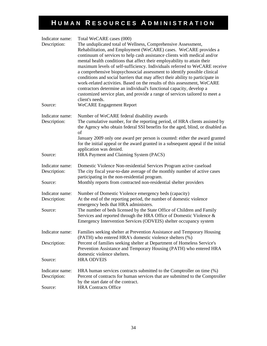# **H UMAN R ESOURCES A DMINISTRATION**

| Indicator name:<br>Description:<br>Source: | Total WeCARE cases (000)<br>The unduplicated total of Wellness, Comprehensive Assessment,<br>Rehabilitation, and Employment (WeCARE) cases. WeCARE provides a<br>continuum of services to help cash assistance clients with medical and/or<br>mental health conditions that affect their employability to attain their<br>maximum levels of self-sufficiency. Individuals referred to WeCARE receive<br>a comprehensive biopsychosocial assessment to identify possible clinical<br>conditions and social barriers that may affect their ability to participate in<br>work-related activities. Based on the results of this assessment, WeCARE<br>contractors determine an individual's functional capacity, develop a<br>customized service plan, and provide a range of services tailored to meet a<br>client's needs.<br><b>WeCARE</b> Engagement Report |
|--------------------------------------------|-------------------------------------------------------------------------------------------------------------------------------------------------------------------------------------------------------------------------------------------------------------------------------------------------------------------------------------------------------------------------------------------------------------------------------------------------------------------------------------------------------------------------------------------------------------------------------------------------------------------------------------------------------------------------------------------------------------------------------------------------------------------------------------------------------------------------------------------------------------|
| Indicator name:<br>Description:            | Number of WeCARE federal disability awards<br>The cumulative number, for the reporting period, of HRA clients assisted by<br>the Agency who obtain federal SSI benefits for the aged, blind, or disabled as<br>of<br>January 2009 only one award per person is counted: either the award granted                                                                                                                                                                                                                                                                                                                                                                                                                                                                                                                                                            |
| Source:                                    | for the initial appeal or the award granted in a subsequent appeal if the initial<br>application was denied.<br>HRA Payment and Claiming System (PACS)                                                                                                                                                                                                                                                                                                                                                                                                                                                                                                                                                                                                                                                                                                      |
| Indicator name:<br>Description:<br>Source: | Domestic Violence Non-residential Services Program active caseload<br>The city fiscal year-to-date average of the monthly number of active cases<br>participating in the non-residential program.<br>Monthly reports from contracted non-residential shelter providers                                                                                                                                                                                                                                                                                                                                                                                                                                                                                                                                                                                      |
| Indicator name:<br>Description:            | Number of Domestic Violence emergency beds (capacity)<br>At the end of the reporting period, the number of domestic violence                                                                                                                                                                                                                                                                                                                                                                                                                                                                                                                                                                                                                                                                                                                                |
| Source:                                    | emergency beds that HRA administers.<br>The number of beds licensed by the State Office of Children and Family<br>Services and reported through the HRA Office of Domestic Violence &<br>Emergency Intervention Services (ODVEIS) shelter occupancy system                                                                                                                                                                                                                                                                                                                                                                                                                                                                                                                                                                                                  |
| Indicator name:                            | Families seeking shelter at Prevention Assistance and Temporary Housing<br>(PATH) who entered HRA's domestic violence shelters (%)                                                                                                                                                                                                                                                                                                                                                                                                                                                                                                                                                                                                                                                                                                                          |
| Description:                               | Percent of families seeking shelter at Department of Homeless Service's<br>Prevention Assistance and Temporary Housing (PATH) who entered HRA<br>domestic violence shelters.                                                                                                                                                                                                                                                                                                                                                                                                                                                                                                                                                                                                                                                                                |
| Source:                                    | <b>HRA ODVEIS</b>                                                                                                                                                                                                                                                                                                                                                                                                                                                                                                                                                                                                                                                                                                                                                                                                                                           |
| Indicator name:<br>Description:<br>Source: | HRA human services contracts submitted to the Comptroller on time (%)<br>Percent of contracts for human services that are submitted to the Comptroller<br>by the start date of the contract.<br><b>HRA</b> Contracts Office                                                                                                                                                                                                                                                                                                                                                                                                                                                                                                                                                                                                                                 |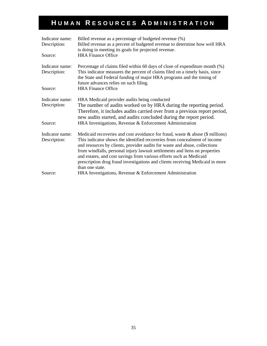# **H UMAN R ESOURCES A DMINISTRATION**

| Billed revenue as a percentage of budgeted revenue (%)<br>Billed revenue as a percent of budgeted revenue to determine how well HRA<br>is doing in meeting its goals for projected revenue.<br><b>HRA Finance Office</b>                                                                                                                                                                                                                                                                                                                                              |
|-----------------------------------------------------------------------------------------------------------------------------------------------------------------------------------------------------------------------------------------------------------------------------------------------------------------------------------------------------------------------------------------------------------------------------------------------------------------------------------------------------------------------------------------------------------------------|
| Percentage of claims filed within 60 days of close of expenditure month (%)<br>This indicator measures the percent of claims filed on a timely basis, since<br>the State and Federal funding of major HRA programs and the timing of<br>future advances relies on such filing.<br><b>HRA Finance Office</b>                                                                                                                                                                                                                                                           |
| HRA Medicaid provider audits being conducted<br>The number of audits worked on by HRA during the reporting period.<br>Therefore, it includes audits carried over from a previous report period,<br>new audits started, and audits concluded during the report period.<br>HRA Investigations, Revenue & Enforcement Administration                                                                                                                                                                                                                                     |
| Medicaid recoveries and cost avoidance for fraud, waste $\&$ abuse ( $\$\$ millions)<br>This indicator shows the identified recoveries from concealment of income<br>and resources by clients, provider audits for waste and abuse, collections<br>from windfalls, personal injury lawsuit settlements and liens on properties<br>and estates, and cost savings from various efforts such as Medicaid<br>prescription drug fraud investigations and clients receiving Medicaid in more<br>than one state.<br>HRA Investigations, Revenue & Enforcement Administration |
|                                                                                                                                                                                                                                                                                                                                                                                                                                                                                                                                                                       |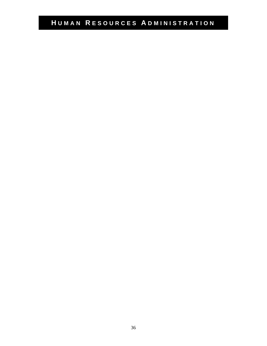# **H UMAN R ESOURCES A DMINISTRATION**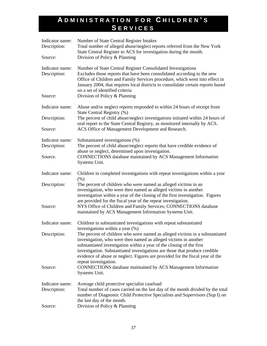| Indicator name:<br>Description: | Number of State Central Register Intakes<br>Total number of alleged abuse/neglect reports referred from the New York<br>State Central Register to ACS for investigation during the month.                                                                                                                                                                                                                          |
|---------------------------------|--------------------------------------------------------------------------------------------------------------------------------------------------------------------------------------------------------------------------------------------------------------------------------------------------------------------------------------------------------------------------------------------------------------------|
| Source:                         | Division of Policy & Planning                                                                                                                                                                                                                                                                                                                                                                                      |
| Indicator name:<br>Description: | Number of State Central Register Consolidated Investigations<br>Excludes those reports that have been consolidated according to the new<br>Office of Children and Family Services procedure, which went into effect in<br>January 2004, that requires local districts to consolidate certain reports based<br>on a set of identified criteria                                                                      |
| Source:                         | Division of Policy & Planning                                                                                                                                                                                                                                                                                                                                                                                      |
| Indicator name:                 | Abuse and/or neglect reports responded to within 24 hours of receipt from<br>State Central Registry (%)                                                                                                                                                                                                                                                                                                            |
| Description:<br>Source:         | The percent of child abuse/neglect investigations initiated within 24 hours of<br>oral report to the State Central Registry, as monitored internally by ACS.<br>ACS Office of Management Development and Research.                                                                                                                                                                                                 |
|                                 |                                                                                                                                                                                                                                                                                                                                                                                                                    |
| Indicator name:<br>Description: | Substantiated investigations (%)<br>The percent of child abuse/neglect reports that have credible evidence of<br>abuse or neglect, determined upon investigation.                                                                                                                                                                                                                                                  |
| Source.                         | CONNECTIONS database maintained by ACS Management Information<br>Systems Unit.                                                                                                                                                                                                                                                                                                                                     |
| Indicator name:                 | Children in completed investigations with repeat investigations within a year<br>(% )                                                                                                                                                                                                                                                                                                                              |
| Description:                    | The percent of children who were named as alleged victims in an<br>investigation, who were then named as alleged victims in another<br>investigation within a year of the closing of the first investigation. Figures                                                                                                                                                                                              |
| Source:                         | are provided for the fiscal year of the repeat investigation.<br>NYS Office of Children and Family Services; CONNECTIONS database<br>maintained by ACS Management Information Systems Unit.                                                                                                                                                                                                                        |
| Indicator name:                 | Children in substantiated investigations with repeat substantiated<br>investigations within a year (%)                                                                                                                                                                                                                                                                                                             |
| Description:                    | The percent of children who were named as alleged victims in a substantiated<br>investigation, who were then named as alleged victims in another<br>substantiated investigation within a year of the closing of the first<br>investigation. Substantiated investigations are those that produce credible<br>evidence of abuse or neglect. Figures are provided for the fiscal year of the<br>repeat investigation. |
| Source:                         | CONNECTIONS database maintained by ACS Management Information<br>Systems Unit.                                                                                                                                                                                                                                                                                                                                     |
| Indicator name:                 | Average child protective specialist caseload                                                                                                                                                                                                                                                                                                                                                                       |
| Description:                    | Total number of cases carried on the last day of the month divided by the total<br>number of Diagnostic Child Protective Specialists and Supervisors (Sup I) on<br>the last day of the month.                                                                                                                                                                                                                      |
| Source:                         | Division of Policy & Planning                                                                                                                                                                                                                                                                                                                                                                                      |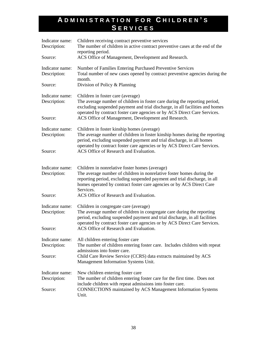| Indicator name:<br>Description:<br>Source: | Children receiving contract preventive services<br>The number of children in active contract preventive cases at the end of the<br>reporting period.<br>ACS Office of Management, Development and Research.                                                                                                                         |
|--------------------------------------------|-------------------------------------------------------------------------------------------------------------------------------------------------------------------------------------------------------------------------------------------------------------------------------------------------------------------------------------|
| Indicator name:<br>Description:            | Number of Families Entering Purchased Preventive Services<br>Total number of new cases opened by contract preventive agencies during the<br>month.                                                                                                                                                                                  |
| Source:                                    | Division of Policy & Planning                                                                                                                                                                                                                                                                                                       |
| Indicator name:<br>Description:<br>Source: | Children in foster care (average)<br>The average number of children in foster care during the reporting period,<br>excluding suspended payment and trial discharge, in all facilities and homes<br>operated by contract foster care agencies or by ACS Direct Care Services.<br>ACS Office of Management, Development and Research. |
| Indicator name:<br>Description:<br>Source: | Children in foster kinship homes (average)<br>The average number of children in foster kinship homes during the reporting<br>period, excluding suspended payment and trial discharge, in all homes<br>operated by contract foster care agencies or by ACS Direct Care Services.<br>ACS Office of Research and Evaluation.           |
|                                            |                                                                                                                                                                                                                                                                                                                                     |
| Indicator name:<br>Description:            | Children in nonrelative foster homes (average)<br>The average number of children in nonrelative foster homes during the<br>reporting period, excluding suspended payment and trial discharge, in all<br>homes operated by contract foster care agencies or by ACS Direct Care<br>Services.                                          |
| Source:                                    | ACS Office of Research and Evaluation.                                                                                                                                                                                                                                                                                              |
| Indicator name:<br>Description:            | Children in congregate care (average)<br>The average number of children in congregate care during the reporting<br>period, excluding suspended payment and trial discharge, in all facilities<br>operated by contract foster care agencies or by ACS Direct Care Services.                                                          |
| Source:                                    | ACS Office of Research and Evaluation.                                                                                                                                                                                                                                                                                              |
| Indicator name:<br>Description:            | All children entering foster care<br>The number of children entering foster care. Includes children with repeat<br>admissions into foster care.                                                                                                                                                                                     |
| Source:                                    | Child Care Review Service (CCRS) data extracts maintained by ACS<br>Management Information Systems Unit.                                                                                                                                                                                                                            |
| Indicator name:<br>Description:            | New children entering foster care<br>The number of children entering foster care for the first time. Does not<br>include children with repeat admissions into foster care.                                                                                                                                                          |
| Source:                                    | <b>CONNECTIONS</b> maintained by ACS Management Information Systems<br>Unit.                                                                                                                                                                                                                                                        |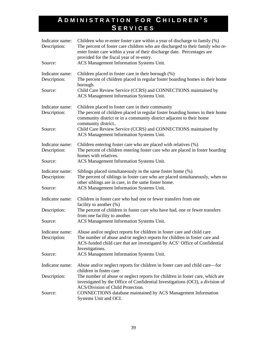| Indicator name:<br>Description:<br>Source: | Children who re-enter foster care within a year of discharge to family (%)<br>The percent of foster care children who are discharged to their family who re-<br>enter foster care within a year of their discharge date. Percentages are<br>provided for the fiscal year of re-entry.<br>ACS Management Information Systems Unit. |
|--------------------------------------------|-----------------------------------------------------------------------------------------------------------------------------------------------------------------------------------------------------------------------------------------------------------------------------------------------------------------------------------|
| Indicator name:<br>Description:            | Children placed in foster care in their borough (%)<br>The percent of children placed in regular foster boarding homes in their home<br>borough.                                                                                                                                                                                  |
| Source:                                    | Child Care Review Service (CCRS) and CONNECTIONS maintained by<br>ACS Management Information Systems Unit.                                                                                                                                                                                                                        |
| Indicator name:<br>Description:            | Children placed in foster care in their community<br>The percent of children placed in regular foster boarding homes in their home<br>community district or in a community district adjacent to their home<br>community district                                                                                                  |
| Source:                                    | Child Care Review Service (CCRS) and CONNECTIONS maintained by<br>ACS Management Information Systems Unit.                                                                                                                                                                                                                        |
| Indicator name:<br>Description:            | Children entering foster care who are placed with relatives (%)<br>The percent of children entering foster care who are placed in foster boarding<br>homes with relatives.                                                                                                                                                        |
| Source:                                    | ACS Management Information Systems Unit.                                                                                                                                                                                                                                                                                          |
| Indicator name:<br>Description:            | Siblings placed simultaneously in the same foster home (%)<br>The percent of siblings in foster care who are placed simultaneously, when no<br>other siblings are in care, in the same foster home.                                                                                                                               |
| Source:                                    | ACS Management Information Systems Unit.                                                                                                                                                                                                                                                                                          |
| Indicator name:                            | Children in foster care who had one or fewer transfers from one<br>facility to another $(\%)$                                                                                                                                                                                                                                     |
| Description:                               | The percent of children in foster care who have had, one or fewer transfers<br>from one facility to another.                                                                                                                                                                                                                      |
| Source:                                    | ACS Management Information Systems Unit.                                                                                                                                                                                                                                                                                          |
| Indicator name:<br>Description:            | Abuse and/or neglect reports for children in foster care and child care<br>The number of abuse and/or neglect reports for children in foster care and<br>ACS-funded child care that are investigated by ACS' Office of Confidential<br>Investigations.                                                                            |
| Source:                                    | ACS Management Information Systems Unit.                                                                                                                                                                                                                                                                                          |
| Indicator name:                            | Abuse and/or neglect reports for children in foster care and child care—for<br>children in foster care                                                                                                                                                                                                                            |
| Description:                               | The number of abuse or neglect reports for children in foster care, which are<br>investigated by the Office of Confidential Investigations (OCI), a division of<br>ACS/Division of Child Protection.                                                                                                                              |
| Source:                                    | <b>CONNECTIONS</b> database maintained by ACS Management Information<br>Systems Unit and OCI.                                                                                                                                                                                                                                     |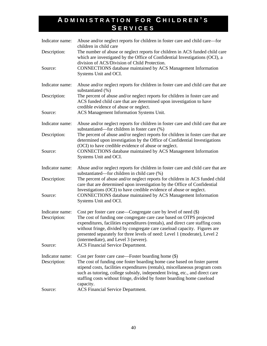| Indicator name:                 | Abuse and/or neglect reports for children in foster care and child care—for<br>children in child care                                                                                                                                                                                                                                                                                                                          |
|---------------------------------|--------------------------------------------------------------------------------------------------------------------------------------------------------------------------------------------------------------------------------------------------------------------------------------------------------------------------------------------------------------------------------------------------------------------------------|
| Description:                    | The number of abuse or neglect reports for children in ACS funded child care<br>which are investigated by the Office of Confidential Investigations (OCI), a<br>division of ACS/Division of Child Protection.                                                                                                                                                                                                                  |
| Source:                         | CONNECTIONS database maintained by ACS Management Information<br>Systems Unit and OCI.                                                                                                                                                                                                                                                                                                                                         |
| Indicator name:                 | Abuse and/or neglect reports for children in foster care and child care that are<br>substantiated (%)                                                                                                                                                                                                                                                                                                                          |
| Description:                    | The percent of abuse and/or neglect reports for children in foster care and<br>ACS funded child care that are determined upon investigation to have<br>credible evidence of abuse or neglect.                                                                                                                                                                                                                                  |
| Source:                         | ACS Management Information Systems Unit.                                                                                                                                                                                                                                                                                                                                                                                       |
| Indicator name:                 | Abuse and/or neglect reports for children in foster care and child care that are<br>substantiated—for children in foster care (%)                                                                                                                                                                                                                                                                                              |
| Description:                    | The percent of abuse and/or neglect reports for children in foster care that are<br>determined upon investigation by the Office of Confidential Investigations<br>(OCI) to have credible evidence of abuse or neglect.                                                                                                                                                                                                         |
| Source:                         | CONNECTIONS database maintained by ACS Management Information<br>Systems Unit and OCI.                                                                                                                                                                                                                                                                                                                                         |
| Indicator name:                 | Abuse and/or neglect reports for children in foster care and child care that are<br>substantiated—for children in child care (%)                                                                                                                                                                                                                                                                                               |
| Description:                    | The percent of abuse and/or neglect reports for children in ACS funded child<br>care that are determined upon investigation by the Office of Confidential<br>Investigations (OCI) to have credible evidence of abuse or neglect.                                                                                                                                                                                               |
| Source:                         | <b>CONNECTIONS</b> database maintained by ACS Management Information<br>Systems Unit and OCI.                                                                                                                                                                                                                                                                                                                                  |
| Indicator name:<br>Description: | Cost per foster care case—Congregate care by level of need (\$)<br>The cost of funding one congregate care case based on OTPS projected<br>expenditures, facilities expenditures (rentals), and direct care staffing costs<br>without fringe, divided by congregate care caseload capacity. Figures are<br>presented separately for three levels of need: Level 1 (moderate), Level 2<br>(intermediate), and Level 3 (severe). |
| Source:                         | ACS Financial Service Department.                                                                                                                                                                                                                                                                                                                                                                                              |
| Indicator name:<br>Description: | Cost per foster care case—Foster boarding home (\$)<br>The cost of funding one foster boarding home case based on foster parent<br>stipend costs, facilities expenditures (rentals), miscellaneous program costs<br>such as tutoring, college subsidy, independent living, etc., and direct care<br>staffing costs without fringe, divided by foster boarding home caseload<br>capacity.                                       |
| Source:                         | ACS Financial Service Department.                                                                                                                                                                                                                                                                                                                                                                                              |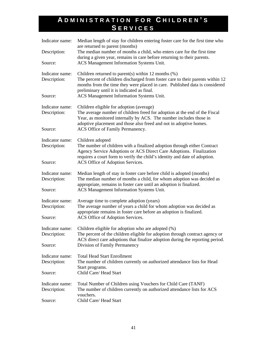| Indicator name:                            | Median length of stay for children entering foster care for the first time who<br>are returned to parent (months)                                                                                                                                                                                      |
|--------------------------------------------|--------------------------------------------------------------------------------------------------------------------------------------------------------------------------------------------------------------------------------------------------------------------------------------------------------|
| Description:                               | The median number of months a child, who enters care for the first time<br>during a given year, remains in care before returning to their parents.                                                                                                                                                     |
| Source:                                    | ACS Management Information Systems Unit.                                                                                                                                                                                                                                                               |
| Indicator name:<br>Description:            | Children returned to parent(s) within 12 months $(\%)$<br>The percent of children discharged from foster care to their parents within 12<br>months from the time they were placed in care. Published data is considered<br>preliminary until it is indicated as final.                                 |
| Source:                                    | ACS Management Information Systems Unit.                                                                                                                                                                                                                                                               |
| Indicator name:<br>Description:<br>Source: | Children eligible for adoption (average)<br>The average number of children freed for adoption at the end of the Fiscal<br>Year, as monitored internally by ACS. The number includes those in<br>adoptive placement and those also freed and not in adoptive homes.<br>ACS Office of Family Permanency. |
| Indicator name:                            | Children adopted                                                                                                                                                                                                                                                                                       |
| Description:                               | The number of children with a finalized adoption through either Contract<br>Agency Service Adoptions or ACS Direct Care Adoptions. Finalization<br>requires a court form to verify the child's identity and date of adoption.                                                                          |
| Source:                                    | ACS Office of Adoption Services.                                                                                                                                                                                                                                                                       |
| Indicator name:<br>Description:<br>Source: | Median length of stay in foster care before child is adopted (months)<br>The median number of months a child, for whom adoption was decided as<br>appropriate, remains in foster care until an adoption is finalized.<br>ACS Management Information Systems Unit.                                      |
|                                            |                                                                                                                                                                                                                                                                                                        |
| Indicator name:<br>Description:            | Average time to complete adoption (years)<br>The average number of years a child for whom adoption was decided as<br>appropriate remains in foster care before an adoption is finalized.                                                                                                               |
| Source:                                    | ACS Office of Adoption Services.                                                                                                                                                                                                                                                                       |
| Indicator name:<br>Description:            | Children eligible for adoption who are adopted (%)<br>The percent of the children eligible for adoption through contract agency or<br>ACS direct care adoptions that finalize adoption during the reporting period.                                                                                    |
| Source:                                    | Division of Family Permanency                                                                                                                                                                                                                                                                          |
| Indicator name:<br>Description:            | <b>Total Head Start Enrollment</b><br>The number of children currently on authorized attendance lists for Head<br>Start programs.                                                                                                                                                                      |
| Source:                                    | Child Care/ Head Start                                                                                                                                                                                                                                                                                 |
| Indicator name:<br>Description:            | Total Number of Children using Vouchers for Child Care (TANF)<br>The number of children currently on authorized attendance lists for ACS                                                                                                                                                               |
| Source:                                    | vouchers.<br>Child Care/ Head Start                                                                                                                                                                                                                                                                    |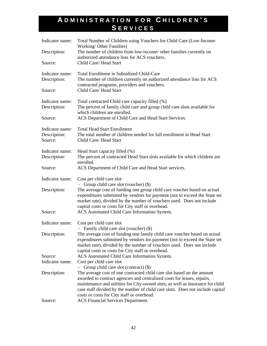| Indicator name:                            | Total Number of Children using Vouchers for Child Care (Low-Income<br>Working/Other Families)                                                                                                                                                                                                                                                                       |
|--------------------------------------------|---------------------------------------------------------------------------------------------------------------------------------------------------------------------------------------------------------------------------------------------------------------------------------------------------------------------------------------------------------------------|
| Description:                               | The number of children from low-income/ other families currently on<br>authorized attendance lists for ACS vouchers.                                                                                                                                                                                                                                                |
| Source:                                    | Child Care/ Head Start                                                                                                                                                                                                                                                                                                                                              |
| Indicator name:<br>Description:            | Total Enrollment in Subsidized Child-Care<br>The number of children currently on authorized attendance lists for ACS<br>contracted programs, providers and vouchers.                                                                                                                                                                                                |
| Source:                                    | Child Care/ Head Start                                                                                                                                                                                                                                                                                                                                              |
| Indicator name:<br>Description:            | Total contracted Child care capacity filled (%)<br>The percent of family child care and group child care slots available for<br>which children are enrolled.                                                                                                                                                                                                        |
| Source:                                    | ACS Department of Child Care and Head Start Services.                                                                                                                                                                                                                                                                                                               |
| Indicator name:<br>Description:<br>Source: | <b>Total Head Start Enrollment</b><br>The total number of children needed for full enrollment in Head Start<br>Child Care/ Head Start                                                                                                                                                                                                                               |
| Indicator name:<br>Description:            | Head Start capacity filled (%)<br>The percent of contracted Head Start slots available for which children are<br>enrolled.                                                                                                                                                                                                                                          |
| Source:                                    | ACS Department of Child Care and Head Start services.                                                                                                                                                                                                                                                                                                               |
| Indicator name:                            | Cost per child care slot<br>Group child care slot (voucher) $(\$)$                                                                                                                                                                                                                                                                                                  |
| Description:                               | The average cost of funding one group child care voucher based on actual<br>expenditures submitted by vendors for payment (not to exceed the State set<br>market rate), divided by the number of vouchers used. Does not include<br>capital costs or costs for City staff or overhead.                                                                              |
| Source:                                    | ACS Automated Child Care Information System.                                                                                                                                                                                                                                                                                                                        |
| Indicator name:                            | Cost per child care slot<br>- Family child care slot (voucher) (\$)                                                                                                                                                                                                                                                                                                 |
| Description:                               | The average cost of funding one family child care voucher based on actual<br>expenditures submitted by vendors for payment (not to exceed the State set<br>market rate), divided by the number of vouchers used. Does not include<br>capital costs or costs for City staff or overhead.                                                                             |
| Source:                                    | ACS Automated Child Care Information System.                                                                                                                                                                                                                                                                                                                        |
| Indicator name:                            | Cost per child care slot<br>Group child care slot (contract) (\$)                                                                                                                                                                                                                                                                                                   |
| Description:                               | The average cost of one contracted child care slot based on the amount<br>awarded to contract agencies and centralized costs for leases, repairs,<br>maintenance and utilities for City-owned sites, as well as insurance for child<br>care staff divided by the number of child care slots. Does not include capital<br>costs or costs for City staff or overhead. |
| Source:                                    | ACS Financial Services Department.                                                                                                                                                                                                                                                                                                                                  |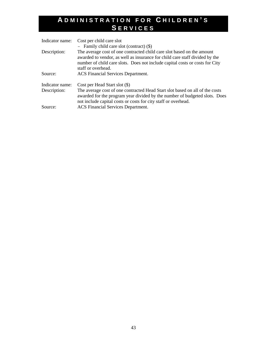| Indicator name: | Cost per child care slot<br>- Family child care slot (contract) $(\$)$                                                                                                                                                                                      |
|-----------------|-------------------------------------------------------------------------------------------------------------------------------------------------------------------------------------------------------------------------------------------------------------|
| Description:    | The average cost of one contracted child care slot based on the amount<br>awarded to vendor, as well as insurance for child care staff divided by the<br>number of child care slots. Does not include capital costs or costs for City<br>staff or overhead. |
| Source:         | ACS Financial Services Department.                                                                                                                                                                                                                          |
| Indicator name: | Cost per Head Start slot (\$)                                                                                                                                                                                                                               |
| Description:    | The average cost of one contracted Head Start slot based on all of the costs<br>awarded for the program year divided by the number of budgeted slots. Does<br>not include capital costs or costs for city staff or overhead.                                |
| Source:         | <b>ACS</b> Financial Services Department.                                                                                                                                                                                                                   |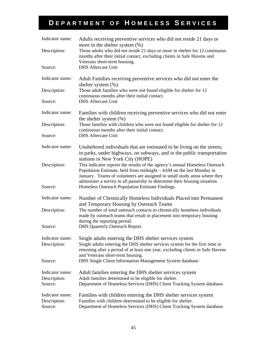| Indicator name:<br>Description:<br>Source: | Adults receiving preventive services who did not reside 21 days or<br>more in the shelter system $(\%)$<br>Those adults who did not reside 21 days or more in shelter for 12 continuous<br>months after their initial contact, excluding clients in Safe Havens and<br>Veterans short-term housing.<br><b>DHS</b> Aftercare Unit |
|--------------------------------------------|----------------------------------------------------------------------------------------------------------------------------------------------------------------------------------------------------------------------------------------------------------------------------------------------------------------------------------|
| Indicator name:                            | Adult Families receiving preventive services who did not enter the                                                                                                                                                                                                                                                               |
| Description:                               | shelter system (%)<br>Those adult families who were not found eligible for shelter for 12                                                                                                                                                                                                                                        |
| Source:                                    | continuous months after their initial contact.<br><b>DHS</b> Aftercare Unit                                                                                                                                                                                                                                                      |
| Indicator name:                            | Families with children receiving preventive services who did not enter                                                                                                                                                                                                                                                           |
| Description:                               | the shelter system $(\%)$<br>Those families with children who were not found eligible for shelter for 12<br>continuous months after their initial contact.                                                                                                                                                                       |
| Source:                                    | <b>DHS</b> Aftercare Unit                                                                                                                                                                                                                                                                                                        |
| Indicator name:                            | Unsheltered individuals that are estimated to be living on the streets,<br>in parks, under highways, on subways, and in the public transportation<br>stations in New York City (HOPE)                                                                                                                                            |
| Description:                               | This indicator reports the results of the agency's annual Homeless Outreach<br>Population Estimate, held from midnight – 4AM on the last Monday in<br>January. Teams of volunteers are assigned to small study areas where they<br>administer a survey to all passersby to determine their housing situation.                    |
| Source:                                    | Homeless Outreach Population Estimate Findings.                                                                                                                                                                                                                                                                                  |
| Indicator name:                            | Number of Chronically Homeless Individuals Placed into Permanent<br>and Temporary Housing by Outreach Teams                                                                                                                                                                                                                      |
| Description:                               | The number of total outreach contacts to chronically homeless individuals<br>made by outreach teams that result in placement into temporary housing<br>during the reporting period.                                                                                                                                              |
| Source:                                    | DHS Quarterly Outreach Report.                                                                                                                                                                                                                                                                                                   |
| Indicator name:<br>Description:            | Single adults entering the DHS shelter services system<br>Single adults entering the DHS shelter services system for the first time or<br>returning after a period of at least one year, excluding clients in Safe Havens<br>and Veterans short-term housing.                                                                    |
| Source:                                    | DHS Single Client Information Management System database.                                                                                                                                                                                                                                                                        |
| Indicator name:<br>Description:<br>Source: | Adult families entering the DHS shelter services system<br>Adult families determined to be eligible for shelter.<br>Department of Homeless Services (DHS) Client Tracking System database.                                                                                                                                       |
| Indicator name:<br>Description:<br>Source: | Families with children entering the DHS shelter services system<br>Families with children determined to be eligible for shelter.<br>Department of Homeless Services (DHS) Client Tracking System database.                                                                                                                       |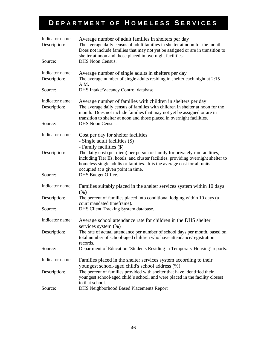| Indicator name:<br>Description:            | Average number of adult families in shelters per day<br>The average daily census of adult families in shelter at noon for the month.<br>Does not include families that may not yet be assigned or are in transition to<br>shelter at noon and those placed in overnight facilities.                                     |
|--------------------------------------------|-------------------------------------------------------------------------------------------------------------------------------------------------------------------------------------------------------------------------------------------------------------------------------------------------------------------------|
| Source:                                    | DHS Noon Census.                                                                                                                                                                                                                                                                                                        |
| Indicator name:<br>Description:            | Average number of single adults in shelters per day<br>The average number of single adults residing in shelter each night at 2:15<br>A.M.                                                                                                                                                                               |
| Source:                                    | DHS Intake/Vacancy Control database.                                                                                                                                                                                                                                                                                    |
| Indicator name:<br>Description:<br>Source: | Average number of families with children in shelters per day<br>The average daily census of families with children in shelter at noon for the<br>month. Does not include families that may not yet be assigned or are in<br>transition to shelter at noon and those placed in overnight facilities.<br>DHS Noon Census. |
|                                            |                                                                                                                                                                                                                                                                                                                         |
| Indicator name:                            | Cost per day for shelter facilities<br>- Single adult facilities (\$)<br>- Family facilities (\$)                                                                                                                                                                                                                       |
| Description:                               | The daily cost (per diem) per person or family for privately run facilities,<br>including Tier IIs, hotels, and cluster facilities, providing overnight shelter to<br>homeless single adults or families. It is the average cost for all units<br>occupied at a given point in time.                                    |
| Source:                                    | DHS Budget Office.                                                                                                                                                                                                                                                                                                      |
| Indicator name:                            | Families suitably placed in the shelter services system within 10 days<br>(% )                                                                                                                                                                                                                                          |
| Description:                               | The percent of families placed into conditional lodging within 10 days (a<br>court mandated timeframe).                                                                                                                                                                                                                 |
| Source:                                    | DHS Client Tracking System database.                                                                                                                                                                                                                                                                                    |
| Indicator name:                            | Average school attendance rate for children in the DHS shelter<br>services system (%)                                                                                                                                                                                                                                   |
| Description:                               | The rate of actual attendance per number of school days per month, based on<br>total number of school-aged children who have attendance/registration<br>records.                                                                                                                                                        |
| Source:                                    | Department of Education 'Students Residing in Temporary Housing' reports.                                                                                                                                                                                                                                               |
| Indicator name:                            | Families placed in the shelter services system according to their<br>youngest school-aged child's school address (%)                                                                                                                                                                                                    |
| Description:                               | The percent of families provided with shelter that have identified their<br>youngest school-aged child's school, and were placed in the facility closest<br>to that school.                                                                                                                                             |
| Source:                                    | DHS Neighborhood Based Placements Report                                                                                                                                                                                                                                                                                |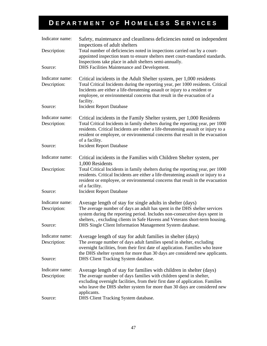| Indicator name:                            | Safety, maintenance and cleanliness deficiencies noted on independent<br>inspections of adult shelters                                                                                                                                                                                                                                           |
|--------------------------------------------|--------------------------------------------------------------------------------------------------------------------------------------------------------------------------------------------------------------------------------------------------------------------------------------------------------------------------------------------------|
| Description:                               | Total number of deficiencies noted in inspections carried out by a court-<br>appointed inspection team to ensure shelters meet court-mandated standards.<br>Inspections take place in adult shelters semi-annually.                                                                                                                              |
| Source:                                    | DHS Facilities Maintenance and Development.                                                                                                                                                                                                                                                                                                      |
| Indicator name:<br>Description:            | Critical incidents in the Adult Shelter system, per 1,000 residents<br>Total Critical Incidents during the reporting year, per 1000 residents. Critical<br>Incidents are either a life-threatening assault or injury to a resident or<br>employee, or environmental concerns that result in the evacuation of a<br>facility.                     |
| Source:                                    | <b>Incident Report Database</b>                                                                                                                                                                                                                                                                                                                  |
| Indicator name:<br>Description:            | Critical incidents in the Family Shelter system, per 1,000 Residents<br>Total Critical Incidents in family shelters during the reporting year, per 1000<br>residents. Critical Incidents are either a life-threatening assault or injury to a<br>resident or employee, or environmental concerns that result in the evacuation<br>of a facility. |
| Source:                                    | <b>Incident Report Database</b>                                                                                                                                                                                                                                                                                                                  |
| Indicator name:                            | Critical incidents in the Families with Children Shelter system, per<br>1,000 Residents                                                                                                                                                                                                                                                          |
| Description:                               | Total Critical Incidents in family shelters during the reporting year, per 1000<br>residents. Critical Incidents are either a life-threatening assault or injury to a<br>resident or employee, or environmental concerns that result in the evacuation<br>of a facility.                                                                         |
| Source:                                    | <b>Incident Report Database</b>                                                                                                                                                                                                                                                                                                                  |
| Indicator name:<br>Description:            | Average length of stay for single adults in shelter (days)<br>The average number of days an adult has spent in the DHS shelter services<br>system during the reporting period. Includes non-consecutive days spent in<br>shelters, , excluding clients in Safe Havens and Veterans short-term housing.                                           |
| Source:                                    | DHS Single Client Information Management System database.                                                                                                                                                                                                                                                                                        |
| Indicator name:<br>Description:<br>Source: | Average length of stay for adult families in shelter (days)<br>The average number of days adult families spend in shelter, excluding<br>overnight facilities, from their first date of application. Families who leave<br>the DHS shelter system for more than 30 days are considered new applicants.<br>DHS Client Tracking System database.    |
|                                            |                                                                                                                                                                                                                                                                                                                                                  |
| Indicator name:<br>Description:            | Average length of stay for families with children in shelter (days)<br>The average number of days families with children spend in shelter,<br>excluding overnight facilities, from their first date of application. Families<br>who leave the DHS shelter system for more than 30 days are considered new<br>applicants.                         |
| Source:                                    | DHS Client Tracking System database.                                                                                                                                                                                                                                                                                                             |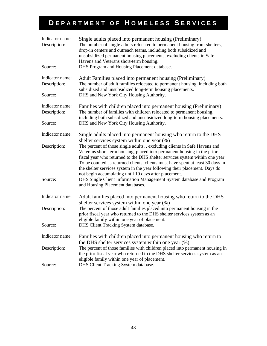| Indicator name:<br>Description: | Single adults placed into permanent housing (Preliminary)<br>The number of single adults relocated to permanent housing from shelters,<br>drop-in centers and outreach teams, including both subsidized and<br>unsubsidized permanent housing placements, excluding clients in Safe<br>Havens and Veterans short-term housing.                                                                                                                                 |
|---------------------------------|----------------------------------------------------------------------------------------------------------------------------------------------------------------------------------------------------------------------------------------------------------------------------------------------------------------------------------------------------------------------------------------------------------------------------------------------------------------|
| Source:                         | DHS Program and Housing Placement database.                                                                                                                                                                                                                                                                                                                                                                                                                    |
| Indicator name:<br>Description: | Adult Families placed into permanent housing (Preliminary)<br>The number of adult families relocated to permanent housing, including both<br>subsidized and unsubsidized long-term housing placements.                                                                                                                                                                                                                                                         |
| Source:                         | DHS and New York City Housing Authority.                                                                                                                                                                                                                                                                                                                                                                                                                       |
| Indicator name:<br>Description: | Families with children placed into permanent housing (Preliminary)<br>The number of families with children relocated to permanent housing,<br>including both subsidized and unsubsidized long-term housing placements.                                                                                                                                                                                                                                         |
| Source:                         | DHS and New York City Housing Authority.                                                                                                                                                                                                                                                                                                                                                                                                                       |
| Indicator name:                 | Single adults placed into permanent housing who return to the DHS<br>shelter services system within one year (%)                                                                                                                                                                                                                                                                                                                                               |
| Description:                    | The percent of those single adults, , excluding clients in Safe Havens and<br>Veterans short-term housing, placed into permanent housing in the prior<br>fiscal year who returned to the DHS shelter services system within one year.<br>To be counted as returned clients, clients must have spent at least 30 days in<br>the shelter services system in the year following their placement. Days do<br>not begin accumulating until 10 days after placement. |
| Source:                         | DHS Single Client Information Management System database and Program<br>and Housing Placement databases.                                                                                                                                                                                                                                                                                                                                                       |
| Indicator name:                 | Adult families placed into permanent housing who return to the DHS<br>shelter services system within one year (%)                                                                                                                                                                                                                                                                                                                                              |
| Description:                    | The percent of those adult families placed into permanent housing in the<br>prior fiscal year who returned to the DHS shelter services system as an<br>eligible family within one year of placement.                                                                                                                                                                                                                                                           |
| Source:                         | DHS Client Tracking System database.                                                                                                                                                                                                                                                                                                                                                                                                                           |
| Indicator name:                 | Families with children placed into permanent housing who return to<br>the DHS shelter services system within one year (%)                                                                                                                                                                                                                                                                                                                                      |
| Description:                    | The percent of those families with children placed into permanent housing in<br>the prior fiscal year who returned to the DHS shelter services system as an<br>eligible family within one year of placement.                                                                                                                                                                                                                                                   |
| Source:                         | DHS Client Tracking System database.                                                                                                                                                                                                                                                                                                                                                                                                                           |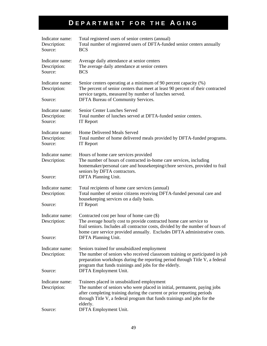# **D EPARTMENT FOR THE A GING**

| Indicator name:<br>Description:<br>Source: | Total registered users of senior centers (annual)<br>Total number of registered users of DFTA-funded senior centers annually<br><b>BCS</b>                                                                                                                                                                      |
|--------------------------------------------|-----------------------------------------------------------------------------------------------------------------------------------------------------------------------------------------------------------------------------------------------------------------------------------------------------------------|
| Indicator name:<br>Description:<br>Source: | Average daily attendance at senior centers<br>The average daily attendance at senior centers<br><b>BCS</b>                                                                                                                                                                                                      |
| Indicator name:<br>Description:<br>Source: | Senior centers operating at a minimum of 90 percent capacity (%)<br>The percent of senior centers that meet at least 90 percent of their contracted<br>service targets, measured by number of lunches served.<br>DFTA Bureau of Community Services.                                                             |
| Indicator name:<br>Description:<br>Source: | Senior Center Lunches Served<br>Total number of lunches served at DFTA-funded senior centers.<br>IT Report                                                                                                                                                                                                      |
| Indicator name:<br>Description:<br>Source: | Home Delivered Meals Served<br>Total number of home delivered meals provided by DFTA-funded programs.<br>IT Report                                                                                                                                                                                              |
| Indicator name:<br>Description:<br>Source: | Hours of home care services provided<br>The number of hours of contracted in-home care services, including<br>homemaker/personal care and housekeeping/chore services, provided to frail<br>seniors by DFTA contractors.<br><b>DFTA Planning Unit.</b>                                                          |
| Indicator name:<br>Description:<br>Source: | Total recipients of home care services (annual)<br>Total number of senior citizens receiving DFTA-funded personal care and<br>housekeeping services on a daily basis.<br>IT Report                                                                                                                              |
| Indicator name:<br>Description:<br>Source: | Contracted cost per hour of home care $(\$)$<br>The average hourly cost to provide contracted home care service to<br>frail seniors. Includes all contractor costs, divided by the number of hours of<br>home care service provided annually. Excludes DFTA administrative costs.<br><b>DFTA Planning Unit.</b> |
| Indicator name:<br>Description:            | Seniors trained for unsubsidized employment<br>The number of seniors who received classroom training or participated in job<br>preparation workshops during the reporting period through Title V, a federal<br>program that funds trainings and jobs for the elderly.                                           |
| Source:                                    | DFTA Employment Unit.                                                                                                                                                                                                                                                                                           |
| Indicator name:<br>Description:            | Trainees placed in unsubsidized employment<br>The number of seniors who were placed in initial, permanent, paying jobs<br>after completing training during the current or prior reporting periods<br>through Title V, a federal program that funds trainings and jobs for the<br>elderly.                       |
| Source:                                    | DFTA Employment Unit.                                                                                                                                                                                                                                                                                           |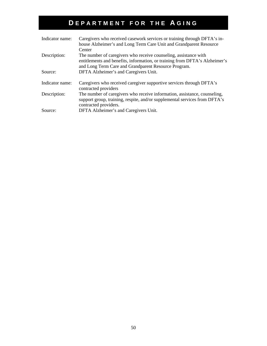# **D EPARTMENT FOR THE A GING**

| Indicator name: | Caregivers who received casework services or training through DFTA's in-<br>house Alzheimer's and Long Term Care Unit and Grandparent Resource<br>Center                                                |
|-----------------|---------------------------------------------------------------------------------------------------------------------------------------------------------------------------------------------------------|
| Description:    | The number of caregivers who receive counseling, assistance with<br>entitlements and benefits, information, or training from DFTA's Alzheimer's<br>and Long Term Care and Grandparent Resource Program. |
| Source:         | DFTA Alzheimer's and Caregivers Unit.                                                                                                                                                                   |
| Indicator name: | Caregivers who received caregiver supportive services through DFTA's<br>contracted providers                                                                                                            |
| Description:    | The number of caregivers who receive information, assistance, counseling,<br>support group, training, respite, and/or supplemental services from DFTA's<br>contracted providers.                        |
| Source:         | DFTA Alzheimer's and Caregivers Unit.                                                                                                                                                                   |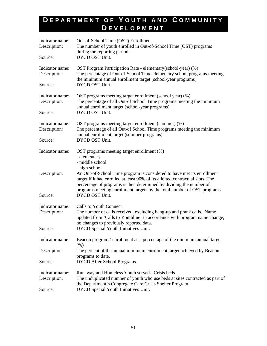| Indicator name:<br>Description:<br>Source: | Out-of-School Time (OST) Enrollment<br>The number of youth enrolled in Out-of-School Time (OST) programs<br>during the reporting period.<br>DYCD OST Unit.                                                                                                                                                 |
|--------------------------------------------|------------------------------------------------------------------------------------------------------------------------------------------------------------------------------------------------------------------------------------------------------------------------------------------------------------|
| Indicator name:<br>Description:            | OST Program Participation Rate - elementary (school-year) (%)<br>The percentage of Out-of-School Time elementary school programs meeting<br>the minimum annual enrollment target (school-year programs)                                                                                                    |
| Source:                                    | <b>DYCD OST Unit.</b>                                                                                                                                                                                                                                                                                      |
| Indicator name:<br>Description:<br>Source: | OST programs meeting target enrollment (school year) (%)<br>The percentage of all Out-of School Time programs meeting the minimum<br>annual enrollment target (school-year programs)<br>DYCD OST Unit.                                                                                                     |
| Indicator name:<br>Description:<br>Source: | OST programs meeting target enrollment (summer) (%)<br>The percentage of all Out-of School Time programs meeting the minimum<br>annual enrollment target (summer programs)<br>DYCD OST Unit.                                                                                                               |
|                                            |                                                                                                                                                                                                                                                                                                            |
| Indicator name:                            | OST programs meeting target enrollment (%)<br>- elementary<br>- middle school<br>- high school                                                                                                                                                                                                             |
| Description:                               | An Out-of-School Time program is considered to have met its enrollment<br>target if it had enrolled at least 90% of its allotted contractual slots. The<br>percentage of programs is then determined by dividing the number of<br>programs meeting enrollment targets by the total number of OST programs. |
| Source:                                    | DYCD OST Unit.                                                                                                                                                                                                                                                                                             |
| Indicator name:<br>Description:            | <b>Calls to Youth Connect</b><br>The number of calls received, excluding hang-up and prank calls. Name<br>updated from 'Calls to Youthline' in accordance with program name change;                                                                                                                        |
| Source:                                    | no changes to previously reported data.<br>DYCD Special Youth Initiatives Unit.                                                                                                                                                                                                                            |
| Indicator name:                            | Beacon programs' enrollment as a percentage of the minimum annual target<br>(% )                                                                                                                                                                                                                           |
| Description:                               | The percent of the annual minimum enrollment target achieved by Beacon<br>programs to date.                                                                                                                                                                                                                |
| Source:                                    | DYCD After-School Programs.                                                                                                                                                                                                                                                                                |
| Indicator name:<br>Description:            | Runaway and Homeless Youth served - Crisis beds<br>The unduplicated number of youth who use beds at sites contracted as part of<br>the Department's Congregate Care Crisis Shelter Program.<br>DYCD Special Youth Initiatives Unit.                                                                        |
| Source:                                    |                                                                                                                                                                                                                                                                                                            |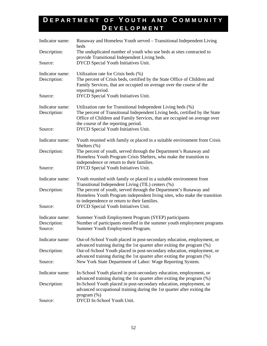| Indicator name:                            | Runaway and Homeless Youth served – Transitional Independent Living<br>beds                                                                                                                                                                                      |
|--------------------------------------------|------------------------------------------------------------------------------------------------------------------------------------------------------------------------------------------------------------------------------------------------------------------|
| Description:                               | The unduplicated number of youth who use beds at sites contracted to<br>provide Transitional Independent Living beds.                                                                                                                                            |
| Source:                                    | DYCD Special Youth Initiatives Unit.                                                                                                                                                                                                                             |
| Indicator name:<br>Description:            | Utilization rate for Crisis beds (%)<br>The percent of Crisis beds, certified by the State Office of Children and<br>Family Services, that are occupied on average over the course of the<br>reporting period.                                                   |
| Source:                                    | DYCD Special Youth Initiatives Unit.                                                                                                                                                                                                                             |
| Indicator name:<br>Description:            | Utilization rate for Transitional Independent Living beds (%)<br>The percent of Transitional Independent Living beds, certified by the State<br>Office of Children and Family Services, that are occupied on average over<br>the course of the reporting period. |
| Source:                                    | DYCD Special Youth Initiatives Unit.                                                                                                                                                                                                                             |
| Indicator name:                            | Youth reunited with family or placed in a suitable environment from Crisis<br>Shelters (%)                                                                                                                                                                       |
| Description:                               | The percent of youth, served through the Department's Runaway and<br>Homeless Youth Program Crisis Shelters, who make the transition to<br>independence or return to their families.                                                                             |
| Source:                                    | DYCD Special Youth Initiatives Unit.                                                                                                                                                                                                                             |
| Indicator name:                            | Youth reunited with family or placed in a suitable environment from<br>Transitional Independent Living (TIL) centers (%)                                                                                                                                         |
| Description:                               | The percent of youth, served through the Department's Runaway and<br>Homeless Youth Program independent living sites, who make the transition<br>to independence or return to their families.                                                                    |
| Source:                                    | DYCD Special Youth Initiatives Unit.                                                                                                                                                                                                                             |
| Indicator name:<br>Description:<br>Source: | Summer Youth Employment Program (SYEP) participants<br>Number of participants enrolled in the summer youth employment programs<br>Summer Youth Employment Program.                                                                                               |
| Indicator name:                            | Out-of-School Youth placed in post-secondary education, employment, or<br>advanced training during the 1st quarter after exiting the program (%)                                                                                                                 |
| Description:                               | Out-of-School Youth placed in post-secondary education, employment, or<br>advanced training during the 1st quarter after exiting the program (%)                                                                                                                 |
| Source:                                    | New York State Department of Labor: Wage Reporting System.                                                                                                                                                                                                       |
| Indicator name:                            | In-School Youth placed in post-secondary education, employment, or<br>advanced training during the 1st quarter after exiting the program (%)                                                                                                                     |
| Description:                               | In-School Youth placed in post-secondary education, employment, or<br>advanced occupational training during the 1st quarter after exiting the<br>program $(\%)$                                                                                                  |
| Source:                                    | DYCD In-School Youth Unit.                                                                                                                                                                                                                                       |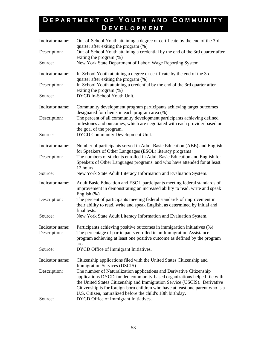| Indicator name:                 | Out-of-School Youth attaining a degree or certificate by the end of the 3rd<br>quarter after exiting the program (%)                                                                                                                                                                                                                                                          |
|---------------------------------|-------------------------------------------------------------------------------------------------------------------------------------------------------------------------------------------------------------------------------------------------------------------------------------------------------------------------------------------------------------------------------|
| Description:                    | Out-of-School Youth attaining a credential by the end of the 3rd quarter after<br>exiting the program $(\%)$                                                                                                                                                                                                                                                                  |
| Source:                         | New York State Department of Labor: Wage Reporting System.                                                                                                                                                                                                                                                                                                                    |
| Indicator name:                 | In-School Youth attaining a degree or certificate by the end of the 3rd<br>quarter after exiting the program (%)                                                                                                                                                                                                                                                              |
| Description:                    | In-School Youth attaining a credential by the end of the 3rd quarter after<br>exiting the program (%)                                                                                                                                                                                                                                                                         |
| Source:                         | DYCD In-School Youth Unit.                                                                                                                                                                                                                                                                                                                                                    |
| Indicator name:                 | Community development program participants achieving target outcomes<br>designated for clients in each program area (%)                                                                                                                                                                                                                                                       |
| Description:                    | The percent of all community development participants achieving defined<br>milestones and outcomes, which are negotiated with each provider based on<br>the goal of the program.                                                                                                                                                                                              |
| Source:                         | DYCD Community Development Unit.                                                                                                                                                                                                                                                                                                                                              |
| Indicator name:                 | Number of participants served in Adult Basic Education (ABE) and English<br>for Speakers of Other Languages (ESOL) literacy programs                                                                                                                                                                                                                                          |
| Description:                    | The numbers of students enrolled in Adult Basic Education and English for<br>Speakers of Other Languages programs, and who have attended for at least<br>12 hours.                                                                                                                                                                                                            |
| Source:                         | New York State Adult Literacy Information and Evaluation System.                                                                                                                                                                                                                                                                                                              |
| Indicator name:                 | Adult Basic Education and ESOL participants meeting federal standards of<br>improvement in demonstrating an increased ability to read, write and speak<br>English $(\%)$                                                                                                                                                                                                      |
| Description:                    | The percent of participants meeting federal standards of improvement in<br>their ability to read, write and speak English, as determined by initial and<br>final tests.                                                                                                                                                                                                       |
| Source:                         | New York State Adult Literacy Information and Evaluation System.                                                                                                                                                                                                                                                                                                              |
| Indicator name:<br>Description: | Participants achieving positive outcomes in immigration initiatives (%)<br>The percentage of participants enrolled in an Immigration Assistance<br>program achieving at least one positive outcome as defined by the program<br>area.                                                                                                                                         |
| Source:                         | DYCD Office of Immigrant Initiatives.                                                                                                                                                                                                                                                                                                                                         |
| Indicator name:                 | Citizenship applications filed with the United States Citizenship and<br>Immigration Services (USCIS)                                                                                                                                                                                                                                                                         |
| Description:                    | The number of Naturalization applications and Derivative Citizenship<br>applications DYCD-funded community-based organizations helped file with<br>the United States Citizenship and Immigration Service (USCIS). Derivative<br>Citizenship is for foreign-born children who have at least one parent who is a<br>U.S. Citizen, naturalized before the child's 18th birthday. |
| Source:                         | DYCD Office of Immigrant Initiatives.                                                                                                                                                                                                                                                                                                                                         |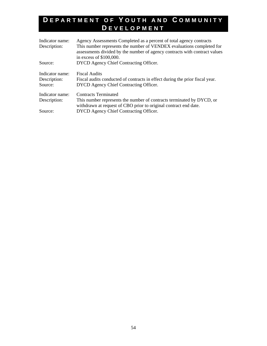| Indicator name:<br>Description:            | Agency Assessments Completed as a percent of total agency contracts<br>This number represents the number of VENDEX evaluations completed for<br>assessments divided by the number of agency contracts with contract values<br>in excess of \$100,000. |
|--------------------------------------------|-------------------------------------------------------------------------------------------------------------------------------------------------------------------------------------------------------------------------------------------------------|
| Source:                                    | DYCD Agency Chief Contracting Officer.                                                                                                                                                                                                                |
| Indicator name:<br>Description:<br>Source: | <b>Fiscal Audits</b><br>Fiscal audits conducted of contracts in effect during the prior fiscal year.<br>DYCD Agency Chief Contracting Officer.                                                                                                        |
| Indicator name:<br>Description:<br>Source: | <b>Contracts Terminated</b><br>This number represents the number of contracts terminated by DYCD, or<br>withdrawn at request of CBO prior to original contract end date.<br>DYCD Agency Chief Contracting Officer.                                    |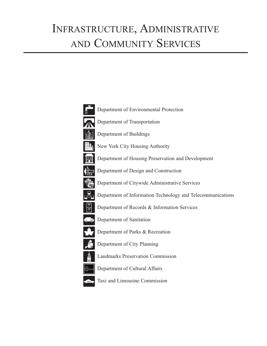# INFRASTRUCTURE, ADMINISTRATIVE AND COMMUNITY SERVICES



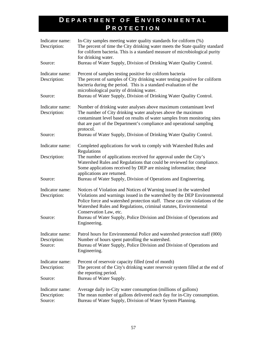| Indicator name:<br>Description:            | In-City samples meeting water quality standards for coliform (%)<br>The percent of time the City drinking water meets the State quality standard<br>for coliform bacteria. This is a standard measure of microbiological purity<br>for drinking water.                                                                          |
|--------------------------------------------|---------------------------------------------------------------------------------------------------------------------------------------------------------------------------------------------------------------------------------------------------------------------------------------------------------------------------------|
| Source:                                    | Bureau of Water Supply, Division of Drinking Water Quality Control.                                                                                                                                                                                                                                                             |
| Indicator name:<br>Description:            | Percent of samples testing positive for coliform bacteria<br>The percent of samples of City drinking water testing positive for coliform<br>bacteria during the period. This is a standard evaluation of the<br>microbiological purity of drinking water.                                                                       |
| Source:                                    | Bureau of Water Supply, Division of Drinking Water Quality Control.                                                                                                                                                                                                                                                             |
| Indicator name:<br>Description:            | Number of drinking water analyses above maximum contaminant level<br>The number of City drinking water analyses above the maximum<br>contaminant level based on results of water samples from monitoring sites<br>that are part of the Department's compliance and operational sampling<br>protocol.                            |
| Source:                                    | Bureau of Water Supply, Division of Drinking Water Quality Control.                                                                                                                                                                                                                                                             |
| Indicator name:                            | Completed applications for work to comply with Watershed Rules and<br>Regulations                                                                                                                                                                                                                                               |
| Description:                               | The number of applications received for approval under the City's<br>Watershed Rules and Regulations that could be reviewed for compliance.<br>Some applications received by DEP are missing information; these<br>applications are returned.                                                                                   |
| Source:                                    | Bureau of Water Supply, Division of Operations and Engineering.                                                                                                                                                                                                                                                                 |
| Indicator name:<br>Description:            | Notices of Violation and Notices of Warning issued in the watershed<br>Violations and warnings issued in the watershed by the DEP Environmental<br>Police force and watershed protection staff. These can cite violations of the<br>Watershed Rules and Regulations, criminal statutes, Environmental<br>Conservation Law, etc. |
| Source:                                    | Bureau of Water Supply, Police Division and Division of Operations and<br>Engineering.                                                                                                                                                                                                                                          |
| Indicator name:<br>Description:<br>Source: | Patrol hours for Environmental Police and watershed protection staff (000)<br>Number of hours spent patrolling the watershed.<br>Bureau of Water Supply, Police Division and Division of Operations and<br>Engineering.                                                                                                         |
| Indicator name:<br>Description:<br>Source: | Percent of reservoir capacity filled (end of month)<br>The percent of the City's drinking water reservoir system filled at the end of<br>the reporting period.<br>Bureau of Water Supply.                                                                                                                                       |
| Indicator name:<br>Description:<br>Source: | Average daily in-City water consumption (millions of gallons)<br>The mean number of gallons delivered each day for in-City consumption.<br>Bureau of Water Supply, Division of Water System Planning.                                                                                                                           |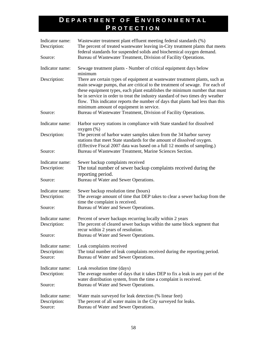| Indicator name:<br>Description: | Wastewater treatment plant effluent meeting federal standards (%)<br>The percent of treated wastewater leaving in-City treatment plants that meets                                                                                                                                                                                                                                                                                                                                                                            |
|---------------------------------|-------------------------------------------------------------------------------------------------------------------------------------------------------------------------------------------------------------------------------------------------------------------------------------------------------------------------------------------------------------------------------------------------------------------------------------------------------------------------------------------------------------------------------|
|                                 | federal standards for suspended solids and biochemical oxygen demand.                                                                                                                                                                                                                                                                                                                                                                                                                                                         |
| Source:                         | Bureau of Wastewater Treatment, Division of Facility Operations.                                                                                                                                                                                                                                                                                                                                                                                                                                                              |
| Indicator name:                 | Sewage treatment plants - Number of critical equipment days below<br>minimum                                                                                                                                                                                                                                                                                                                                                                                                                                                  |
| Description:<br>Source:         | There are certain types of equipment at wastewater treatment plants, such as<br>main sewage pumps, that are critical to the treatment of sewage. For each of<br>these equipment types, each plant establishes the minimum number that must<br>be in service in order to treat the industry standard of two times dry weather<br>flow. This indicator reports the number of days that plants had less than this<br>minimum amount of equipment in service.<br>Bureau of Wastewater Treatment, Division of Facility Operations. |
|                                 |                                                                                                                                                                                                                                                                                                                                                                                                                                                                                                                               |
| Indicator name:                 | Harbor survey stations in compliance with State standard for dissolved<br>oxygen (%)                                                                                                                                                                                                                                                                                                                                                                                                                                          |
| Description:                    | The percent of harbor water samples taken from the 34 harbor survey<br>stations that meet State standards for the amount of dissolved oxygen.<br>(Effective Fiscal 2007 data was based on a full 12 months of sampling.)                                                                                                                                                                                                                                                                                                      |
| Source:                         | Bureau of Wastewater Treatment, Marine Sciences Section.                                                                                                                                                                                                                                                                                                                                                                                                                                                                      |
| Indicator name:                 | Sewer backup complaints received                                                                                                                                                                                                                                                                                                                                                                                                                                                                                              |
| Description:                    | The total number of sewer backup complaints received during the<br>reporting period.                                                                                                                                                                                                                                                                                                                                                                                                                                          |
| Source:                         | Bureau of Water and Sewer Operations.                                                                                                                                                                                                                                                                                                                                                                                                                                                                                         |
| Indicator name:<br>Description: | Sewer backup resolution time (hours)<br>The average amount of time that DEP takes to clear a sewer backup from the                                                                                                                                                                                                                                                                                                                                                                                                            |
|                                 | time the complaint is received.                                                                                                                                                                                                                                                                                                                                                                                                                                                                                               |
| Source:                         | Bureau of Water and Sewer Operations.                                                                                                                                                                                                                                                                                                                                                                                                                                                                                         |
| Indicator name:<br>Description: | Percent of sewer backups recurring locally within 2 years<br>The percent of cleared sewer backups within the same block segment that                                                                                                                                                                                                                                                                                                                                                                                          |
| Source:                         | recur within 2 years of resolution.<br>Bureau of Water and Sewer Operations.                                                                                                                                                                                                                                                                                                                                                                                                                                                  |
| Indicator name:                 | Leak complaints received                                                                                                                                                                                                                                                                                                                                                                                                                                                                                                      |
| Description:                    | The total number of leak complaints received during the reporting period.                                                                                                                                                                                                                                                                                                                                                                                                                                                     |
| Source:                         | Bureau of Water and Sewer Operations.                                                                                                                                                                                                                                                                                                                                                                                                                                                                                         |
| Indicator name:                 | Leak resolution time (days)<br>The average number of days that it takes DEP to fix a leak in any part of the                                                                                                                                                                                                                                                                                                                                                                                                                  |
| Description:                    | water distribution system, from the time a complaint is received.                                                                                                                                                                                                                                                                                                                                                                                                                                                             |
| Source:                         | Bureau of Water and Sewer Operations.                                                                                                                                                                                                                                                                                                                                                                                                                                                                                         |
| Indicator name:                 | Water main surveyed for leak detection (% linear feet)                                                                                                                                                                                                                                                                                                                                                                                                                                                                        |
| Description:<br>Source:         | The percent of all water mains in the City surveyed for leaks.<br>Bureau of Water and Sewer Operations.                                                                                                                                                                                                                                                                                                                                                                                                                       |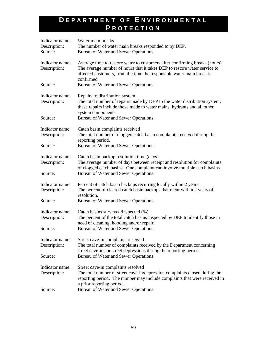| Indicator name:<br>Description:<br>Source: | Water main breaks<br>The number of water main breaks responded to by DEP.<br>Bureau of Water and Sewer Operations.                                                                                                                                    |
|--------------------------------------------|-------------------------------------------------------------------------------------------------------------------------------------------------------------------------------------------------------------------------------------------------------|
| Indicator name:<br>Description:            | Average time to restore water to customers after confirming breaks (hours)<br>The average number of hours that it takes DEP to restore water service to<br>affected customers, from the time the responsible water main break is<br>confirmed.        |
| Source:                                    | Bureau of Water and Sewer Operations                                                                                                                                                                                                                  |
| Indicator name:<br>Description:<br>Source: | Repairs to distribution system<br>The total number of repairs made by DEP to the water distribution system;<br>these repairs include those made to water mains, hydrants and all other<br>system components.<br>Bureau of Water and Sewer Operations. |
| Indicator name:<br>Description:<br>Source: | Catch basin complaints received<br>The total number of clogged catch basin complaints received during the<br>reporting period.<br>Bureau of Water and Sewer Operations.                                                                               |
| Indicator name:<br>Description:<br>Source: | Catch basin backup resolution time (days)<br>The average number of days between receipt and resolution for complaints<br>of clogged catch basins. One complaint can involve multiple catch basins.<br>Bureau of Water and Sewer Operations.           |
| Indicator name:<br>Description:            | Percent of catch basin backups recurring locally within 2 years<br>The percent of cleared catch basin backups that recur within 2 years of<br>resolution.                                                                                             |
| Source:                                    | Bureau of Water and Sewer Operations.                                                                                                                                                                                                                 |
| Indicator name:<br>Description:            | Catch basins surveyed/inspected (%)<br>The percent of the total catch basins inspected by DEP to identify those in<br>need of cleaning, hooding and/or repair.                                                                                        |
| Source:                                    | Bureau of Water and Sewer Operations.                                                                                                                                                                                                                 |
| Indicator name:<br>Description:            | Street cave-in complaints received<br>The total number of complaints received by the Department concerning<br>street cave-ins or street depressions during the reporting period.                                                                      |
| Source:                                    | Bureau of Water and Sewer Operations.                                                                                                                                                                                                                 |
| Indicator name:<br>Description:            | Street cave-in complaints resolved<br>The total number of street cave-in/depression complaints closed during the<br>reporting period. The number may include complaints that were received in<br>a prior reporting period.                            |
| Source:                                    | Bureau of Water and Sewer Operations.                                                                                                                                                                                                                 |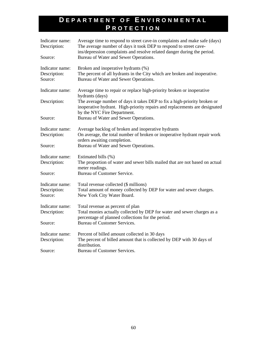| Indicator name:<br>Description:<br>Source: | Average time to respond to street cave-in complaints and make safe (days)<br>The average number of days it took DEP to respond to street cave-<br>ins/depression complaints and resolve related danger during the period.<br>Bureau of Water and Sewer Operations. |
|--------------------------------------------|--------------------------------------------------------------------------------------------------------------------------------------------------------------------------------------------------------------------------------------------------------------------|
| Indicator name:<br>Description:<br>Source: | Broken and inoperative hydrants (%)<br>The percent of all hydrants in the City which are broken and inoperative.<br>Bureau of Water and Sewer Operations.                                                                                                          |
| Indicator name:                            | Average time to repair or replace high-priority broken or inoperative                                                                                                                                                                                              |
| Description:                               | hydrants (days)<br>The average number of days it takes DEP to fix a high-priority broken or<br>inoperative hydrant. High-priority repairs and replacements are designated<br>by the NYC Fire Department.                                                           |
| Source:                                    | Bureau of Water and Sewer Operations.                                                                                                                                                                                                                              |
| Indicator name:<br>Description:            | Average backlog of broken and inoperative hydrants<br>On average, the total number of broken or inoperative hydrant repair work                                                                                                                                    |
| Source:                                    | orders awaiting completion.<br>Bureau of Water and Sewer Operations.                                                                                                                                                                                               |
| Indicator name:<br>Description:<br>Source: | Estimated bills (%)<br>The proportion of water and sewer bills mailed that are not based on actual<br>meter readings.<br>Bureau of Customer Service.                                                                                                               |
| Indicator name:<br>Description:<br>Source: | Total revenue collected (\$ millions)<br>Total amount of money collected by DEP for water and sewer charges.<br>New York City Water Board.                                                                                                                         |
| Indicator name:<br>Description:            | Total revenue as percent of plan<br>Total monies actually collected by DEP for water and sewer charges as a<br>percentage of planned collections for the period.                                                                                                   |
| Source:                                    | <b>Bureau of Customer Services.</b>                                                                                                                                                                                                                                |
| Indicator name:<br>Description:            | Percent of billed amount collected in 30 days<br>The percent of billed amount that is collected by DEP with 30 days of<br>distribution.                                                                                                                            |
| Source:                                    | Bureau of Customer Services.                                                                                                                                                                                                                                       |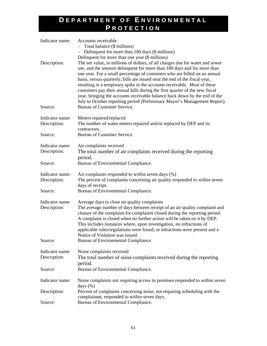| Indicator name: | Accounts receivable                                                                                                                                                                                                                                                                                                                                                                                                            |
|-----------------|--------------------------------------------------------------------------------------------------------------------------------------------------------------------------------------------------------------------------------------------------------------------------------------------------------------------------------------------------------------------------------------------------------------------------------|
|                 | Total balance (\$ millions)                                                                                                                                                                                                                                                                                                                                                                                                    |
|                 | Delinquent for more than 180 days (\$ millions)<br>Delinquent for more than one year (\$ millions)                                                                                                                                                                                                                                                                                                                             |
| Description:    | The net value, in millions of dollars, of all charges due for water and sewer<br>use, and the amount delinquent for more than 180 days and for more than                                                                                                                                                                                                                                                                       |
|                 | one year. For a small percentage of customers who are billed on an annual<br>basis, versus quarterly, bills are issued near the end of the fiscal year,<br>resulting in a temporary spike in the accounts receivable. Most of these<br>customers pay their annual bills during the first quarter of the new fiscal<br>year, bringing the accounts receivable balance back down by the end of the                               |
|                 | July to October reporting period (Preliminary Mayor's Management Report).                                                                                                                                                                                                                                                                                                                                                      |
| Source:         | Bureau of Customer Service.                                                                                                                                                                                                                                                                                                                                                                                                    |
| Indicator name: | Meters repaired/replaced                                                                                                                                                                                                                                                                                                                                                                                                       |
| Description:    | The number of water meters repaired and/or replaced by DEP and its<br>contractors.                                                                                                                                                                                                                                                                                                                                             |
| Source:         | Bureau of Customer Service.                                                                                                                                                                                                                                                                                                                                                                                                    |
| Indicator name: | Air complaints received                                                                                                                                                                                                                                                                                                                                                                                                        |
| Description:    | The total number of air complaints received during the reporting<br>period.                                                                                                                                                                                                                                                                                                                                                    |
| Source:         | Bureau of Environmental Compliance.                                                                                                                                                                                                                                                                                                                                                                                            |
| Indicator name: | Air complaints responded to within seven days (%)                                                                                                                                                                                                                                                                                                                                                                              |
| Description:    | The percent of complaints concerning air quality responded to within seven<br>days of receipt.                                                                                                                                                                                                                                                                                                                                 |
| Source:         | Bureau of Environmental Compliance.                                                                                                                                                                                                                                                                                                                                                                                            |
| Indicator name: | Average days to close air quality complaints                                                                                                                                                                                                                                                                                                                                                                                   |
| Description:    | The average number of days between receipt of an air quality complaint and<br>closure of the complaint for complaints closed during the reporting period.<br>A complaint is closed when no further action will be taken on it by DEP.<br>This includes instances where, upon investigation, no infractions of<br>applicable rules/regulations were found, or infractions were present and a<br>Notice of Violation was issued. |
| Source:         | Bureau of Environmental Compliance.                                                                                                                                                                                                                                                                                                                                                                                            |
| Indicator name: | Noise complaints received                                                                                                                                                                                                                                                                                                                                                                                                      |
| Description:    | The total number of noise complaints received during the reporting<br>period.                                                                                                                                                                                                                                                                                                                                                  |
| Source:         | Bureau of Environmental Compliance.                                                                                                                                                                                                                                                                                                                                                                                            |
| Indicator name: | Noise complaints not requiring access to premises responded to within seven<br>days $(\%)$                                                                                                                                                                                                                                                                                                                                     |
| Description:    | Percent of complaints concerning noise, not requiring scheduling with the<br>complainant, responded to within seven days.                                                                                                                                                                                                                                                                                                      |
| Source:         | Bureau of Environmental Compliance.                                                                                                                                                                                                                                                                                                                                                                                            |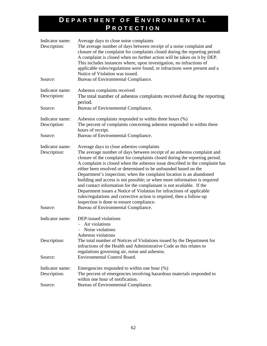| Indicator name:<br>Description: | Average days to close noise complaints<br>The average number of days between receipt of a noise complaint and<br>closure of the complaint for complaints closed during the reporting period.<br>A complaint is closed when no further action will be taken on it by DEP.<br>This includes instances where, upon investigation, no infractions of<br>applicable rules/regulations were found, or infractions were present and a<br>Notice of Violation was issued.                                                                                                                                                                                                                                                                                                                 |
|---------------------------------|-----------------------------------------------------------------------------------------------------------------------------------------------------------------------------------------------------------------------------------------------------------------------------------------------------------------------------------------------------------------------------------------------------------------------------------------------------------------------------------------------------------------------------------------------------------------------------------------------------------------------------------------------------------------------------------------------------------------------------------------------------------------------------------|
| Source:                         | Bureau of Environmental Compliance.                                                                                                                                                                                                                                                                                                                                                                                                                                                                                                                                                                                                                                                                                                                                               |
| Indicator name:<br>Description: | Asbestos complaints received<br>The total number of asbestos complaints received during the reporting<br>period.                                                                                                                                                                                                                                                                                                                                                                                                                                                                                                                                                                                                                                                                  |
| Source:                         | Bureau of Environmental Compliance.                                                                                                                                                                                                                                                                                                                                                                                                                                                                                                                                                                                                                                                                                                                                               |
| Indicator name:<br>Description: | Asbestos complaints responded to within three hours (%)<br>The percent of complaints concerning asbestos responded to within three<br>hours of receipt.                                                                                                                                                                                                                                                                                                                                                                                                                                                                                                                                                                                                                           |
| Source:                         | Bureau of Environmental Compliance.                                                                                                                                                                                                                                                                                                                                                                                                                                                                                                                                                                                                                                                                                                                                               |
| Indicator name:<br>Description: | Average days to close asbestos complaints<br>The average number of days between receipt of an asbestos complaint and<br>closure of the complaint for complaints closed during the reporting period.<br>A complaint is closed when the asbestos issue described in the complaint has<br>either been resolved or determined to be unfounded based on the<br>Department's inspection; when the complaint location is an abandoned<br>building and access is not possible; or when more information is required<br>and contact information for the complainant is not available. If the<br>Department issues a Notice of Violation for infractions of applicable<br>rules/regulations and corrective action is required, then a follow-up<br>inspection is done to ensure compliance. |
| Source:                         | Bureau of Environmental Compliance.                                                                                                                                                                                                                                                                                                                                                                                                                                                                                                                                                                                                                                                                                                                                               |
| Indicator name:                 | DEP-issued violations<br>Air violations<br>- Noise violations<br>Asbestos violations                                                                                                                                                                                                                                                                                                                                                                                                                                                                                                                                                                                                                                                                                              |
| Description:                    | The total number of Notices of Violations issued by the Department for<br>infractions of the Health and Administrative Code as this relates to<br>regulations governing air, noise and asbestos.                                                                                                                                                                                                                                                                                                                                                                                                                                                                                                                                                                                  |
| Source:                         | <b>Environmental Control Board.</b>                                                                                                                                                                                                                                                                                                                                                                                                                                                                                                                                                                                                                                                                                                                                               |
| Indicator name:<br>Description: | Emergencies responded to within one hour $(\%)$<br>The percent of emergencies involving hazardous materials responded to<br>within one hour of notification.                                                                                                                                                                                                                                                                                                                                                                                                                                                                                                                                                                                                                      |
| Source:                         | Bureau of Environmental Compliance.                                                                                                                                                                                                                                                                                                                                                                                                                                                                                                                                                                                                                                                                                                                                               |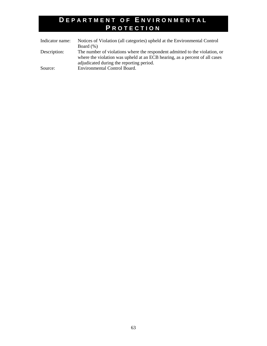| Indicator name: | Notices of Violation (all categories) upheld at the Environmental Control   |
|-----------------|-----------------------------------------------------------------------------|
|                 | Board $(\%)$                                                                |
| Description:    | The number of violations where the respondent admitted to the violation, or |
|                 | where the violation was upheld at an ECB hearing, as a percent of all cases |
|                 | adjudicated during the reporting period.                                    |
| Source:         | Environmental Control Board.                                                |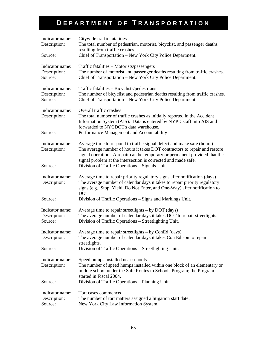| Indicator name:<br>Description:            | Citywide traffic fatalities<br>The total number of pedestrian, motorist, bicyclist, and passenger deaths<br>resulting from traffic crashes.                                                                                                                                                                                                            |
|--------------------------------------------|--------------------------------------------------------------------------------------------------------------------------------------------------------------------------------------------------------------------------------------------------------------------------------------------------------------------------------------------------------|
| Source:                                    | Chief of Transportation - New York City Police Department.                                                                                                                                                                                                                                                                                             |
| Indicator name:<br>Description:<br>Source: | Traffic fatalities - Motorists/passengers<br>The number of motorist and passenger deaths resulting from traffic crashes.<br>Chief of Transportation - New York City Police Department.                                                                                                                                                                 |
| Indicator name:<br>Description:<br>Source: | Traffic fatalities - Bicyclists/pedestrians<br>The number of bicyclist and pedestrian deaths resulting from traffic crashes.<br>Chief of Transportation - New York City Police Department.                                                                                                                                                             |
| Indicator name:<br>Description:<br>Source: | Overall traffic crashes<br>The total number of traffic crashes as initially reported in the Accident<br>Information System (AIS). Data is entered by NYPD staff into AIS and<br>forwarded to NYCDOT's data warehouse.<br>Performance Management and Accountability                                                                                     |
| Indicator name:<br>Description:<br>Source: | Average time to respond to traffic signal defect and make safe (hours)<br>The average number of hours it takes DOT contractors to repair and restore<br>signal operation. A repair can be temporary or permanent provided that the<br>signal problem at the intersection is corrected and made safe.<br>Division of Traffic Operations - Signals Unit. |
| Indicator name:<br>Description:            | Average time to repair priority regulatory signs after notification (days)<br>The average number of calendar days it takes to repair priority regulatory<br>signs (e.g., Stop, Yield, Do Not Enter, and One-Way) after notification to<br>DOT.                                                                                                         |
| Source:                                    | Division of Traffic Operations – Signs and Markings Unit.                                                                                                                                                                                                                                                                                              |
| Indicator name:<br>Description:<br>Source: | Average time to repair streetlights $-$ by DOT (days)<br>The average number of calendar days it takes DOT to repair streetlights.<br>Division of Traffic Operations - Streetlighting Unit.                                                                                                                                                             |
| Indicator name:<br>Description:            | Average time to repair streetlights – by ConEd (days)<br>The average number of calendar days it takes Con Edison to repair<br>streetlights.                                                                                                                                                                                                            |
| Source:                                    | Division of Traffic Operations - Streetlighting Unit.                                                                                                                                                                                                                                                                                                  |
| Indicator name:<br>Description:            | Speed humps installed near schools<br>The number of speed humps installed within one block of an elementary or<br>middle school under the Safe Routes to Schools Program; the Program<br>started in Fiscal 2004.                                                                                                                                       |
| Source:                                    | Division of Traffic Operations - Planning Unit.                                                                                                                                                                                                                                                                                                        |
| Indicator name:<br>Description:<br>Source: | Tort cases commenced<br>The number of tort matters assigned a litigation start date.<br>New York City Law Information System.                                                                                                                                                                                                                          |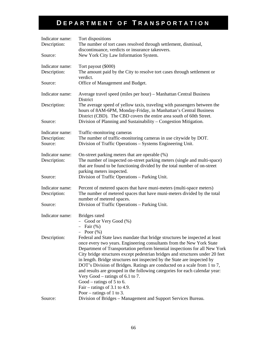| Indicator name: | Tort dispositions                                                                                                                                                                                                                                                                                                                                                                                                                                                                                                                                                                                                                                                                             |
|-----------------|-----------------------------------------------------------------------------------------------------------------------------------------------------------------------------------------------------------------------------------------------------------------------------------------------------------------------------------------------------------------------------------------------------------------------------------------------------------------------------------------------------------------------------------------------------------------------------------------------------------------------------------------------------------------------------------------------|
| Description:    | The number of tort cases resolved through settlement, dismissal,                                                                                                                                                                                                                                                                                                                                                                                                                                                                                                                                                                                                                              |
|                 | discontinuance, verdicts or insurance takeovers.                                                                                                                                                                                                                                                                                                                                                                                                                                                                                                                                                                                                                                              |
| Source:         | New York City Law Information System.                                                                                                                                                                                                                                                                                                                                                                                                                                                                                                                                                                                                                                                         |
| Indicator name: | Tort payout (\$000)                                                                                                                                                                                                                                                                                                                                                                                                                                                                                                                                                                                                                                                                           |
| Description:    | The amount paid by the City to resolve tort cases through settlement or<br>verdict.                                                                                                                                                                                                                                                                                                                                                                                                                                                                                                                                                                                                           |
| Source:         | Office of Management and Budget.                                                                                                                                                                                                                                                                                                                                                                                                                                                                                                                                                                                                                                                              |
| Indicator name: | Average travel speed (miles per hour) – Manhattan Central Business<br>District                                                                                                                                                                                                                                                                                                                                                                                                                                                                                                                                                                                                                |
| Description:    | The average speed of yellow taxis, traveling with passengers between the<br>hours of 8AM-6PM, Monday-Friday, in Manhattan's Central Business<br>District (CBD). The CBD covers the entire area south of 60th Street.                                                                                                                                                                                                                                                                                                                                                                                                                                                                          |
| Source:         | Division of Planning and Sustainability – Congestion Mitigation.                                                                                                                                                                                                                                                                                                                                                                                                                                                                                                                                                                                                                              |
| Indicator name: | Traffic-monitoring cameras                                                                                                                                                                                                                                                                                                                                                                                                                                                                                                                                                                                                                                                                    |
| Description:    | The number of traffic-monitoring cameras in use citywide by DOT.                                                                                                                                                                                                                                                                                                                                                                                                                                                                                                                                                                                                                              |
| Source:         | Division of Traffic Operations - Systems Engineering Unit.                                                                                                                                                                                                                                                                                                                                                                                                                                                                                                                                                                                                                                    |
| Indicator name: | On-street parking meters that are operable (%)                                                                                                                                                                                                                                                                                                                                                                                                                                                                                                                                                                                                                                                |
| Description:    | The number of inspected on-street parking meters (single and multi-space)<br>that are found to be functioning divided by the total number of on-street<br>parking meters inspected.                                                                                                                                                                                                                                                                                                                                                                                                                                                                                                           |
| Source:         | Division of Traffic Operations - Parking Unit.                                                                                                                                                                                                                                                                                                                                                                                                                                                                                                                                                                                                                                                |
| Indicator name: | Percent of metered spaces that have muni-meters (multi-space meters)                                                                                                                                                                                                                                                                                                                                                                                                                                                                                                                                                                                                                          |
| Description:    | The number of metered spaces that have muni-meters divided by the total<br>number of metered spaces.                                                                                                                                                                                                                                                                                                                                                                                                                                                                                                                                                                                          |
| Source:         | Division of Traffic Operations - Parking Unit.                                                                                                                                                                                                                                                                                                                                                                                                                                                                                                                                                                                                                                                |
| Indicator name: | Bridges rated                                                                                                                                                                                                                                                                                                                                                                                                                                                                                                                                                                                                                                                                                 |
|                 | - Good or Very Good (%)                                                                                                                                                                                                                                                                                                                                                                                                                                                                                                                                                                                                                                                                       |
|                 | $-$ Fair $(\%)$<br>$-$ Poor $(\%)$                                                                                                                                                                                                                                                                                                                                                                                                                                                                                                                                                                                                                                                            |
| Description:    | Federal and State laws mandate that bridge structures be inspected at least<br>once every two years. Engineering consultants from the New York State<br>Department of Transportation perform biennial inspections for all New York<br>City bridge structures except pedestrian bridges and structures under 20 feet<br>in length. Bridge structures not inspected by the State are inspected by<br>DOT's Division of Bridges. Ratings are conducted on a scale from 1 to 7,<br>and results are grouped in the following categories for each calendar year:<br>Very Good – ratings of 6.1 to 7.<br>Good – ratings of $5$ to 6.<br>Fair – ratings of $3.1$ to 4.9.<br>Poor – ratings of 1 to 3. |
| Source:         | Division of Bridges - Management and Support Services Bureau.                                                                                                                                                                                                                                                                                                                                                                                                                                                                                                                                                                                                                                 |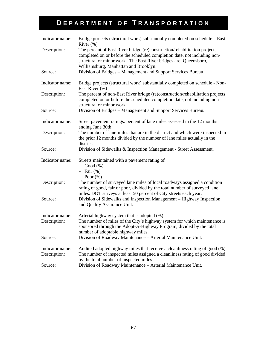| Indicator name:                 | Bridge projects (structural work) substantially completed on schedule – East<br>River $(\%)$                                                                                                                                                                        |
|---------------------------------|---------------------------------------------------------------------------------------------------------------------------------------------------------------------------------------------------------------------------------------------------------------------|
| Description:                    | The percent of East River bridge (re)construction/rehabilitation projects<br>completed on or before the scheduled completion date, not including non-<br>structural or minor work. The East River bridges are: Queensboro,<br>Williamsburg, Manhattan and Brooklyn. |
| Source:                         | Division of Bridges - Management and Support Services Bureau.                                                                                                                                                                                                       |
| Indicator name:                 | Bridge projects (structural work) substantially completed on schedule - Non-<br>East River (%)                                                                                                                                                                      |
| Description:                    | The percent of non-East River bridge (re)construction/rehabilitation projects<br>completed on or before the scheduled completion date, not including non-<br>structural or minor work.                                                                              |
| Source:                         | Division of Bridges - Management and Support Services Bureau.                                                                                                                                                                                                       |
| Indicator name:                 | Street pavement ratings: percent of lane miles assessed in the 12 months<br>ending June 30th                                                                                                                                                                        |
| Description:                    | The number of lane-miles that are in the district and which were inspected in<br>the prior 12 months divided by the number of lane miles actually in the<br>district.                                                                                               |
| Source:                         | Division of Sidewalks & Inspection Management - Street Assessment.                                                                                                                                                                                                  |
| Indicator name:                 | Streets maintained with a pavement rating of<br>$-$ Good $(\%)$<br>$-$ Fair $(\%)$<br>$-$ Poor $(\%)$                                                                                                                                                               |
| Description:                    | The number of surveyed lane miles of local roadways assigned a condition<br>rating of good, fair or poor, divided by the total number of surveyed lane<br>miles. DOT surveys at least 50 percent of City streets each year.                                         |
| Source:                         | Division of Sidewalks and Inspection Management - Highway Inspection<br>and Quality Assurance Unit.                                                                                                                                                                 |
| Indicator name:<br>Description: | Arterial highway system that is adopted (%)<br>The number of miles of the City's highway system for which maintenance is<br>sponsored through the Adopt-A-Highway Program, divided by the total<br>number of adoptable highway miles.                               |
| Source:                         | Division of Roadway Maintenance - Arterial Maintenance Unit.                                                                                                                                                                                                        |
| Indicator name:<br>Description: | Audited adopted highway miles that receive a cleanliness rating of good (%)<br>The number of inspected miles assigned a cleanliness rating of good divided<br>by the total number of inspected miles.                                                               |
| Source:                         | Division of Roadway Maintenance - Arterial Maintenance Unit.                                                                                                                                                                                                        |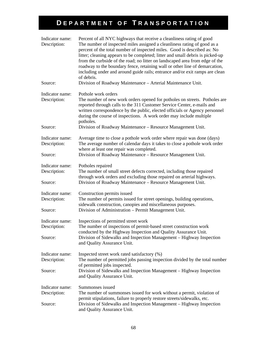| Indicator name:<br>Description:            | Percent of all NYC highways that receive a cleanliness rating of good<br>The number of inspected miles assigned a cleanliness rating of good as a<br>percent of the total number of inspected miles. Good is described as: No<br>litter; cleaning appears to be completed; litter and small debris is picked-up<br>from the curbside of the road; no litter on landscaped area from edge of the<br>roadway to the boundary fence, retaining wall or other line of demarcation,<br>including under and around guide rails; entrance and/or exit ramps are clean<br>of debris. |
|--------------------------------------------|------------------------------------------------------------------------------------------------------------------------------------------------------------------------------------------------------------------------------------------------------------------------------------------------------------------------------------------------------------------------------------------------------------------------------------------------------------------------------------------------------------------------------------------------------------------------------|
| Source:                                    | Division of Roadway Maintenance - Arterial Maintenance Unit.                                                                                                                                                                                                                                                                                                                                                                                                                                                                                                                 |
| Indicator name:<br>Description:            | Pothole work orders<br>The number of new work orders opened for potholes on streets. Potholes are<br>reported through calls to the 311 Customer Service Center, e-mails and<br>written correspondence by the public, elected officials or Agency personnel<br>during the course of inspections. A work order may include multiple<br>potholes.                                                                                                                                                                                                                               |
| Source:                                    | Division of Roadway Maintenance – Resource Management Unit.                                                                                                                                                                                                                                                                                                                                                                                                                                                                                                                  |
| Indicator name:<br>Description:            | Average time to close a pothole work order where repair was done (days)<br>The average number of calendar days it takes to close a pothole work order<br>where at least one repair was completed.                                                                                                                                                                                                                                                                                                                                                                            |
| Source:                                    | Division of Roadway Maintenance - Resource Management Unit.                                                                                                                                                                                                                                                                                                                                                                                                                                                                                                                  |
| Indicator name:<br>Description:<br>Source: | Potholes repaired<br>The number of small street defects corrected, including those repaired<br>through work orders and excluding those repaired on arterial highways.<br>Division of Roadway Maintenance - Resource Management Unit.                                                                                                                                                                                                                                                                                                                                         |
| Indicator name:<br>Description:<br>Source: | Construction permits issued<br>The number of permits issued for street openings, building operations,<br>sidewalk construction, canopies and miscellaneous purposes.<br>Division of Administration - Permit Management Unit.                                                                                                                                                                                                                                                                                                                                                 |
| Indicator name:<br>Description:<br>Source: | Inspections of permitted street work<br>The number of inspections of permit-based street construction work<br>conducted by the Highway Inspection and Quality Assurance Unit.<br>Division of Sidewalks and Inspection Management – Highway Inspection<br>and Quality Assurance Unit.                                                                                                                                                                                                                                                                                         |
| Indicator name:<br>Description:<br>Source: | Inspected street work rated satisfactory (%)<br>The number of permitted jobs passing inspection divided by the total number<br>of permitted jobs inspected.<br>Division of Sidewalks and Inspection Management - Highway Inspection                                                                                                                                                                                                                                                                                                                                          |
|                                            | and Quality Assurance Unit.                                                                                                                                                                                                                                                                                                                                                                                                                                                                                                                                                  |
| Indicator name:<br>Description:<br>Source: | Summonses issued<br>The number of summonses issued for work without a permit, violation of<br>permit stipulations, failure to properly restore streets/sidewalks, etc.<br>Division of Sidewalks and Inspection Management - Highway Inspection<br>and Quality Assurance Unit.                                                                                                                                                                                                                                                                                                |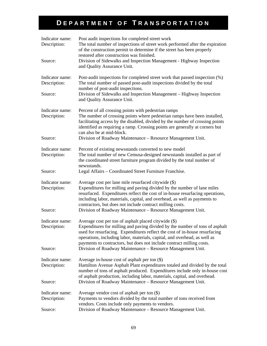| Indicator name:<br>Description:<br>Source: | Post audit inspections for completed street work<br>The total number of inspections of street work performed after the expiration<br>of the construction permit to determine if the street has been properly<br>restored after construction was finished.<br>Division of Sidewalks and Inspection Management - Highway Inspection<br>and Quality Assurance Unit.                                                         |
|--------------------------------------------|--------------------------------------------------------------------------------------------------------------------------------------------------------------------------------------------------------------------------------------------------------------------------------------------------------------------------------------------------------------------------------------------------------------------------|
| Indicator name:<br>Description:<br>Source: | Post-audit inspections for completed street work that passed inspection (%)<br>The total number of passed post-audit inspections divided by the total<br>number of post-audit inspections.<br>Division of Sidewalks and Inspection Management - Highway Inspection<br>and Quality Assurance Unit.                                                                                                                        |
| Indicator name:<br>Description:            | Percent of all crossing points with pedestrian ramps<br>The number of crossing points where pedestrian ramps have been installed,<br>facilitating access by the disabled, divided by the number of crossing points<br>identified as requiring a ramp. Crossing points are generally at corners but<br>can also be at mid-block.                                                                                          |
| Source:                                    | Division of Roadway Maintenance - Resource Management Unit.                                                                                                                                                                                                                                                                                                                                                              |
| Indicator name:<br>Description:            | Percent of existing newsstands converted to new model<br>The total number of new Cemusa-designed newsstands installed as part of<br>the coordinated street furniture program divided by the total number of<br>newsstands.                                                                                                                                                                                               |
| Source:                                    | Legal Affairs - Coordinated Street Furniture Franchise.                                                                                                                                                                                                                                                                                                                                                                  |
| Indicator name:<br>Description:<br>Source: | Average cost per lane mile resurfaced citywide (\$)<br>Expenditures for milling and paving divided by the number of lane miles<br>resurfaced. Expenditures reflect the cost of in-house resurfacing operations,<br>including labor, materials, capital, and overhead, as well as payments to<br>contractors, but does not include contract milling costs.<br>Division of Roadway Maintenance - Resource Management Unit. |
| Indicator name:<br>Description:            | Average cost per ton of asphalt placed citywide (\$)<br>Expenditures for milling and paving divided by the number of tons of asphalt<br>used for resurfacing. Expenditures reflect the cost of in-house resurfacing<br>operations, including labor, materials, capital, and overhead, as well as<br>payments to contractors, but does not include contract milling costs.                                                |
| Source:                                    | Division of Roadway Maintenance - Resource Management Unit.                                                                                                                                                                                                                                                                                                                                                              |
| Indicator name:<br>Description:            | Average in-house cost of asphalt per ton $(\$)$<br>Hamilton Avenue Asphalt Plant expenditures totaled and divided by the total<br>number of tons of asphalt produced. Expenditures include only in-house cost<br>of asphalt production, including labor, materials, capital, and overhead.                                                                                                                               |
| Source:                                    | Division of Roadway Maintenance - Resource Management Unit.                                                                                                                                                                                                                                                                                                                                                              |
| Indicator name:<br>Description:<br>Source: | Average vendor cost of asphalt per ton $(\$)$<br>Payments to vendors divided by the total number of tons received from<br>vendors. Costs include only payments to vendors.<br>Division of Roadway Maintenance - Resource Management Unit.                                                                                                                                                                                |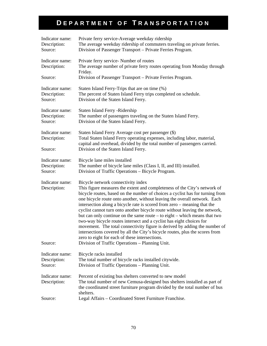## **D EPARTMENT OF T RANSPORTATION**

| Indicator name:<br>Description:<br>Source: | Private ferry service-Average weekday ridership<br>The average weekday ridership of commuters traveling on private ferries.<br>Division of Passenger Transport - Private Ferries Program.                                                                                                                                                                                                                                                                                                                                                                                                                                                                                                                                                                                                                                                                            |
|--------------------------------------------|----------------------------------------------------------------------------------------------------------------------------------------------------------------------------------------------------------------------------------------------------------------------------------------------------------------------------------------------------------------------------------------------------------------------------------------------------------------------------------------------------------------------------------------------------------------------------------------------------------------------------------------------------------------------------------------------------------------------------------------------------------------------------------------------------------------------------------------------------------------------|
| Indicator name:<br>Description:            | Private ferry service- Number of routes<br>The average number of private ferry routes operating from Monday through<br>Friday.                                                                                                                                                                                                                                                                                                                                                                                                                                                                                                                                                                                                                                                                                                                                       |
| Source:                                    | Division of Passenger Transport - Private Ferries Program.                                                                                                                                                                                                                                                                                                                                                                                                                                                                                                                                                                                                                                                                                                                                                                                                           |
| Indicator name:<br>Description:<br>Source: | Staten Island Ferry-Trips that are on time (%)<br>The percent of Staten Island Ferry trips completed on schedule.<br>Division of the Staten Island Ferry.                                                                                                                                                                                                                                                                                                                                                                                                                                                                                                                                                                                                                                                                                                            |
| Indicator name:<br>Description:<br>Source: | Staten Island Ferry - Ridership<br>The number of passengers traveling on the Staten Island Ferry.<br>Division of the Staten Island Ferry.                                                                                                                                                                                                                                                                                                                                                                                                                                                                                                                                                                                                                                                                                                                            |
| Indicator name:<br>Description:<br>Source: | Staten Island Ferry Average cost per passenger (\$)<br>Total Staten Island Ferry operating expenses, including labor, material,<br>capital and overhead, divided by the total number of passengers carried.<br>Division of the Staten Island Ferry.                                                                                                                                                                                                                                                                                                                                                                                                                                                                                                                                                                                                                  |
| Indicator name:<br>Description:<br>Source: | Bicycle lane miles installed<br>The number of bicycle lane miles (Class I, II, and III) installed.<br>Division of Traffic Operations - Bicycle Program.                                                                                                                                                                                                                                                                                                                                                                                                                                                                                                                                                                                                                                                                                                              |
| Indicator name:<br>Description:<br>Source: | Bicycle network connectivity index<br>This figure measures the extent and completeness of the City's network of<br>bicycle routes, based on the number of choices a cyclist has for turning from<br>one bicycle route onto another, without leaving the overall network. Each<br>intersection along a bicycle rate is scored from zero – meaning that the<br>cyclist cannot turn onto another bicycle route without leaving the network,<br>but can only continue on the same route $-$ to eight $-$ which means that two<br>two-way bicycle routes intersect and a cyclist has eight choices for<br>movement. The total connectivity figure is derived by adding the number of<br>intersections covered by all the City's bicycle routes, plus the scores from<br>zero to eight for each of these intersections.<br>Division of Traffic Operations - Planning Unit. |
| Indicator name:                            | Bicycle racks installed                                                                                                                                                                                                                                                                                                                                                                                                                                                                                                                                                                                                                                                                                                                                                                                                                                              |
| Description:<br>Source:                    | The total number of bicycle racks installed citywide.<br>Division of Traffic Operations - Planning Unit.                                                                                                                                                                                                                                                                                                                                                                                                                                                                                                                                                                                                                                                                                                                                                             |
| Indicator name:<br>Description:            | Percent of existing bus shelters converted to new model<br>The total number of new Cemusa-designed bus shelters installed as part of<br>the coordinated street furniture program divided by the total number of bus<br>shelters.                                                                                                                                                                                                                                                                                                                                                                                                                                                                                                                                                                                                                                     |
| Source:                                    | Legal Affairs - Coordinated Street Furniture Franchise.                                                                                                                                                                                                                                                                                                                                                                                                                                                                                                                                                                                                                                                                                                                                                                                                              |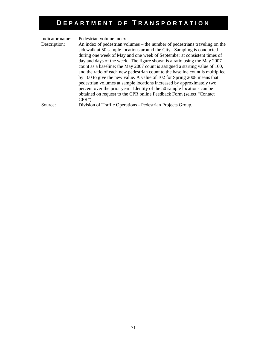## **D EPARTMENT OF T RANSPORTATION**

| Indicator name: | Pedestrian volume index                                                        |
|-----------------|--------------------------------------------------------------------------------|
| Description:    | An index of pedestrian volumes – the number of pedestrians traveling on the    |
|                 | sidewalk at 50 sample locations around the City. Sampling is conducted         |
|                 | during one week of May and one week of September at consistent times of        |
|                 | day and days of the week. The figure shown is a ratio using the May 2007       |
|                 | count as a baseline; the May 2007 count is assigned a starting value of 100,   |
|                 | and the ratio of each new pedestrian count to the baseline count is multiplied |
|                 | by 100 to give the new value. A value of 102 for Spring 2008 means that        |
|                 | pedestrian volumes at sample locations increased by approximately two          |
|                 | percent over the prior year. Identity of the 50 sample locations can be        |
|                 | obtained on request to the CPR online Feedback Form (select "Contact"          |
|                 | $CPR$ ").                                                                      |
| Source:         | Division of Traffic Operations - Pedestrian Projects Group.                    |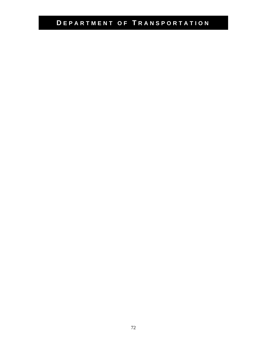# **D EPARTMENT OF T RANSPORTATION**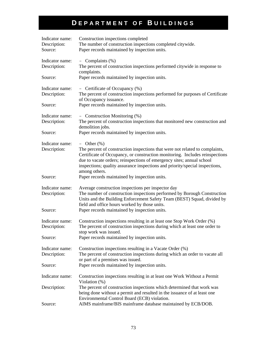| Indicator name:<br>Description: | Construction inspections completed<br>The number of construction inspections completed citywide.                                                                                                                                                                                                                                                           |
|---------------------------------|------------------------------------------------------------------------------------------------------------------------------------------------------------------------------------------------------------------------------------------------------------------------------------------------------------------------------------------------------------|
| Source:                         | Paper records maintained by inspection units.                                                                                                                                                                                                                                                                                                              |
| Indicator name:<br>Description: | Complaints (%)<br>The percent of construction inspections performed citywide in response to<br>complaints.                                                                                                                                                                                                                                                 |
| Source:                         | Paper records maintained by inspection units.                                                                                                                                                                                                                                                                                                              |
| Indicator name:<br>Description: | - Certificate of Occupancy $(\%)$<br>The percent of construction inspections performed for purposes of Certificate<br>of Occupancy issuance.                                                                                                                                                                                                               |
| Source:                         | Paper records maintained by inspection units.                                                                                                                                                                                                                                                                                                              |
| Indicator name:<br>Description: | - Construction Monitoring (%)<br>The percent of construction inspections that monitored new construction and<br>demolition jobs.                                                                                                                                                                                                                           |
| Source:                         | Paper records maintained by inspection units.                                                                                                                                                                                                                                                                                                              |
| Indicator name:<br>Description: | $-$ Other $(\%)$<br>The percent of construction inspections that were not related to complaints,<br>Certificate of Occupancy, or construction monitoring. Includes reinspections<br>due to vacate orders; reinspections of emergency sites; annual school<br>inspections; quality assurance inspections and priority/special inspections,<br>among others. |
| Source:                         | Paper records maintained by inspection units.                                                                                                                                                                                                                                                                                                              |
| Indicator name:<br>Description: | Average construction inspections per inspector day<br>The number of construction inspections performed by Borough Construction<br>Units and the Building Enforcement Safety Team (BEST) Squad, divided by<br>field and office hours worked by those units.                                                                                                 |
| Source:                         | Paper records maintained by inspection units.                                                                                                                                                                                                                                                                                                              |
| Indicator name:<br>Description: | Construction inspections resulting in at least one Stop Work Order (%)<br>The percent of construction inspections during which at least one order to<br>stop work was issued.                                                                                                                                                                              |
| Source:                         | Paper records maintained by inspection units.                                                                                                                                                                                                                                                                                                              |
| Indicator name:<br>Description: | Construction inspections resulting in a Vacate Order (%)<br>The percent of construction inspections during which an order to vacate all<br>or part of a premises was issued.                                                                                                                                                                               |
| Source:                         | Paper records maintained by inspection units.                                                                                                                                                                                                                                                                                                              |
| Indicator name:                 | Construction inspections resulting in at least one Work Without a Permit<br>Violation (%)                                                                                                                                                                                                                                                                  |
| Description:                    | The percent of construction inspections which determined that work was<br>being done without a permit and resulted in the issuance of at least one<br>Environmental Control Board (ECB) violation.                                                                                                                                                         |
| Source:                         | AIMS mainframe/BIS mainframe database maintained by ECB/DOB.                                                                                                                                                                                                                                                                                               |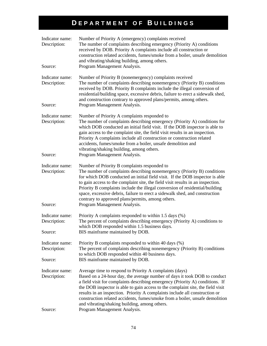| Indicator name:<br>Description:<br>Source: | Number of Priority A (emergency) complaints received<br>The number of complaints describing emergency (Priority A) conditions<br>received by DOB. Priority A complaints include all construction or<br>construction related accidents, fumes/smoke from a boiler, unsafe demolition<br>and vibrating/shaking building, among others.<br>Program Management Analysis.                                                                                                                                                                                     |
|--------------------------------------------|----------------------------------------------------------------------------------------------------------------------------------------------------------------------------------------------------------------------------------------------------------------------------------------------------------------------------------------------------------------------------------------------------------------------------------------------------------------------------------------------------------------------------------------------------------|
| Indicator name:<br>Description:<br>Source: | Number of Priority B (nonemergency) complaints received<br>The number of complaints describing nonemergency (Priority B) conditions<br>received by DOB. Priority B complaints include the illegal conversion of<br>residential/building space, excessive debris, failure to erect a sidewalk shed,<br>and construction contrary to approved plans/permits, among others.<br>Program Management Analysis.                                                                                                                                                 |
| Indicator name:<br>Description:<br>Source: | Number of Priority A complaints responded to<br>The number of complaints describing emergency (Priority A) conditions for<br>which DOB conducted an initial field visit. If the DOB inspector is able to<br>gain access to the complaint site, the field visit results in an inspection.<br>Priority A complaints include all construction or construction related<br>accidents, fumes/smoke from a boiler, unsafe demolition and<br>vibrating/shaking building, among others.<br>Program Management Analysis.                                           |
| Indicator name:<br>Description:<br>Source: | Number of Priority B complaints responded to<br>The number of complaints describing nonemergency (Priority B) conditions<br>for which DOB conducted an initial field visit. If the DOB inspector is able<br>to gain access to the complaint site, the field visit results in an inspection.<br>Priority B complaints include the illegal conversion of residential/building<br>space, excessive debris, failure to erect a sidewalk shed, and construction<br>contrary to approved plans/permits, among others.<br>Program Management Analysis.          |
| Indicator name:<br>Description:<br>Source: | Priority A complaints responded to within 1.5 days (%)<br>The percent of complaints describing emergency (Priority A) conditions to<br>which DOB responded within 1.5 business days.<br>BIS mainframe maintained by DOB.                                                                                                                                                                                                                                                                                                                                 |
| Indicator name:<br>Description:<br>Source: | Priority B complaints responded to within 40 days (%)<br>The percent of complaints describing nonemergency (Priority B) conditions<br>to which DOB responded within 40 business days.<br>BIS mainframe maintained by DOB.                                                                                                                                                                                                                                                                                                                                |
| Indicator name:<br>Description:<br>Source: | Average time to respond to Priority A complaints (days)<br>Based on a 24-hour day, the average number of days it took DOB to conduct<br>a field visit for complaints describing emergency (Priority A) conditions. If<br>the DOB inspector is able to gain access to the complaint site, the field visit<br>results in an inspection. Priority A complaints include all construction or<br>construction related accidents, fumes/smoke from a boiler, unsafe demolition<br>and vibrating/shaking building, among others.<br>Program Management Analysis. |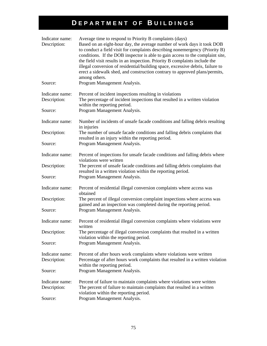| Indicator name:<br>Description: | Average time to respond to Priority B complaints (days)<br>Based on an eight-hour day, the average number of work days it took DOB<br>to conduct a field visit for complaints describing nonemergency (Priority B)<br>conditions. If the DOB inspector is able to gain access to the complaint site,<br>the field visit results in an inspection. Priority B complaints include the<br>illegal conversion of residential/building space, excessive debris, failure to<br>erect a sidewalk shed, and construction contrary to approved plans/permits,<br>among others. |
|---------------------------------|-----------------------------------------------------------------------------------------------------------------------------------------------------------------------------------------------------------------------------------------------------------------------------------------------------------------------------------------------------------------------------------------------------------------------------------------------------------------------------------------------------------------------------------------------------------------------|
| Source:                         | Program Management Analysis.                                                                                                                                                                                                                                                                                                                                                                                                                                                                                                                                          |
| Indicator name:<br>Description: | Percent of incident inspections resulting in violations<br>The percentage of incident inspections that resulted in a written violation<br>within the reporting period.                                                                                                                                                                                                                                                                                                                                                                                                |
| Source:                         | Program Management Analysis.                                                                                                                                                                                                                                                                                                                                                                                                                                                                                                                                          |
| Indicator name:                 | Number of incidents of unsafe facade conditions and falling debris resulting<br>in injuries                                                                                                                                                                                                                                                                                                                                                                                                                                                                           |
| Description:                    | The number of unsafe facade conditions and falling debris complaints that<br>resulted in an injury within the reporting period.                                                                                                                                                                                                                                                                                                                                                                                                                                       |
| Source:                         | Program Management Analysis.                                                                                                                                                                                                                                                                                                                                                                                                                                                                                                                                          |
| Indicator name:                 | Percent of inspections for unsafe facade conditions and falling debris where<br>violations were written                                                                                                                                                                                                                                                                                                                                                                                                                                                               |
| Description:                    | The percent of unsafe facade conditions and falling debris complaints that<br>resulted in a written violation within the reporting period.                                                                                                                                                                                                                                                                                                                                                                                                                            |
| Source:                         | Program Management Analysis.                                                                                                                                                                                                                                                                                                                                                                                                                                                                                                                                          |
| Indicator name:                 | Percent of residential illegal conversion complaints where access was<br>obtained                                                                                                                                                                                                                                                                                                                                                                                                                                                                                     |
| Description:                    | The percent of illegal conversion complaint inspections where access was<br>gained and an inspection was completed during the reporting period.                                                                                                                                                                                                                                                                                                                                                                                                                       |
| Source:                         | Program Management Analysis.                                                                                                                                                                                                                                                                                                                                                                                                                                                                                                                                          |
| Indicator name:                 | Percent of residential illegal conversion complaints where violations were<br>written                                                                                                                                                                                                                                                                                                                                                                                                                                                                                 |
| Description:                    | The percentage of illegal conversion complaints that resulted in a written<br>violation within the reporting period.                                                                                                                                                                                                                                                                                                                                                                                                                                                  |
| Source:                         | Program Management Analysis.                                                                                                                                                                                                                                                                                                                                                                                                                                                                                                                                          |
| Indicator name:                 | Percent of after hours work complaints where violations were written                                                                                                                                                                                                                                                                                                                                                                                                                                                                                                  |
| Description:                    | Percentage of after hours work complaints that resulted in a written violation<br>within the reporting period.                                                                                                                                                                                                                                                                                                                                                                                                                                                        |
| Source:                         | Program Management Analysis.                                                                                                                                                                                                                                                                                                                                                                                                                                                                                                                                          |
| Indicator name:<br>Description: | Percent of failure to maintain complaints where violations were written<br>The percent of failure to maintain complaints that resulted in a written<br>violation within the reporting period.                                                                                                                                                                                                                                                                                                                                                                         |
| Source:                         | Program Management Analysis.                                                                                                                                                                                                                                                                                                                                                                                                                                                                                                                                          |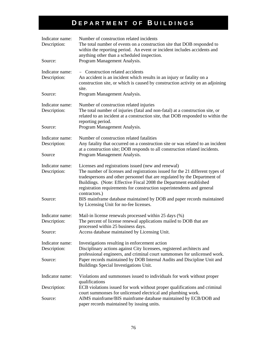| Indicator name:<br>Description:<br>Source: | Number of construction related incidents<br>The total number of events on a construction site that DOB responded to<br>within the reporting period. An event or incident includes accidents and<br>anything other than a scheduled inspection.<br>Program Management Analysis.                                                                                                     |
|--------------------------------------------|------------------------------------------------------------------------------------------------------------------------------------------------------------------------------------------------------------------------------------------------------------------------------------------------------------------------------------------------------------------------------------|
| Indicator name:<br>Description:            | Construction related accidents<br>An accident is an incident which results in an injury or fatality on a<br>construction site, or which is caused by construction activity on an adjoining<br>site.                                                                                                                                                                                |
| Source:                                    | Program Management Analysis.                                                                                                                                                                                                                                                                                                                                                       |
| Indicator name:<br>Description:<br>Source: | Number of construction related injuries<br>The total number of injuries (fatal and non-fatal) at a construction site, or<br>related to an incident at a construction site, that DOB responded to within the<br>reporting period.<br>Program Management Analysis.                                                                                                                   |
|                                            |                                                                                                                                                                                                                                                                                                                                                                                    |
| Indicator name:<br>Description:<br>Source  | Number of construction related fatalities<br>Any fatality that occurred on a construction site or was related to an incident<br>at a construction site; DOB responds to all construction related incidents.<br>Program Management Analysis.                                                                                                                                        |
|                                            |                                                                                                                                                                                                                                                                                                                                                                                    |
| Indicator name:<br>Description:            | Licenses and registrations issued (new and renewal)<br>The number of licenses and registrations issued for the 21 different types of<br>tradespersons and other personnel that are regulated by the Department of<br>Buildings. (Note: Effective Fiscal 2008 the Department established<br>registration requirements for construction superintendents and general<br>contractors.) |
| Source:                                    | BIS mainframe database maintained by DOB and paper records maintained<br>by Licensing Unit for no-fee licenses.                                                                                                                                                                                                                                                                    |
| Indicator name:<br>Description:            | Mail-in license renewals processed within 25 days (%)<br>The percent of license renewal applications mailed to DOB that are                                                                                                                                                                                                                                                        |
| Source:                                    | processed within 25 business days.<br>Access database maintained by Licensing Unit.                                                                                                                                                                                                                                                                                                |
| Indicator name:<br>Description:            | Investigations resulting in enforcement action<br>Disciplinary actions against City licensees, registered architects and<br>professional engineers, and criminal court summonses for unlicensed work.                                                                                                                                                                              |
| Source:                                    | Paper records maintained by DOB Internal Audits and Discipline Unit and<br>Buildings Special Investigations Unit.                                                                                                                                                                                                                                                                  |
| Indicator name:                            | Violations and summonses issued to individuals for work without proper<br>qualifications                                                                                                                                                                                                                                                                                           |
| Description:                               | ECB violations issued for work without proper qualifications and criminal                                                                                                                                                                                                                                                                                                          |
| Source:                                    | court summonses for unlicensed electrical and plumbing work.<br>AIMS mainframe/BIS mainframe database maintained by ECB/DOB and<br>paper records maintained by issuing units.                                                                                                                                                                                                      |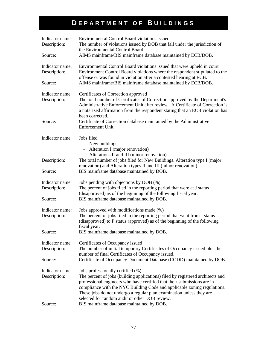| Indicator name:<br>Description: | Environmental Control Board violations issued<br>The number of violations issued by DOB that fall under the jurisdiction of<br>the Environmental Control Board.                                                                                                                                                                                                                                      |
|---------------------------------|------------------------------------------------------------------------------------------------------------------------------------------------------------------------------------------------------------------------------------------------------------------------------------------------------------------------------------------------------------------------------------------------------|
| Source:                         | AIMS mainframe/BIS mainframe database maintained by ECB/DOB.                                                                                                                                                                                                                                                                                                                                         |
| Indicator name:<br>Description: | Environmental Control Board violations issued that were upheld in court<br>Environment Control Board violations where the respondent stipulated to the<br>offense or was found in violation after a contested hearing at ECB.                                                                                                                                                                        |
| Source:                         | AIMS mainframe/BIS mainframe database maintained by ECB/DOB.                                                                                                                                                                                                                                                                                                                                         |
| Indicator name:<br>Description: | Certificates of Correction approved<br>The total number of Certificates of Correction approved by the Department's<br>Administrative Enforcement Unit after review. A Certificate of Correction is<br>a notarized affirmation from the respondent stating that an ECB violation has<br>been corrected.                                                                                               |
| Source:                         | Certificate of Correction database maintained by the Administrative<br>Enforcement Unit.                                                                                                                                                                                                                                                                                                             |
| Indicator name:                 | Jobs filed<br>- New buildings<br>- Alteration I (major renovation)<br>- Alterations II and III (minor renovation)                                                                                                                                                                                                                                                                                    |
| Description:                    | The total number of jobs filed for New Buildings, Alteration type I (major<br>renovation) and Alteration types II and III (minor renovation).                                                                                                                                                                                                                                                        |
| Source:                         | BIS mainframe database maintained by DOB.                                                                                                                                                                                                                                                                                                                                                            |
| Indicator name:<br>Description: | Jobs pending with objections by DOB (%)<br>The percent of jobs filed in the reporting period that were at J status<br>(disapproved) as of the beginning of the following fiscal year.                                                                                                                                                                                                                |
| Source:                         | BIS mainframe database maintained by DOB.                                                                                                                                                                                                                                                                                                                                                            |
| Indicator name:<br>Description: | Jobs approved with modifications made (%)<br>The percent of jobs filed in the reporting period that went from J status<br>(disapproved) to P status (approved) as of the beginning of the following<br>fiscal year.                                                                                                                                                                                  |
| Source:                         | BIS mainframe database maintained by DOB.                                                                                                                                                                                                                                                                                                                                                            |
| Indicator name:<br>Description: | Certificates of Occupancy issued<br>The number of initial temporary Certificates of Occupancy issued plus the<br>number of final Certificates of Occupancy issued.                                                                                                                                                                                                                                   |
| Source:                         | Certificate of Occupancy Document Database (CODD) maintained by DOB.                                                                                                                                                                                                                                                                                                                                 |
| Indicator name:<br>Description: | Jobs professionally certified (%)<br>The percent of jobs (building applications) filed by registered architects and<br>professional engineers who have certified that their submissions are in<br>compliance with the NYC Building Code and applicable zoning regulations.<br>These jobs do not undergo a regular plan examination unless they are<br>selected for random audit or other DOB review. |
| Source:                         | BIS mainframe database maintained by DOB.                                                                                                                                                                                                                                                                                                                                                            |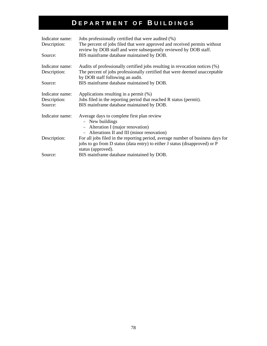| Indicator name:<br>Description: | Jobs professionally certified that were audited (%)<br>The percent of jobs filed that were approved and received permits without<br>review by DOB staff and were subsequently reviewed by DOB staff. |
|---------------------------------|------------------------------------------------------------------------------------------------------------------------------------------------------------------------------------------------------|
| Source:                         | BIS mainframe database maintained by DOB.                                                                                                                                                            |
| Indicator name:                 | Audits of professionally certified jobs resulting in revocation notices (%)                                                                                                                          |
| Description:                    | The percent of jobs professionally certified that were deemed unacceptable<br>by DOB staff following an audit.                                                                                       |
| Source:                         | BIS mainframe database maintained by DOB.                                                                                                                                                            |
| Indicator name:                 | Applications resulting in a permit (%)                                                                                                                                                               |
| Description:                    | Jobs filed in the reporting period that reached R status (permit).                                                                                                                                   |
| Source:                         | BIS mainframe database maintained by DOB.                                                                                                                                                            |
| Indicator name:                 | Average days to complete first plan review                                                                                                                                                           |
|                                 | - New buildings                                                                                                                                                                                      |
|                                 | - Alteration I (major renovation)                                                                                                                                                                    |
|                                 | - Alterations II and III (minor renovation)                                                                                                                                                          |
| Description:                    | For all jobs filed in the reporting period, average number of business days for                                                                                                                      |
|                                 | jobs to go from D status (data entry) to either J status (disapproved) or P<br>status (approved).                                                                                                    |
| Source:                         | BIS mainframe database maintained by DOB.                                                                                                                                                            |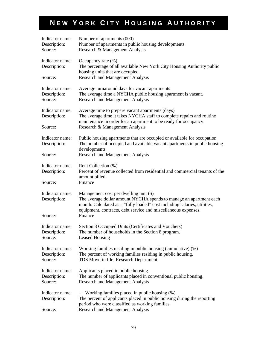| Indicator name:<br>Description:<br>Source: | Number of apartments (000)<br>Number of apartments in public housing developments<br>Research & Management Analysis                                                                                                                                                    |
|--------------------------------------------|------------------------------------------------------------------------------------------------------------------------------------------------------------------------------------------------------------------------------------------------------------------------|
| Indicator name:<br>Description:            | Occupancy rate (%)<br>The percentage of all available New York City Housing Authority public<br>housing units that are occupied.                                                                                                                                       |
| Source:                                    | <b>Research and Management Analysis</b>                                                                                                                                                                                                                                |
| Indicator name:<br>Description:<br>Source: | Average turnaround days for vacant apartments<br>The average time a NYCHA public housing apartment is vacant.<br><b>Research and Management Analysis</b>                                                                                                               |
| Indicator name:<br>Description:<br>Source: | Average time to prepare vacant apartments (days)<br>The average time it takes NYCHA staff to complete repairs and routine<br>maintenance in order for an apartment to be ready for occupancy.<br>Research & Management Analysis                                        |
| Indicator name:<br>Description:            | Public housing apartments that are occupied or available for occupation<br>The number of occupied and available vacant apartments in public housing<br>developments                                                                                                    |
| Source:                                    | <b>Research and Management Analysis</b>                                                                                                                                                                                                                                |
| Indicator name:<br>Description:            | Rent Collection (%)<br>Percent of revenue collected from residential and commercial tenants of the<br>amount billed.                                                                                                                                                   |
| Source:                                    | Finance                                                                                                                                                                                                                                                                |
| Indicator name:<br>Description:<br>Source: | Management cost per dwelling unit (\$)<br>The average dollar amount NYCHA spends to manage an apartment each<br>month. Calculated as a "fully loaded" cost including salaries, utilities,<br>equipment, contracts, debt service and miscellaneous expenses.<br>Finance |
| Indicator name:<br>Description:<br>Source: | Section 8 Occupied Units (Certificates and Vouchers)<br>The number of households in the Section 8 program.<br><b>Leased Housing</b>                                                                                                                                    |
| Indicator name:<br>Description:<br>Source: | Working families residing in public housing (cumulative) (%)<br>The percent of working families residing in public housing.<br>TDS Move-in file: Research Department.                                                                                                  |
| Indicator name:<br>Description:<br>Source: | Applicants placed in public housing<br>The number of applicants placed in conventional public housing.<br><b>Research and Management Analysis</b>                                                                                                                      |
| Indicator name:<br>Description:<br>Source: | - Working families placed in public housing (%)<br>The percent of applicants placed in public housing during the reporting<br>period who were classified as working families.<br><b>Research and Management Analysis</b>                                               |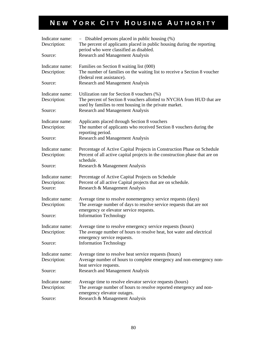| Indicator name:<br>Description:            | - Disabled persons placed in public housing $(\%)$<br>The percent of applicants placed in public housing during the reporting<br>period who were classified as disabled.        |
|--------------------------------------------|---------------------------------------------------------------------------------------------------------------------------------------------------------------------------------|
| Source:                                    | <b>Research and Management Analysis</b>                                                                                                                                         |
| Indicator name:<br>Description:            | Families on Section 8 waiting list (000)<br>The number of families on the waiting list to receive a Section 8 voucher<br>(federal rent assistance).                             |
| Source:                                    | <b>Research and Management Analysis</b>                                                                                                                                         |
| Indicator name:<br>Description:            | Utilization rate for Section 8 vouchers (%)<br>The percent of Section 8 vouchers allotted to NYCHA from HUD that are<br>used by families to rent housing in the private market. |
| Source:                                    | <b>Research and Management Analysis</b>                                                                                                                                         |
| Indicator name:<br>Description:            | Applicants placed through Section 8 vouchers<br>The number of applicants who received Section 8 vouchers during the<br>reporting period.                                        |
| Source:                                    | Research and Management Analysis                                                                                                                                                |
| Indicator name:<br>Description:            | Percentage of Active Capital Projects in Construction Phase on Schedule<br>Percent of all active capital projects in the construction phase that are on<br>schedule.            |
| Source:                                    | Research & Management Analysis                                                                                                                                                  |
| Indicator name:<br>Description:<br>Source: | Percentage of Active Capital Projects on Schedule<br>Percent of all active Capital projects that are on schedule.<br>Research & Management Analysis                             |
| Indicator name:<br>Description:            | Average time to resolve nonemergency service requests (days)<br>The average number of days to resolve service requests that are not<br>emergency or elevator service requests.  |
| Source:                                    | <b>Information Technology</b>                                                                                                                                                   |
| Indicator name:<br>Description:            | Average time to resolve emergency service requests (hours)<br>The average number of hours to resolve heat, hot water and electrical<br>emergency service requests.              |
| Source:                                    | <b>Information Technology</b>                                                                                                                                                   |
| Indicator name:<br>Description:            | Average time to resolve heat service requests (hours)<br>Average number of hours to complete emergency and non-emergency non-<br>heat service requests.                         |
| Source:                                    | Research and Management Analysis                                                                                                                                                |
| Indicator name:<br>Description:            | Average time to resolve elevator service requests (hours)<br>The average number of hours to resolve reported emergency and non-<br>emergency elevator outages.                  |
| Source:                                    | Research & Management Analysis                                                                                                                                                  |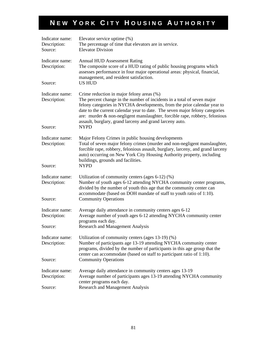| Indicator name:<br>Description:<br>Source: | Elevator service uptime (%)<br>The percentage of time that elevators are in service.<br><b>Elevator Division</b>                                                                                                                                                                                                                                                                                                                           |
|--------------------------------------------|--------------------------------------------------------------------------------------------------------------------------------------------------------------------------------------------------------------------------------------------------------------------------------------------------------------------------------------------------------------------------------------------------------------------------------------------|
| Indicator name:<br>Description:            | <b>Annual HUD Assessment Rating</b><br>The composite score of a HUD rating of public housing programs which<br>assesses performance in four major operational areas: physical, financial,<br>management, and resident satisfaction.                                                                                                                                                                                                        |
| Source:                                    | <b>US HUD</b>                                                                                                                                                                                                                                                                                                                                                                                                                              |
| Indicator name:<br>Description:<br>Source: | Crime reduction in major felony areas (%)<br>The percent change in the number of incidents in a total of seven major<br>felony categories in NYCHA developments, from the prior calendar year to<br>date to the current calendar year to date. The seven major felony categories<br>are: murder & non-negligent manslaughter, forcible rape, robbery, felonious<br>assault, burglary, grand larceny and grand larceny auto.<br><b>NYPD</b> |
| Indicator name:<br>Description:<br>Source: | Major Felony Crimes in public housing developments<br>Total of seven major felony crimes (murder and non-negligent manslaughter,<br>forcible rape, robbery, felonious assault, burglary, larceny, and grand larceny<br>auto) occurring on New York City Housing Authority property, including<br>buildings, grounds and facilities.<br><b>NYPD</b>                                                                                         |
|                                            |                                                                                                                                                                                                                                                                                                                                                                                                                                            |
| Indicator name:<br>Description:            | Utilization of community centers (ages $6-12$ ) (%)<br>Number of youth ages 6-12 attending NYCHA community center programs,<br>divided by the number of youth this age that the community center can<br>accommodate (based on DOH mandate of staff to youth ratio of 1:10).                                                                                                                                                                |
| Source:                                    | <b>Community Operations</b>                                                                                                                                                                                                                                                                                                                                                                                                                |
| Indicator name:<br>Description:            | Average daily attendance in community centers ages 6-12<br>Average number of youth ages 6-12 attending NYCHA community center<br>programs each day.                                                                                                                                                                                                                                                                                        |
| Source:                                    | <b>Research and Management Analysis</b>                                                                                                                                                                                                                                                                                                                                                                                                    |
| Indicator name:<br>Description:            | Utilization of community centers (ages 13-19) (%)<br>Number of participants age 13-19 attending NYCHA community center<br>programs, divided by the number of participants in this age group that the<br>center can accommodate (based on staff to participant ratio of 1:10).                                                                                                                                                              |
| Source:                                    | <b>Community Operations</b>                                                                                                                                                                                                                                                                                                                                                                                                                |
| Indicator name:<br>Description:            | Average daily attendance in community centers ages 13-19<br>Average number of participants ages 13-19 attending NYCHA community<br>center programs each day.                                                                                                                                                                                                                                                                               |
| Source:                                    | <b>Research and Management Analysis</b>                                                                                                                                                                                                                                                                                                                                                                                                    |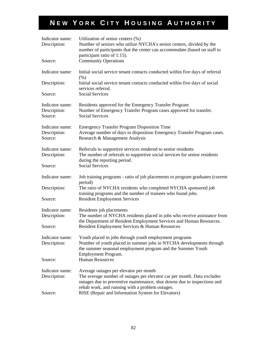| Indicator name:<br>Description:<br>Source: | Utilization of senior centers (%)<br>Number of seniors who utilize NYCHA's senior centers, divided by the<br>number of participants that the center can accommodate (based on staff to<br>participant ratio of 1:15).<br><b>Community Operations</b> |
|--------------------------------------------|------------------------------------------------------------------------------------------------------------------------------------------------------------------------------------------------------------------------------------------------------|
| Indicator name:                            | Initial social service tenant contacts conducted within five days of referral                                                                                                                                                                        |
| Description:                               | (% )<br>Initial social service tenant contacts conducted within five days of social<br>services referral.                                                                                                                                            |
| Source:                                    | <b>Social Services</b>                                                                                                                                                                                                                               |
| Indicator name:<br>Description:<br>Source: | Residents approved for the Emergency Transfer Program<br>Number of Emergency Transfer Program cases approved for transfer.<br><b>Social Services</b>                                                                                                 |
| Indicator name:<br>Description:<br>Source: | <b>Emergency Transfer Program Disposition Time</b><br>Average number of days to disposition Emergency Transfer Program cases.<br>Research & Management Analysis                                                                                      |
| Indicator name:<br>Description:<br>Source: | Referrals to supportive services rendered to senior residents<br>The number of referrals to supportive social services for senior residents<br>during the reporting period.<br><b>Social Services</b>                                                |
| Indicator name:                            | Job training programs - ratio of job placements to program graduates (current                                                                                                                                                                        |
| Description:<br>Source:                    | period)<br>The ratio of NYCHA residents who completed NYCHA sponsored job<br>training programs and the number of trainees who found jobs.<br><b>Resident Employment Services</b>                                                                     |
| Indicator name:                            |                                                                                                                                                                                                                                                      |
| Description:                               | Residents job placements<br>The number of NYCHA residents placed in jobs who receive assistance from<br>the Department of Resident Employment Services and Human Resources.                                                                          |
| Source:                                    | Resident Employment Services & Human Resources                                                                                                                                                                                                       |
| Indicator name:<br>Description:            | Youth placed in jobs through youth employment programs<br>Number of youth placed in summer jobs in NYCHA developments through<br>the summer seasonal employment program and the Summer Youth<br>Employment Program.                                  |
| Source:                                    | <b>Human Resources</b>                                                                                                                                                                                                                               |
| Indicator name:                            | Average outages per elevator per month                                                                                                                                                                                                               |
| Description:                               | The average number of outages per elevator car per month. Data excludes<br>outages due to preventive maintenance, shut downs due to inspections and<br>rehab work, and running with a problem outages.                                               |
| Source:                                    | RISE (Repair and Information System for Elevators)                                                                                                                                                                                                   |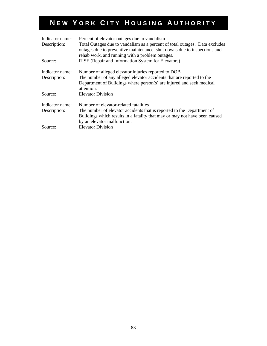| Indicator name:<br>Description: | Percent of elevator outages due to vandalism<br>Total Outages due to vandalism as a percent of total outages. Data excludes<br>outages due to preventive maintenance, shut downs due to inspections and<br>rehab work, and running with a problem outages. |
|---------------------------------|------------------------------------------------------------------------------------------------------------------------------------------------------------------------------------------------------------------------------------------------------------|
| Source:                         | RISE (Repair and Information System for Elevators)                                                                                                                                                                                                         |
| Indicator name:                 | Number of alleged elevator injuries reported to DOB                                                                                                                                                                                                        |
| Description:                    | The number of any alleged elevator accidents that are reported to the<br>Department of Buildings where person(s) are injured and seek medical<br>attention.                                                                                                |
| Source:                         | <b>Elevator Division</b>                                                                                                                                                                                                                                   |
| Indicator name:                 | Number of elevator-related fatalities                                                                                                                                                                                                                      |
| Description:                    | The number of elevator accidents that is reported to the Department of<br>Buildings which results in a fatality that may or may not have been caused<br>by an elevator malfunction.                                                                        |
| Source:                         | <b>Elevator Division</b>                                                                                                                                                                                                                                   |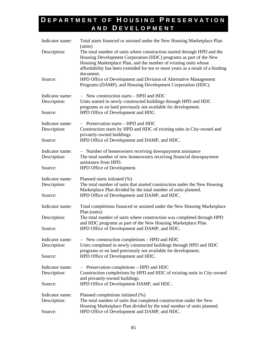| Indicator name:                            | Total starts financed or assisted under the New Housing Marketplace Plan<br>(units)                                                                                                                                                                                                                              |
|--------------------------------------------|------------------------------------------------------------------------------------------------------------------------------------------------------------------------------------------------------------------------------------------------------------------------------------------------------------------|
| Description:                               | The total number of units where construction started through HPD and the<br>Housing Development Corporation (HDC) programs as part of the New<br>Housing Marketplace Plan, and the number of existing units whose<br>affordability has been extended for ten or more years as a result of a binding<br>document. |
| Source:                                    | HPD Office of Development and Division of Alternative Management<br>Programs (DAMP), and Housing Development Corporation (HDC).                                                                                                                                                                                  |
| Indicator name:<br>Description:            | New construction starts – HPD and HDC<br>Units started in newly constructed buildings through HPD and HDC<br>programs or on land previously not available for development.                                                                                                                                       |
| Source:                                    | HPD Office of Development and HDC.                                                                                                                                                                                                                                                                               |
| Indicator name:<br>Description:            | - Preservation starts – HPD and HDC<br>Construction starts by HPD and HDC of existing units in City-owned and<br>privately-owned buildings.                                                                                                                                                                      |
| Source:                                    | HPD Office of Development and DAMP, and HDC.                                                                                                                                                                                                                                                                     |
| Indicator name:<br>Description:            | Number of homeowners receiving downpayment assistance<br>The total number of new homeowners receiving financial downpayment<br>assistance from HPD.                                                                                                                                                              |
| Source:                                    | HPD Office of Development.                                                                                                                                                                                                                                                                                       |
| Indicator name:<br>Description:<br>Source: | Planned starts initiated (%)<br>The total number of units that started construction under the New Housing<br>Marketplace Plan divided by the total number of units planned.<br>HPD Office of Development and DAMP, and HDC.                                                                                      |
| Indicator name:                            |                                                                                                                                                                                                                                                                                                                  |
|                                            | Total completions financed or assisted under the New Housing Marketplace<br>Plan (units)                                                                                                                                                                                                                         |
| Description:<br>Source:                    | The total number of units where construction was completed through HPD<br>and HDC programs as part of the New Housing Marketplace Plan.<br>HPD Office of Development and DAMP, and HDC.                                                                                                                          |
| Indicator name:<br>Description:<br>Source: | - New construction completions – HPD and HDC<br>Units completed in newly constructed buildings through HPD and HDC<br>programs or on land previously not available for development.<br>HPD Office of Development and HDC.                                                                                        |
| Indicator name:                            | - Preservation completions – HPD and HDC                                                                                                                                                                                                                                                                         |
| Description:                               | Construction completions by HPD and HDC of existing units in City-owned<br>and privately-owned buildings.                                                                                                                                                                                                        |
| Source:                                    | HPD Office of Development DAMP, and HDC.                                                                                                                                                                                                                                                                         |
| Indicator name:<br>Description:            | Planned completions initiated (%)<br>The total number of units that completed construction under the New<br>Housing Marketplace Plan divided by the total number of units planned.                                                                                                                               |
| Source:                                    | HPD Office of Development and DAMP, and HDC.                                                                                                                                                                                                                                                                     |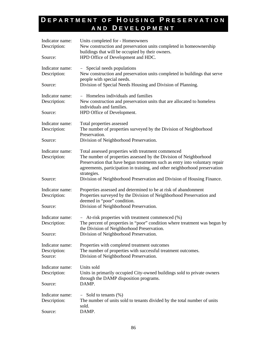| Indicator name:<br>Description:            | Units completed for - Homeowners<br>New construction and preservation units completed in homeownership<br>buildings that will be occupied by their owners.                                                                                                                           |
|--------------------------------------------|--------------------------------------------------------------------------------------------------------------------------------------------------------------------------------------------------------------------------------------------------------------------------------------|
| Source:                                    | HPD Office of Development and HDC.                                                                                                                                                                                                                                                   |
| Indicator name:<br>Description:            | Special needs populations<br>New construction and preservation units completed in buildings that serve<br>people with special needs.                                                                                                                                                 |
| Source:                                    | Division of Special Needs Housing and Division of Planning.                                                                                                                                                                                                                          |
| Indicator name:<br>Description:            | - Homeless individuals and families<br>New construction and preservation units that are allocated to homeless<br>individuals and families.                                                                                                                                           |
| Source:                                    | HPD Office of Development.                                                                                                                                                                                                                                                           |
| Indicator name:<br>Description:            | Total properties assessed<br>The number of properties surveyed by the Division of Neighborhood<br>Preservation.                                                                                                                                                                      |
| Source:                                    | Division of Neighborhood Preservation.                                                                                                                                                                                                                                               |
| Indicator name:<br>Description:            | Total assessed properties with treatment commenced<br>The number of properties assessed by the Division of Neighborhood<br>Preservation that have begun treatments such as entry into voluntary repair<br>agreements, participation in training, and other neighborhood preservation |
| Source:                                    | strategies.<br>Division of Neighborhood Preservation and Division of Housing Finance.                                                                                                                                                                                                |
| Indicator name:<br>Description:            | Properties assessed and determined to be at risk of abandonment<br>Properties surveyed by the Division of Neighborhood Preservation and<br>deemed in "poor" condition.                                                                                                               |
| Source:                                    | Division of Neighborhood Preservation.                                                                                                                                                                                                                                               |
| Indicator name:<br>Description:<br>Source: | At-risk properties with treatment commenced (%)<br>The percent of properties in "poor" condition where treatment was begun by<br>the Division of Neighborhood Preservation.<br>Division of Neighborhood Preservation.                                                                |
| Indicator name:<br>Description:<br>Source: | Properties with completed treatment outcomes<br>The number of properties with successful treatment outcomes.<br>Division of Neighborhood Preservation.                                                                                                                               |
| Indicator name:<br>Description:            | Units sold<br>Units in primarily occupied City-owned buildings sold to private owners<br>through the DAMP disposition programs.                                                                                                                                                      |
| Source:                                    | DAMP.                                                                                                                                                                                                                                                                                |
| Indicator name:<br>Description:            | Sold to tenants (%)<br>$\overline{\phantom{0}}$<br>The number of units sold to tenants divided by the total number of units<br>sold.                                                                                                                                                 |
| Source:                                    | DAMP.                                                                                                                                                                                                                                                                                |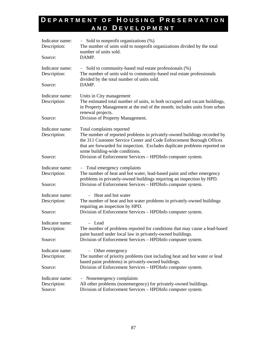| Indicator name:<br>Description:<br>Source: | Sold to nonprofit organizations (%)<br>$-$<br>The number of units sold to nonprofit organizations divided by the total<br>number of units sold.<br>DAMP.                                                                                                                                      |
|--------------------------------------------|-----------------------------------------------------------------------------------------------------------------------------------------------------------------------------------------------------------------------------------------------------------------------------------------------|
| Indicator name:<br>Description:            | Sold to community-based real estate professionals (%)<br>The number of units sold to community-based real estate professionals<br>divided by the total number of units sold.                                                                                                                  |
| Source:                                    | DAMP.                                                                                                                                                                                                                                                                                         |
| Indicator name:<br>Description:            | Units in City management<br>The estimated total number of units, in both occupied and vacant buildings,<br>in Property Management at the end of the month; includes units from urban<br>renewal projects.                                                                                     |
| Source:                                    | Division of Property Management.                                                                                                                                                                                                                                                              |
| Indicator name:<br>Description:            | Total complaints reported<br>The number of reported problems in privately-owned buildings recorded by<br>the 311 Customer Service Center and Code Enforcement Borough Offices<br>that are forwarded for inspection. Excludes duplicate problems reported on<br>some building-wide conditions. |
| Source:                                    | Division of Enforcement Services - HPDInfo computer system.                                                                                                                                                                                                                                   |
| Indicator name:<br>Description:<br>Source: | Total emergency complaints<br>The number of heat and hot water, lead-based paint and other emergency<br>problems in privately-owned buildings requiring an inspection by HPD.<br>Division of Enforcement Services - HPDInfo computer system.                                                  |
| Indicator name:                            | - Heat and hot water                                                                                                                                                                                                                                                                          |
| Description:                               | The number of heat and hot water problems in privately-owned buildings<br>requiring an inspection by HPD.                                                                                                                                                                                     |
| Source:                                    | Division of Enforcement Services - HPDInfo computer system.                                                                                                                                                                                                                                   |
| Indicator name:<br>Description:            | - Lead<br>The number of problems reported for conditions that may cause a lead-based<br>paint hazard under local law in privately-owned buildings.                                                                                                                                            |
| Source:                                    | Division of Enforcement Services - HPDInfo computer system.                                                                                                                                                                                                                                   |
| Indicator name:<br>Description:            | - Other emergency<br>The number of priority problems (not including heat and hot water or lead<br>based paint problems) in privately-owned buildings.                                                                                                                                         |
| Source:                                    | Division of Enforcement Services - HPDInfo computer system.                                                                                                                                                                                                                                   |
| Indicator name:<br>Description:<br>Source: | Nonemergency complaints<br>$\overline{\phantom{0}}$<br>All other problems (nonemergency) for privately-owned buildings.<br>Division of Enforcement Services - HPDInfo computer system.                                                                                                        |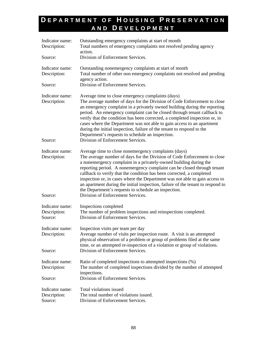| Indicator name:<br>Description:            | Outstanding emergency complaints at start of month<br>Total numbers of emergency complaints not resolved pending agency<br>action.                                                                                                                                                                                                                                                                                                                                                                                                                                                  |
|--------------------------------------------|-------------------------------------------------------------------------------------------------------------------------------------------------------------------------------------------------------------------------------------------------------------------------------------------------------------------------------------------------------------------------------------------------------------------------------------------------------------------------------------------------------------------------------------------------------------------------------------|
| Source:                                    | Division of Enforcement Services.                                                                                                                                                                                                                                                                                                                                                                                                                                                                                                                                                   |
| Indicator name:<br>Description:            | Outstanding nonemergency complaints at start of month<br>Total number of other non emergency complaints not resolved and pending<br>agency action.                                                                                                                                                                                                                                                                                                                                                                                                                                  |
| Source:                                    | Division of Enforcement Services.                                                                                                                                                                                                                                                                                                                                                                                                                                                                                                                                                   |
| Indicator name:<br>Description:            | Average time to close emergency complaints (days)<br>The average number of days for the Division of Code Enforcement to close<br>an emergency complaint in a privately owned building during the reporting<br>period. An emergency complaint can be closed through tenant callback to<br>verify that the condition has been corrected, a completed inspection or, in<br>cases where the Department was not able to gain access to an apartment<br>during the initial inspection, failure of the tenant to respond to the<br>Department's requests to schedule an inspection.        |
| Source:                                    | Division of Enforcement Services.                                                                                                                                                                                                                                                                                                                                                                                                                                                                                                                                                   |
| Indicator name:<br>Description:            | Average time to close nonemergency complaints (days)<br>The average number of days for the Division of Code Enforcement to close<br>a nonemergency complaint in a privately-owned building during the<br>reporting period. A nonemergency complaint can be closed through tenant<br>callback to verify that the condition has been corrected, a completed<br>inspection or, in cases where the Department was not able to gain access to<br>an apartment during the initial inspection, failure of the tenant to respond to<br>the Department's requests to schedule an inspection. |
| Source:                                    | Division of Enforcement Services.                                                                                                                                                                                                                                                                                                                                                                                                                                                                                                                                                   |
| Indicator name:<br>Description:<br>Source: | Inspections completed<br>The number of problem inspections and reinspections completed.<br>Division of Enforcement Services.                                                                                                                                                                                                                                                                                                                                                                                                                                                        |
| Indicator name:<br>Description:            | Inspection visits per team per day<br>Average number of visits per inspection route. A visit is an attempted<br>physical observation of a problem or group of problems filed at the same<br>time, or an attempted re-inspection of a violation or group of violations.                                                                                                                                                                                                                                                                                                              |
| Source:                                    | Division of Enforcement Services.                                                                                                                                                                                                                                                                                                                                                                                                                                                                                                                                                   |
| Indicator name:<br>Description:            | Ratio of completed inspections to attempted inspections (%)<br>The number of completed inspections divided by the number of attempted<br>inspections.                                                                                                                                                                                                                                                                                                                                                                                                                               |
| Source:                                    | Division of Enforcement Services.                                                                                                                                                                                                                                                                                                                                                                                                                                                                                                                                                   |
| Indicator name:<br>Description:<br>Source: | Total violations issued<br>The total number of violations issued.<br>Division of Enforcement Services.                                                                                                                                                                                                                                                                                                                                                                                                                                                                              |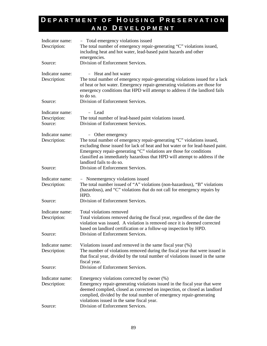| Indicator name:                 | - Total emergency violations issued                                                                                                                                                                                                                                                                                                        |
|---------------------------------|--------------------------------------------------------------------------------------------------------------------------------------------------------------------------------------------------------------------------------------------------------------------------------------------------------------------------------------------|
| Description:                    | The total number of emergency repair-generating "C" violations issued,<br>including heat and hot water, lead-based paint hazards and other                                                                                                                                                                                                 |
| Source:                         | emergencies.<br>Division of Enforcement Services.                                                                                                                                                                                                                                                                                          |
| Indicator name:                 | - Heat and hot water                                                                                                                                                                                                                                                                                                                       |
| Description:                    | The total number of emergency repair-generating violations issued for a lack<br>of heat or hot water. Emergency repair-generating violations are those for<br>emergency conditions that HPD will attempt to address if the landlord fails<br>to do so.                                                                                     |
| Source:                         | Division of Enforcement Services.                                                                                                                                                                                                                                                                                                          |
| Indicator name:                 | - Lead                                                                                                                                                                                                                                                                                                                                     |
| Description:<br>Source:         | The total number of lead-based paint violations issued.<br>Division of Enforcement Services.                                                                                                                                                                                                                                               |
| Indicator name:                 | - Other emergency                                                                                                                                                                                                                                                                                                                          |
| Description:                    | The total number of emergency repair-generating "C" violations issued,<br>excluding those issued for lack of heat and hot water or for lead-based paint.<br>Emergency repair-generating "C" violations are those for conditions<br>classified as immediately hazardous that HPD will attempt to address if the<br>landlord fails to do so. |
| Source:                         | Division of Enforcement Services.                                                                                                                                                                                                                                                                                                          |
| Indicator name:<br>Description: | - Nonemergency violations issued<br>The total number issued of "A" violations (non-hazardous), "B" violations<br>(hazardous), and "C" violations that do not call for emergency repairs by<br>HPD.                                                                                                                                         |
| Source:                         | Division of Enforcement Services.                                                                                                                                                                                                                                                                                                          |
| Indicator name:<br>Description: | Total violations removed<br>Total violations removed during the fiscal year, regardless of the date the<br>violation was issued. A violation is removed once it is deemed corrected<br>based on landlord certification or a follow-up inspection by HPD.                                                                                   |
| Source:                         | Division of Enforcement Services.                                                                                                                                                                                                                                                                                                          |
| Indicator name:<br>Description: | Violations issued and removed in the same fiscal year (%)<br>The number of violations removed during the fiscal year that were issued in<br>that fiscal year, divided by the total number of violations issued in the same<br>fiscal year.                                                                                                 |
| Source:                         | Division of Enforcement Services.                                                                                                                                                                                                                                                                                                          |
| Indicator name:<br>Description: | Emergency violations corrected by owner $(\%)$<br>Emergency repair-generating violations issued in the fiscal year that were<br>deemed complied, closed as corrected on inspection, or closed as landlord<br>complied, divided by the total number of emergency repair-generating<br>violations issued in the same fiscal year.            |
| Source:                         | Division of Enforcement Services.                                                                                                                                                                                                                                                                                                          |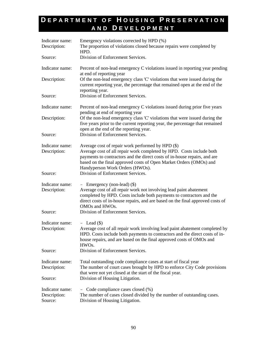| Indicator name:<br>Description:            | Emergency violations corrected by HPD (%)<br>The proportion of violations closed because repairs were completed by<br>HPD.                                                                                                                                                    |
|--------------------------------------------|-------------------------------------------------------------------------------------------------------------------------------------------------------------------------------------------------------------------------------------------------------------------------------|
| Source:                                    | Division of Enforcement Services.                                                                                                                                                                                                                                             |
| Indicator name:                            | Percent of non-lead emergency C violations issued in reporting year pending<br>at end of reporting year                                                                                                                                                                       |
| Description:                               | Of the non-lead emergency class 'C' violations that were issued during the<br>current reporting year, the percentage that remained open at the end of the<br>reporting year.                                                                                                  |
| Source:                                    | Division of Enforcement Services.                                                                                                                                                                                                                                             |
| Indicator name:                            | Percent of non-lead emergency C violations issued during prior five years<br>pending at end of reporting year                                                                                                                                                                 |
| Description:                               | Of the non-lead emergency class 'C' violations that were issued during the<br>five years prior to the current reporting year, the percentage that remained<br>open at the end of the reporting year.                                                                          |
| Source:                                    | Division of Enforcement Services.                                                                                                                                                                                                                                             |
| Indicator name:<br>Description:            | Average cost of repair work performed by HPD (\$)<br>Average cost of all repair work completed by HPD. Costs include both<br>payments to contractors and the direct costs of in-house repairs, and are<br>based on the final approved costs of Open Market Orders (OMOs) and  |
| Source:                                    | Handyperson Work Orders (HWOs).<br>Division of Enforcement Services.                                                                                                                                                                                                          |
| Indicator name:<br>Description:            | - Emergency (non-lead) (\$)<br>Average cost of all repair work not involving lead paint abatement<br>completed by HPD. Costs include both payments to contractors and the<br>direct costs of in-house repairs, and are based on the final approved costs of<br>OMOs and HWOs. |
| Source:                                    | Division of Enforcement Services.                                                                                                                                                                                                                                             |
| Indicator name:<br>Description:            | $-$ Lead $(\$)$<br>Average cost of all repair work involving lead paint abatement completed by<br>HPD. Costs include both payments to contractors and the direct costs of in-<br>house repairs, and are based on the final approved costs of OMOs and<br>HWO <sub>s</sub> .   |
| Source:                                    | Division of Enforcement Services.                                                                                                                                                                                                                                             |
| Indicator name:<br>Description:<br>Source: | Total outstanding code compliance cases at start of fiscal year<br>The number of court cases brought by HPD to enforce City Code provisions<br>that were not yet closed at the start of the fiscal year.<br>Division of Housing Litigation.                                   |
|                                            |                                                                                                                                                                                                                                                                               |
| Indicator name:<br>Description:<br>Source: | Code compliance cases closed (%)<br>The number of cases closed divided by the number of outstanding cases.<br>Division of Housing Litigation.                                                                                                                                 |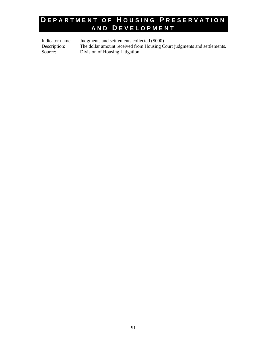Indicator name: Judgments and settlements collected (\$000)<br>Description: The dollar amount received from Housing C Description: The dollar amount received from Housing Court judgments and settlements.<br>Source: Division of Housing Litigation. Division of Housing Litigation.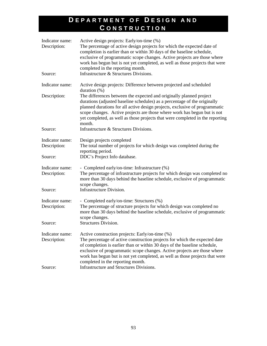| Indicator name:<br>Description:            | Active design projects: Early/on-time (%)<br>The percentage of active design projects for which the expected date of<br>completion is earlier than or within 30 days of the baseline schedule,<br>exclusive of programmatic scope changes. Active projects are those where<br>work has begun but is not yet completed, as well as those projects that were<br>completed in the reporting month.             |
|--------------------------------------------|-------------------------------------------------------------------------------------------------------------------------------------------------------------------------------------------------------------------------------------------------------------------------------------------------------------------------------------------------------------------------------------------------------------|
| Source:                                    | Infrastructure & Structures Divisions.                                                                                                                                                                                                                                                                                                                                                                      |
| Indicator name:                            | Active design projects: Difference between projected and scheduled<br>duration $(\%)$                                                                                                                                                                                                                                                                                                                       |
| Description:                               | The differences between the expected and originally planned project<br>durations (adjusted baseline schedules) as a percentage of the originally<br>planned durations for all active design projects, exclusive of programmatic<br>scope changes. Active projects are those where work has begun but is not<br>yet completed, as well as those projects that were completed in the reporting<br>month.      |
| Source:                                    | Infrastructure & Structures Divisions.                                                                                                                                                                                                                                                                                                                                                                      |
| Indicator name:<br>Description:            | Design projects completed<br>The total number of projects for which design was completed during the<br>reporting period.                                                                                                                                                                                                                                                                                    |
| Source:                                    | DDC's Project Info database.                                                                                                                                                                                                                                                                                                                                                                                |
| Indicator name:<br>Description:<br>Source: | - Completed early/on-time: Infrastructure (%)<br>The percentage of infrastructure projects for which design was completed no<br>more than 30 days behind the baseline schedule, exclusive of programmatic<br>scope changes.<br>Infrastructure Division.                                                                                                                                                     |
|                                            |                                                                                                                                                                                                                                                                                                                                                                                                             |
| Indicator name:<br>Description:            | - Completed early/on-time: Structures (%)<br>The percentage of structure projects for which design was completed no<br>more than 30 days behind the baseline schedule, exclusive of programmatic<br>scope changes.                                                                                                                                                                                          |
| Source:                                    | <b>Structures Division.</b>                                                                                                                                                                                                                                                                                                                                                                                 |
| Indicator name:<br>Description:            | Active construction projects: Early/on-time (%)<br>The percentage of active construction projects for which the expected date<br>of completion is earlier than or within 30 days of the baseline schedule,<br>exclusive of programmatic scope changes. Active projects are those where<br>work has begun but is not yet completed, as well as those projects that were<br>completed in the reporting month. |
| Source:                                    | Infrastructure and Structures Divisions.                                                                                                                                                                                                                                                                                                                                                                    |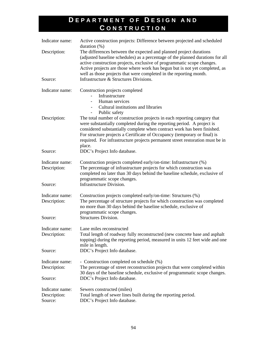| Indicator name:                            | Active construction projects: Difference between projected and scheduled<br>duration $(\%)$                                                                                                                                                                                                                                                                                                            |
|--------------------------------------------|--------------------------------------------------------------------------------------------------------------------------------------------------------------------------------------------------------------------------------------------------------------------------------------------------------------------------------------------------------------------------------------------------------|
| Description:                               | The differences between the expected and planned project durations<br>(adjusted baseline schedules) as a percentage of the planned durations for all<br>active construction projects, exclusive of programmatic scope changes.<br>Active projects are those where work has begun but is not yet completed, as<br>well as those projects that were completed in the reporting month.                    |
| Source:                                    | Infrastructure & Structures Divisions.                                                                                                                                                                                                                                                                                                                                                                 |
| Indicator name:                            | Construction projects completed<br>Infrastructure<br>Human services<br>Cultural institutions and libraries<br>Public safety                                                                                                                                                                                                                                                                            |
| Description:                               | The total number of construction projects in each reporting category that<br>were substantially completed during the reporting period. A project is<br>considered substantially complete when contract work has been finished.<br>For structure projects a Certificate of Occupancy (temporary or final) is<br>required. For infrastructure projects permanent street restoration must be in<br>place. |
| Source:                                    | DDC's Project Info database.                                                                                                                                                                                                                                                                                                                                                                           |
| Indicator name:<br>Description:            | Construction projects completed early/on-time: Infrastructure (%)<br>The percentage of infrastructure projects for which construction was<br>completed no later than 30 days behind the baseline schedule, exclusive of<br>programmatic scope changes.                                                                                                                                                 |
| Source:                                    | Infrastructure Division.                                                                                                                                                                                                                                                                                                                                                                               |
| Indicator name:<br>Description:            | Construction projects completed early/on-time: Structures (%)<br>The percentage of structure projects for which construction was completed<br>no more than 30 days behind the baseline schedule, exclusive of<br>programmatic scope changes.                                                                                                                                                           |
| Source:                                    | <b>Structures Division.</b>                                                                                                                                                                                                                                                                                                                                                                            |
| Indicator name:<br>Description:            | Lane miles reconstructed<br>Total length of roadway fully reconstructed (new concrete base and asphalt<br>topping) during the reporting period, measured in units 12 feet wide and one<br>mile in length.                                                                                                                                                                                              |
| Source:                                    | DDC's Project Info database.                                                                                                                                                                                                                                                                                                                                                                           |
| Indicator name:<br>Description:<br>Source: | - Construction completed on schedule (%)<br>The percentage of street reconstruction projects that were completed within<br>30 days of the baseline schedule, exclusive of programmatic scope changes.<br>DDC's Project Info database.                                                                                                                                                                  |
| Indicator name:<br>Description:<br>Source: | Sewers constructed (miles)<br>Total length of sewer lines built during the reporting period.<br>DDC's Project Info database.                                                                                                                                                                                                                                                                           |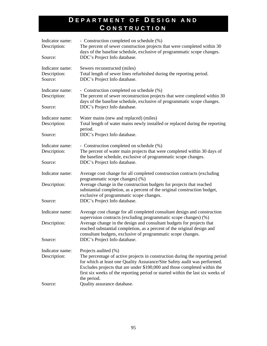| Indicator name:<br>Description:<br>Source: | - Construction completed on schedule (%)<br>The percent of sewer construction projects that were completed within 30<br>days of the baseline schedule, exclusive of programmatic scope changes.<br>DDC's Project Info database.                                                                                                                                   |
|--------------------------------------------|-------------------------------------------------------------------------------------------------------------------------------------------------------------------------------------------------------------------------------------------------------------------------------------------------------------------------------------------------------------------|
| Indicator name:<br>Description:<br>Source: | Sewers reconstructed (miles)<br>Total length of sewer lines refurbished during the reporting period.<br>DDC's Project Info database.                                                                                                                                                                                                                              |
| Indicator name:<br>Description:<br>Source: | - Construction completed on schedule (%)<br>The percent of sewer reconstruction projects that were completed within 30<br>days of the baseline schedule, exclusive of programmatic scope changes.<br>DDC's Project Info database.                                                                                                                                 |
| Indicator name:<br>Description:<br>Source: | Water mains (new and replaced) (miles)<br>Total length of water mains newly installed or replaced during the reporting<br>period.<br>DDC's Project Info database.                                                                                                                                                                                                 |
| Indicator name:<br>Description:<br>Source: | - Construction completed on schedule (%)<br>The percent of water main projects that were completed within 30 days of<br>the baseline schedule, exclusive of programmatic scope changes.<br>DDC's Project Info database.                                                                                                                                           |
| Indicator name:<br>Description:<br>Source: | Average cost change for all completed construction contracts (excluding<br>programmatic scope changes) (%)<br>Average change in the construction budgets for projects that reached<br>substantial completion, as a percent of the original construction budget,<br>exclusive of programmatic scope changes.<br>DDC's Project Info database.                       |
| Indicator name:                            | Average cost change for all completed consultant design and construction                                                                                                                                                                                                                                                                                          |
| Description:                               | supervision contracts (excluding programmatic scope changes) (%)<br>Average change in the design and consultant budgets for projects that<br>reached substantial completion, as a percent of the original design and<br>consultant budgets, exclusive of programmatic scope changes.                                                                              |
| Source:                                    | DDC's Project Info database.                                                                                                                                                                                                                                                                                                                                      |
| Indicator name:<br>Description:            | Projects audited (%)<br>The percentage of active projects in construction during the reporting period<br>for which at least one Quality Assurance/Site Safety audit was performed.<br>Excludes projects that are under \$100,000 and those completed within the<br>first six weeks of the reporting period or started within the last six weeks of<br>the period. |
| Source:                                    | Quality assurance database.                                                                                                                                                                                                                                                                                                                                       |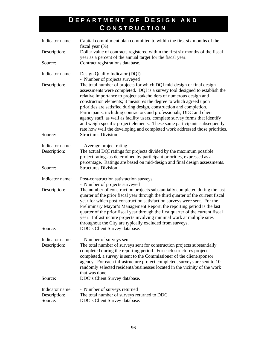| Indicator name:         | Capital commitment plan committed to within the first six months of the<br>fiscal year $(\%)$                                                                                                                                                                                                                                                                                                                                                                                                                                                                                                                                                                                                                               |
|-------------------------|-----------------------------------------------------------------------------------------------------------------------------------------------------------------------------------------------------------------------------------------------------------------------------------------------------------------------------------------------------------------------------------------------------------------------------------------------------------------------------------------------------------------------------------------------------------------------------------------------------------------------------------------------------------------------------------------------------------------------------|
| Description:            | Dollar value of contracts registered within the first six months of the fiscal                                                                                                                                                                                                                                                                                                                                                                                                                                                                                                                                                                                                                                              |
|                         | year as a percent of the annual target for the fiscal year.                                                                                                                                                                                                                                                                                                                                                                                                                                                                                                                                                                                                                                                                 |
| Source:                 | Contract registrations database.                                                                                                                                                                                                                                                                                                                                                                                                                                                                                                                                                                                                                                                                                            |
| Indicator name:         | Design Quality Indicator (DQI)<br>- Number of projects surveyed                                                                                                                                                                                                                                                                                                                                                                                                                                                                                                                                                                                                                                                             |
| Description:<br>Source: | The total number of projects for which DQI mid-design or final design<br>assessments were completed. DQI is a survey tool designed to establish the<br>relative importance to project stakeholders of numerous design and<br>construction elements; it measures the degree to which agreed upon<br>priorities are satisfied during design, construction and completion.<br>Participants, including contractors and professionals, DDC and client<br>agency staff, as well as facility users, complete survey forms that identify<br>and weigh specific project elements. These same participants subsequently<br>rate how well the developing and completed work addressed those priorities.<br><b>Structures Division.</b> |
|                         |                                                                                                                                                                                                                                                                                                                                                                                                                                                                                                                                                                                                                                                                                                                             |
| Indicator name:         | - Average project rating                                                                                                                                                                                                                                                                                                                                                                                                                                                                                                                                                                                                                                                                                                    |
| Description:            | The actual DQI ratings for projects divided by the maximum possible<br>project ratings as determined by participant priorities, expressed as a<br>percentage. Ratings are based on mid-design and final design assessments.                                                                                                                                                                                                                                                                                                                                                                                                                                                                                                 |
| Source:                 | <b>Structures Division.</b>                                                                                                                                                                                                                                                                                                                                                                                                                                                                                                                                                                                                                                                                                                 |
| Indicator name:         | Post-construction satisfaction surveys<br>- Number of projects surveyed                                                                                                                                                                                                                                                                                                                                                                                                                                                                                                                                                                                                                                                     |
| Description:            | The number of construction projects substantially completed during the last<br>quarter of the prior fiscal year through the third quarter of the current fiscal<br>year for which post-construction satisfaction surveys were sent. For the<br>Preliminary Mayor's Management Report, the reporting period is the last<br>quarter of the prior fiscal year through the first quarter of the current fiscal<br>year. Infrastructure projects involving minimal work at multiple sites<br>throughout the City are typically excluded from surveys.                                                                                                                                                                            |
| Source:                 | DDC's Client Survey database.                                                                                                                                                                                                                                                                                                                                                                                                                                                                                                                                                                                                                                                                                               |
| Indicator name:         | - Number of surveys sent                                                                                                                                                                                                                                                                                                                                                                                                                                                                                                                                                                                                                                                                                                    |
| Description:            | The total number of surveys sent for construction projects substantially<br>completed during the reporting period. For each structures project<br>completed, a survey is sent to the Commissioner of the client/sponsor<br>agency. For each infrastructure project completed, surveys are sent to 10<br>randomly selected residents/businesses located in the vicinity of the work<br>that was done.                                                                                                                                                                                                                                                                                                                        |
| Source:                 | DDC's Client Survey database.                                                                                                                                                                                                                                                                                                                                                                                                                                                                                                                                                                                                                                                                                               |
| Indicator name:         | - Number of surveys returned                                                                                                                                                                                                                                                                                                                                                                                                                                                                                                                                                                                                                                                                                                |
| Description:<br>Source: | The total number of surveys returned to DDC.<br>DDC's Client Survey database.                                                                                                                                                                                                                                                                                                                                                                                                                                                                                                                                                                                                                                               |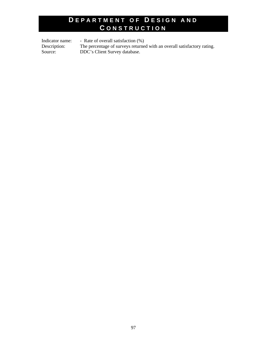Indicator name: - Rate of overall satisfaction (%)<br>Description: The percentage of surveys returned Description: The percentage of surveys returned with an overall satisfactory rating.<br>Source: DDC's Client Survey database. DDC's Client Survey database.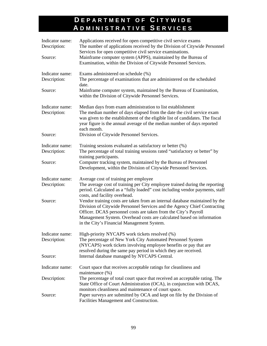| Indicator name:<br>Description:<br>Source: | Applications received for open competitive civil service exams<br>The number of applications received by the Division of Citywide Personnel<br>Services for open competitive civil service examinations.<br>Mainframe computer system (APPS), maintained by the Bureau of<br>Examination, within the Division of Citywide Personnel Services.     |
|--------------------------------------------|---------------------------------------------------------------------------------------------------------------------------------------------------------------------------------------------------------------------------------------------------------------------------------------------------------------------------------------------------|
| Indicator name:<br>Description:            | Exams administered on schedule (%)<br>The percentage of examinations that are administered on the scheduled<br>date.                                                                                                                                                                                                                              |
| Source:                                    | Mainframe computer system, maintained by the Bureau of Examination,<br>within the Division of Citywide Personnel Services.                                                                                                                                                                                                                        |
| Indicator name:<br>Description:            | Median days from exam administration to list establishment<br>The median number of days elapsed from the date the civil service exam<br>was given to the establishment of the eligible list of candidates. The fiscal<br>year figure is the annual average of the median number of days reported<br>each month.                                   |
| Source:                                    | Division of Citywide Personnel Services.                                                                                                                                                                                                                                                                                                          |
| Indicator name:<br>Description:            | Training sessions evaluated as satisfactory or better (%)<br>The percentage of total training sessions rated "satisfactory or better" by<br>training participants.                                                                                                                                                                                |
| Source:                                    | Computer tracking system, maintained by the Bureau of Personnel<br>Development, within the Division of Citywide Personnel Services.                                                                                                                                                                                                               |
| Indicator name:<br>Description:            | Average cost of training per employee<br>The average cost of training per City employee trained during the reporting<br>period. Calculated as a "fully loaded" cost including vendor payments, staff<br>costs, and facility overhead.                                                                                                             |
| Source:                                    | Vendor training costs are taken from an internal database maintained by the<br>Division of Citywide Personnel Services and the Agency Chief Contracting<br>Officer. DCAS personnel costs are taken from the City's Payroll<br>Management System. Overhead costs are calculated based on information<br>in the City's Financial Management System. |
| Indicator name:<br>Description:            | High-priority NYCAPS work tickets resolved (%)<br>The percentage of New York City Automated Personnel System<br>(NYCAPS) work tickets involving employee benefits or pay that are<br>resolved during the same pay period in which they are received.                                                                                              |
| Source:                                    | Internal database managed by NYCAPS Central.                                                                                                                                                                                                                                                                                                      |
| Indicator name:                            | Court space that receives acceptable ratings for cleanliness and<br>maintenance (%)                                                                                                                                                                                                                                                               |
| Description:                               | The percentage of total court space that received an acceptable rating. The<br>State Office of Court Administration (OCA), in conjunction with DCAS,<br>monitors cleanliness and maintenance of court space.                                                                                                                                      |
| Source:                                    | Paper surveys are submitted by OCA and kept on file by the Division of<br>Facilities Management and Construction.                                                                                                                                                                                                                                 |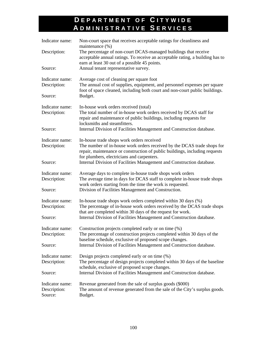| Indicator name:                            | Non-court space that receives acceptable ratings for cleanliness and<br>maintenance (%)                                                                                                                                                                 |
|--------------------------------------------|---------------------------------------------------------------------------------------------------------------------------------------------------------------------------------------------------------------------------------------------------------|
| Description:                               | The percentage of non-court DCAS-managed buildings that receive<br>acceptable annual ratings. To receive an acceptable rating, a building has to<br>earn at least 30 out of a possible 45 points.                                                       |
| Source:                                    | Annual tenant representative survey.                                                                                                                                                                                                                    |
| Indicator name:<br>Description:            | Average cost of cleaning per square foot<br>The annual cost of supplies, equipment, and personnel expenses per square<br>foot of space cleaned, including both court and non-court public buildings.                                                    |
| Source:                                    | Budget.                                                                                                                                                                                                                                                 |
| Indicator name:<br>Description:            | In-house work orders received (total)<br>The total number of in-house work orders received by DCAS staff for<br>repair and maintenance of public buildings, including requests for<br>locksmiths and steamfitters.                                      |
| Source:                                    | Internal Division of Facilities Management and Construction database.                                                                                                                                                                                   |
| Indicator name:<br>Description:            | In-house trade shops work orders received<br>The number of in-house work orders received by the DCAS trade shops for<br>repair, maintenance or construction of public buildings, including requests<br>for plumbers, electricians and carpenters.       |
| Source:                                    | Internal Division of Facilities Management and Construction database.                                                                                                                                                                                   |
| Indicator name:<br>Description:<br>Source: | Average days to complete in-house trade shops work orders<br>The average time in days for DCAS staff to complete in-house trade shops<br>work orders starting from the time the work is requested.                                                      |
|                                            | Division of Facilities Management and Construction.                                                                                                                                                                                                     |
| Indicator name:<br>Description:            | In-house trade shops work orders completed within 30 days (%)<br>The percentage of in-house work orders received by the DCAS trade shops<br>that are completed within 30 days of the request for work.                                                  |
| Source:                                    | Internal Division of Facilities Management and Construction database.                                                                                                                                                                                   |
| Indicator name:<br>Description:            | Construction projects completed early or on time (%)<br>The percentage of construction projects completed within 30 days of the<br>baseline schedule, exclusive of proposed scope changes.                                                              |
| Source:                                    | Internal Division of Facilities Management and Construction database.                                                                                                                                                                                   |
| Indicator name:<br>Description:<br>Source: | Design projects completed early or on time (%)<br>The percentage of design projects completed within 30 days of the baseline<br>schedule, exclusive of proposed scope changes.<br>Internal Division of Facilities Management and Construction database. |
|                                            |                                                                                                                                                                                                                                                         |
| Indicator name:<br>Description:<br>Source: | Revenue generated from the sale of surplus goods (\$000)<br>The amount of revenue generated from the sale of the City's surplus goods.<br>Budget.                                                                                                       |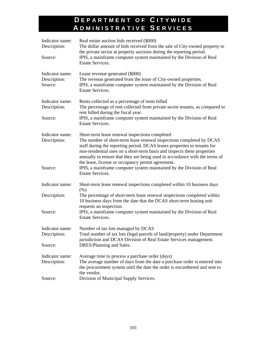| Indicator name:<br>Description:<br>Source: | Real estate auction bids received (\$000)<br>The dollar amount of bids received from the sale of City-owned property to<br>the private sector at property auctions during the reporting period.<br>IPIS, a mainframe computer system maintained by the Division of Real<br><b>Estate Services.</b>                                                                                                                                                                                                                    |
|--------------------------------------------|-----------------------------------------------------------------------------------------------------------------------------------------------------------------------------------------------------------------------------------------------------------------------------------------------------------------------------------------------------------------------------------------------------------------------------------------------------------------------------------------------------------------------|
| Indicator name:<br>Description:<br>Source: | Lease revenue generated (\$000)<br>The revenue generated from the lease of City-owned properties.<br>IPIS, a mainframe computer system maintained by the Division of Real<br><b>Estate Services.</b>                                                                                                                                                                                                                                                                                                                  |
| Indicator name:<br>Description:<br>Source: | Rents collected as a percentage of rents billed<br>The percentage of rent collected from private sector tenants, as compared to<br>rent billed during the fiscal year.<br>IPIS, a mainframe computer system maintained by the Division of Real<br><b>Estate Services.</b>                                                                                                                                                                                                                                             |
| Indicator name:<br>Description:<br>Source: | Short-term lease renewal inspections completed<br>The number of short-term lease renewal inspections completed by DCAS<br>staff during the reporting period. DCAS leases properties to tenants for<br>non-residential uses on a short-term basis and inspects these properties<br>annually to ensure that they are being used in accordance with the terms of<br>the lease, license or occupancy permit agreement.<br>IPIS, a mainframe computer system maintained by the Division of Real<br><b>Estate Services.</b> |
| Indicator name:                            |                                                                                                                                                                                                                                                                                                                                                                                                                                                                                                                       |
|                                            | Short-term lease renewal inspections completed within 10 business days<br>(% )                                                                                                                                                                                                                                                                                                                                                                                                                                        |
| Description:                               | The percentage of short-term lease renewal inspections completed within<br>10 business days from the date that the DCAS short-term leasing unit                                                                                                                                                                                                                                                                                                                                                                       |
| Source:                                    | requests an inspection.<br>IPIS, a mainframe computer system maintained by the Division of Real<br><b>Estate Services.</b>                                                                                                                                                                                                                                                                                                                                                                                            |
| Indicator name:                            | Number of tax lots managed by DCAS                                                                                                                                                                                                                                                                                                                                                                                                                                                                                    |
| Description:                               | Total number of tax lots (legal parcels of land/property) under Department                                                                                                                                                                                                                                                                                                                                                                                                                                            |
| Source:                                    | jurisdiction and DCAS Division of Real Estate Services management.<br>DRES/Planning and Sales.                                                                                                                                                                                                                                                                                                                                                                                                                        |
| Indicator name:<br>Description:            | Average time to process a purchase order (days)<br>The average number of days from the date a purchase order is entered into<br>the procurement system until the date the order is encumbered and sent to<br>the vendor.                                                                                                                                                                                                                                                                                              |
| Source:                                    | Division of Municipal Supply Services.                                                                                                                                                                                                                                                                                                                                                                                                                                                                                |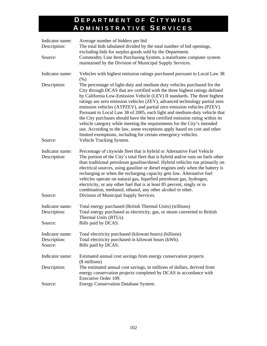| Indicator name:<br>Description:<br>Source: | Average number of bidders per bid<br>The total bids tabulated divided by the total number of bid openings,<br>excluding bids for surplus goods sold by the Department.<br>Commodity Line Item Purchasing System, a mainframe computer system                                                                                                                                                                                                                                                                                                                                                                                                                                                                                                                                    |
|--------------------------------------------|---------------------------------------------------------------------------------------------------------------------------------------------------------------------------------------------------------------------------------------------------------------------------------------------------------------------------------------------------------------------------------------------------------------------------------------------------------------------------------------------------------------------------------------------------------------------------------------------------------------------------------------------------------------------------------------------------------------------------------------------------------------------------------|
|                                            | maintained by the Division of Municipal Supply Services.                                                                                                                                                                                                                                                                                                                                                                                                                                                                                                                                                                                                                                                                                                                        |
| Indicator name:                            | Vehicles with highest emission ratings purchased pursuant to Local Law 38<br>(% )                                                                                                                                                                                                                                                                                                                                                                                                                                                                                                                                                                                                                                                                                               |
| Description:                               | The percentage of light-duty and medium duty vehicles purchased for the<br>City through DCAS that are certified with the three highest ratings defined<br>by California Low-Emission Vehicle (LEV) II standards. The three highest<br>ratings are zero emission vehicles (ZEV), advanced technology partial zero<br>emission vehicles (ATPZEV), and partial zero emission vehicles (PZEV).<br>Pursuant to Local Law 38 of 2005, each light and medium-duty vehicle that<br>the City purchases should have the best certified emission rating within its<br>vehicle category while meeting the requirements for the City's intended<br>use. According to the law, some exceptions apply based on cost and other<br>limited exemptions, including for certain emergency vehicles. |
| Source:                                    | Vehicle Tracking System.                                                                                                                                                                                                                                                                                                                                                                                                                                                                                                                                                                                                                                                                                                                                                        |
| Indicator name:<br>Description:            | Percentage of citywide fleet that is hybrid or Alternative Fuel Vehicle<br>The portion of the City's total fleet that is hybrid and/or runs on fuels other<br>than traditional petroleum gasoline/diesel. Hybrid vehicles run primarily on<br>electrical sources, using gasoline or diesel engines only when the battery is<br>recharging or when the recharging capacity gets low. Alternative fuel<br>vehicles operate on natural gas, liquefied petroleum gas, hydrogen,<br>electricity, or any other fuel that is at least 85 percent, singly or in<br>combination, methanol, ethanol, any other alcohol or ether.                                                                                                                                                          |
| Source:                                    | Division of Municipal Supply Services.                                                                                                                                                                                                                                                                                                                                                                                                                                                                                                                                                                                                                                                                                                                                          |
| Indicator name:<br>Description:            | Total energy purchased (British Thermal Units) (trillions)<br>Total energy purchased as electricity, gas, or steam converted to British<br>Thermal Units (BTUs).                                                                                                                                                                                                                                                                                                                                                                                                                                                                                                                                                                                                                |
| Source:                                    | Bills paid by DCAS.                                                                                                                                                                                                                                                                                                                                                                                                                                                                                                                                                                                                                                                                                                                                                             |
| Indicator name:<br>Description:<br>Source: | Total electricity purchased (kilowatt hours) (billions)<br>Total electricity purchased in kilowatt hours (kWh).<br>Bills paid by DCAS.                                                                                                                                                                                                                                                                                                                                                                                                                                                                                                                                                                                                                                          |
| Indicator name:                            | Estimated annual cost savings from energy conservation projects<br>(\$ millions)                                                                                                                                                                                                                                                                                                                                                                                                                                                                                                                                                                                                                                                                                                |
| Description:                               | The estimated annual cost savings, in millions of dollars, derived from<br>energy conservation projects completed by DCAS in accordance with<br>Executive Order 109.                                                                                                                                                                                                                                                                                                                                                                                                                                                                                                                                                                                                            |
| Source:                                    | <b>Energy Conservation Database System.</b>                                                                                                                                                                                                                                                                                                                                                                                                                                                                                                                                                                                                                                                                                                                                     |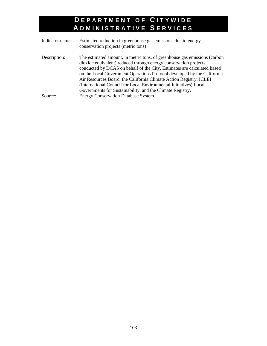| Indicator name:         | Estimated reduction in greenhouse gas emissions due to energy<br>conservation projects (metric tons)                                                                                                                                                                                                                                                                                                                                                                                                                                                       |
|-------------------------|------------------------------------------------------------------------------------------------------------------------------------------------------------------------------------------------------------------------------------------------------------------------------------------------------------------------------------------------------------------------------------------------------------------------------------------------------------------------------------------------------------------------------------------------------------|
| Description:<br>Source: | The estimated amount, in metric tons, of greenhouse gas emissions (carbon<br>dioxide equivalent) reduced through energy conservation projects<br>conducted by DCAS on behalf of the City. Estimates are calculated based<br>on the Local Government Operations Protocol developed by the California<br>Air Resources Board, the California Climate Action Registry, ICLEI<br>(International Council for Local Environmental Initiatives) Local<br>Governments for Sustainability, and the Climate Registry.<br><b>Energy Conservation Database System.</b> |
|                         |                                                                                                                                                                                                                                                                                                                                                                                                                                                                                                                                                            |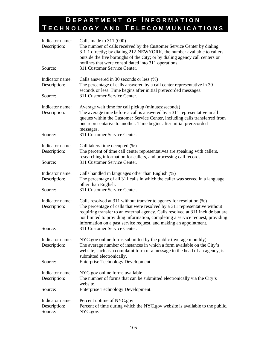#### **D EPARTMENT OF I NFORMATION T ECHNOLOGY AND T ELECOMMUNICATIONS**

| Indicator name:<br>Description:<br>Source: | Calls made to 311 (000)<br>The number of calls received by the Customer Service Center by dialing<br>3-1-1 directly; by dialing 212-NEWYORK, the number available to callers<br>outside the five boroughs of the City; or by dialing agency call centers or<br>hotlines that were consolidated into 311 operations.<br>311 Customer Service Center.                                                                        |
|--------------------------------------------|----------------------------------------------------------------------------------------------------------------------------------------------------------------------------------------------------------------------------------------------------------------------------------------------------------------------------------------------------------------------------------------------------------------------------|
| Indicator name:<br>Description:<br>Source: | Calls answered in 30 seconds or less (%)<br>The percentage of calls answered by a call center representative in 30<br>seconds or less. Time begins after initial prerecorded messages.<br>311 Customer Service Center.                                                                                                                                                                                                     |
| Indicator name:<br>Description:            | Average wait time for call pickup (minutes: seconds)<br>The average time before a call is answered by a 311 representative in all<br>queues within the Customer Service Center, including calls transferred from<br>one representative to another. Time begins after initial prerecorded                                                                                                                                   |
| Source:                                    | messages.<br>311 Customer Service Center.                                                                                                                                                                                                                                                                                                                                                                                  |
| Indicator name:<br>Description:            | Call takers time occupied (%)<br>The percent of time call center representatives are speaking with callers,<br>researching information for callers, and processing call records.                                                                                                                                                                                                                                           |
| Source:                                    | 311 Customer Service Center.                                                                                                                                                                                                                                                                                                                                                                                               |
| Indicator name:<br>Description:            | Calls handled in languages other than English (%)<br>The percentage of all 311 calls in which the caller was served in a language<br>other than English.                                                                                                                                                                                                                                                                   |
| Source:                                    | 311 Customer Service Center.                                                                                                                                                                                                                                                                                                                                                                                               |
| Indicator name:<br>Description:<br>Source: | Calls resolved at 311 without transfer to agency for resolution (%)<br>The percentage of calls that were resolved by a 311 representative without<br>requiring transfer to an external agency. Calls resolved at 311 include but are<br>not limited to providing information, completing a service request, providing<br>information on a past service request, and making an appointment.<br>311 Customer Service Center. |
| Indicator name:<br>Description:            | NYC.gov online forms submitted by the public (average monthly)<br>The average number of instances in which a form available on the City's<br>website, such as a complaint form or a message to the head of an agency, is<br>submitted electronically.                                                                                                                                                                      |
| Source:                                    | Enterprise Technology Development.                                                                                                                                                                                                                                                                                                                                                                                         |
| Indicator name:<br>Description:            | NYC.gov online forms available<br>The number of forms that can be submitted electronically via the City's<br>website.                                                                                                                                                                                                                                                                                                      |
| Source:                                    | Enterprise Technology Development.                                                                                                                                                                                                                                                                                                                                                                                         |
| Indicator name:<br>Description:<br>Source: | Percent uptime of NYC.gov<br>Percent of time during which the NYC.gov website is available to the public.<br>NYC.gov.                                                                                                                                                                                                                                                                                                      |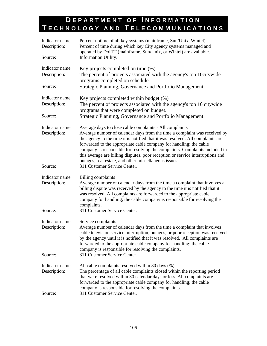#### **D EPARTMENT OF I NFORMATION T ECHNOLOGY AND T ELECOMMUNICATIONS**

| Indicator name:<br>Description:<br>Source: | Percent uptime of all key systems (mainframe, Sun/Unix, Wintel)<br>Percent of time during which key City agency systems managed and<br>operated by DoITT (mainframe, Sun/Unix, or Wintel) are available.<br>Information Utility.                                                                                                                                                                                                                                                                                                                       |
|--------------------------------------------|--------------------------------------------------------------------------------------------------------------------------------------------------------------------------------------------------------------------------------------------------------------------------------------------------------------------------------------------------------------------------------------------------------------------------------------------------------------------------------------------------------------------------------------------------------|
| Indicator name:<br>Description:            | Key projects completed on time (%)<br>The percent of projects associated with the agency's top 10citywide                                                                                                                                                                                                                                                                                                                                                                                                                                              |
| Source:                                    | programs completed on schedule.<br>Strategic Planning, Governance and Portfolio Management.                                                                                                                                                                                                                                                                                                                                                                                                                                                            |
| Indicator name:<br>Description:            | Key projects completed within budget (%)<br>The percent of projects associated with the agency's top 10 citywide<br>programs that were completed on budget.                                                                                                                                                                                                                                                                                                                                                                                            |
| Source:                                    | Strategic Planning, Governance and Portfolio Management.                                                                                                                                                                                                                                                                                                                                                                                                                                                                                               |
| Indicator name:<br>Description:<br>Source: | Average days to close cable complaints - All complaints<br>Average number of calendar days from the time a complaint was received by<br>the agency to the time it is notified that it was resolved. All complaints are<br>forwarded to the appropriate cable company for handling; the cable<br>company is responsible for resolving the complaints. Complaints included in<br>this average are billing disputes, poor reception or service interruptions and<br>outages, real estate, and other miscellaneous issues.<br>311 Customer Service Center. |
|                                            |                                                                                                                                                                                                                                                                                                                                                                                                                                                                                                                                                        |
| Indicator name:<br>Description:            | <b>Billing complaints</b><br>Average number of calendar days from the time a complaint that involves a<br>billing dispute was received by the agency to the time it is notified that it<br>was resolved. All complaints are forwarded to the appropriate cable<br>company for handling; the cable company is responsible for resolving the<br>complaints.                                                                                                                                                                                              |
| Source:                                    | 311 Customer Service Center.                                                                                                                                                                                                                                                                                                                                                                                                                                                                                                                           |
| Indicator name:<br>Description:            | Service complaints<br>Average number of calendar days from the time a complaint that involves<br>cable television service interruption, outages, or poor reception was received<br>by the agency until it is notified that it was resolved. All complaints are<br>forwarded to the appropriate cable company for handling; the cable<br>company is responsible for resolving the complaints.                                                                                                                                                           |
| Source:                                    | 311 Customer Service Center.                                                                                                                                                                                                                                                                                                                                                                                                                                                                                                                           |
| Indicator name:<br>Description:            | All cable complaints resolved within 30 days (%)<br>The percentage of all cable complaints closed within the reporting period<br>that were resolved within 30 calendar days or less. All complaints are<br>forwarded to the appropriate cable company for handling; the cable<br>company is responsible for resolving the complaints.                                                                                                                                                                                                                  |
| Source:                                    | 311 Customer Service Center.                                                                                                                                                                                                                                                                                                                                                                                                                                                                                                                           |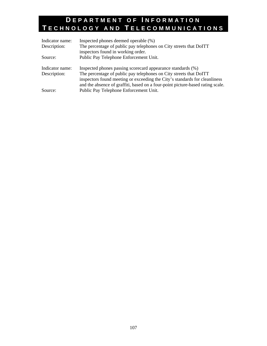#### **D EPARTMENT OF I NFORMATION T ECHNOLOGY AND T ELECOMMUNICATIONS**

| Indicator name:<br>Description: | Inspected phones deemed operable (%)<br>The percentage of public pay telephones on City streets that DoITT<br>inspectors found in working order.                                                                                   |
|---------------------------------|------------------------------------------------------------------------------------------------------------------------------------------------------------------------------------------------------------------------------------|
| Source:                         | Public Pay Telephone Enforcement Unit.                                                                                                                                                                                             |
| Indicator name:                 | Inspected phones passing scorecard appearance standards (%)                                                                                                                                                                        |
| Description:                    | The percentage of public pay telephones on City streets that DoITT<br>inspectors found meeting or exceeding the City's standards for cleanliness<br>and the absence of graffiti, based on a four-point picture-based rating scale. |
| Source:                         | Public Pay Telephone Enforcement Unit.                                                                                                                                                                                             |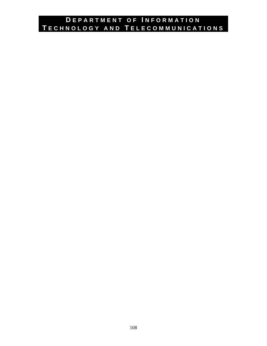#### **D EPARTMENT OF I NFORMATION T ECHNOLOGY AND T ELECOMMUNICATIONS**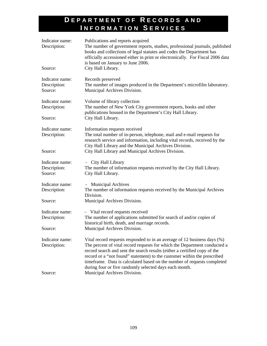| Indicator name:<br>Description:            | Publications and reports acquired<br>The number of government reports, studies, professional journals, published<br>books and collections of legal statutes and codes the Department has<br>officially accessioned either in print or electronically. For Fiscal 2006 data<br>is based on January to June 2006.                                                         |
|--------------------------------------------|-------------------------------------------------------------------------------------------------------------------------------------------------------------------------------------------------------------------------------------------------------------------------------------------------------------------------------------------------------------------------|
| Source:                                    | City Hall Library.                                                                                                                                                                                                                                                                                                                                                      |
| Indicator name:<br>Description:<br>Source: | Records preserved<br>The number of images produced in the Department's microfilm laboratory.<br>Municipal Archives Division.                                                                                                                                                                                                                                            |
| Indicator name:<br>Description:<br>Source: | Volume of library collection<br>The number of New York City government reports, books and other<br>publications housed in the Department's City Hall Library.<br>City Hall Library.                                                                                                                                                                                     |
|                                            |                                                                                                                                                                                                                                                                                                                                                                         |
| Indicator name:<br>Description:            | Information requests received<br>The total number of in-person, telephone, mail and e-mail requests for<br>research service and information, including vital records, received by the<br>City Hall Library and the Municipal Archives Division.                                                                                                                         |
| Source:                                    | City Hall Library and Municipal Archives Division.                                                                                                                                                                                                                                                                                                                      |
| Indicator name:<br>Description:<br>Source: | - City Hall Library<br>The number of information requests received by the City Hall Library.<br>City Hall Library.                                                                                                                                                                                                                                                      |
| Indicator name:                            | - Municipal Archives                                                                                                                                                                                                                                                                                                                                                    |
| Description:                               | The number of information requests received by the Municipal Archives<br>Division.                                                                                                                                                                                                                                                                                      |
| Source:                                    | Municipal Archives Division.                                                                                                                                                                                                                                                                                                                                            |
| Indicator name:<br>Description:            | - Vital record requests received<br>The number of applications submitted for search of and/or copies of<br>historical birth, death, and marriage records.                                                                                                                                                                                                               |
| Source:                                    | Municipal Archives Division.                                                                                                                                                                                                                                                                                                                                            |
| Indicator name:                            | Vital record requests responded to in an average of 12 business days (%)                                                                                                                                                                                                                                                                                                |
| Description:                               | The percent of vital record requests for which the Department conducted a<br>record search and sent the search results (either a certified copy of the<br>record or a "not found" statement) to the customer within the prescribed<br>timeframe. Data is calculated based on the number of requests completed<br>during four or five randomly selected days each month. |
| Source:                                    | Municipal Archives Division.                                                                                                                                                                                                                                                                                                                                            |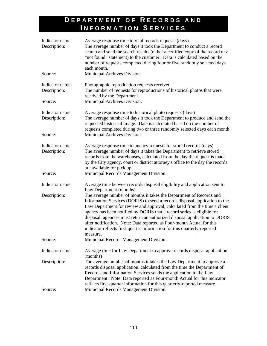| Indicator name:<br>Description: | Average response time to vital records requests (days)<br>The average number of days it took the Department to conduct a record<br>search and send the search results (either a certified copy of the record or a<br>"not found" statement) to the customer. Data is calculated based on the<br>number of requests completed during four or five randomly selected days<br>each month.                                                                                                                                                                  |
|---------------------------------|---------------------------------------------------------------------------------------------------------------------------------------------------------------------------------------------------------------------------------------------------------------------------------------------------------------------------------------------------------------------------------------------------------------------------------------------------------------------------------------------------------------------------------------------------------|
| Source:                         | Municipal Archives Division.                                                                                                                                                                                                                                                                                                                                                                                                                                                                                                                            |
| Indicator name:<br>Description: | Photographic reproduction requests received<br>The number of requests for reproductions of historical photos that were<br>received by the Department.                                                                                                                                                                                                                                                                                                                                                                                                   |
| Source:                         | Municipal Archives Division.                                                                                                                                                                                                                                                                                                                                                                                                                                                                                                                            |
| Indicator name:<br>Description: | Average response time to historical photo requests (days)<br>The average number of days it took the Department to produce and send the<br>requested historical image. Data is calculated based on the number of<br>requests completed during two or three randomly selected days each month.                                                                                                                                                                                                                                                            |
| Source:                         | Municipal Archives Division.                                                                                                                                                                                                                                                                                                                                                                                                                                                                                                                            |
| Indicator name:<br>Description: | Average response time to agency requests for stored records (days)<br>The average number of days it takes the Department to retrieve stored<br>records from the warehouses, calculated from the day the request is made<br>by the City agency, court or district attorney's office to the day the records<br>are available for pick up.                                                                                                                                                                                                                 |
| Source:                         | Municipal Records Management Division.                                                                                                                                                                                                                                                                                                                                                                                                                                                                                                                  |
| Indicator name:                 | Average time between records disposal eligibility and application sent to<br>Law Department (months)                                                                                                                                                                                                                                                                                                                                                                                                                                                    |
| Description:                    | The average number of months it takes the Department of Records and<br>Information Services (DORIS) to send a records disposal application to the<br>Law Department for review and approval, calculated from the time a client<br>agency has been notified by DORIS that a record series is eligible for<br>disposal; agencies must return an authorized disposal application to DORIS<br>after notification. Note: Data reported as Four-month Actual for this<br>indicator reflects first-quarter information for this quarterly-reported<br>measure. |
| Source:                         | Municipal Records Management Division.                                                                                                                                                                                                                                                                                                                                                                                                                                                                                                                  |
| Indicator name:                 | Average time for Law Department to approve records disposal application<br>(months)                                                                                                                                                                                                                                                                                                                                                                                                                                                                     |
| Description:                    | The average number of months it takes the Law Department to approve a<br>records disposal application, calculated from the time the Department of<br>Records and Information Services sends the application to the Law<br>Department. Note: Data reported as Four-month Actual for this indicator<br>reflects first-quarter information for this quarterly-reported measure.                                                                                                                                                                            |
| Source:                         | Municipal Records Management Division.                                                                                                                                                                                                                                                                                                                                                                                                                                                                                                                  |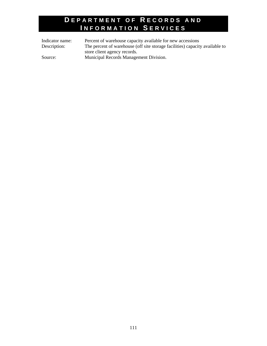| Indicator name: | Percent of warehouse capacity available for new accessions                   |
|-----------------|------------------------------------------------------------------------------|
| Description:    | The percent of warehouse (off site storage facilities) capacity available to |
|                 | store client agency records.                                                 |
| Source:         | Municipal Records Management Division.                                       |
|                 |                                                                              |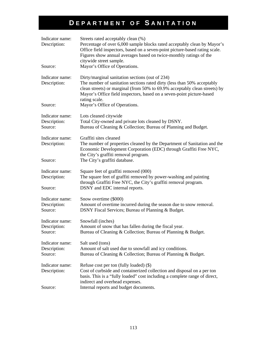| Indicator name:<br>Description:            | Streets rated acceptably clean (%)<br>Percentage of over 6,000 sample blocks rated acceptably clean by Mayor's<br>Office field inspectors, based on a seven-point picture-based rating scale.<br>Figures show annual averages based on twice-monthly ratings of the<br>citywide street sample.     |
|--------------------------------------------|----------------------------------------------------------------------------------------------------------------------------------------------------------------------------------------------------------------------------------------------------------------------------------------------------|
| Source:                                    | Mayor's Office of Operations.                                                                                                                                                                                                                                                                      |
| Indicator name:<br>Description:            | Dirty/marginal sanitation sections (out of 234)<br>The number of sanitation sections rated dirty (less than 50% acceptably<br>clean streets) or marginal (from 50% to 69.9% acceptably clean streets) by<br>Mayor's Office field inspectors, based on a seven-point picture-based<br>rating scale. |
| Source:                                    | Mayor's Office of Operations.                                                                                                                                                                                                                                                                      |
| Indicator name:<br>Description:<br>Source: | Lots cleaned citywide<br>Total City-owned and private lots cleaned by DSNY.<br>Bureau of Cleaning & Collection; Bureau of Planning and Budget.                                                                                                                                                     |
| Indicator name:<br>Description:            | Graffiti sites cleaned<br>The number of properties cleaned by the Department of Sanitation and the<br>Economic Development Corporation (EDC) through Graffiti Free NYC,<br>the City's graffiti removal program.                                                                                    |
| Source:                                    | The City's graffiti database.                                                                                                                                                                                                                                                                      |
| Indicator name:<br>Description:<br>Source: | Square feet of graffiti removed (000)<br>The square feet of graffiti removed by power-washing and painting<br>through Graffiti Free NYC, the City's graffiti removal program.<br>DSNY and EDC internal reports.                                                                                    |
| Indicator name:                            | Snow overtime (\$000)                                                                                                                                                                                                                                                                              |
| Description:<br>Source:                    | Amount of overtime incurred during the season due to snow removal.<br>DSNY Fiscal Services; Bureau of Planning & Budget.                                                                                                                                                                           |
| Indicator name:<br>Description:<br>Source: | Snowfall (inches)<br>Amount of snow that has fallen during the fiscal year.<br>Bureau of Cleaning & Collection; Bureau of Planning & Budget.                                                                                                                                                       |
| Indicator name:<br>Description:<br>Source: | Salt used (tons)<br>Amount of salt used due to snowfall and icy conditions.<br>Bureau of Cleaning & Collection; Bureau of Planning & Budget.                                                                                                                                                       |
| Indicator name:<br>Description:<br>Source: | Refuse cost per ton (fully loaded) (\$)<br>Cost of curbside and containerized collection and disposal on a per ton<br>basis. This is a "fully loaded" cost including a complete range of direct,<br>indirect and overhead expenses.<br>Internal reports and budget documents.                      |
|                                            |                                                                                                                                                                                                                                                                                                    |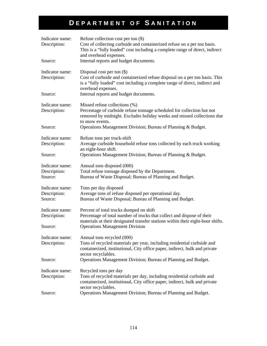| Indicator name:<br>Description:            | Refuse collection cost per ton $(\$)$<br>Cost of collecting curbside and containerized refuse on a per ton basis.<br>This is a "fully loaded" cost including a complete range of direct, indirect<br>and overhead expenses.                   |
|--------------------------------------------|-----------------------------------------------------------------------------------------------------------------------------------------------------------------------------------------------------------------------------------------------|
| Source:                                    | Internal reports and budget documents.                                                                                                                                                                                                        |
| Indicator name:<br>Description:            | Disposal cost per ton $(\$)$<br>Cost of curbside and containerized refuse disposal on a per ton basis. This<br>is a "fully loaded" cost including a complete range of direct, indirect and<br>overhead expenses.                              |
| Source:                                    | Internal reports and budget documents.                                                                                                                                                                                                        |
| Indicator name:<br>Description:            | Missed refuse collections (%)<br>Percentage of curbside refuse tonnage scheduled for collection but not<br>removed by midnight. Excludes holiday weeks and missed collections due<br>to snow events.                                          |
| Source:                                    | Operations Management Division; Bureau of Planning & Budget.                                                                                                                                                                                  |
| Indicator name:<br>Description:            | Refuse tons per truck-shift<br>Average curbside household refuse tons collected by each truck working<br>an eight-hour shift.                                                                                                                 |
| Source:                                    | Operations Management Division; Bureau of Planning & Budget.                                                                                                                                                                                  |
| Indicator name:<br>Description:<br>Source: | Annual tons disposed (000)<br>Total refuse tonnage disposed by the Department.<br>Bureau of Waste Disposal; Bureau of Planning and Budget.                                                                                                    |
| Indicator name:<br>Description:<br>Source: | Tons per day disposed<br>Average tons of refuse disposed per operational day.<br>Bureau of Waste Disposal; Bureau of Planning and Budget.                                                                                                     |
| Indicator name:<br>Description:<br>Source: | Percent of total trucks dumped on shift<br>Percentage of total number of trucks that collect and dispose of their<br>materials at their designated transfer stations within their eight-hour shifts.<br><b>Operations Management Division</b> |
| Indicator name:<br>Description:            | Annual tons recycled (000)<br>Tons of recycled materials per year, including residential curbside and<br>containerized, institutional, City office paper, indirect, bulk and private<br>sector recyclables.                                   |
| Source:                                    | Operations Management Division; Bureau of Planning and Budget.                                                                                                                                                                                |
| Indicator name:<br>Description:            | Recycled tons per day<br>Tons of recycled materials per day, including residential curbside and<br>containerized, institutional, City office paper, indirect, bulk and private<br>sector recyclables.                                         |
| Source:                                    | Operations Management Division; Bureau of Planning and Budget.                                                                                                                                                                                |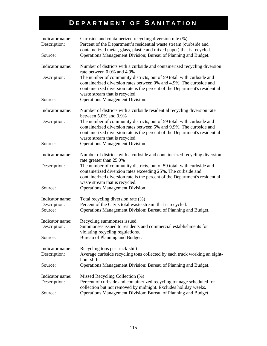| Indicator name:<br>Description:            | Curbside and containerized recycling diversion rate (%)<br>Percent of the Department's residential waste stream (curbside and<br>containerized metal, glass, plastic and mixed paper) that is recycled.                                                       |
|--------------------------------------------|---------------------------------------------------------------------------------------------------------------------------------------------------------------------------------------------------------------------------------------------------------------|
| Source:                                    | Operations Management Division; Bureau of Planning and Budget.                                                                                                                                                                                                |
| Indicator name:                            | Number of districts with a curbside and containerized recycling diversion<br>rate between 0.0% and 4.9%                                                                                                                                                       |
| Description:                               | The number of community districts, out of 59 total, with curbside and<br>containerized diversion rates between 0% and 4.9%. The curbside and<br>containerized diversion rate is the percent of the Department's residential<br>waste stream that is recycled. |
| Source:                                    | <b>Operations Management Division.</b>                                                                                                                                                                                                                        |
| Indicator name:                            | Number of districts with a curbside residential recycling diversion rate<br>between 5.0% and 9.9%                                                                                                                                                             |
| Description:                               | The number of community districts, out of 59 total, with curbside and<br>containerized diversion rates between 5% and 9.9%. The curbside and<br>containerized diversion rate is the percent of the Department's residential<br>waste stream that is recycled. |
| Source:                                    | Operations Management Division.                                                                                                                                                                                                                               |
| Indicator name:                            | Number of districts with a curbside and containerized recycling diversion<br>rate greater than 25.0%                                                                                                                                                          |
| Description:                               | The number of community districts, out of 59 total, with curbside and<br>containerized diversion rates exceeding 25%. The curbside and<br>containerized diversion rate is the percent of the Department's residential<br>waste stream that is recycled.       |
| Source:                                    | <b>Operations Management Division.</b>                                                                                                                                                                                                                        |
| Indicator name:<br>Description:<br>Source: | Total recycling diversion rate (%)<br>Percent of the City's total waste stream that is recycled.<br>Operations Management Division; Bureau of Planning and Budget.                                                                                            |
| Indicator name:<br>Description:            | Recycling summonses issued<br>Summonses issued to residents and commercial establishments for<br>violating recycling regulations.                                                                                                                             |
| Source:                                    | Bureau of Planning and Budget.                                                                                                                                                                                                                                |
| Indicator name:<br>Description:            | Recycling tons per truck-shift<br>Average curbside recycling tons collected by each truck working an eight-<br>hour shift.                                                                                                                                    |
| Source:                                    | Operations Management Division; Bureau of Planning and Budget.                                                                                                                                                                                                |
| Indicator name:<br>Description:            | Missed Recycling Collection (%)<br>Percent of curbside and containerized recycling tonnage scheduled for<br>collection but not removed by midnight. Excludes holiday weeks.                                                                                   |
| Source:                                    | Operations Management Division; Bureau of Planning and Budget.                                                                                                                                                                                                |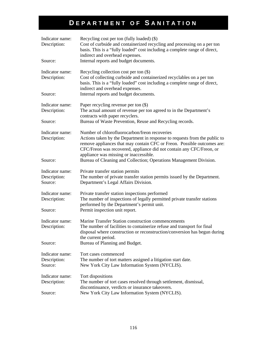| Indicator name:<br>Description:<br>Source: | Recycling cost per ton (fully loaded) (\$)<br>Cost of curbside and containerized recycling and processing on a per ton<br>basis. This is a "fully loaded" cost including a complete range of direct,<br>indirect and overhead expenses.<br>Internal reports and budget documents.                                        |
|--------------------------------------------|--------------------------------------------------------------------------------------------------------------------------------------------------------------------------------------------------------------------------------------------------------------------------------------------------------------------------|
|                                            |                                                                                                                                                                                                                                                                                                                          |
| Indicator name:<br>Description:            | Recycling collection cost per ton $(\$)$<br>Cost of collecting curbside and containerized recyclables on a per ton<br>basis. This is a "fully loaded" cost including a complete range of direct,<br>indirect and overhead expenses.                                                                                      |
| Source:                                    | Internal reports and budget documents.                                                                                                                                                                                                                                                                                   |
| Indicator name:<br>Description:            | Paper recycling revenue per ton $(\$)$<br>The actual amount of revenue per ton agreed to in the Department's<br>contracts with paper recyclers.                                                                                                                                                                          |
| Source:                                    | Bureau of Waste Prevention, Reuse and Recycling records.                                                                                                                                                                                                                                                                 |
| Indicator name:<br>Description:            | Number of chlorofluorocarbon/freon recoveries<br>Actions taken by the Department in response to requests from the public to<br>remove appliances that may contain CFC or Freon. Possible outcomes are:<br>CFC/Freon was recovered, appliance did not contain any CFC/Freon, or<br>appliance was missing or inaccessible. |
| Source:                                    | Bureau of Cleaning and Collection; Operations Management Division.                                                                                                                                                                                                                                                       |
| Indicator name:<br>Description:<br>Source: | Private transfer station permits<br>The number of private transfer station permits issued by the Department.<br>Department's Legal Affairs Division.                                                                                                                                                                     |
| Indicator name:<br>Description:<br>Source: | Private transfer station inspections performed<br>The number of inspections of legally permitted private transfer stations<br>performed by the Department's permit unit.<br>Permit inspection unit report.                                                                                                               |
| Indicator name:<br>Description:<br>Source: | Marine Transfer Station construction commencements<br>The number of facilities to containerize refuse and transport for final<br>disposal where construction or reconstruction/conversion has begun during<br>the current period.<br>Bureau of Planning and Budget.                                                      |
|                                            |                                                                                                                                                                                                                                                                                                                          |
| Indicator name:<br>Description:<br>Source: | Tort cases commenced<br>The number of tort matters assigned a litigation start date.<br>New York City Law Information System (NYCLIS).                                                                                                                                                                                   |
| Indicator name:<br>Description:<br>Source: | Tort dispositions<br>The number of tort cases resolved through settlement, dismissal,<br>discontinuance, verdicts or insurance takeovers.<br>New York City Law Information System (NYCLIS).                                                                                                                              |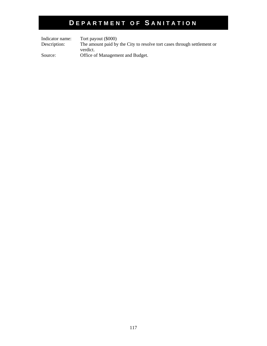| Indicator name: | Tort payout (\$000)                                                     |
|-----------------|-------------------------------------------------------------------------|
| Description:    | The amount paid by the City to resolve tort cases through settlement or |
|                 | verdict.                                                                |
| Source:         | Office of Management and Budget.                                        |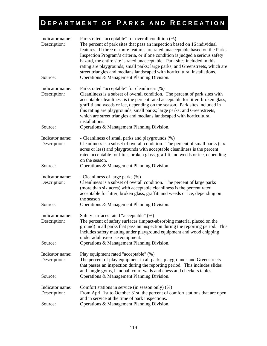| Indicator name:<br>Description:<br>Source: | Parks rated "acceptable" for overall condition (%)<br>The percent of park sites that pass an inspection based on 16 individual<br>features. If three or more features are rated unacceptable based on the Parks<br>Inspection Program's criteria, or if one condition is judged a serious safety<br>hazard, the entire site is rated unacceptable. Park sites included in this<br>rating are playgrounds; small parks; large parks; and Greenstreets, which are<br>street triangles and medians landscaped with horticultural installations.<br>Operations & Management Planning Division. |
|--------------------------------------------|--------------------------------------------------------------------------------------------------------------------------------------------------------------------------------------------------------------------------------------------------------------------------------------------------------------------------------------------------------------------------------------------------------------------------------------------------------------------------------------------------------------------------------------------------------------------------------------------|
| Indicator name:<br>Description:<br>Source: | Parks rated "acceptable" for cleanliness (%)<br>Cleanliness is a subset of overall condition. The percent of park sites with<br>acceptable cleanliness is the percent rated acceptable for litter, broken glass,<br>graffiti and weeds or ice, depending on the season. Park sites included in<br>this rating are playgrounds; small parks; large parks; and Greenstreets,<br>which are street triangles and medians landscaped with horticultural<br>installations.                                                                                                                       |
|                                            | Operations & Management Planning Division.                                                                                                                                                                                                                                                                                                                                                                                                                                                                                                                                                 |
| Indicator name:<br>Description:            | - Cleanliness of small parks and playgrounds (%)<br>Cleanliness is a subset of overall condition. The percent of small parks (six<br>acres or less) and playgrounds with acceptable cleanliness is the percent<br>rated acceptable for litter, broken glass, graffiti and weeds or ice, depending<br>on the season.                                                                                                                                                                                                                                                                        |
| Source:                                    | Operations & Management Planning Division.                                                                                                                                                                                                                                                                                                                                                                                                                                                                                                                                                 |
| Indicator name:<br>Description:<br>Source: | - Cleanliness of large parks (%)<br>Cleanliness is a subset of overall condition. The percent of large parks<br>(more than six acres) with acceptable cleanliness is the percent rated<br>acceptable for litter, broken glass, graffiti and weeds or ice, depending on<br>the season<br>Operations & Management Planning Division.                                                                                                                                                                                                                                                         |
| Indicator name:<br>Description:            | Safety surfaces rated "acceptable" (%)<br>The percent of safety surfaces (impact-absorbing material placed on the<br>ground) in all parks that pass an inspection during the reporting period. This<br>includes safety matting under playground equipment and wood chipping<br>under adult exercise equipment.                                                                                                                                                                                                                                                                             |
| Source:                                    | Operations & Management Planning Division.                                                                                                                                                                                                                                                                                                                                                                                                                                                                                                                                                 |
| Indicator name:<br>Description:<br>Source: | Play equipment rated "acceptable" (%)<br>The percent of play equipment in all parks, playgrounds and Greenstreets<br>that passes an inspection during the reporting period. This includes slides<br>and jungle gyms, handball court walls and chess and checkers tables.<br>Operations & Management Planning Division.                                                                                                                                                                                                                                                                     |
|                                            |                                                                                                                                                                                                                                                                                                                                                                                                                                                                                                                                                                                            |
| Indicator name:<br>Description:            | Comfort stations in service (in season only) (%)<br>From April 1st to October 31st, the percent of comfort stations that are open<br>and in service at the time of park inspections.                                                                                                                                                                                                                                                                                                                                                                                                       |
| Source:                                    | Operations & Management Planning Division.                                                                                                                                                                                                                                                                                                                                                                                                                                                                                                                                                 |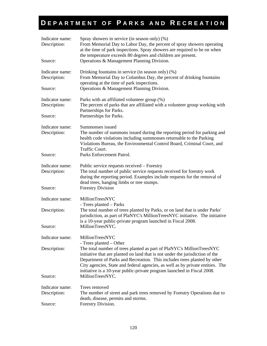| Indicator name:<br>Description: | Spray showers in service (in season only) $(\%)$<br>From Memorial Day to Labor Day, the percent of spray showers operating<br>at the time of park inspections. Spray showers are required to be on when<br>the temperature exceeds 80 degrees and children are present.                                                                                                                         |
|---------------------------------|-------------------------------------------------------------------------------------------------------------------------------------------------------------------------------------------------------------------------------------------------------------------------------------------------------------------------------------------------------------------------------------------------|
| Source:                         | Operations & Management Planning Division.                                                                                                                                                                                                                                                                                                                                                      |
| Indicator name:<br>Description: | Drinking fountains in service (in season only) (%)<br>From Memorial Day to Columbus Day, the percent of drinking fountains<br>operating at the time of park inspections.                                                                                                                                                                                                                        |
| Source:                         | Operations & Management Planning Division.                                                                                                                                                                                                                                                                                                                                                      |
| Indicator name:<br>Description: | Parks with an affiliated volunteer group (%)<br>The percent of parks that are affiliated with a volunteer group working with<br>Partnerships for Parks.                                                                                                                                                                                                                                         |
| Source:                         | Partnerships for Parks.                                                                                                                                                                                                                                                                                                                                                                         |
| Indicator name:<br>Description: | Summonses issued<br>The number of summons issued during the reporting period for parking and<br>health code violations including summonses returnable to the Parking<br>Violations Bureau, the Environmental Control Board, Criminal Court, and<br>Traffic Court.                                                                                                                               |
| Source:                         | Parks Enforcement Patrol.                                                                                                                                                                                                                                                                                                                                                                       |
| Indicator name:<br>Description: | Public service requests received – Forestry<br>The total number of public service requests received for forestry work<br>during the reporting period. Examples include requests for the removal of<br>dead trees, hanging limbs or tree stumps.                                                                                                                                                 |
| Source:                         | <b>Forestry Division</b>                                                                                                                                                                                                                                                                                                                                                                        |
| Indicator name:                 | MillionTreesNYC<br>- Trees planted - Parks                                                                                                                                                                                                                                                                                                                                                      |
| Description:                    | The total number of trees planted by Parks, or on land that is under Parks'<br>jurisdiction, as part of PlaNYC's MillionTreesNYC initiative. The initiative<br>is a 10-year public-private program launched in Fiscal 2008.                                                                                                                                                                     |
| Source:                         | MillionTreesNYC.                                                                                                                                                                                                                                                                                                                                                                                |
| Indicator name:                 | MillionTreesNYC<br>- Trees planted – Other                                                                                                                                                                                                                                                                                                                                                      |
| Description:                    | The total number of trees planted as part of PlaNYC's MillionTreesNYC<br>initiative that are planted on land that is not under the jurisdiction of the<br>Department of Parks and Recreation. This includes trees planted by other<br>City agencies, State and federal agencies, as well as by private entities. The<br>initiative is a 10-year public-private program launched in Fiscal 2008. |
| Source:                         | MillionTreesNYC.                                                                                                                                                                                                                                                                                                                                                                                |
| Indicator name:<br>Description: | Trees removed<br>The number of street and park trees removed by Forestry Operations due to<br>death, disease, permits and storms.                                                                                                                                                                                                                                                               |
| Source:                         | Forestry Division.                                                                                                                                                                                                                                                                                                                                                                              |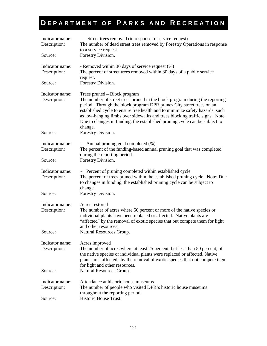| Indicator name:<br>Description:<br>Source: | Street trees removed (in response to service request)<br>The number of dead street trees removed by Forestry Operations in response<br>to a service request.<br>Forestry Division.                                                                                                                                                                                                                                                                                |
|--------------------------------------------|-------------------------------------------------------------------------------------------------------------------------------------------------------------------------------------------------------------------------------------------------------------------------------------------------------------------------------------------------------------------------------------------------------------------------------------------------------------------|
| Indicator name:<br>Description:            | - Removed within 30 days of service request (%)<br>The percent of street trees removed within 30 days of a public service<br>request.                                                                                                                                                                                                                                                                                                                             |
| Source:                                    | Forestry Division.                                                                                                                                                                                                                                                                                                                                                                                                                                                |
| Indicator name:<br>Description:<br>Source: | Trees pruned – Block program<br>The number of street trees pruned in the block program during the reporting<br>period. Through the block program DPR prunes City street trees on an<br>established cycle to ensure tree health and to minimize safety hazards, such<br>as low-hanging limbs over sidewalks and trees blocking traffic signs. Note:<br>Due to changes in funding, the established pruning cycle can be subject to<br>change.<br>Forestry Division. |
|                                            |                                                                                                                                                                                                                                                                                                                                                                                                                                                                   |
| Indicator name:<br>Description:            | Annual pruning goal completed (%)<br>The percent of the funding-based annual pruning goal that was completed<br>during the reporting period.                                                                                                                                                                                                                                                                                                                      |
| Source:                                    | Forestry Division.                                                                                                                                                                                                                                                                                                                                                                                                                                                |
| Indicator name:<br>Description:            | - Percent of pruning completed within established cycle<br>The percent of trees pruned within the established pruning cycle. Note: Due<br>to changes in funding, the established pruning cycle can be subject to<br>change.                                                                                                                                                                                                                                       |
| Source:                                    | Forestry Division.                                                                                                                                                                                                                                                                                                                                                                                                                                                |
| Indicator name:<br>Description:            | Acres restored<br>The number of acres where 50 percent or more of the native species or<br>individual plants have been replaced or affected. Native plants are<br>"affected" by the removal of exotic species that out compete them for light<br>and other resources.                                                                                                                                                                                             |
| Source:                                    | Natural Resources Group.                                                                                                                                                                                                                                                                                                                                                                                                                                          |
| Indicator name:<br>Description:            | Acres improved<br>The number of acres where at least 25 percent, but less than 50 percent, of<br>the native species or individual plants were replaced or affected. Native<br>plants are "affected" by the removal of exotic species that out compete them<br>for light and other resources.                                                                                                                                                                      |
| Source:                                    | Natural Resources Group.                                                                                                                                                                                                                                                                                                                                                                                                                                          |
| Indicator name:<br>Description:            | Attendance at historic house museums<br>The number of people who visited DPR's historic house museums<br>throughout the reporting period.                                                                                                                                                                                                                                                                                                                         |
| Source:                                    | Historic House Trust.                                                                                                                                                                                                                                                                                                                                                                                                                                             |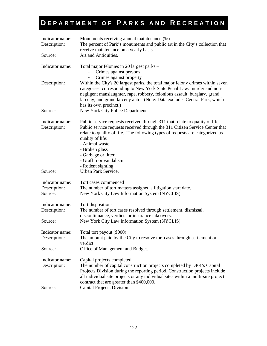| Indicator name:<br>Description:<br>Source: | Monuments receiving annual maintenance (%)<br>The percent of Park's monuments and public art in the City's collection that<br>receive maintenance on a yearly basis.<br>Art and Antiquities.                                                                                                                                                                                                       |
|--------------------------------------------|----------------------------------------------------------------------------------------------------------------------------------------------------------------------------------------------------------------------------------------------------------------------------------------------------------------------------------------------------------------------------------------------------|
| Indicator name:                            | Total major felonies in 20 largest parks –                                                                                                                                                                                                                                                                                                                                                         |
| Description:                               | Crimes against persons<br>Crimes against property<br>Within the City's 20 largest parks, the total major felony crimes within seven<br>categories, corresponding to New York State Penal Law: murder and non-                                                                                                                                                                                      |
| Source:                                    | negligent manslaughter, rape, robbery, felonious assault, burglary, grand<br>larceny, and grand larceny auto. (Note: Data excludes Central Park, which<br>has its own precinct.)<br>New York City Police Department.                                                                                                                                                                               |
| Indicator name:<br>Description:<br>Source: | Public service requests received through 311 that relate to quality of life<br>Public service requests received through the 311 Citizen Service Center that<br>relate to quality of life. The following types of requests are categorized as<br>quality of life:<br>- Animal waste<br>- Broken glass<br>- Garbage or litter<br>- Graffiti or vandalism<br>- Rodent sighting<br>Urban Park Service. |
| Indicator name:<br>Description:<br>Source: | Tort cases commenced<br>The number of tort matters assigned a litigation start date.<br>New York City Law Information System (NYCLIS).                                                                                                                                                                                                                                                             |
| Indicator name:<br>Description:            | Tort dispositions<br>The number of tort cases resolved through settlement, dismissal,<br>discontinuance, verdicts or insurance takeovers.                                                                                                                                                                                                                                                          |
| Source:                                    | New York City Law Information System (NYCLIS).                                                                                                                                                                                                                                                                                                                                                     |
| Indicator name:<br>Description:            | Total tort payout (\$000)<br>The amount paid by the City to resolve tort cases through settlement or<br>verdict.                                                                                                                                                                                                                                                                                   |
| Source:                                    | Office of Management and Budget.                                                                                                                                                                                                                                                                                                                                                                   |
| Indicator name:<br>Description:            | Capital projects completed<br>The number of capital construction projects completed by DPR's Capital<br>Projects Division during the reporting period. Construction projects include<br>all individual site projects or any individual sites within a multi-site project<br>contract that are greater than \$400,000.                                                                              |
| Source:                                    | Capital Projects Division.                                                                                                                                                                                                                                                                                                                                                                         |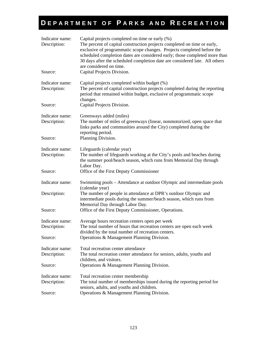| Indicator name:<br>Description: | Capital projects completed on time or early (%)<br>The percent of capital construction projects completed on time or early,<br>exclusive of programmatic scope changes. Projects completed before the<br>scheduled completion dates are considered early; those completed more than<br>30 days after the scheduled completion date are considered late. All others<br>are considered on time. |
|---------------------------------|-----------------------------------------------------------------------------------------------------------------------------------------------------------------------------------------------------------------------------------------------------------------------------------------------------------------------------------------------------------------------------------------------|
| Source:                         | Capital Projects Division.                                                                                                                                                                                                                                                                                                                                                                    |
| Indicator name:<br>Description: | Capital projects completed within budget (%)<br>The percent of capital construction projects completed during the reporting<br>period that remained within budget, exclusive of programmatic scope<br>changes.                                                                                                                                                                                |
| Source:                         | Capital Projects Division.                                                                                                                                                                                                                                                                                                                                                                    |
| Indicator name:<br>Description: | Greenways added (miles)<br>The number of miles of greenways (linear, nonmotorized, open space that<br>links parks and communities around the City) completed during the<br>reporting period.                                                                                                                                                                                                  |
| Source:                         | Planning Division.                                                                                                                                                                                                                                                                                                                                                                            |
| Indicator name:<br>Description: | Lifeguards (calendar year)<br>The number of lifeguards working at the City's pools and beaches during<br>the summer pool/beach season, which runs from Memorial Day through<br>Labor Day.                                                                                                                                                                                                     |
| Source:                         | Office of the First Deputy Commissioner                                                                                                                                                                                                                                                                                                                                                       |
| Indicator name:                 | Swimming pools – Attendance at outdoor Olympic and intermediate pools<br>(calendar year)                                                                                                                                                                                                                                                                                                      |
| Description:                    | The number of people in attendance at DPR's outdoor Olympic and<br>intermediate pools during the summer/beach season, which runs from<br>Memorial Day through Labor Day.                                                                                                                                                                                                                      |
| Source:                         | Office of the First Deputy Commissioner, Operations.                                                                                                                                                                                                                                                                                                                                          |
| Indicator name:<br>Description: | Average hours recreation centers open per week<br>The total number of hours that recreation centers are open each week<br>divided by the total number of recreation centers.                                                                                                                                                                                                                  |
| Source:                         | Operations & Management Planning Division.                                                                                                                                                                                                                                                                                                                                                    |
| Indicator name:<br>Description: | Total recreation center attendance<br>The total recreation center attendance for seniors, adults, youths and<br>children, and visitors.                                                                                                                                                                                                                                                       |
| Source:                         | Operations & Management Planning Division.                                                                                                                                                                                                                                                                                                                                                    |
| Indicator name:<br>Description: | Total recreation center membership<br>The total number of memberships issued during the reporting period for<br>seniors, adults, and youths and children.                                                                                                                                                                                                                                     |
| Source:                         | Operations & Management Planning Division.                                                                                                                                                                                                                                                                                                                                                    |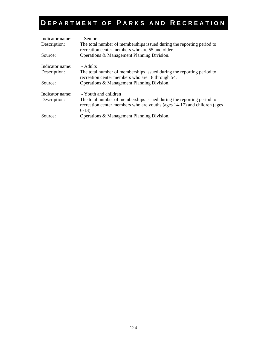| Indicator name:<br>Description: | - Seniors<br>The total number of memberships issued during the reporting period to<br>recreation center members who are 55 and older.                          |
|---------------------------------|----------------------------------------------------------------------------------------------------------------------------------------------------------------|
| Source:                         | Operations & Management Planning Division.                                                                                                                     |
| Indicator name:                 | - Adults                                                                                                                                                       |
| Description:                    | The total number of memberships issued during the reporting period to<br>recreation center members who are 18 through 54.                                      |
| Source:                         | Operations & Management Planning Division.                                                                                                                     |
| Indicator name:                 | - Youth and children                                                                                                                                           |
| Description:                    | The total number of memberships issued during the reporting period to<br>recreation center members who are youths (ages 14-17) and children (ages<br>$6-13$ ). |
| Source:                         | Operations & Management Planning Division.                                                                                                                     |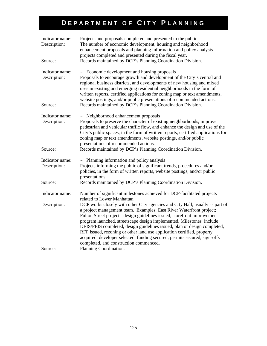| Indicator name:<br>Description: | Projects and proposals completed and presented to the public<br>The number of economic development, housing and neighborhood<br>enhancement proposals and planning information and policy analysis<br>projects completed and presented during the fiscal year.                                                                                                                                                                                                                                                                                                                       |
|---------------------------------|--------------------------------------------------------------------------------------------------------------------------------------------------------------------------------------------------------------------------------------------------------------------------------------------------------------------------------------------------------------------------------------------------------------------------------------------------------------------------------------------------------------------------------------------------------------------------------------|
| Source:                         | Records maintained by DCP's Planning Coordination Division.                                                                                                                                                                                                                                                                                                                                                                                                                                                                                                                          |
| Indicator name:<br>Description: | Economic development and housing proposals<br>Proposals to encourage growth and development of the City's central and<br>regional business districts, and developments of new housing and mixed<br>uses in existing and emerging residential neighborhoods in the form of<br>written reports, certified applications for zoning map or text amendments,<br>website postings, and/or public presentations of recommended actions.                                                                                                                                                     |
| Source:                         | Records maintained by DCP's Planning Coordination Division.                                                                                                                                                                                                                                                                                                                                                                                                                                                                                                                          |
| Indicator name:<br>Description: | Neighborhood enhancement proposals<br>Proposals to preserve the character of existing neighborhoods, improve<br>pedestrian and vehicular traffic flow, and enhance the design and use of the<br>City's public spaces, in the form of written reports, certified applications for<br>zoning map or text amendments, website postings, and/or public<br>presentations of recommended actions.                                                                                                                                                                                          |
| Source:                         | Records maintained by DCP's Planning Coordination Division.                                                                                                                                                                                                                                                                                                                                                                                                                                                                                                                          |
| Indicator name:<br>Description: | - Planning information and policy analysis<br>Projects informing the public of significant trends, procedures and/or<br>policies, in the form of written reports, website postings, and/or public<br>presentations.                                                                                                                                                                                                                                                                                                                                                                  |
| Source:                         | Records maintained by DCP's Planning Coordination Division.                                                                                                                                                                                                                                                                                                                                                                                                                                                                                                                          |
| Indicator name:                 | Number of significant milestones achieved for DCP-facilitated projects<br>related to Lower Manhattan                                                                                                                                                                                                                                                                                                                                                                                                                                                                                 |
| Description:                    | DCP works closely with other City agencies and City Hall, usually as part of<br>a project management team. Examples: East River Waterfront project;<br>Fulton Street project - design guidelines issued, storefront improvement<br>program launched, streetscape design implemented. Milestones include<br>DEIS/FEIS completed, design guidelines issued, plan or design completed,<br>RFP issued, rezoning or other land use application certified, property<br>acquired, developer selected, funding secured, permits secured, sign-offs<br>completed, and construction commenced. |
| Source:                         | Planning Coordination.                                                                                                                                                                                                                                                                                                                                                                                                                                                                                                                                                               |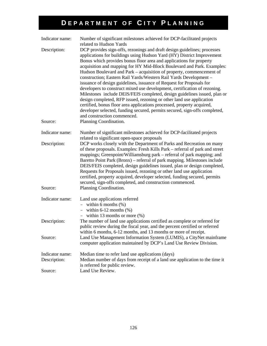| Indicator name:                            | Number of significant milestones achieved for DCP-facilitated projects<br>related to Hudson Yards                                                                                                                                                                                                                                                                                                                                                                                                                                                                                                                                                                                                                                                                                                                                                                                                                                                 |
|--------------------------------------------|---------------------------------------------------------------------------------------------------------------------------------------------------------------------------------------------------------------------------------------------------------------------------------------------------------------------------------------------------------------------------------------------------------------------------------------------------------------------------------------------------------------------------------------------------------------------------------------------------------------------------------------------------------------------------------------------------------------------------------------------------------------------------------------------------------------------------------------------------------------------------------------------------------------------------------------------------|
| Description:                               | DCP provides sign-offs, rezonings and draft design guidelines; processes<br>applications for buildings using Hudson Yard (HY) District Improvement<br>Bonus which provides bonus floor area and applications for property<br>acquisition and mapping for HY Mid-Block Boulevard and Park. Examples:<br>Hudson Boulevard and Park – acquisition of property, commencement of<br>construction; Eastern Rail Yards/Western Rail Yards Development -<br>issuance of design guidelines, issuance of Request for Proposals for<br>developers to construct mixed use development, certification of rezoning.<br>Milestones include DEIS/FEIS completed, design guidelines issued, plan or<br>design completed, RFP issued, rezoning or other land use application<br>certified, bonus floor area applications processed, property acquired,<br>developer selected, funding secured, permits secured, sign-offs completed,<br>and construction commenced. |
| Source:                                    | Planning Coordination.                                                                                                                                                                                                                                                                                                                                                                                                                                                                                                                                                                                                                                                                                                                                                                                                                                                                                                                            |
| Indicator name:                            | Number of significant milestones achieved for DCP-facilitated projects<br>related to significant open-space proposals                                                                                                                                                                                                                                                                                                                                                                                                                                                                                                                                                                                                                                                                                                                                                                                                                             |
| Description:                               | DCP works closely with the Department of Parks and Recreation on many<br>of these proposals. Examples: Fresh Kills Park – referral of park and street<br>mappings; Greenpoint/Williamsburg park – referral of park mapping; and<br>Baretto Point Park (Bronx) – referral of park mapping. Milestones include<br>DEIS/FEIS completed, design guidelines issued, plan or design completed,<br>Requests for Proposals issued, rezoning or other land use application<br>certified, property acquired, developer selected, funding secured, permits<br>secured, sign-offs completed, and construction commenced.                                                                                                                                                                                                                                                                                                                                      |
| Source:                                    | Planning Coordination.                                                                                                                                                                                                                                                                                                                                                                                                                                                                                                                                                                                                                                                                                                                                                                                                                                                                                                                            |
| Indicator name:                            | Land use applications referred<br>- within 6 months $(\%)$<br>- within $6-12$ months $(\%)$<br>within 13 months or more $(\%)$                                                                                                                                                                                                                                                                                                                                                                                                                                                                                                                                                                                                                                                                                                                                                                                                                    |
| Description:                               | The number of land use applications certified as complete or referred for<br>public review during the fiscal year, and the percent certified or referred<br>within 6 months, 6-12 months, and 13 months or more of receipt.                                                                                                                                                                                                                                                                                                                                                                                                                                                                                                                                                                                                                                                                                                                       |
| Source:                                    | Land Use Management Information System (LUMIS), a CityNet mainframe<br>computer application maintained by DCP's Land Use Review Division.                                                                                                                                                                                                                                                                                                                                                                                                                                                                                                                                                                                                                                                                                                                                                                                                         |
| Indicator name:<br>Description:<br>Source: | Median time to refer land use applications (days)<br>Median number of days from receipt of a land use application to the time it<br>is referred for public review.<br>Land Use Review.                                                                                                                                                                                                                                                                                                                                                                                                                                                                                                                                                                                                                                                                                                                                                            |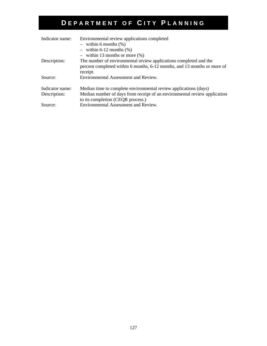| Indicator name: | Environmental review applications completed<br>$-$ within 6 months $(\%)$<br>- within $6-12$ months $(\%)$<br>- within 13 months or more $(\%)$           |
|-----------------|-----------------------------------------------------------------------------------------------------------------------------------------------------------|
| Description:    | The number of environmental review applications completed and the<br>percent completed within 6 months, 6-12 months, and 13 months or more of<br>receipt. |
| Source:         | Environmental Assessment and Review.                                                                                                                      |
| Indicator name: | Median time to complete environmental review applications (days)                                                                                          |
| Description:    | Median number of days from receipt of an environmental review application<br>to its completion (CEQR process.)                                            |
| Source:         | Environmental Assessment and Review.                                                                                                                      |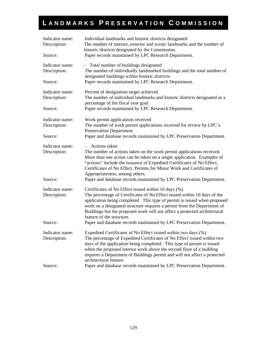### **L ANDMARKS P RESERVATION C OMMISSION**

| Indicator name:<br>Description:<br>Source: | Individual landmarks and historic districts designated<br>The number of interior, exterior and scenic landmarks and the number of<br>historic districts designated by the Commission.<br>Paper records maintained by LPC Research Department.                                                                                                                                                                                                                             |
|--------------------------------------------|---------------------------------------------------------------------------------------------------------------------------------------------------------------------------------------------------------------------------------------------------------------------------------------------------------------------------------------------------------------------------------------------------------------------------------------------------------------------------|
| Indicator name:<br>Description:            | - Total number of buildings designated<br>The number of individually landmarked buildings and the total number of<br>designated buildings within historic districts.                                                                                                                                                                                                                                                                                                      |
| Source:                                    | Paper records maintained by LPC Research Department.                                                                                                                                                                                                                                                                                                                                                                                                                      |
| Indicator name:<br>Description:            | Percent of designation target achieved<br>The number of individual landmarks and historic districts designated as a<br>percentage of the fiscal year goal.                                                                                                                                                                                                                                                                                                                |
| Source:                                    | Paper records maintained by LPC Research Department.                                                                                                                                                                                                                                                                                                                                                                                                                      |
| Indicator name:<br>Description:            | Work permit applications received<br>The number of work permit applications received for review by LPC's<br>Preservation Department.                                                                                                                                                                                                                                                                                                                                      |
| Source:                                    | Paper and database records maintained by LPC Preservation Department.                                                                                                                                                                                                                                                                                                                                                                                                     |
| Indicator name:<br>Description:<br>Source: | - Actions taken<br>The number of actions taken on the work permit applications received.<br>More than one action can be taken on a single application. Examples of<br>"actions" include the issuance of Expedited Certificates of No Effect,<br>Certificates of No Effect, Permits for Minor Work and Certificates of<br>Appropriateness, among others.<br>Paper and database records maintained by LPC Preservation Department.                                          |
| Indicator name:<br>Description:<br>Source: | Certificates of No Effect issued within 10 days (%)<br>The percentage of Certificates of No Effect issued within 10 days of the<br>application being completed. This type of permit is issued when proposed<br>work on a designated structure requires a permit from the Department of<br>Buildings but the proposed work will not affect a protected architectural<br>feature of the structure.<br>Paper and database records maintained by LPC Preservation Department. |
|                                            |                                                                                                                                                                                                                                                                                                                                                                                                                                                                           |
| Indicator name:<br>Description:            | Expedited Certificates of No Effect issued within two days (%)<br>The percentage of Expedited Certificates of No Effect issued within two<br>days of the application being completed. This type of permit is issued<br>when the proposed interior work above the second floor of a building<br>requires a Department of Buildings permit and will not affect a protected<br>architectural feature.                                                                        |
| Source:                                    | Paper and database records maintained by LPC Preservation Department.                                                                                                                                                                                                                                                                                                                                                                                                     |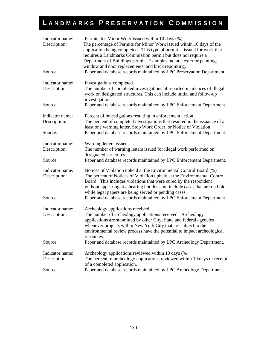### **L ANDMARKS P RESERVATION C OMMISSION**

| Indicator name:<br>Description: | Permits for Minor Work issued within 10 days (%)<br>The percentage of Permits for Minor Work issued within 10 days of the<br>application being completed. This type of permit is issued for work that<br>requires a Landmarks Commission permit but does not require a<br>Department of Buildings permit. Examples include exterior painting,<br>window and door replacements, and brick repointing. |
|---------------------------------|------------------------------------------------------------------------------------------------------------------------------------------------------------------------------------------------------------------------------------------------------------------------------------------------------------------------------------------------------------------------------------------------------|
| Source:                         | Paper and database records maintained by LPC Preservation Department.                                                                                                                                                                                                                                                                                                                                |
| Indicator name:<br>Description: | Investigations completed<br>The number of completed investigations of reported incidences of illegal<br>work on designated structures. This can include initial and follow-up<br>investigations.                                                                                                                                                                                                     |
| Source:                         | Paper and database records maintained by LPC Enforcement Department.                                                                                                                                                                                                                                                                                                                                 |
| Indicator name:<br>Description: | Percent of investigations resulting in enforcement action<br>The percent of completed investigations that resulted in the issuance of at<br>least one warning letter, Stop Work Order, or Notice of Violation.                                                                                                                                                                                       |
| Source:                         | Paper and database records maintained by LPC Enforcement Department.                                                                                                                                                                                                                                                                                                                                 |
| Indicator name:<br>Description: | Warning letters issued<br>The number of warning letters issued for illegal work performed on<br>designated structures.                                                                                                                                                                                                                                                                               |
| Source:                         | Paper and database records maintained by LPC Enforcement Department.                                                                                                                                                                                                                                                                                                                                 |
| Indicator name:<br>Description: | Notices of Violation upheld at the Environmental Control Board (%)<br>The percent of Notices of Violation upheld at the Environmental Control<br>Board. This includes violations that were cured by the respondent<br>without appearing at a hearing but does not include cases that are on hold<br>while legal papers are being served or pending cases.                                            |
| Source:                         | Paper and database records maintained by LPC Enforcement Department.                                                                                                                                                                                                                                                                                                                                 |
| Indicator name:<br>Description: | Archeology applications received<br>The number of archeology applications received. Archeology<br>applications are submitted by other City, State and federal agencies<br>whenever projects within New York City that are subject to the<br>environmental review process have the potential to impact archeological<br>resources.                                                                    |
| Source:                         | Paper and database records maintained by LPC Archeology Department.                                                                                                                                                                                                                                                                                                                                  |
| Indicator name:<br>Description: | Archeology applications reviewed within 10 days (%)<br>The percent of archeology applications reviewed within 10 days of receipt<br>of a completed application.                                                                                                                                                                                                                                      |
| Source:                         | Paper and database records maintained by LPC Archeology Department.                                                                                                                                                                                                                                                                                                                                  |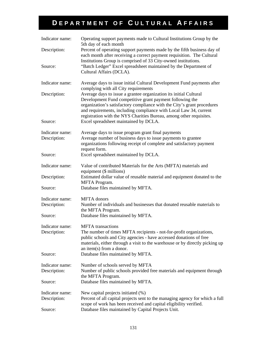#### **D EPARTMENT OF C ULTURAL A FFAIRS**

| Indicator name:                            | Operating support payments made to Cultural Institutions Group by the<br>5th day of each month                                                                                                                                                                                                                                                       |
|--------------------------------------------|------------------------------------------------------------------------------------------------------------------------------------------------------------------------------------------------------------------------------------------------------------------------------------------------------------------------------------------------------|
| Description:                               | Percent of operating support payments made by the fifth business day of<br>each month after receiving a correct payment requisition. The Cultural                                                                                                                                                                                                    |
| Source:                                    | Institutions Group is comprised of 33 City-owned institutions.<br>"Batch Ledger" Excel spreadsheet maintained by the Department of<br>Cultural Affairs (DCLA).                                                                                                                                                                                       |
| Indicator name:                            | Average days to issue initial Cultural Development Fund payments after<br>complying with all City requirements                                                                                                                                                                                                                                       |
| Description:                               | Average days to issue a grantee organization its initial Cultural<br>Development Fund competitive grant payment following the<br>organization's satisfactory compliance with the City's grant procedures<br>and requirements, including compliance with Local Law 34, current<br>registration with the NYS Charities Bureau, among other requisites. |
| Source:                                    | Excel spreadsheet maintained by DCLA.                                                                                                                                                                                                                                                                                                                |
| Indicator name:<br>Description:            | Average days to issue program grant final payments<br>Average number of business days to issue payments to grantee<br>organizations following receipt of complete and satisfactory payment<br>request form.                                                                                                                                          |
| Source:                                    | Excel spreadsheet maintained by DCLA.                                                                                                                                                                                                                                                                                                                |
| Indicator name:                            | Value of contributed Materials for the Arts (MFTA) materials and<br>equipment (\$ millions)                                                                                                                                                                                                                                                          |
| Description:                               | Estimated dollar value of reusable material and equipment donated to the<br>MFTA Program.                                                                                                                                                                                                                                                            |
| Source:                                    | Database files maintained by MFTA.                                                                                                                                                                                                                                                                                                                   |
| Indicator name:<br>Description:            | <b>MFTA</b> donors<br>Number of individuals and businesses that donated reusable materials to<br>the MFTA Program.                                                                                                                                                                                                                                   |
| Source:                                    | Database files maintained by MFTA.                                                                                                                                                                                                                                                                                                                   |
| Indicator name:<br>Description:            | <b>MFTA</b> transactions<br>The number of times MFTA recipients - not-for-profit organizations,<br>public schools and City agencies - have accessed donations of free<br>materials, either through a visit to the warehouse or by directly picking up<br>an item $(s)$ from a donor.                                                                 |
| Source:                                    | Database files maintained by MFTA.                                                                                                                                                                                                                                                                                                                   |
| Indicator name:<br>Description:            | Number of schools served by MFTA<br>Number of public schools provided free materials and equipment through<br>the MFTA Program.                                                                                                                                                                                                                      |
| Source:                                    | Database files maintained by MFTA.                                                                                                                                                                                                                                                                                                                   |
| Indicator name:<br>Description:<br>Source: | New capital projects initiated (%)<br>Percent of all capital projects sent to the managing agency for which a full<br>scope of work has been received and capital eligibility verified.<br>Database files maintained by Capital Projects Unit.                                                                                                       |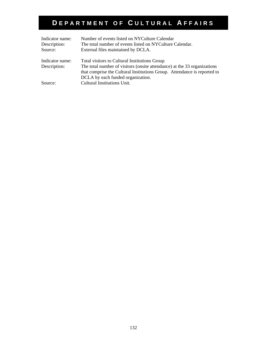#### **D EPARTMENT OF C ULTURAL A FFAIRS**

| Indicator name: | Number of events listed on NYCulture Calendar                            |
|-----------------|--------------------------------------------------------------------------|
| Description:    | The total number of events listed on NYCulture Calendar.                 |
| Source:         | External files maintained by DCLA.                                       |
| Indicator name: | Total visitors to Cultural Institutions Group                            |
| Description:    | The total number of visitors (onsite attendance) at the 33 organizations |
|                 | that comprise the Cultural Institutions Group. Attendance is reported to |
| Source:         | DCLA by each funded organization.<br>Cultural Institutions Unit.         |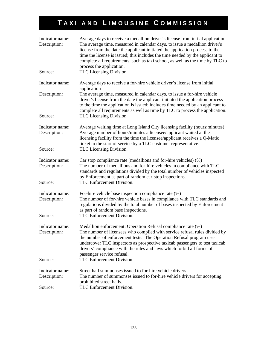| Indicator name:<br>Description:<br>Source: | Average days to receive a medallion driver's license from initial application<br>The average time, measured in calendar days, to issue a medallion driver's<br>license from the date the applicant initiated the application process to the<br>time the license is issued; this includes the time needed by the applicant to<br>complete all requirements, such as taxi school, as well as the time by TLC to<br>process the application.<br>TLC Licensing Division. |
|--------------------------------------------|----------------------------------------------------------------------------------------------------------------------------------------------------------------------------------------------------------------------------------------------------------------------------------------------------------------------------------------------------------------------------------------------------------------------------------------------------------------------|
|                                            |                                                                                                                                                                                                                                                                                                                                                                                                                                                                      |
| Indicator name:                            | Average days to receive a for-hire vehicle driver's license from initial<br>application                                                                                                                                                                                                                                                                                                                                                                              |
| Description:<br>Source:                    | The average time, measured in calendar days, to issue a for-hire vehicle<br>driver's license from the date the applicant initiated the application process<br>to the time the application is issued; includes time needed by an applicant to<br>complete all requirements as well as time by TLC to process the application.<br>TLC Licensing Division.                                                                                                              |
| Indicator name:<br>Description:            | Average waiting time at Long Island City licensing facility (hours: minutes)<br>Average number of hours/minutes a licensee/applicant waited at the<br>licensing facility from the time the licensee/applicant receives a Q-Matic<br>ticket to the start of service by a TLC customer representative.                                                                                                                                                                 |
| Source:                                    | TLC Licensing Division.                                                                                                                                                                                                                                                                                                                                                                                                                                              |
| Indicator name:<br>Description:<br>Source: | Car stop compliance rate (medallions and for-hire vehicles) (%)<br>The number of medallions and for-hire vehicles in compliance with TLC<br>standards and regulations divided by the total number of vehicles inspected<br>by Enforcement as part of random car-stop inspections.<br>TLC Enforcement Division.                                                                                                                                                       |
|                                            |                                                                                                                                                                                                                                                                                                                                                                                                                                                                      |
| Indicator name:<br>Description:            | For-hire vehicle base inspection compliance rate $(\%)$<br>The number of for-hire vehicle bases in compliance with TLC standards and<br>regulations divided by the total number of bases inspected by Enforcement<br>as part of random base inspections.                                                                                                                                                                                                             |
| Source:                                    | TLC Enforcement Division.                                                                                                                                                                                                                                                                                                                                                                                                                                            |
| Indicator name:<br>Description:            | Medallion enforcement: Operation Refusal compliance rate (%)<br>The number of licensees who complied with service refusal rules divided by<br>the number of enforcement tests. The Operation Refusal program uses<br>undercover TLC inspectors as prospective taxicab passengers to test taxicab<br>drivers' compliance with the rules and laws which forbid all forms of<br>passenger service refusal.                                                              |
| Source:                                    | TLC Enforcement Division.                                                                                                                                                                                                                                                                                                                                                                                                                                            |
| Indicator name:<br>Description:            | Street hail summonses issued to for-hire vehicle drivers<br>The number of summonses issued to for-hire vehicle drivers for accepting<br>prohibited street hails.                                                                                                                                                                                                                                                                                                     |
| Source:                                    | TLC Enforcement Division.                                                                                                                                                                                                                                                                                                                                                                                                                                            |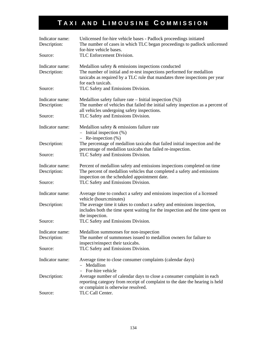| Indicator name:<br>Description: | Unlicensed for-hire vehicle bases - Padlock proceedings initiated<br>The number of cases in which TLC began proceedings to padlock unlicensed<br>for-hire vehicle bases.                                                        |
|---------------------------------|---------------------------------------------------------------------------------------------------------------------------------------------------------------------------------------------------------------------------------|
| Source:                         | TLC Enforcement Division.                                                                                                                                                                                                       |
| Indicator name:<br>Description: | Medallion safety & emissions inspections conducted<br>The number of initial and re-test inspections performed for medallion<br>taxicabs as required by a TLC rule that mandates three inspections per year<br>for each taxicab. |
| Source:                         | TLC Safety and Emissions Division.                                                                                                                                                                                              |
| Indicator name:<br>Description: | Medallion safety failure rate – Initial inspection $(\%)$<br>The number of vehicles that failed the initial safety inspection as a percent of<br>all vehicles undergoing safety inspections.                                    |
| Source:                         | TLC Safety and Emissions Division.                                                                                                                                                                                              |
| Indicator name:                 | Medallion safety & emissions failure rate<br>- Initial inspection $(\%)$<br>- Re-inspection $(\%)$                                                                                                                              |
| Description:                    | The percentage of medallion taxicabs that failed initial inspection and the<br>percentage of medallion taxicabs that failed re-inspection.                                                                                      |
| Source:                         | TLC Safety and Emissions Division.                                                                                                                                                                                              |
| Indicator name:<br>Description: | Percent of medallion safety and emissions inspections completed on time<br>The percent of medallion vehicles that completed a safety and emissions<br>inspection on the scheduled appointment date.                             |
| Source:                         | TLC Safety and Emissions Division.                                                                                                                                                                                              |
| Indicator name:                 | Average time to conduct a safety and emissions inspection of a licensed<br>vehicle (hours: minutes)                                                                                                                             |
| Description:                    | The average time it takes to conduct a safety and emissions inspection,<br>includes both the time spent waiting for the inspection and the time spent on<br>the inspection.                                                     |
| Source:                         | TLC Safety and Emissions Division.                                                                                                                                                                                              |
| Indicator name:<br>Description: | Medallion summonses for non-inspection<br>The number of summonses issued to medallion owners for failure to<br>inspect/reinspect their taxicabs.                                                                                |
| Source:                         | TLC Safety and Emissions Division.                                                                                                                                                                                              |
| Indicator name:                 | Average time to close consumer complaints (calendar days)<br>Medallion<br>For-hire vehicle                                                                                                                                      |
| Description:                    | Average number of calendar days to close a consumer complaint in each<br>reporting category from receipt of complaint to the date the hearing is held<br>or complaint is otherwise resolved.                                    |
| Source:                         | TLC Call Center.                                                                                                                                                                                                                |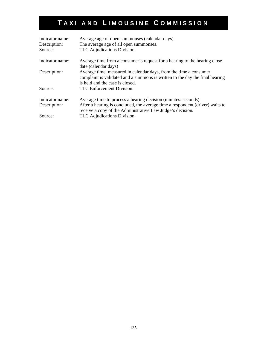| Indicator name:<br>Description:<br>Source: | Average age of open summonses (calendar days)<br>The average age of all open summonses.<br>TLC Adjudications Division.                                                               |
|--------------------------------------------|--------------------------------------------------------------------------------------------------------------------------------------------------------------------------------------|
| Indicator name:                            | Average time from a consumer's request for a hearing to the hearing close<br>date (calendar days)                                                                                    |
| Description:                               | Average time, measured in calendar days, from the time a consumer<br>complaint is validated and a summons is written to the day the final hearing<br>is held and the case is closed. |
| Source:                                    | TLC Enforcement Division.                                                                                                                                                            |
| Indicator name:                            | Average time to process a hearing decision (minutes: seconds)                                                                                                                        |
| Description:                               | After a hearing is concluded, the average time a respondent (driver) waits to                                                                                                        |
|                                            | receive a copy of the Administrative Law Judge's decision.                                                                                                                           |
| Source:                                    | TLC Adjudications Division.                                                                                                                                                          |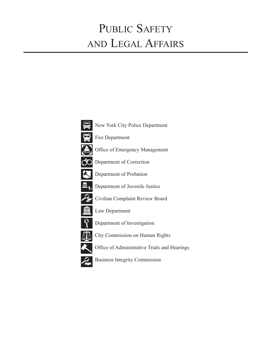# PUBLIC SAFETY AND LEGAL AFFAIRS

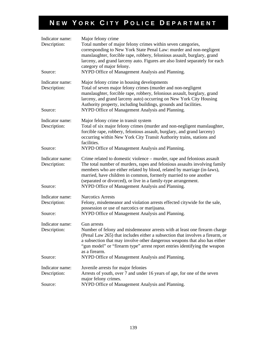### **N EW Y ORK C ITY P OLICE D EPARTMENT**

| Indicator name:<br>Description: | Major felony crime<br>Total number of major felony crimes within seven categories,<br>corresponding to New York State Penal Law: murder and non-negligent<br>manslaughter, forcible rape, robbery, felonious assault, burglary, grand<br>larceny, and grand larceny auto. Figures are also listed separately for each<br>category of major felony.                      |
|---------------------------------|-------------------------------------------------------------------------------------------------------------------------------------------------------------------------------------------------------------------------------------------------------------------------------------------------------------------------------------------------------------------------|
| Source:                         | NYPD Office of Management Analysis and Planning.                                                                                                                                                                                                                                                                                                                        |
| Indicator name:<br>Description: | Major felony crime in housing developments<br>Total of seven major felony crimes (murder and non-negligent<br>manslaughter, forcible rape, robbery, felonious assault, burglary, grand<br>larceny, and grand larceny auto) occurring on New York City Housing<br>Authority property, including buildings, grounds and facilities.                                       |
| Source:                         | NYPD Office of Management Analysis and Planning.                                                                                                                                                                                                                                                                                                                        |
| Indicator name:<br>Description: | Major felony crime in transit system<br>Total of six major felony crimes (murder and non-negligent manslaughter,<br>forcible rape, robbery, felonious assault, burglary, and grand larceny)<br>occurring within New York City Transit Authority trains, stations and<br>facilities.                                                                                     |
| Source:                         | NYPD Office of Management Analysis and Planning.                                                                                                                                                                                                                                                                                                                        |
| Indicator name:<br>Description: | Crime related to domestic violence – murder, rape and felonious assault<br>The total number of murders, rapes and felonious assaults involving family<br>members who are either related by blood, related by marriage (in-laws),<br>married, have children in common, formerly married to one another<br>(separated or divorced), or live in a family-type arrangement. |
| Source:                         | NYPD Office of Management Analysis and Planning.                                                                                                                                                                                                                                                                                                                        |
| Indicator name:<br>Description: | <b>Narcotics Arrests</b><br>Felony, misdemeanor and violation arrests effected citywide for the sale,<br>possession or use of narcotics or marijuana.                                                                                                                                                                                                                   |
| Source:                         | NYPD Office of Management Analysis and Planning.                                                                                                                                                                                                                                                                                                                        |
| Indicator name:<br>Description: | <b>Gun arrests</b><br>Number of felony and misdemeanor arrests with at least one firearm charge<br>(Penal Law 265) that includes either a subsection that involves a firearm, or<br>a subsection that may involve other dangerous weapons that also has either<br>"gun model" or "firearm type" arrest report entries identifying the weapon<br>as a firearm.           |
| Source:                         | NYPD Office of Management Analysis and Planning.                                                                                                                                                                                                                                                                                                                        |
| Indicator name:<br>Description: | Juvenile arrests for major felonies<br>Arrests of youth, over 7 and under 16 years of age, for one of the seven<br>major felony crimes.                                                                                                                                                                                                                                 |
| Source:                         | NYPD Office of Management Analysis and Planning.                                                                                                                                                                                                                                                                                                                        |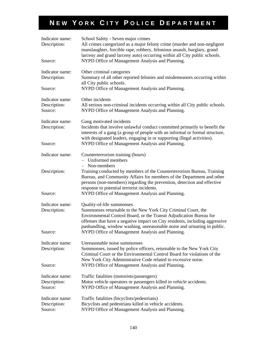### **N EW Y ORK C ITY P OLICE D EPARTMENT**

| Indicator name:<br>Description:<br>Source: | School Safety - Seven major crimes<br>All crimes categorized as a major felony crime (murder and non-negligent<br>manslaughter, forcible rape, robbery, felonious assault, burglary, grand<br>larceny and grand larceny auto) occurring within all City public schools.<br>NYPD Office of Management Analysis and Planning.                                                       |
|--------------------------------------------|-----------------------------------------------------------------------------------------------------------------------------------------------------------------------------------------------------------------------------------------------------------------------------------------------------------------------------------------------------------------------------------|
|                                            |                                                                                                                                                                                                                                                                                                                                                                                   |
| Indicator name:<br>Description:            | Other criminal categories<br>Summary of all other reported felonies and misdemeanors occurring within<br>all City public schools.                                                                                                                                                                                                                                                 |
| Source:                                    | NYPD Office of Management Analysis and Planning.                                                                                                                                                                                                                                                                                                                                  |
| Indicator name:<br>Description:<br>Source: | Other incidents<br>All serious non-criminal incidents occurring within all City public schools.<br>NYPD Office of Management Analysis and Planning.                                                                                                                                                                                                                               |
| Indicator name:<br>Description:            | Gang motivated incidents<br>Incidents that involve unlawful conduct committed primarily to benefit the<br>interests of a gang (a group of people with an informal or formal structure,<br>with designated leaders, engaging in or supporting illegal activities).                                                                                                                 |
| Source:                                    | NYPD Office of Management Analysis and Planning.                                                                                                                                                                                                                                                                                                                                  |
| Indicator name:                            | Counterterrorism training (hours)<br>- Uniformed members<br>- Non-members                                                                                                                                                                                                                                                                                                         |
| Description:                               | Training conducted by members of the Counterterrorism Bureau, Training<br>Bureau, and Community Affairs for members of the Department and other<br>persons (non-members) regarding the prevention, detection and effective<br>response to potential terrorist incidents.                                                                                                          |
| Source:                                    | NYPD Office of Management Analysis and Planning.                                                                                                                                                                                                                                                                                                                                  |
| Indicator name:<br>Description:<br>Source: | Quality-of-life summonses<br>Summonses returnable to the New York City Criminal Court, the<br>Environmental Control Board, or the Transit Adjudication Bureau for<br>offenses that have a negative impact on City residents, including aggressive<br>panhandling, window washing, unreasonable noise and urinating in public.<br>NYPD Office of Management Analysis and Planning. |
| Indicator name:<br>Description:            | Unreasonable noise summonses<br>Summonses, issued by police officers, returnable to the New York City<br>Criminal Court or the Environmental Control Board for violations of the<br>New York City Administrative Code related to excessive noise.                                                                                                                                 |
| Source:                                    | NYPD Office of Management Analysis and Planning.                                                                                                                                                                                                                                                                                                                                  |
| Indicator name:<br>Description:<br>Source: | Traffic fatalities (motorists/passengers)<br>Motor vehicle operators or passengers killed in vehicle accidents.<br>NYPD Office of Management Analysis and Planning.                                                                                                                                                                                                               |
| Indicator name:<br>Description:<br>Source: | Traffic fatalities (bicyclists/pedestrians)<br>Bicyclists and pedestrians killed in vehicle accidents.<br>NYPD Office of Management Analysis and Planning.                                                                                                                                                                                                                        |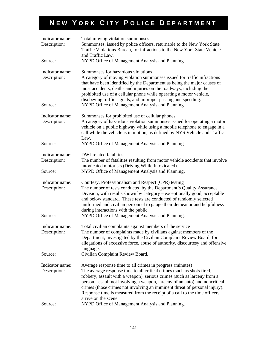### **N EW Y ORK C ITY P OLICE D EPARTMENT**

| Indicator name:<br>Description:            | Total moving violation summonses<br>Summonses, issued by police officers, returnable to the New York State                                                                                                                                                                                                                                                                                                                                                                       |
|--------------------------------------------|----------------------------------------------------------------------------------------------------------------------------------------------------------------------------------------------------------------------------------------------------------------------------------------------------------------------------------------------------------------------------------------------------------------------------------------------------------------------------------|
|                                            | Traffic Violations Bureau, for infractions to the New York State Vehicle<br>and Traffic Law.                                                                                                                                                                                                                                                                                                                                                                                     |
| Source:                                    | NYPD Office of Management Analysis and Planning.                                                                                                                                                                                                                                                                                                                                                                                                                                 |
| Indicator name:<br>Description:            | Summonses for hazardous violations<br>A category of moving violation summonses issued for traffic infractions<br>that have been identified by the Department as being the major causes of<br>most accidents, deaths and injuries on the roadways, including the<br>prohibited use of a cellular phone while operating a motor vehicle,<br>disobeying traffic signals, and improper passing and speeding.                                                                         |
| Source:                                    | NYPD Office of Management Analysis and Planning.                                                                                                                                                                                                                                                                                                                                                                                                                                 |
| Indicator name:<br>Description:            | Summonses for prohibited use of cellular phones<br>A category of hazardous violation summonses issued for operating a motor<br>vehicle on a public highway while using a mobile telephone to engage in a<br>call while the vehicle is in motion, as defined by NYS Vehicle and Traffic<br>Law.                                                                                                                                                                                   |
| Source:                                    | NYPD Office of Management Analysis and Planning.                                                                                                                                                                                                                                                                                                                                                                                                                                 |
| Indicator name:<br>Description:            | <b>DWI-related fatalities</b><br>The number of fatalities resulting from motor vehicle accidents that involve<br>intoxicated motorists (Driving While Intoxicated).                                                                                                                                                                                                                                                                                                              |
| Source:                                    | NYPD Office of Management Analysis and Planning.                                                                                                                                                                                                                                                                                                                                                                                                                                 |
| Indicator name:<br>Description:<br>Source: | Courtesy, Professionalism and Respect (CPR) testing<br>The number of tests conducted by the Department's Quality Assurance<br>Division, with results shown by category – exceptionally good, acceptable<br>and below standard. These tests are conducted of randomly selected<br>uniformed and civilian personnel to gauge their demeanor and helpfulness<br>during interactions with the public.<br>NYPD Office of Management Analysis and Planning.                            |
|                                            |                                                                                                                                                                                                                                                                                                                                                                                                                                                                                  |
| Indicator name:<br>Description:            | Total civilian complaints against members of the service<br>The number of complaints made by civilians against members of the<br>Department, investigated by the Civilian Complaint Review Board, for<br>allegations of excessive force, abuse of authority, discourtesy and offensive<br>language.                                                                                                                                                                              |
| Source:                                    | Civilian Complaint Review Board.                                                                                                                                                                                                                                                                                                                                                                                                                                                 |
| Indicator name:<br>Description:            | Average response time to all crimes in progress (minutes)<br>The average response time to all critical crimes (such as shots fired,<br>robbery, assault with a weapon), serious crimes (such as larceny from a<br>person, assault not involving a weapon, larceny of an auto) and noncritical<br>crimes (those crimes not involving an imminent threat of personal injury).<br>Response time is measured from the receipt of a call to the time officers<br>arrive on the scene. |
| Source:                                    | NYPD Office of Management Analysis and Planning.                                                                                                                                                                                                                                                                                                                                                                                                                                 |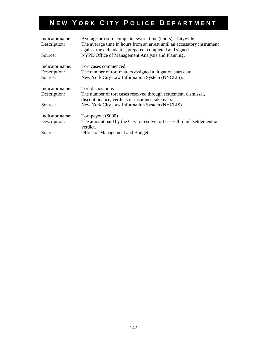## **N EW Y ORK C ITY P OLICE D EPARTMENT**

| Indicator name:<br>Description:<br>Source: | Average arrest to complaint sworn time (hours) - Citywide<br>The average time in hours from an arrest until an accusatory instrument<br>against the defendant is prepared, completed and signed.<br>NYPD Office of Management Analysis and Planning. |
|--------------------------------------------|------------------------------------------------------------------------------------------------------------------------------------------------------------------------------------------------------------------------------------------------------|
| Indicator name:                            | Tort cases commenced                                                                                                                                                                                                                                 |
| Description:                               | The number of tort matters assigned a litigation start date.                                                                                                                                                                                         |
| Source:                                    | New York City Law Information System (NYCLIS).                                                                                                                                                                                                       |
| Indicator name:                            | Tort dispositions                                                                                                                                                                                                                                    |
| Description:                               | The number of tort cases resolved through settlement, dismissal,<br>discontinuance, verdicts or insurance takeovers.                                                                                                                                 |
| Source:                                    | New York City Law Information System (NYCLIS).                                                                                                                                                                                                       |
| Indicator name:                            | Tort payout (\$000)                                                                                                                                                                                                                                  |
| Description:                               | The amount paid by the City to resolve tort cases through settlement or<br>verdict.                                                                                                                                                                  |
| Source:                                    | Office of Management and Budget.                                                                                                                                                                                                                     |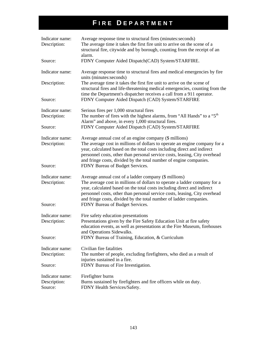## **F IRE D EPARTMENT**

| Indicator name:<br>Description:            | Average response time to structural fires (minutes: seconds)<br>The average time it takes the first fire unit to arrive on the scene of a<br>structural fire, citywide and by borough, counting from the receipt of an<br>alarm.                                                                                                                                    |
|--------------------------------------------|---------------------------------------------------------------------------------------------------------------------------------------------------------------------------------------------------------------------------------------------------------------------------------------------------------------------------------------------------------------------|
| Source:                                    | FDNY Computer Aided Dispatch(CAD) System/STARFIRE.                                                                                                                                                                                                                                                                                                                  |
| Indicator name:                            | Average response time to structural fires and medical emergencies by fire<br>units (minutes: seconds)                                                                                                                                                                                                                                                               |
| Description:                               | The average time it takes the first fire unit to arrive on the scene of<br>structural fires and life-threatening medical emergencies, counting from the<br>time the Department's dispatcher receives a call from a 911 operator.                                                                                                                                    |
| Source:                                    | FDNY Computer Aided Dispatch (CAD) System/STARFIRE                                                                                                                                                                                                                                                                                                                  |
| Indicator name:<br>Description:            | Serious fires per 1,000 structural fires<br>The number of fires with the highest alarms, from "All Hands" to a "5 <sup>th</sup><br>Alarm" and above, in every 1,000 structural fires.                                                                                                                                                                               |
| Source:                                    | FDNY Computer Aided Dispatch (CAD) System/STARFIRE                                                                                                                                                                                                                                                                                                                  |
| Indicator name:<br>Description:            | Average annual cost of an engine company (\$ millions)<br>The average cost in millions of dollars to operate an engine company for a<br>year, calculated based on the total costs including direct and indirect<br>personnel costs, other than personal service costs, leasing, City overhead<br>and fringe costs, divided by the total number of engine companies. |
| Source:                                    | FDNY Bureau of Budget Services.                                                                                                                                                                                                                                                                                                                                     |
| Indicator name:<br>Description:            | Average annual cost of a ladder company (\$ millions)<br>The average cost in millions of dollars to operate a ladder company for a<br>year, calculated based on the total costs including direct and indirect<br>personnel costs, other than personal service costs, leasing, City overhead<br>and fringe costs, divided by the total number of ladder companies.   |
| Source:                                    | FDNY Bureau of Budget Services.                                                                                                                                                                                                                                                                                                                                     |
| Indicator name:<br>Description:            | Fire safety education presentations<br>Presentations given by the Fire Safety Education Unit at fire safety<br>education events, as well as presentations at the Fire Museum, firehouses<br>and Operations Sidewalks.                                                                                                                                               |
| Source:                                    | FDNY Bureau of Training, Education, & Curriculum                                                                                                                                                                                                                                                                                                                    |
| Indicator name:<br>Description:            | Civilian fire fatalities<br>The number of people, excluding firefighters, who died as a result of<br>injuries sustained in a fire.                                                                                                                                                                                                                                  |
| Source:                                    | FDNY Bureau of Fire Investigation.                                                                                                                                                                                                                                                                                                                                  |
| Indicator name:<br>Description:<br>Source: | Firefighter burns<br>Burns sustained by firefighters and fire officers while on duty.<br>FDNY Health Services/Safety.                                                                                                                                                                                                                                               |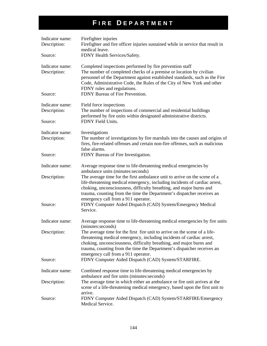## **F IRE D EPARTMENT**

| Indicator name:<br>Description: | Firefighter injuries<br>Firefighter and fire officer injuries sustained while in service that result in                                                                                                                                                                                                                                         |
|---------------------------------|-------------------------------------------------------------------------------------------------------------------------------------------------------------------------------------------------------------------------------------------------------------------------------------------------------------------------------------------------|
|                                 | medical leave.                                                                                                                                                                                                                                                                                                                                  |
| Source:                         | FDNY Health Services/Safety.                                                                                                                                                                                                                                                                                                                    |
| Indicator name:                 | Completed inspections performed by fire prevention staff                                                                                                                                                                                                                                                                                        |
| Description:                    | The number of completed checks of a premise or location by civilian<br>personnel of the Department against established standards, such as the Fire<br>Code, Administrative Code, the Rules of the City of New York and other<br>FDNY rules and regulations.                                                                                     |
| Source:                         | FDNY Bureau of Fire Prevention.                                                                                                                                                                                                                                                                                                                 |
| Indicator name:<br>Description: | Field force inspections<br>The number of inspections of commercial and residential buildings<br>performed by fire units within designated administrative districts.                                                                                                                                                                             |
| Source:                         | FDNY Field Units.                                                                                                                                                                                                                                                                                                                               |
| Indicator name:<br>Description: | Investigations<br>The number of investigations by fire marshals into the causes and origins of<br>fires, fire-related offenses and certain non-fire offenses, such as malicious<br>false alarms.                                                                                                                                                |
| Source:                         | FDNY Bureau of Fire Investigation.                                                                                                                                                                                                                                                                                                              |
| Indicator name:                 | Average response time to life-threatening medical emergencies by<br>ambulance units (minutes: seconds)                                                                                                                                                                                                                                          |
| Description:                    | The average time for the first ambulance unit to arrive on the scene of a<br>life-threatening medical emergency, including incidents of cardiac arrest,<br>choking, unconsciousness, difficulty breathing, and major burns and<br>trauma, counting from the time the Department's dispatcher receives an<br>emergency call from a 911 operator. |
| Source:                         | FDNY Computer Aided Dispatch (CAD) System/Emergency Medical<br>Service.                                                                                                                                                                                                                                                                         |
| Indicator name:                 | Average response time to life-threatening medical emergencies by fire units<br>(minutes:seconds)                                                                                                                                                                                                                                                |
| Description:                    | The average time for the first fire unit to arrive on the scene of a life-<br>threatening medical emergency, including incidents of cardiac arrest,<br>choking, unconsciousness, difficulty breathing, and major burns and<br>trauma, counting from the time the Department's dispatcher receives an<br>emergency call from a 911 operator.     |
| Source:                         | FDNY Computer Aided Dispatch (CAD) System/STARFIRE.                                                                                                                                                                                                                                                                                             |
| Indicator name:                 | Combined response time to life-threatening medical emergencies by<br>ambulance and fire units (minutes: seconds)                                                                                                                                                                                                                                |
| Description:                    | The average time in which either an ambulance or fire unit arrives at the<br>scene of a life-threatening medical emergency, based upon the first unit to<br>arrive.                                                                                                                                                                             |
| Source:                         | FDNY Computer Aided Dispatch (CAD) System/STARFIRE/Emergency<br>Medical Service.                                                                                                                                                                                                                                                                |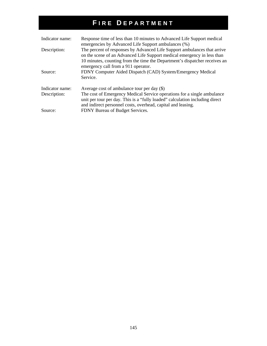## **F IRE D EPARTMENT**

| Indicator name: | Response time of less than 10 minutes to Advanced Life Support medical<br>emergencies by Advanced Life Support ambulances (%)                                                                                                                                            |
|-----------------|--------------------------------------------------------------------------------------------------------------------------------------------------------------------------------------------------------------------------------------------------------------------------|
| Description:    | The percent of responses by Advanced Life Support ambulances that arrive<br>on the scene of an Advanced Life Support medical emergency in less than<br>10 minutes, counting from the time the Department's dispatcher receives an<br>emergency call from a 911 operator. |
| Source:         | FDNY Computer Aided Dispatch (CAD) System/Emergency Medical<br>Service.                                                                                                                                                                                                  |
| Indicator name: | Average cost of ambulance tour per day $(\$)$                                                                                                                                                                                                                            |
| Description:    | The cost of Emergency Medical Service operations for a single ambulance<br>unit per tour per day. This is a "fully loaded" calculation including direct<br>and indirect personnel costs, overhead, capital and leasing.                                                  |
| Source:         | FDNY Bureau of Budget Services.                                                                                                                                                                                                                                          |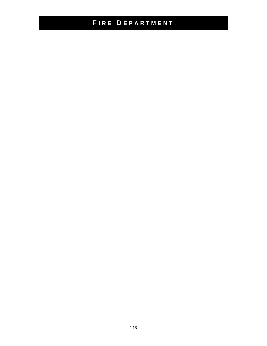## FIRE DEPARTMENT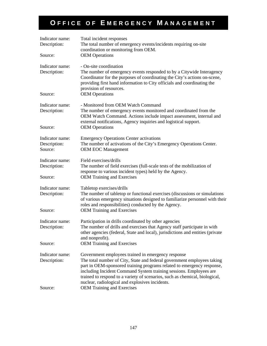## **O FFICE OF E MERGENCY M ANAGEMENT**

| Indicator name:<br>Description:<br>Source: | Total incident responses<br>The total number of emergency events/incidents requiring on-site<br>coordination or monitoring from OEM.<br><b>OEM</b> Operations                                                                                                                                                                                             |
|--------------------------------------------|-----------------------------------------------------------------------------------------------------------------------------------------------------------------------------------------------------------------------------------------------------------------------------------------------------------------------------------------------------------|
| Indicator name:<br>Description:            | - On-site coordination<br>The number of emergency events responded to by a Citywide Interagency                                                                                                                                                                                                                                                           |
|                                            | Coordinator for the purposes of coordinating the City's actions on-scene,<br>providing first hand information to City officials and coordinating the<br>provision of resources.                                                                                                                                                                           |
| Source:                                    | <b>OEM</b> Operations                                                                                                                                                                                                                                                                                                                                     |
| Indicator name:<br>Description:<br>Source: | - Monitored from OEM Watch Command<br>The number of emergency events monitored and coordinated from the<br>OEM Watch Command. Actions include impact assessment, internal and<br>external notifications, Agency inquiries and logistical support.<br><b>OEM</b> Operations                                                                                |
|                                            |                                                                                                                                                                                                                                                                                                                                                           |
| Indicator name:<br>Description:<br>Source: | <b>Emergency Operations Center activations</b><br>The number of activations of the City's Emergency Operations Center.<br><b>OEM EOC Management</b>                                                                                                                                                                                                       |
| Indicator name:<br>Description:            | Field exercises/drills<br>The number of field exercises (full-scale tests of the mobilization of                                                                                                                                                                                                                                                          |
| Source:                                    | response to various incident types) held by the Agency.<br><b>OEM Training and Exercises</b>                                                                                                                                                                                                                                                              |
| Indicator name:<br>Description:            | Tabletop exercises/drills<br>The number of tabletop or functional exercises (discussions or simulations                                                                                                                                                                                                                                                   |
|                                            | of various emergency situations designed to familiarize personnel with their<br>roles and responsibilities) conducted by the Agency.                                                                                                                                                                                                                      |
| Source:                                    | <b>OEM Training and Exercises</b>                                                                                                                                                                                                                                                                                                                         |
| Indicator name:<br>Description:            | Participation in drills coordinated by other agencies<br>The number of drills and exercises that Agency staff participate in with<br>other agencies (federal, State and local), jurisdictions and entities (private<br>and nonprofit).                                                                                                                    |
| Source:                                    | <b>OEM Training and Exercises</b>                                                                                                                                                                                                                                                                                                                         |
| Indicator name:                            | Government employees trained in emergency response                                                                                                                                                                                                                                                                                                        |
| Description:                               | The total number of City, State and federal government employees taking<br>part in OEM-sponsored training programs related to emergency response,<br>including Incident Command System training sessions. Employees are<br>trained to respond to a variety of scenarios, such as chemical, biological,<br>nuclear, radiological and explosives incidents. |
| Source:                                    | <b>OEM Training and Exercises</b>                                                                                                                                                                                                                                                                                                                         |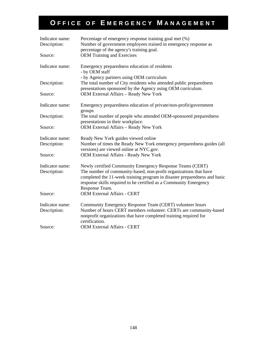## **O FFICE OF E MERGENCY M ANAGEMENT**

| Indicator name:<br>Description: | Percentage of emergency response training goal met (%)<br>Number of government employees trained in emergency response as<br>percentage of the agency's training goal.                                                                                                                             |
|---------------------------------|----------------------------------------------------------------------------------------------------------------------------------------------------------------------------------------------------------------------------------------------------------------------------------------------------|
| Source:                         | <b>OEM Training and Exercises</b>                                                                                                                                                                                                                                                                  |
| Indicator name:                 | Emergency preparedness education of residents<br>- by OEM staff                                                                                                                                                                                                                                    |
| Description:                    | - by Agency partners using OEM curriculum<br>The total number of City residents who attended public preparedness<br>presentations sponsored by the Agency using OEM curriculum.                                                                                                                    |
| Source:                         | OEM External Affairs - Ready New York                                                                                                                                                                                                                                                              |
| Indicator name:                 | Emergency preparedness education of private/non-profit/government<br>groups                                                                                                                                                                                                                        |
| Description:                    | The total number of people who attended OEM-sponsored preparedness<br>presentations in their workplace.                                                                                                                                                                                            |
| Source:                         | OEM External Affairs - Ready New York                                                                                                                                                                                                                                                              |
| Indicator name:<br>Description: | Ready New York guides viewed online<br>Number of times the Ready New York emergency preparedness guides (all<br>versions) are viewed online at NYC.gov.                                                                                                                                            |
| Source:                         | OEM External Affairs - Ready New York                                                                                                                                                                                                                                                              |
| Indicator name:<br>Description: | Newly certified Community Emergency Response Teams (CERT)<br>The number of community-based, non-profit organizations that have<br>completed the 11-week training program in disaster preparedness and basic<br>response skills required to be certified as a Community Emergency<br>Response Team. |
| Source:                         | <b>OEM External Affairs - CERT</b>                                                                                                                                                                                                                                                                 |
| Indicator name:<br>Description: | Community Emergency Response Team (CERT) volunteer hours<br>Number of hours CERT members volunteer. CERTs are community-based<br>nonprofit organizations that have completed training required for<br>certification.                                                                               |
| Source:                         | <b>OEM External Affairs - CERT</b>                                                                                                                                                                                                                                                                 |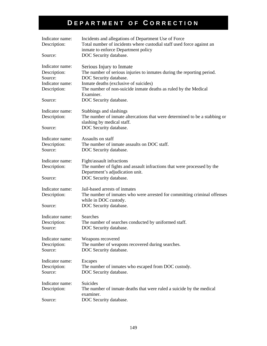| Indicator name:<br>Description:                                               | Incidents and allegations of Department Use of Force<br>Total number of incidents where custodial staff used force against an<br>inmate to enforce Department policy                                                                                  |
|-------------------------------------------------------------------------------|-------------------------------------------------------------------------------------------------------------------------------------------------------------------------------------------------------------------------------------------------------|
| Source:                                                                       | DOC Security database.                                                                                                                                                                                                                                |
| Indicator name:<br>Description:<br>Source:<br>Indicator name:<br>Description: | Serious Injury to Inmate<br>The number of serious injuries to inmates during the reporting period.<br>DOC Security database.<br>Inmate deaths (exclusive of suicides)<br>The number of non-suicide inmate deaths as ruled by the Medical<br>Examiner. |
| Source:                                                                       | DOC Security database.                                                                                                                                                                                                                                |
| Indicator name:<br>Description:<br>Source:                                    | Stabbings and slashings<br>The number of inmate altercations that were determined to be a stabbing or<br>slashing by medical staff.<br>DOC Security database.                                                                                         |
| Indicator name:<br>Description:<br>Source:                                    | Assaults on staff<br>The number of inmate assaults on DOC staff.<br>DOC Security database.                                                                                                                                                            |
| Indicator name:<br>Description:<br>Source:                                    | Fight/assault infractions<br>The number of fights and assault infractions that were processed by the<br>Department's adjudication unit.<br>DOC Security database.                                                                                     |
| Indicator name:<br>Description:<br>Source:                                    | Jail-based arrests of inmates<br>The number of inmates who were arrested for committing criminal offenses<br>while in DOC custody.<br>DOC Security database.                                                                                          |
| Indicator name:<br>Description:<br>Source:                                    | Searches<br>The number of searches conducted by uniformed staff.<br>DOC Security database.                                                                                                                                                            |
| Indicator name:<br>Description:<br>Source:                                    | Weapons recovered<br>The number of weapons recovered during searches.<br>DOC Security database.                                                                                                                                                       |
| Indicator name:<br>Description:<br>Source:                                    | Escapes<br>The number of inmates who escaped from DOC custody.<br>DOC Security database.                                                                                                                                                              |
| Indicator name:<br>Description:<br>Source:                                    | Suicides<br>The number of inmate deaths that were ruled a suicide by the medical<br>examiner.<br>DOC Security database.                                                                                                                               |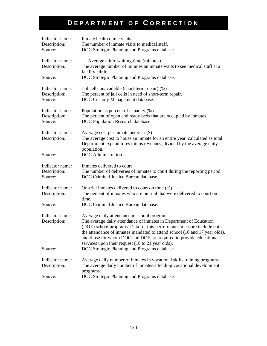| Indicator name:<br>Description:<br>Source: | Inmate health clinic visits<br>The number of inmate visits to medical staff.<br>DOC Strategic Planning and Programs database.                                                                                                                                                                                                                                                                       |
|--------------------------------------------|-----------------------------------------------------------------------------------------------------------------------------------------------------------------------------------------------------------------------------------------------------------------------------------------------------------------------------------------------------------------------------------------------------|
| Indicator name:<br>Description:            | - Average clinic waiting time (minutes)<br>The average number of minutes an inmate waits to see medical staff at a<br>facility clinic.                                                                                                                                                                                                                                                              |
| Source:                                    | DOC Strategic Planning and Programs database.                                                                                                                                                                                                                                                                                                                                                       |
| Indicator name:<br>Description:<br>Source: | Jail cells unavailable (short-term repair) (%)<br>The percent of jail cells in need of short-term repair.<br>DOC Custody Management database.                                                                                                                                                                                                                                                       |
| Indicator name:<br>Description:<br>Source: | Population as percent of capacity (%)<br>The percent of open and ready beds that are occupied by inmates.<br>DOC Population Research database.                                                                                                                                                                                                                                                      |
| Indicator name:<br>Description:            | Average cost per inmate per year $(\$)$<br>The average cost to house an inmate for an entire year, calculated as total<br>Department expenditures minus revenues, divided by the average daily<br>population.                                                                                                                                                                                       |
| Source:                                    | DOC Administration.                                                                                                                                                                                                                                                                                                                                                                                 |
| Indicator name:<br>Description:<br>Source: | Inmates delivered to court<br>The number of deliveries of inmates to court during the reporting period.<br>DOC Criminal Justice Bureau database.                                                                                                                                                                                                                                                    |
| Indicator name:<br>Description:            | On-trial inmates delivered to court on time (%)<br>The percent of inmates who are on trial that were delivered to court on<br>time.                                                                                                                                                                                                                                                                 |
| Source:                                    | DOC Criminal Justice Bureau database.                                                                                                                                                                                                                                                                                                                                                               |
| Indicator name:<br>Description:            | Average daily attendance in school programs<br>The average daily attendance of inmates in Department of Education<br>(DOE) school programs. Data for this performance measure include both<br>the attendance of inmates mandated to attend school (16 and 17 year olds),<br>and those for whom DOC and DOE are required to provide educational<br>services upon their request (18 to 21 year olds). |
| Source:                                    | DOC Strategic Planning and Programs database.                                                                                                                                                                                                                                                                                                                                                       |
| Indicator name:<br>Description:            | Average daily number of inmates in vocational skills training programs<br>The average daily number of inmates attending vocational development<br>programs.                                                                                                                                                                                                                                         |
| Source:                                    | DOC Strategic Planning and Programs database.                                                                                                                                                                                                                                                                                                                                                       |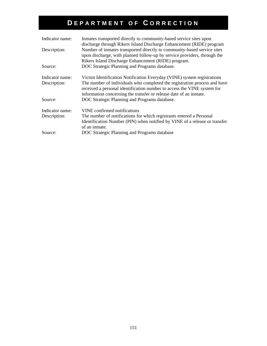| Indicator name: | Inmates transported directly to community-based service sites upon<br>discharge through Rikers Island Discharge Enhancement (RIDE) program                                                                                |
|-----------------|---------------------------------------------------------------------------------------------------------------------------------------------------------------------------------------------------------------------------|
| Description:    | Number of inmates transported directly to community-based service sites<br>upon discharge, with planned follow-up by service providers, through the                                                                       |
|                 | Rikers Island Discharge Enhancement (RIDE) program.                                                                                                                                                                       |
| Source:         | DOC Strategic Planning and Programs database.                                                                                                                                                                             |
| Indicator name: | Victim Identification Notification Everyday (VINE) system registrations                                                                                                                                                   |
| Description:    | The number of individuals who completed the registration process and have<br>received a personal identification number to access the VINE system for<br>information concerning the transfer or release date of an inmate. |
| Source:         | DOC Strategic Planning and Programs database.                                                                                                                                                                             |
| Indicator name: | VINE confirmed notifications                                                                                                                                                                                              |
| Description:    | The number of notifications for which registrants entered a Personal<br>Identification Number (PIN) when notified by VINE of a release or transfer<br>of an inmate.                                                       |
| Source:         | DOC Strategic Planning and Programs database                                                                                                                                                                              |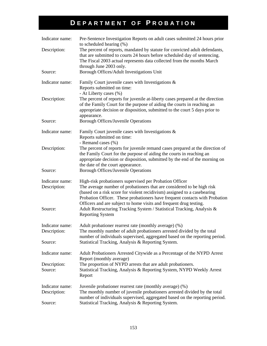## **D EPARTMENT OF P ROBATION**

| Indicator name:                            | Pre-Sentence Investigation Reports on adult cases submitted 24 hours prior<br>to scheduled hearing $(\%)$                                                                                                                                                                                    |
|--------------------------------------------|----------------------------------------------------------------------------------------------------------------------------------------------------------------------------------------------------------------------------------------------------------------------------------------------|
| Description:                               | The percent of reports, mandated by statute for convicted adult defendants,<br>that are submitted to courts 24 hours before scheduled day of sentencing.<br>The Fiscal 2003 actual represents data collected from the months March<br>through June 2003 only.                                |
| Source:                                    | Borough Offices/Adult Investigations Unit                                                                                                                                                                                                                                                    |
| Indicator name:                            | Family Court juvenile cases with Investigations &<br>Reports submitted on time:<br>- At Liberty cases (%)                                                                                                                                                                                    |
| Description:                               | The percent of reports for juvenile at-liberty cases prepared at the direction<br>of the Family Court for the purpose of aiding the courts in reaching an<br>appropriate decision or disposition, submitted to the court 5 days prior to<br>appearance.                                      |
| Source:                                    | Borough Offices/Juvenile Operations                                                                                                                                                                                                                                                          |
| Indicator name:                            | Family Court juvenile cases with Investigations &<br>Reports submitted on time:<br>- Remand cases (%)                                                                                                                                                                                        |
| Description:                               | The percent of reports for juvenile remand cases prepared at the direction of<br>the Family Court for the purpose of aiding the courts in reaching an<br>appropriate decision or disposition, submitted by the end of the morning on<br>the date of the court appearance.                    |
| Source:                                    | Borough Offices/Juvenile Operations                                                                                                                                                                                                                                                          |
| Indicator name:<br>Description:            | High-risk probationers supervised per Probation Officer<br>The average number of probationers that are considered to be high risk<br>(based on a risk score for violent recidivism) assigned to a casebearing<br>Probation Officer. These probationers have frequent contacts with Probation |
| Source:                                    | Officers and are subject to home visits and frequent drug testing.<br>Adult Restructuring Tracking System / Statistical Tracking, Analysis &<br><b>Reporting System</b>                                                                                                                      |
| Indicator name:<br>Description:            | Adult probationer rearrest rate (monthly average) (%)<br>The monthly number of adult probationers arrested divided by the total<br>number of individuals supervised, aggregated based on the reporting period.                                                                               |
| Source:                                    | Statistical Tracking, Analysis & Reporting System.                                                                                                                                                                                                                                           |
| Indicator name:                            | Adult Probationers Arrested Citywide as a Percentage of the NYPD Arrest<br>Report (monthly average)                                                                                                                                                                                          |
| Description:<br>Source:                    | The proportion of NYPD arrests that are adult probationers.<br>Statistical Tracking, Analysis & Reporting System, NYPD Weekly Arrest<br>Report                                                                                                                                               |
| Indicator name:<br>Description:<br>Source: | Juvenile probationer rearrest rate (monthly average) (%)<br>The monthly number of juvenile probationers arrested divided by the total<br>number of individuals supervised, aggregated based on the reporting period.<br>Statistical Tracking, Analysis & Reporting System.                   |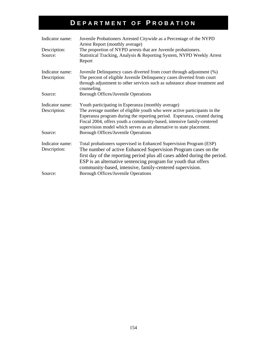## **D EPARTMENT OF P ROBATION**

| Indicator name:<br>Description:<br>Source: | Juvenile Probationers Arrested Citywide as a Percentage of the NYPD<br>Arrest Report (monthly average)<br>The proportion of NYPD arrests that are Juvenile probationers.<br>Statistical Tracking, Analysis & Reporting System, NYPD Weekly Arrest                                                                                                |
|--------------------------------------------|--------------------------------------------------------------------------------------------------------------------------------------------------------------------------------------------------------------------------------------------------------------------------------------------------------------------------------------------------|
|                                            | Report                                                                                                                                                                                                                                                                                                                                           |
| Indicator name:<br>Description:            | Juvenile Delinquency cases diverted from court through adjustment (%)<br>The percent of eligible Juvenile Delinquency cases diverted from court<br>through adjustment to other services such as substance abuse treatment and<br>counseling.                                                                                                     |
| Source:                                    | Borough Offices/Juvenile Operations                                                                                                                                                                                                                                                                                                              |
| Indicator name:<br>Description:            | Youth participating in Esperanza (monthly average)<br>The average number of eligible youth who were active participants in the<br>Esperanza program during the reporting period. Esperanza, created during<br>Fiscal 2004, offers youth a community-based, intensive family-centered                                                             |
| Source:                                    | supervision model which serves as an alternative to state placement.<br><b>Borough Offices/Juvenile Operations</b>                                                                                                                                                                                                                               |
| Indicator name:<br>Description:            | Total probationers supervised in Enhanced Supervision Program (ESP)<br>The number of active Enhanced Supervision Program cases on the<br>first day of the reporting period plus all cases added during the period.<br>ESP is an alternative sentencing program for youth that offers<br>community-based, intensive, family-centered supervision. |
| Source:                                    | <b>Borough Offices/Juvenile Operations</b>                                                                                                                                                                                                                                                                                                       |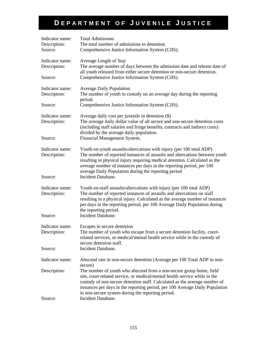## **D EPARTMENT OF J UVENILE J USTICE**

| Indicator name:         | <b>Total Admissions</b>                                                                                                                           |
|-------------------------|---------------------------------------------------------------------------------------------------------------------------------------------------|
| Description:<br>Source: | The total number of admissions to detention.<br>Comprehensive Justice Information System (CJIS).                                                  |
|                         |                                                                                                                                                   |
| Indicator name:         | Average Length of Stay                                                                                                                            |
| Description:            | The average number of days between the admission date and release date of                                                                         |
|                         | all youth released from either secure detention or non-secure detention.                                                                          |
| Source:                 | Comprehensive Justice Information System (CJIS).                                                                                                  |
| Indicator name:         | <b>Average Daily Population</b>                                                                                                                   |
| Description:            | The number of youth in custody on an average day during the reporting                                                                             |
|                         | period.                                                                                                                                           |
| Source:                 | Comprehensive Justice Information System (CJIS).                                                                                                  |
| Indicator name:         | Average daily cost per juvenile in detention (\$)                                                                                                 |
| Description:            | The average daily dollar value of all secure and non-secure detention costs                                                                       |
|                         | (including staff salaries and fringe benefits, contracts and indirect costs)                                                                      |
|                         | divided by the average daily population.                                                                                                          |
| Source:                 | Financial Management System.                                                                                                                      |
| Indicator name:         | Youth-on-youth assaults/altercations with injury (per 100 total ADP)                                                                              |
| Description:            | The number of reported instances of assaults and altercations between youth                                                                       |
|                         | resulting in physical injury requiring medical attention. Calculated as the                                                                       |
|                         | average number of instances per days in the reporting period, per 100                                                                             |
|                         | average Daily Population during the reporting period<br>Incident Database.                                                                        |
| Source:                 |                                                                                                                                                   |
| Indicator name:         | Youth-on-staff assaults/altercations with injury (per 100 total ADP)                                                                              |
| Description:            | The number of reported instances of assaults and altercations on staff                                                                            |
|                         | resulting in a physical injury. Calculated as the average number of instances                                                                     |
|                         | per days in the reporting period, per 100 Average Daily Population during<br>the reporting period.                                                |
| Source:                 | Incident Database.                                                                                                                                |
|                         |                                                                                                                                                   |
| Indicator name:         | Escapes in secure detention                                                                                                                       |
| Description:            | The number of youth who escape from a secure detention facility, court-                                                                           |
|                         | related services, or medical/mental health service while in the custody of<br>secure detention staff.                                             |
| Source:                 | Incident Database.                                                                                                                                |
|                         |                                                                                                                                                   |
| Indicator name:         | Abscond rate in non-secure detention (Average per 100 Total ADP in non-                                                                           |
|                         | secure)                                                                                                                                           |
| Description:            | The number of youth who abscond from a non-secure group home, field<br>site, court-related service, or medical/mental health service while in the |
|                         | custody of non-secure detention staff. Calculated as the average number of                                                                        |
|                         | instances per days in the reporting period, per 100 Average Daily Population                                                                      |
|                         | in non-secure system during the reporting period.                                                                                                 |
| Source:                 | Incident Database.                                                                                                                                |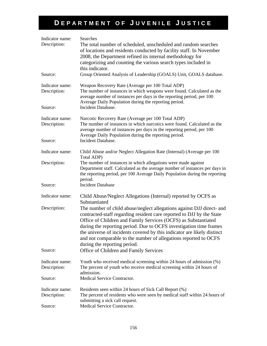## **D EPARTMENT OF J UVENILE J USTICE**

| Indicator name:<br>Description:            | Searches<br>The total number of scheduled, unscheduled and random searches<br>of locations and residents conducted by facility staff. In November<br>2008, the Department refined its internal methodology for<br>categorizing and counting the various search types included in<br>this indicator.                                                                                                                                                                   |
|--------------------------------------------|-----------------------------------------------------------------------------------------------------------------------------------------------------------------------------------------------------------------------------------------------------------------------------------------------------------------------------------------------------------------------------------------------------------------------------------------------------------------------|
| Source:                                    | Group Oriented Analysis of Leadership (GOALS) Unit, GOALS database.                                                                                                                                                                                                                                                                                                                                                                                                   |
| Indicator name:<br>Description:            | Weapon Recovery Rate (Average per 100 Total ADP)<br>The number of instances in which weapons were found. Calculated as the<br>average number of instances per days in the reporting period, per 100<br>Average Daily Population during the reporting period.                                                                                                                                                                                                          |
| Source:                                    | Incident Database.                                                                                                                                                                                                                                                                                                                                                                                                                                                    |
| Indicator name:<br>Description:            | Narcotic Recovery Rate (Average per 100 Total ADP)<br>The number of instances in which narcotics were found. Calculated as the<br>average number of instances per days in the reporting period, per 100<br>Average Daily Population during the reporting period.                                                                                                                                                                                                      |
| Source:                                    | Incident Database.                                                                                                                                                                                                                                                                                                                                                                                                                                                    |
| Indicator name:                            | Child Abuse and/or Neglect Allegation Rate (Internal) (Average per 100<br>Total ADP)                                                                                                                                                                                                                                                                                                                                                                                  |
| Description:                               | The number of instances in which allegations were made against<br>Department staff. Calculated as the average number of instances per days in<br>the reporting period, per 100 Average Daily Population during the reporting<br>period.                                                                                                                                                                                                                               |
| Source:                                    | <b>Incident Database</b>                                                                                                                                                                                                                                                                                                                                                                                                                                              |
| Indicator name:                            | Child Abuse/Neglect Allegations (Internal) reported by OCFS as<br>Substantiated                                                                                                                                                                                                                                                                                                                                                                                       |
| Description:                               | The number of child abuse/neglect allegations against DJJ direct- and<br>contracted-staff regarding resident care reported to DJJ by the State<br>Office of Children and Family Services (OCFS) as Substantiated<br>during the reporting period. Due to OCFS investigation time frames<br>the universe of incidents covered by this indicator are likely distinct<br>and not comparable to the number of allegations reported to OCFS<br>during the reporting period. |
| Source:                                    | Office of Children and Family Services                                                                                                                                                                                                                                                                                                                                                                                                                                |
| Indicator name:<br>Description:            | Youth who received medical screening within 24 hours of admission (%)<br>The percent of youth who receive medical screening within 24 hours of<br>admission.                                                                                                                                                                                                                                                                                                          |
| Source:                                    | Medical Service Contractor.                                                                                                                                                                                                                                                                                                                                                                                                                                           |
| Indicator name:<br>Description:<br>Source: | Residents seen within 24 hours of Sick Call Report (%)<br>The percent of residents who were seen by medical staff within 24 hours of<br>submitting a sick call request.<br>Medical Service Contractor.                                                                                                                                                                                                                                                                |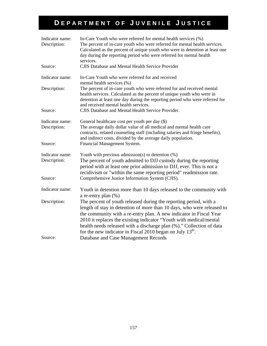## **D EPARTMENT OF J UVENILE J USTICE**

| Indicator name:<br>Description: | In-Care Youth who were referred for mental health services (%)<br>The percent of in-care youth who were referred for mental health services.<br>Calculated as the percent of unique youth who were in detention at least one<br>day during the reporting period who were referred for mental health<br>services.                                                                                                               |
|---------------------------------|--------------------------------------------------------------------------------------------------------------------------------------------------------------------------------------------------------------------------------------------------------------------------------------------------------------------------------------------------------------------------------------------------------------------------------|
| Source:                         | CJIS Database and Mental Health Service Provider                                                                                                                                                                                                                                                                                                                                                                               |
| Indicator name:                 | In-Care Youth who were referred for and received<br>mental health services (%)                                                                                                                                                                                                                                                                                                                                                 |
| Description:                    | The percent of in-care youth who were referred for and received mental<br>health services. Calculated as the percent of unique youth who were in<br>detention at least one day during the reporting period who were referred for<br>and received mental health services.                                                                                                                                                       |
| Source:                         | CJIS Database and Mental Health Service Provider.                                                                                                                                                                                                                                                                                                                                                                              |
| Indicator name:<br>Description: | General healthcare cost per youth per day (\$)<br>The average daily dollar value of all medical and mental health care<br>contracts, related counseling staff (including salaries and fringe benefits),<br>and indirect costs, divided by the average daily population.                                                                                                                                                        |
| Source:                         | Financial Management System.                                                                                                                                                                                                                                                                                                                                                                                                   |
| Indicator name:<br>Description: | Youth with previous admission(s) to detention $(\%)$<br>The percent of youth admitted to DJJ custody during the reporting<br>period with at least one prior admission to DJJ, ever. This is not a<br>recidivism or "within the same reporting period" readmission rate.                                                                                                                                                        |
| Source:                         | Comprehensive Justice Information System (CJIS).                                                                                                                                                                                                                                                                                                                                                                               |
| Indicator name:                 | Youth in detention more than 10 days released to the community with<br>a re-entry plan $(\%)$                                                                                                                                                                                                                                                                                                                                  |
| Description:                    | The percent of youth released during the reporting period, with a<br>length of stay in detention of more than 10 days, who were released to<br>the community with a re-entry plan. A new indicator in Fiscal Year<br>2010 it replaces the existing indicator "Youth with medical/mental<br>health needs released with a discharge plan (%)." Collection of data<br>for the new indicator in Fiscal 2010 began on July $13th$ . |
| Source:                         | Database and Case Management Records                                                                                                                                                                                                                                                                                                                                                                                           |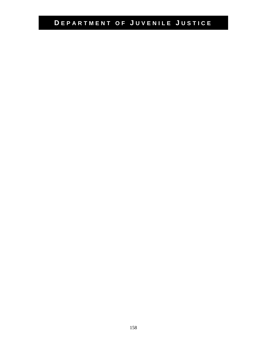## DEPARTMENT OF JUVENILE JUSTICE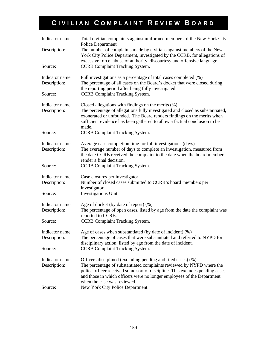## **C IVILIAN C OMPLAINT R EVIEW B OARD**

| Indicator name:                            | Total civilian complaints against uniformed members of the New York City<br><b>Police Department</b>                                                                                                                                                                                                                           |
|--------------------------------------------|--------------------------------------------------------------------------------------------------------------------------------------------------------------------------------------------------------------------------------------------------------------------------------------------------------------------------------|
| Description:                               | The number of complaints made by civilians against members of the New<br>York City Police Department, investigated by the CCRB, for allegations of<br>excessive force, abuse of authority, discourtesy and offensive language.                                                                                                 |
| Source:                                    | <b>CCRB Complaint Tracking System.</b>                                                                                                                                                                                                                                                                                         |
| Indicator name:<br>Description:<br>Source: | Full investigations as a percentage of total cases completed (%)<br>The percentage of all cases on the Board's docket that were closed during<br>the reporting period after being fully investigated.<br><b>CCRB</b> Complaint Tracking System.                                                                                |
|                                            |                                                                                                                                                                                                                                                                                                                                |
| Indicator name:<br>Description:            | Closed allegations with findings on the merits $(\%)$<br>The percentage of allegations fully investigated and closed as substantiated,<br>exonerated or unfounded. The Board renders findings on the merits when<br>sufficient evidence has been gathered to allow a factual conclusion to be<br>made.                         |
| Source:                                    | <b>CCRB Complaint Tracking System.</b>                                                                                                                                                                                                                                                                                         |
| Indicator name:<br>Description:            | Average case completion time for full investigations (days)<br>The average number of days to complete an investigation, measured from<br>the date CCRB received the complaint to the date when the board members<br>render a final decision.                                                                                   |
| Source:                                    | <b>CCRB Complaint Tracking System.</b>                                                                                                                                                                                                                                                                                         |
| Indicator name:<br>Description:            | Case closures per investigator<br>Number of closed cases submitted to CCRB's board members per<br>investigator.                                                                                                                                                                                                                |
| Source:                                    | Investigations Unit.                                                                                                                                                                                                                                                                                                           |
| Indicator name:<br>Description:            | Age of docket (by date of report) $(\%)$<br>The percentage of open cases, listed by age from the date the complaint was<br>reported to CCRB.                                                                                                                                                                                   |
| Source:                                    | <b>CCRB</b> Complaint Tracking System.                                                                                                                                                                                                                                                                                         |
| Indicator name:<br>Description:            | Age of cases when substantiated (by date of incident) (%)<br>The percentage of cases that were substantiated and referred to NYPD for<br>disciplinary action, listed by age from the date of incident.                                                                                                                         |
| Source:                                    | <b>CCRB</b> Complaint Tracking System.                                                                                                                                                                                                                                                                                         |
| Indicator name:<br>Description:            | Officers disciplined (excluding pending and filed cases) (%)<br>The percentage of substantiated complaints reviewed by NYPD where the<br>police officer received some sort of discipline. This excludes pending cases<br>and those in which officers were no longer employees of the Department<br>when the case was reviewed. |
| Source:                                    | New York City Police Department.                                                                                                                                                                                                                                                                                               |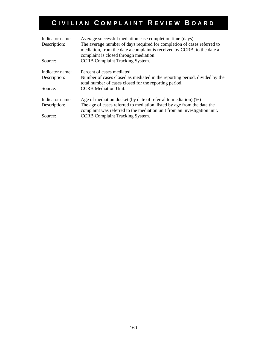## **C IVILIAN C OMPLAINT R EVIEW B OARD**

| Indicator name: | Average successful mediation case completion time (days)                                                                                                                                     |
|-----------------|----------------------------------------------------------------------------------------------------------------------------------------------------------------------------------------------|
| Description:    | The average number of days required for completion of cases referred to<br>mediation, from the date a complaint is received by CCRB, to the date a<br>complaint is closed through mediation. |
| Source:         | <b>CCRB</b> Complaint Tracking System.                                                                                                                                                       |
| Indicator name: | Percent of cases mediated                                                                                                                                                                    |
| Description:    | Number of cases closed as mediated in the reporting period, divided by the<br>total number of cases closed for the reporting period.                                                         |
| Source:         | <b>CCRB</b> Mediation Unit.                                                                                                                                                                  |
| Indicator name: | Age of mediation docket (by date of referral to mediation) (%)                                                                                                                               |
| Description:    | The age of cases referred to mediation, listed by age from the date the<br>complaint was referred to the mediation unit from an investigation unit.                                          |
| Source:         | <b>CCRB</b> Complaint Tracking System.                                                                                                                                                       |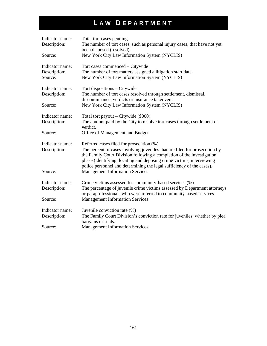## **L AW D EPARTMENT**

| Indicator name:         | Total tort cases pending                                                                                                                                                                                                                                                                              |
|-------------------------|-------------------------------------------------------------------------------------------------------------------------------------------------------------------------------------------------------------------------------------------------------------------------------------------------------|
| Description:            | The number of tort cases, such as personal injury cases, that have not yet<br>been disposed (resolved).                                                                                                                                                                                               |
| Source:                 | New York City Law Information System (NYCLIS)                                                                                                                                                                                                                                                         |
| Indicator name:         | Tort cases commenced – Citywide                                                                                                                                                                                                                                                                       |
| Description:<br>Source: | The number of tort matters assigned a litigation start date.<br>New York City Law Information System (NYCLIS)                                                                                                                                                                                         |
| Indicator name:         | Tort dispositions – Citywide                                                                                                                                                                                                                                                                          |
| Description:            | The number of tort cases resolved through settlement, dismissal,<br>discontinuance, verdicts or insurance takeovers.                                                                                                                                                                                  |
| Source:                 | New York City Law Information System (NYCLIS)                                                                                                                                                                                                                                                         |
| Indicator name:         | Total tort payout – Citywide (\$000)                                                                                                                                                                                                                                                                  |
| Description:            | The amount paid by the City to resolve tort cases through settlement or<br>verdict.                                                                                                                                                                                                                   |
| Source:                 | Office of Management and Budget                                                                                                                                                                                                                                                                       |
| Indicator name:         | Referred cases filed for prosecution (%)                                                                                                                                                                                                                                                              |
| Description:            | The percent of cases involving juveniles that are filed for prosecution by<br>the Family Court Division following a completion of the investigation<br>phase (identifying, locating and deposing crime victims, interviewing<br>police personnel and determining the legal sufficiency of the cases). |
| Source:                 | <b>Management Information Services</b>                                                                                                                                                                                                                                                                |
| Indicator name:         | Crime victims assessed for community-based services (%)                                                                                                                                                                                                                                               |
| Description:            | The percentage of juvenile crime victims assessed by Department attorneys<br>or paraprofessionals who were referred to community-based services.                                                                                                                                                      |
| Source:                 | <b>Management Information Services</b>                                                                                                                                                                                                                                                                |
| Indicator name:         | Juvenile conviction rate (%)                                                                                                                                                                                                                                                                          |
| Description:            | The Family Court Division's conviction rate for juveniles, whether by plea<br>bargains or trials.                                                                                                                                                                                                     |
| Source:                 | <b>Management Information Services</b>                                                                                                                                                                                                                                                                |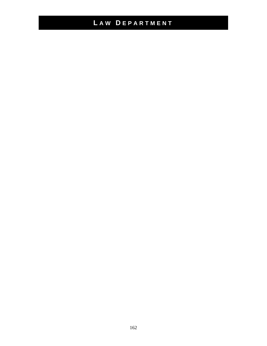## LAW DEPARTMENT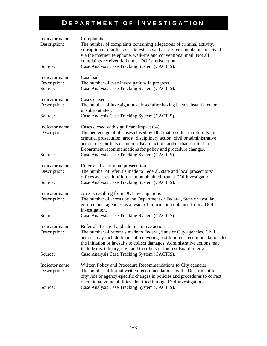| Indicator name:<br>Description:            | Complaints<br>The number of complaints containing allegations of criminal activity,<br>corruption or conflicts of interest, as well as service complaints, received<br>via the internet, telephone, walk-ins and conventional mail. Not all<br>complaints received fall under DOI's jurisdiction.                                                              |
|--------------------------------------------|----------------------------------------------------------------------------------------------------------------------------------------------------------------------------------------------------------------------------------------------------------------------------------------------------------------------------------------------------------------|
| Source:                                    | Case Analysis Case Tracking System (CACTIS).                                                                                                                                                                                                                                                                                                                   |
| Indicator name:<br>Description:<br>Source: | Caseload<br>The number of case investigations in progress.<br>Case Analysis Case Tracking System (CACTIS).                                                                                                                                                                                                                                                     |
| Indicator name:<br>Description:            | Cases closed<br>The number of investigations closed after having been substantiated or<br>unsubstantiated.                                                                                                                                                                                                                                                     |
| Source:                                    | Case Analysis Case Tracking System (CACTIS).                                                                                                                                                                                                                                                                                                                   |
| Indicator name:<br>Description:            | Cases closed with significant impact (%)<br>The percentage of all cases closed by DOI that resulted in referrals for<br>criminal prosecution, arrest, disciplinary action, civil or administrative<br>action, or Conflicts of Interest Board action, and/or that resulted in<br>Department recommendations for policy and procedure changes.                   |
| Source:                                    | Case Analysis Case Tracking System (CACTIS).                                                                                                                                                                                                                                                                                                                   |
| Indicator name:<br>Description:            | Referrals for criminal prosecution<br>The number of referrals made to Federal, state and local prosecutors'<br>offices as a result of information obtained from a DOI investigation.                                                                                                                                                                           |
| Source:                                    | Case Analysis Case Tracking System (CACTIS).                                                                                                                                                                                                                                                                                                                   |
| Indicator name:<br>Description:            | Arrests resulting from DOI investigations<br>The number of arrests by the Department or Federal, State or local law<br>enforcement agencies as a result of information obtained from a DOI<br>investigation.                                                                                                                                                   |
| Source:                                    | Case Analysis Case Tracking System (CACTIS).                                                                                                                                                                                                                                                                                                                   |
| Indicator name:<br>Description:            | Referrals for civil and administrative action<br>The number of referrals made to Federal, State or City agencies. Civil<br>actions may include financial recoveries, restitution or recommendations for<br>the initiation of lawsuits to collect damages. Administrative actions may<br>include disciplinary, civil and Conflicts of Interest Board referrals. |
| Source:                                    | Case Analysis Case Tracking System (CACTIS).                                                                                                                                                                                                                                                                                                                   |
| Indicator name:<br>Description:            | Written Policy and Procedure Recommendations to City agencies<br>The number of formal written recommendations by the Department for<br>citywide or agency-specific changes in policies and procedures to correct<br>operational vulnerabilities identified through DOI investigations.                                                                         |
| Source:                                    | Case Analysis Case Tracking System (CACTIS).                                                                                                                                                                                                                                                                                                                   |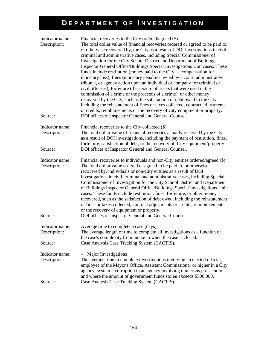| Indicator name:<br>Description: | Financial recoveries to the City ordered/agreed (\$)<br>The total dollar value of financial recoveries ordered or agreed to be paid to,<br>or otherwise recovered by, the City as a result of DOI investigations in civil,<br>criminal and administrative cases, including Special Commissioner of<br>Investigation for the City School District and Department of Buildings<br>Inspector General Office/Buildings Special Investigations Unit cases. These<br>funds include restitution (money paid to the City as compensation for<br>monetary loss); fines (monetary penalties levied by a court, administrative<br>tribunal, or agency action upon an individual or company for criminal or<br>civil offenses); forfeiture (the seizure of assets that were used in the<br>commission of a crime or the proceeds of a crime); or other money<br>recovered by the City, such as the satisfaction of debt owed to the City,<br>including the reinstatement of fines or taxes collected, contract adjustments<br>or credits, reimbursements or the recovery of City equipment or property. |
|---------------------------------|---------------------------------------------------------------------------------------------------------------------------------------------------------------------------------------------------------------------------------------------------------------------------------------------------------------------------------------------------------------------------------------------------------------------------------------------------------------------------------------------------------------------------------------------------------------------------------------------------------------------------------------------------------------------------------------------------------------------------------------------------------------------------------------------------------------------------------------------------------------------------------------------------------------------------------------------------------------------------------------------------------------------------------------------------------------------------------------------|
| Source:                         | DOI offices of Inspector General and General Counsel.                                                                                                                                                                                                                                                                                                                                                                                                                                                                                                                                                                                                                                                                                                                                                                                                                                                                                                                                                                                                                                       |
| Indicator name:<br>Description: | Financial recoveries to the City collected (\$)<br>The total dollar value of financial recoveries actually received by the City<br>as a result of DOI investigations, including the payment of restitution, fines,<br>forfeiture, satisfaction of debt, or the recovery of City equipment/property.                                                                                                                                                                                                                                                                                                                                                                                                                                                                                                                                                                                                                                                                                                                                                                                         |
| Source:                         | DOI offices of Inspector General and General Counsel.                                                                                                                                                                                                                                                                                                                                                                                                                                                                                                                                                                                                                                                                                                                                                                                                                                                                                                                                                                                                                                       |
| Indicator name:<br>Description: | Financial recoveries to individuals and non-City entities ordered/agreed (\$)<br>The total dollar value ordered or agreed to be paid to, or otherwise<br>recovered by, individuals or non-City entities as a result of DOI<br>investigations in civil, criminal and administrative cases, including Special<br>Commissioner of Investigation for the City School District and Department<br>of Buildings Inspector General Office/Buildings Special Investigations Unit<br>cases. These funds include restitution, fines, forfeiture, or other money<br>recovered, such as the satisfaction of debt owed, including the reinstatement<br>of fines or taxes collected, contract adjustments or credits, reimbursements<br>or the recovery of equipment or property.                                                                                                                                                                                                                                                                                                                          |
| Source:                         | DOI offices of Inspector General and General Counsel.                                                                                                                                                                                                                                                                                                                                                                                                                                                                                                                                                                                                                                                                                                                                                                                                                                                                                                                                                                                                                                       |
| Indicator name:<br>Description: | Average time to complete a case (days)<br>The average length of time to complete all investigations as a function of<br>the case's complexity from intake to when the case is closed.                                                                                                                                                                                                                                                                                                                                                                                                                                                                                                                                                                                                                                                                                                                                                                                                                                                                                                       |
| Source:                         | Case Analysis Case Tracking System (CACTIS).                                                                                                                                                                                                                                                                                                                                                                                                                                                                                                                                                                                                                                                                                                                                                                                                                                                                                                                                                                                                                                                |
| Indicator name:<br>Description: | <b>Major Investigations</b><br>The average time to complete investigations involving an elected official,<br>employee of the Mayor's Office, Assistant Commissioner or higher in a City<br>agency, systemic corruption in an agency involving numerous prosecutions,<br>and where the amount of government funds stolen exceeds \$500,000.                                                                                                                                                                                                                                                                                                                                                                                                                                                                                                                                                                                                                                                                                                                                                  |
| Source:                         | Case Analysis Case Tracking System (CACTIS).                                                                                                                                                                                                                                                                                                                                                                                                                                                                                                                                                                                                                                                                                                                                                                                                                                                                                                                                                                                                                                                |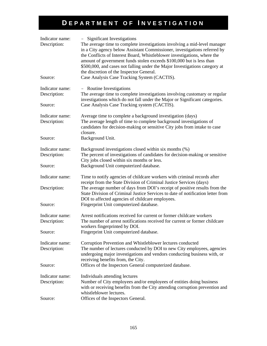| Indicator name:<br>Description: | <b>Significant Investigations</b><br>The average time to complete investigations involving a mid-level manager<br>in a City agency below Assistant Commissioner, investigations referred by<br>the Conflicts of Interest Board, Whistleblower investigations, where the<br>amount of government funds stolen exceeds \$100,000 but is less than<br>\$500,000, and cases not falling under the Major Investigations category at<br>the discretion of the Inspector General. |
|---------------------------------|----------------------------------------------------------------------------------------------------------------------------------------------------------------------------------------------------------------------------------------------------------------------------------------------------------------------------------------------------------------------------------------------------------------------------------------------------------------------------|
| Source:                         | Case Analysis Case Tracking System (CACTIS).                                                                                                                                                                                                                                                                                                                                                                                                                               |
| Indicator name:<br>Description: | - Routine Investigations<br>The average time to complete investigations involving customary or regular<br>investigations which do not fall under the Major or Significant categories.                                                                                                                                                                                                                                                                                      |
| Source:                         | Case Analysis Case Tracking system (CACTIS).                                                                                                                                                                                                                                                                                                                                                                                                                               |
| Indicator name:<br>Description: | Average time to complete a background investigation (days)<br>The average length of time to complete background investigations of<br>candidates for decision-making or sensitive City jobs from intake to case<br>closure.                                                                                                                                                                                                                                                 |
| Source:                         | Background Unit.                                                                                                                                                                                                                                                                                                                                                                                                                                                           |
| Indicator name:<br>Description: | Background investigations closed within six months (%)<br>The percent of investigations of candidates for decision-making or sensitive<br>City jobs closed within six months or less.                                                                                                                                                                                                                                                                                      |
| Source:                         | Background Unit computerized database.                                                                                                                                                                                                                                                                                                                                                                                                                                     |
| Indicator name:                 | Time to notify agencies of childcare workers with criminal records after<br>receipt from the State Division of Criminal Justice Services (days)                                                                                                                                                                                                                                                                                                                            |
| Description:                    | The average number of days from DOI's receipt of positive results from the<br>State Division of Criminal Justice Services to date of notification letter from<br>DOI to affected agencies of childcare employees.                                                                                                                                                                                                                                                          |
| Source:                         | Fingerprint Unit computerized database.                                                                                                                                                                                                                                                                                                                                                                                                                                    |
| Indicator name:<br>Description: | Arrest notifications received for current or former childcare workers<br>The number of arrest notifications received for current or former childcare<br>workers fingerprinted by DOI.                                                                                                                                                                                                                                                                                      |
| Source:                         | Fingerprint Unit computerized database.                                                                                                                                                                                                                                                                                                                                                                                                                                    |
| Indicator name:                 | Corruption Prevention and Whistleblower lectures conducted                                                                                                                                                                                                                                                                                                                                                                                                                 |
| Description:                    | The number of lectures conducted by DOI to new City employees, agencies<br>undergoing major investigations and vendors conducting business with, or<br>receiving benefits from, the City.                                                                                                                                                                                                                                                                                  |
| Source:                         | Offices of the Inspectors General computerized database.                                                                                                                                                                                                                                                                                                                                                                                                                   |
| Indicator name:                 | Individuals attending lectures                                                                                                                                                                                                                                                                                                                                                                                                                                             |
| Description:                    | Number of City employees and/or employees of entities doing business<br>with or receiving benefits from the City attending corruption prevention and<br>whistleblower lectures.                                                                                                                                                                                                                                                                                            |
| Source:                         | Offices of the Inspectors General.                                                                                                                                                                                                                                                                                                                                                                                                                                         |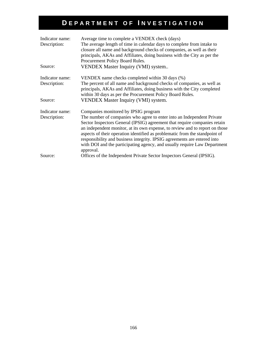| Indicator name:<br>Description: | Average time to complete a VENDEX check (days)<br>The average length of time in calendar days to complete from intake to<br>closure all name and background checks of companies, as well as their<br>principals, AKAs and Affiliates, doing business with the City as per the<br>Procurement Policy Board Rules.                                                                                                                                                                         |
|---------------------------------|------------------------------------------------------------------------------------------------------------------------------------------------------------------------------------------------------------------------------------------------------------------------------------------------------------------------------------------------------------------------------------------------------------------------------------------------------------------------------------------|
| Source:                         | VENDEX Master Inquiry (VMI) system                                                                                                                                                                                                                                                                                                                                                                                                                                                       |
| Indicator name:                 | VENDEX name checks completed within 30 days (%)                                                                                                                                                                                                                                                                                                                                                                                                                                          |
| Description:                    | The percent of all name and background checks of companies, as well as<br>principals, AKAs and Affiliates, doing business with the City completed<br>within 30 days as per the Procurement Policy Board Rules.                                                                                                                                                                                                                                                                           |
| Source:                         | VENDEX Master Inquiry (VMI) system.                                                                                                                                                                                                                                                                                                                                                                                                                                                      |
| Indicator name:                 | Companies monitored by IPSIG program                                                                                                                                                                                                                                                                                                                                                                                                                                                     |
| Description:                    | The number of companies who agree to enter into an Independent Private<br>Sector Inspectors General (IPSIG) agreement that require companies retain<br>an independent monitor, at its own expense, to review and to report on those<br>aspects of their operation identified as problematic from the standpoint of<br>responsibility and business integrity. IPSIG agreements are entered into<br>with DOI and the participating agency, and usually require Law Department<br>approval. |
| Source:                         | Offices of the Independent Private Sector Inspectors General (IPSIG).                                                                                                                                                                                                                                                                                                                                                                                                                    |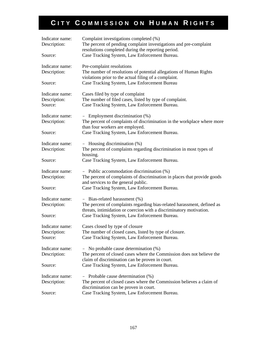## **C ITY C OMMISSION ON H UMAN R IGHTS**

| Indicator name:<br>Description:            | Complaint investigations completed (%)<br>The percent of pending complaint investigations and pre-complaint<br>resolutions completed during the reporting period.                                             |
|--------------------------------------------|---------------------------------------------------------------------------------------------------------------------------------------------------------------------------------------------------------------|
| Source:                                    | Case Tracking System, Law Enforcement Bureau.                                                                                                                                                                 |
| Indicator name:<br>Description:            | Pre-complaint resolutions<br>The number of resolutions of potential allegations of Human Rights<br>violations prior to the actual filing of a complaint.                                                      |
| Source:                                    | Case Tracking System, Law Enforcement Bureau                                                                                                                                                                  |
| Indicator name:<br>Description:<br>Source: | Cases filed by type of complaint<br>The number of filed cases, listed by type of complaint.<br>Case Tracking System, Law Enforcement Bureau.                                                                  |
| Indicator name:<br>Description:            | Employment discrimination (%)<br>The percent of complaints of discrimination in the workplace where more<br>than four workers are employed.                                                                   |
| Source:                                    | Case Tracking System, Law Enforcement Bureau.                                                                                                                                                                 |
| Indicator name:<br>Description:            | - Housing discrimination (%)<br>The percent of complaints regarding discrimination in most types of<br>housing.                                                                                               |
| Source:                                    | Case Tracking System, Law Enforcement Bureau.                                                                                                                                                                 |
| Indicator name:<br>Description:<br>Source: | - Public accommodation discrimination (%)<br>The percent of complaints of discrimination in places that provide goods<br>and services to the general public.<br>Case Tracking System, Law Enforcement Bureau. |
|                                            |                                                                                                                                                                                                               |
| Indicator name:<br>Description:            | - Bias-related harassment (%)<br>The percent of complaints regarding bias-related harassment, defined as<br>threats, intimidation or coercion with a discriminatory motivation.                               |
| Source:                                    | Case Tracking System, Law Enforcement Bureau.                                                                                                                                                                 |
| Indicator name:<br>Description:<br>Source: | Cases closed by type of closure<br>The number of closed cases, listed by type of closure.<br>Case Tracking System, Law Enforcement Bureau.                                                                    |
| Indicator name:<br>Description:            | No probable cause determination (%)<br>The percent of closed cases where the Commission does not believe the<br>claim of discrimination can be proven in court.                                               |
| Source:                                    | Case Tracking System, Law Enforcement Bureau.                                                                                                                                                                 |
| Indicator name:<br>Description:            | Probable cause determination (%)<br>The percent of closed cases where the Commission believes a claim of                                                                                                      |
| Source:                                    | discrimination can be proven in court.<br>Case Tracking System, Law Enforcement Bureau.                                                                                                                       |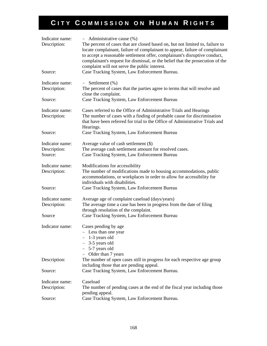# **C ITY C OMMISSION ON H UMAN R IGHTS**

| Indicator name:<br>Description:            | - Administrative cause (%)<br>The percent of cases that are closed based on, but not limited to, failure to<br>locate complainant, failure of complainant to appear, failure of complainant<br>to accept a reasonable settlement offer, complainant's disruptive conduct,<br>complainant's request for dismissal, or the belief that the prosecution of the<br>complaint will not serve the public interest. |
|--------------------------------------------|--------------------------------------------------------------------------------------------------------------------------------------------------------------------------------------------------------------------------------------------------------------------------------------------------------------------------------------------------------------------------------------------------------------|
| Source:                                    | Case Tracking System, Law Enforcement Bureau.                                                                                                                                                                                                                                                                                                                                                                |
| Indicator name:<br>Description:            | Settlement (%)<br>The percent of cases that the parties agree to terms that will resolve and<br>close the complaint.                                                                                                                                                                                                                                                                                         |
| Source:                                    | Case Tracking System, Law Enforcement Bureau                                                                                                                                                                                                                                                                                                                                                                 |
| Indicator name:<br>Description:            | Cases referred to the Office of Administrative Trials and Hearings<br>The number of cases with a finding of probable cause for discrimination<br>that have been referred for trial to the Office of Administrative Trials and<br>Hearings.                                                                                                                                                                   |
| Source:                                    | Case Tracking System, Law Enforcement Bureau                                                                                                                                                                                                                                                                                                                                                                 |
| Indicator name:<br>Description:<br>Source: | Average value of cash settlement $(\$)$<br>The average cash settlement amount for resolved cases.<br>Case Tracking System, Law Enforcement Bureau                                                                                                                                                                                                                                                            |
| Indicator name:<br>Description:<br>Source: | Modifications for accessibility<br>The number of modifications made to housing accommodations, public<br>accommodations, or workplaces in order to allow for accessibility for<br>individuals with disabilities.<br>Case Tracking System, Law Enforcement Bureau                                                                                                                                             |
|                                            |                                                                                                                                                                                                                                                                                                                                                                                                              |
| Indicator name:<br>Description:            | Average age of complaint caseload (days/years)<br>The average time a case has been in progress from the date of filing<br>through resolution of the complaint.                                                                                                                                                                                                                                               |
| Source                                     | Case Tracking System, Law Enforcement Bureau                                                                                                                                                                                                                                                                                                                                                                 |
| Indicator name:                            | Cases pending by age<br>Less than one year<br>1-3 years old<br>3-5 years old<br>5-7 years old<br>Older than 7 years                                                                                                                                                                                                                                                                                          |
| Description:                               | The number of open cases still in progress for each respective age group<br>including those that are pending appeal.                                                                                                                                                                                                                                                                                         |
| Source:                                    | Case Tracking System, Law Enforcement Bureau.                                                                                                                                                                                                                                                                                                                                                                |
| Indicator name:                            | Caseload                                                                                                                                                                                                                                                                                                                                                                                                     |
| Description:                               | The number of pending cases at the end of the fiscal year including those<br>pending appeal.                                                                                                                                                                                                                                                                                                                 |
| Source:                                    | Case Tracking System, Law Enforcement Bureau.                                                                                                                                                                                                                                                                                                                                                                |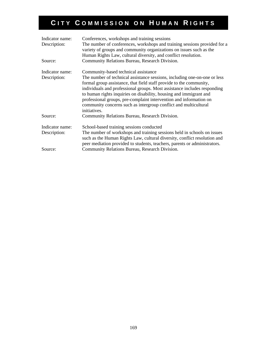## **C ITY C OMMISSION ON H UMAN R IGHTS**

| Indicator name:<br>Description: | Conferences, workshops and training sessions<br>The number of conferences, workshops and training sessions provided for a<br>variety of groups and community organizations on issues such as the<br>Human Rights Law, cultural diversity, and conflict resolution.                                                                                                                                                                                                                                   |
|---------------------------------|------------------------------------------------------------------------------------------------------------------------------------------------------------------------------------------------------------------------------------------------------------------------------------------------------------------------------------------------------------------------------------------------------------------------------------------------------------------------------------------------------|
| Source:                         | Community Relations Bureau, Research Division.                                                                                                                                                                                                                                                                                                                                                                                                                                                       |
| Indicator name:<br>Description: | Community-based technical assistance<br>The number of technical assistance sessions, including one-on-one or less<br>formal group assistance, that field staff provide to the community,<br>individuals and professional groups. Most assistance includes responding<br>to human rights inquiries on disability, housing and immigrant and<br>professional groups, pre-complaint intervention and information on<br>community concerns such as intergroup conflict and multicultural<br>initiatives. |
| Source:                         | Community Relations Bureau, Research Division.                                                                                                                                                                                                                                                                                                                                                                                                                                                       |
| Indicator name:<br>Description: | School-based training sessions conducted<br>The number of workshops and training sessions held in schools on issues<br>such as the Human Rights Law, cultural diversity, conflict resolution and<br>peer mediation provided to students, teachers, parents or administrators.                                                                                                                                                                                                                        |
| Source:                         | Community Relations Bureau, Research Division.                                                                                                                                                                                                                                                                                                                                                                                                                                                       |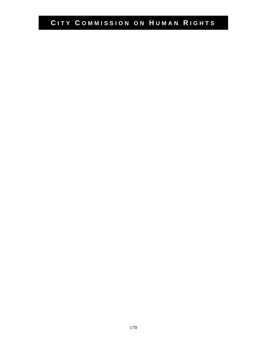## CITY COMMISSION ON HUMAN RIGHTS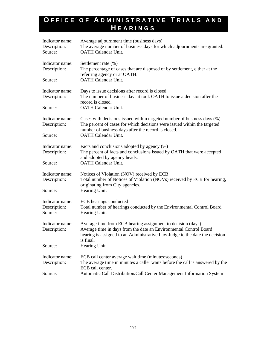#### **O FFICE OF A DMINISTRATIVE T RIALS AND H EARINGS**

| Indicator name:<br>Description:<br>Source: | Average adjournment time (business days)<br>The average number of business days for which adjournments are granted.<br><b>OATH Calendar Unit.</b>                                                                            |
|--------------------------------------------|------------------------------------------------------------------------------------------------------------------------------------------------------------------------------------------------------------------------------|
| Indicator name:<br>Description:            | Settlement rate (%)<br>The percentage of cases that are disposed of by settlement, either at the<br>referring agency or at OATH.                                                                                             |
| Source:                                    | <b>OATH Calendar Unit.</b>                                                                                                                                                                                                   |
| Indicator name:<br>Description:            | Days to issue decisions after record is closed<br>The number of business days it took OATH to issue a decision after the<br>record is closed.                                                                                |
| Source:                                    | <b>OATH Calendar Unit.</b>                                                                                                                                                                                                   |
| Indicator name:<br>Description:            | Cases with decisions issued within targeted number of business days (%)<br>The percent of cases for which decisions were issued within the targeted<br>number of business days after the record is closed.                   |
| Source:                                    | <b>OATH Calendar Unit.</b>                                                                                                                                                                                                   |
| Indicator name:<br>Description:            | Facts and conclusions adopted by agency (%)<br>The percent of facts and conclusions issued by OATH that were accepted<br>and adopted by agency heads.                                                                        |
| Source:                                    | <b>OATH Calendar Unit.</b>                                                                                                                                                                                                   |
| Indicator name:<br>Description:            | Notices of Violation (NOV) received by ECB<br>Total number of Notices of Violation (NOVs) received by ECB for hearing,<br>originating from City agencies.                                                                    |
| Source:                                    | Hearing Unit.                                                                                                                                                                                                                |
| Indicator name:<br>Description:<br>Source: | ECB hearings conducted<br>Total number of hearings conducted by the Environmental Control Board.<br>Hearing Unit.                                                                                                            |
| Indicator name:<br>Description:            | Average time from ECB hearing assignment to decision (days)<br>Average time in days from the date an Environmental Control Board<br>hearing is assigned to an Administrative Law Judge to the date the decision<br>is final. |
| Source:                                    | Hearing Unit                                                                                                                                                                                                                 |
| Indicator name:<br>Description:            | ECB call center average wait time (minutes: seconds)<br>The average time in minutes a caller waits before the call is answered by the<br>ECB call center.                                                                    |
| Source:                                    | Automatic Call Distribution/Call Center Management Information System                                                                                                                                                        |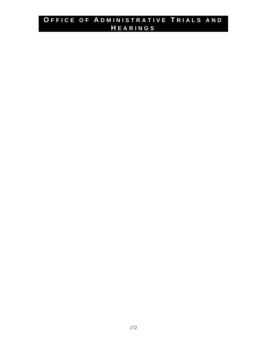#### OFFICE OF ADMINISTRATIVE TRIALS AND HEARINGS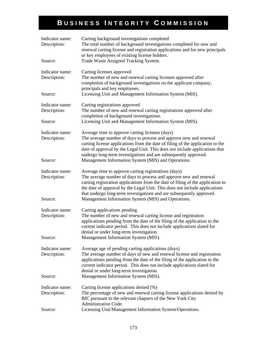## **B USINESS I NTEGRITY C OMMISSION**

| Indicator name:<br>Description:            | Carting background investigations completed<br>The total number of background investigations completed for new and<br>renewal carting license and registration applications and for new principals<br>or key employees of existing license holders.                                                                                                                                                                       |
|--------------------------------------------|---------------------------------------------------------------------------------------------------------------------------------------------------------------------------------------------------------------------------------------------------------------------------------------------------------------------------------------------------------------------------------------------------------------------------|
| Source:                                    | Trade Waste Assigned Tracking System.                                                                                                                                                                                                                                                                                                                                                                                     |
| Indicator name:<br>Description:            | Carting licenses approved<br>The number of new and renewal carting licenses approved after<br>completion of background investigations on the applicant company,<br>principals and key employees.                                                                                                                                                                                                                          |
| Source:                                    | Licensing Unit and Management Information System (MIS).                                                                                                                                                                                                                                                                                                                                                                   |
| Indicator name:<br>Description:            | Carting registrations approved<br>The number of new and renewal carting registrations approved after<br>completion of background investigations.                                                                                                                                                                                                                                                                          |
| Source:                                    | Licensing Unit and Management Information System (MIS).                                                                                                                                                                                                                                                                                                                                                                   |
| Indicator name:<br>Description:            | Average time to approve carting licenses (days)<br>The average number of days to process and approve new and renewal<br>carting license applications from the date of filing of the application to the<br>date of approval by the Legal Unit. This does not include applications that<br>undergo long-term investigations and are subsequently approved.                                                                  |
| Source:                                    | Management Information System (MIS) and Operations.                                                                                                                                                                                                                                                                                                                                                                       |
| Indicator name:<br>Description:<br>Source: | Average time to approve carting registrations (days)<br>The average number of days to process and approve new and renewal<br>carting registration applications from the date of filing of the application to<br>the date of approval by the Legal Unit. This does not include applications<br>that undergo long-term investigations and are subsequently approved.<br>Management Information System (MIS) and Operations. |
|                                            |                                                                                                                                                                                                                                                                                                                                                                                                                           |
| Indicator name:<br>Description:            | Carting applications pending<br>The number of new and renewal carting license and registration<br>applications pending from the date of the filing of the application to the<br>current indicator period. This does not include applications slated for<br>denial or under long-term investigation.                                                                                                                       |
| Source:                                    | Management Information System (MIS).                                                                                                                                                                                                                                                                                                                                                                                      |
| Indicator name:<br>Description:            | Average age of pending carting applications (days)<br>The average number of days of new and renewal license and registration<br>applications pending from the date of the filing of the application to the<br>current indicator period. This does not include applications slated for<br>denial or under long-term investigation.                                                                                         |
| Source:                                    | Management Information System (MIS).                                                                                                                                                                                                                                                                                                                                                                                      |
| Indicator name:<br>Description:            | Carting license applications denied (%)<br>The percentage of new and renewal carting license applications denied by<br>BIC pursuant to the relevant chapters of the New York City<br>Administrative Code.                                                                                                                                                                                                                 |
| Source:                                    | Licensing Unit/Management Information System/Operations.                                                                                                                                                                                                                                                                                                                                                                  |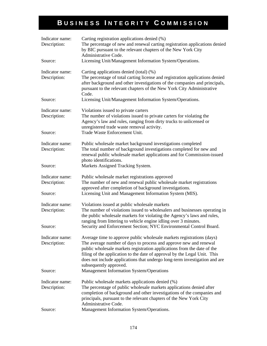## **B USINESS I NTEGRITY C OMMISSION**

| Indicator name:<br>Description:            | Carting registration applications denied (%)<br>The percentage of new and renewal carting registration applications denied<br>by BIC pursuant to the relevant chapters of the New York City<br>Administrative Code.                                                                                                                                                                                        |
|--------------------------------------------|------------------------------------------------------------------------------------------------------------------------------------------------------------------------------------------------------------------------------------------------------------------------------------------------------------------------------------------------------------------------------------------------------------|
| Source:                                    | Licensing Unit/Management Information System/Operations.                                                                                                                                                                                                                                                                                                                                                   |
| Indicator name:<br>Description:            | Carting applications denied (total) (%)<br>The percentage of total carting license and registration applications denied<br>after background and other investigations of the companies and principals,<br>pursuant to the relevant chapters of the New York City Administrative<br>Code.                                                                                                                    |
| Source:                                    | Licensing Unit/Management Information System/Operations.                                                                                                                                                                                                                                                                                                                                                   |
| Indicator name:<br>Description:            | Violations issued to private carters<br>The number of violations issued to private carters for violating the<br>Agency's law and rules, ranging from dirty trucks to unlicensed or<br>unregistered trade waste removal activity.                                                                                                                                                                           |
| Source:                                    | Trade Waste Enforcement Unit.                                                                                                                                                                                                                                                                                                                                                                              |
| Indicator name:<br>Description:            | Public wholesale market background investigations completed<br>The total number of background investigations completed for new and<br>renewal public wholesale market applications and for Commission-issued<br>photo identifications.                                                                                                                                                                     |
| Source:                                    | Markets Assigned Tracking System.                                                                                                                                                                                                                                                                                                                                                                          |
| Indicator name:<br>Description:<br>Source: | Public wholesale market registrations approved<br>The number of new and renewal public wholesale market registrations<br>approved after completion of background investigations.<br>Licensing Unit and Management Information System (MIS).                                                                                                                                                                |
| Indicator name:<br>Description:<br>Source: | Violations issued at public wholesale markets<br>The number of violations issued to wholesalers and businesses operating in<br>the public wholesale markets for violating the Agency's laws and rules,<br>ranging from littering to vehicle engine idling over 3 minutes.<br>Security and Enforcement Section; NYC Environmental Control Board.                                                            |
| Indicator name:<br>Description:            | Average time to approve public wholesale markets registrations (days)<br>The average number of days to process and approve new and renewal<br>public wholesale markets registration applications from the date of the<br>filing of the application to the date of approval by the Legal Unit. This<br>does not include applications that undergo long-term investigation and are<br>subsequently approved. |
| Source:                                    | Management Information System/Operations                                                                                                                                                                                                                                                                                                                                                                   |
| Indicator name:<br>Description:            | Public wholesale markets applications denied (%)<br>The percentage of public wholesale markets applications denied after<br>completion of background and other investigations of the companies and<br>principals, pursuant to the relevant chapters of the New York City<br>Administrative Code.                                                                                                           |
| Source:                                    | Management Information System/Operations.                                                                                                                                                                                                                                                                                                                                                                  |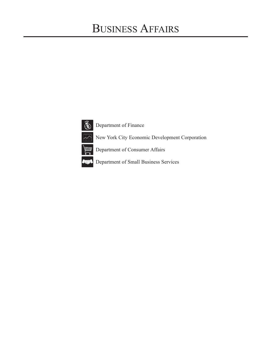# BUSINESS AFFAIRS



Department of Finance

New York City Economic Development Corporation



Department of Consumer Affairs

**Legal** Department of Small Business Services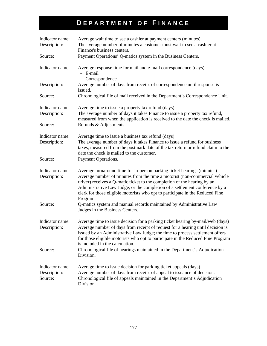## **D EPARTMENT OF F INANCE**

| Indicator name:                            | Average wait time to see a cashier at payment centers (minutes)                                                                                                                                                                                                                                                                                                                                               |
|--------------------------------------------|---------------------------------------------------------------------------------------------------------------------------------------------------------------------------------------------------------------------------------------------------------------------------------------------------------------------------------------------------------------------------------------------------------------|
| Description:                               | The average number of minutes a customer must wait to see a cashier at                                                                                                                                                                                                                                                                                                                                        |
|                                            | Finance's business centers.                                                                                                                                                                                                                                                                                                                                                                                   |
| Source:                                    | Payment Operations' Q-matics system in the Business Centers.                                                                                                                                                                                                                                                                                                                                                  |
| Indicator name:                            | Average response time for mail and e-mail correspondence (days)<br>- E-mail<br>- Correspondence                                                                                                                                                                                                                                                                                                               |
| Description:                               | Average number of days from receipt of correspondence until response is<br>issued.                                                                                                                                                                                                                                                                                                                            |
| Source:                                    | Chronological file of mail received in the Department's Correspondence Unit.                                                                                                                                                                                                                                                                                                                                  |
| Indicator name:                            | Average time to issue a property tax refund (days)                                                                                                                                                                                                                                                                                                                                                            |
| Description:                               | The average number of days it takes Finance to issue a property tax refund,<br>measured from when the application is received to the date the check is mailed.                                                                                                                                                                                                                                                |
| Source:                                    | Refunds & Adjustments                                                                                                                                                                                                                                                                                                                                                                                         |
| Indicator name:                            | Average time to issue a business tax refund (days)                                                                                                                                                                                                                                                                                                                                                            |
| Description:                               | The average number of days it takes Finance to issue a refund for business<br>taxes, measured from the postmark date of the tax return or refund claim to the<br>date the check is mailed to the customer.                                                                                                                                                                                                    |
| Source:                                    | Payment Operations.                                                                                                                                                                                                                                                                                                                                                                                           |
| Indicator name:<br>Description:            | Average turnaround time for in-person parking ticket hearings (minutes)<br>Average number of minutes from the time a motorist (non-commercial vehicle<br>driver) receives a Q-matic ticket to the completion of the hearing by an<br>Administrative Law Judge, or the completion of a settlement conference by a<br>clerk for those eligible motorists who opt to participate in the Reduced Fine<br>Program. |
| Source:                                    | Q-matics system and manual records maintained by Administrative Law<br>Judges in the Business Centers.                                                                                                                                                                                                                                                                                                        |
| Indicator name:                            | Average time to issue decision for a parking ticket hearing by-mail/web (days)                                                                                                                                                                                                                                                                                                                                |
| Description:                               | Average number of days from receipt of request for a hearing until decision is<br>issued by an Administrative Law Judge; the time to process settlement offers<br>for those eligible motorists who opt to participate in the Reduced Fine Program<br>is included in the calculation.                                                                                                                          |
| Source:                                    | Chronological file of hearings maintained in the Department's Adjudication<br>Division.                                                                                                                                                                                                                                                                                                                       |
| Indicator name:<br>Description:<br>Source: | Average time to issue decision for parking ticket appeals (days)<br>Average number of days from receipt of appeal to issuance of decision.<br>Chronological file of appeals maintained in the Department's Adjudication<br>Division.                                                                                                                                                                          |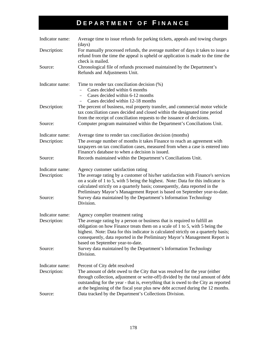| Indicator name:                            | Average time to issue refunds for parking tickets, appeals and towing charges<br>(days)                                                                                                                                                                                                                                                                                                                                                                    |
|--------------------------------------------|------------------------------------------------------------------------------------------------------------------------------------------------------------------------------------------------------------------------------------------------------------------------------------------------------------------------------------------------------------------------------------------------------------------------------------------------------------|
| Description:                               | For manually processed refunds, the average number of days it takes to issue a<br>refund from the time the appeal is upheld or application is made to the time the<br>check is mailed.                                                                                                                                                                                                                                                                     |
| Source:                                    | Chronological file of refunds processed maintained by the Department's<br>Refunds and Adjustments Unit.                                                                                                                                                                                                                                                                                                                                                    |
| Indicator name:                            | Time to render tax conciliation decision $(\%)$<br>Cases decided within 6 months<br>Cases decided within 6-12 months<br>Cases decided within 12-18 months                                                                                                                                                                                                                                                                                                  |
| Description:                               | The percent of business, real property transfer, and commercial motor vehicle<br>tax conciliation cases decided and closed within the designated time period<br>from the receipt of conciliation requests to the issuance of decisions.                                                                                                                                                                                                                    |
| Source:                                    | Computer program maintained within the Department's Conciliations Unit.                                                                                                                                                                                                                                                                                                                                                                                    |
| Indicator name:<br>Description:            | Average time to render tax conciliation decision (months)<br>The average number of months it takes Finance to reach an agreement with<br>taxpayers on tax conciliation cases, measured from when a case is entered into<br>Finance's database to when a decision is issued.                                                                                                                                                                                |
| Source:                                    | Records maintained within the Department's Conciliations Unit.                                                                                                                                                                                                                                                                                                                                                                                             |
| Indicator name:<br>Description:<br>Source: | Agency customer satisfaction rating<br>The average rating by a customer of his/her satisfaction with Finance's services<br>on a scale of 1 to 5, with 5 being the highest. Note: Data for this indicator is<br>calculated strictly on a quarterly basis; consequently, data reported in the<br>Preliminary Mayor's Management Report is based on September year-to-date.<br>Survey data maintained by the Department's Information Technology<br>Division. |
|                                            |                                                                                                                                                                                                                                                                                                                                                                                                                                                            |
| Indicator name:<br>Description:            | Agency complier treatment rating<br>The average rating by a person or business that is required to fulfill an<br>obligation on how Finance treats them on a scale of 1 to 5, with 5 being the<br>highest. Note: Data for this indicator is calculated strictly on a quarterly basis;<br>consequently, data reported in the Preliminary Mayor's Management Report is<br>based on September year-to-date.                                                    |
| Source:                                    | Survey data maintained by the Department's Information Technology<br>Division.                                                                                                                                                                                                                                                                                                                                                                             |
| Indicator name:                            | Percent of City debt resolved                                                                                                                                                                                                                                                                                                                                                                                                                              |
| Description:                               | The amount of debt owed to the City that was resolved for the year (either<br>through collection, adjustment or write-off) divided by the total amount of debt<br>outstanding for the year - that is, everything that is owed to the City as reported<br>at the beginning of the fiscal year plus new debt accrued during the 12 months.                                                                                                                   |
| Source:                                    | Data tracked by the Department's Collections Division.                                                                                                                                                                                                                                                                                                                                                                                                     |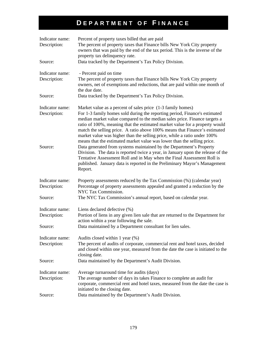| Indicator name:<br>Description:            | Percent of property taxes billed that are paid<br>The percent of property taxes that Finance bills New York City property<br>owners that was paid by the end of the tax period. This is the inverse of the<br>property tax delinquency rate.                                                                                                                                                                                                                                                                                                                                                                      |
|--------------------------------------------|-------------------------------------------------------------------------------------------------------------------------------------------------------------------------------------------------------------------------------------------------------------------------------------------------------------------------------------------------------------------------------------------------------------------------------------------------------------------------------------------------------------------------------------------------------------------------------------------------------------------|
| Source:                                    | Data tracked by the Department's Tax Policy Division.                                                                                                                                                                                                                                                                                                                                                                                                                                                                                                                                                             |
| Indicator name:<br>Description:            | - Percent paid on time<br>The percent of property taxes that Finance bills New York City property<br>owners, net of exemptions and reductions, that are paid within one month of<br>the due date.                                                                                                                                                                                                                                                                                                                                                                                                                 |
| Source:                                    | Data tracked by the Department's Tax Policy Division.                                                                                                                                                                                                                                                                                                                                                                                                                                                                                                                                                             |
| Indicator name:<br>Description:<br>Source: | Market value as a percent of sales price (1-3 family homes)<br>For 1-3 family homes sold during the reporting period, Finance's estimated<br>median market value compared to the median sales price. Finance targets a<br>ratio of 100%, meaning that the estimated market value for a property would<br>match the selling price. A ratio above 100% means that Finance's estimated<br>market value was higher than the selling price, while a ratio under 100%<br>means that the estimated market value was lower than the selling price.<br>Data generated from systems maintained by the Department's Property |
|                                            | Division. The data is reported twice a year, in January upon the release of the<br>Tentative Assessment Roll and in May when the Final Assessment Roll is<br>published. January data is reported in the Preliminary Mayor's Management<br>Report.                                                                                                                                                                                                                                                                                                                                                                 |
| Indicator name:<br>Description:            | Property assessments reduced by the Tax Commission (%) (calendar year)<br>Percentage of property assessments appealed and granted a reduction by the<br>NYC Tax Commission.                                                                                                                                                                                                                                                                                                                                                                                                                                       |
| Source:                                    | The NYC Tax Commission's annual report, based on calendar year.                                                                                                                                                                                                                                                                                                                                                                                                                                                                                                                                                   |
| Indicator name:<br>Description:            | Liens declared defective (%)<br>Portion of liens in any given lien sale that are returned to the Department for<br>action within a year following the sale.                                                                                                                                                                                                                                                                                                                                                                                                                                                       |
| Source:                                    | Data maintained by a Department consultant for lien sales.                                                                                                                                                                                                                                                                                                                                                                                                                                                                                                                                                        |
| Indicator name:<br>Description:            | Audits closed within 1 year (%)<br>The percent of audits of corporate, commercial rent and hotel taxes, decided<br>and closed within one year, measured from the date the case is initiated to the<br>closing date.                                                                                                                                                                                                                                                                                                                                                                                               |
| Source:                                    | Data maintained by the Department's Audit Division.                                                                                                                                                                                                                                                                                                                                                                                                                                                                                                                                                               |
| Indicator name:                            | Average turnaround time for audits (days)                                                                                                                                                                                                                                                                                                                                                                                                                                                                                                                                                                         |
| Description:                               | The average number of days its takes Finance to complete an audit for<br>corporate, commercial rent and hotel taxes, measured from the date the case is<br>initiated to the closing date.                                                                                                                                                                                                                                                                                                                                                                                                                         |
| Source:                                    | Data maintained by the Department's Audit Division.                                                                                                                                                                                                                                                                                                                                                                                                                                                                                                                                                               |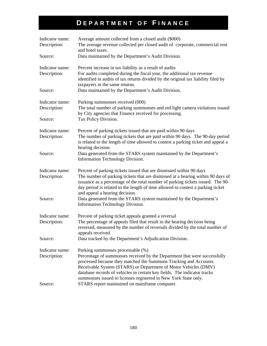| Indicator name:<br>Description:            | Average amount collected from a closed audit (\$000)<br>The average revenue collected per closed audit of corporate, commercial rent<br>and hotel taxes.                                                                                                                                                                                                                                                                              |
|--------------------------------------------|---------------------------------------------------------------------------------------------------------------------------------------------------------------------------------------------------------------------------------------------------------------------------------------------------------------------------------------------------------------------------------------------------------------------------------------|
| Source:                                    | Data maintained by the Department's Audit Division.                                                                                                                                                                                                                                                                                                                                                                                   |
| Indicator name:<br>Description:            | Percent increase in tax liability as a result of audits<br>For audits completed during the fiscal year, the additional tax revenue<br>identified in audits of tax returns divided by the original tax liability filed by<br>taxpayers in the same returns.                                                                                                                                                                            |
| Source:                                    | Data maintained by the Department's Audit Division.                                                                                                                                                                                                                                                                                                                                                                                   |
| Indicator name:<br>Description:            | Parking summonses received (000)<br>The total number of parking summonses and red light camera violations issued<br>by City agencies that Finance received for processing.                                                                                                                                                                                                                                                            |
| Source:                                    | Tax Policy Division.                                                                                                                                                                                                                                                                                                                                                                                                                  |
| Indicator name:<br>Description:            | Percent of parking tickets issued that are paid within 90 days<br>The number of parking tickets that are paid within 90 days. The 90-day period<br>is related to the length of time allowed to contest a parking ticket and appeal a<br>hearing decision.                                                                                                                                                                             |
| Source:                                    | Data generated from the STARS system maintained by the Department's<br>Information Technology Division.                                                                                                                                                                                                                                                                                                                               |
| Indicator name:<br>Description:<br>Source: | Percent of parking tickets issued that are dismissed within 90 days<br>The number of parking tickets that are dismissed at a hearing within 90 days of<br>issuance as a percentage of the total number of parking tickets issued. The 90-<br>day period is related to the length of time allowed to contest a parking ticket<br>and appeal a hearing decision.<br>Data generated from the STARS system maintained by the Department's |
|                                            | Information Technology Division.                                                                                                                                                                                                                                                                                                                                                                                                      |
| Indicator name:<br>Description:            | Percent of parking ticket appeals granted a reversal<br>The percentage of appeals filed that result in the hearing decision being<br>reversed, measured by the number of reversals divided by the total number of<br>appeals received.                                                                                                                                                                                                |
| Source:                                    | Data tracked by the Department's Adjudication Division.                                                                                                                                                                                                                                                                                                                                                                               |
| Indicator name:<br>Description:            | Parking summonses processable (%)<br>Percentage of summonses received by the Department that were successfully<br>processed because they matched the Summons Tracking and Accounts<br>Receivable System (STARS) or Department of Motor Vehicles (DMV)<br>database records of vehicles in certain key fields. The indicator tracks                                                                                                     |
| Source:                                    | summonses issued to licenses registered in New York State only.<br>STARS report maintained on mainframe computer.                                                                                                                                                                                                                                                                                                                     |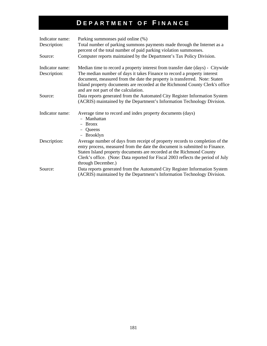| Indicator name:<br>Description:<br>Source: | Parking summonses paid online (%)<br>Total number of parking summons payments made through the Internet as a<br>percent of the total number of paid parking violation summonses.<br>Computer reports maintained by the Department's Tax Policy Division.                                                                |
|--------------------------------------------|-------------------------------------------------------------------------------------------------------------------------------------------------------------------------------------------------------------------------------------------------------------------------------------------------------------------------|
| Indicator name:<br>Description:            | Median time to record a property interest from transfer date (days) - Citywide<br>The median number of days it takes Finance to record a property interest<br>document, measured from the date the property is transferred. Note: Staten                                                                                |
|                                            | Island property documents are recorded at the Richmond County Clerk's office<br>and are not part of the calculation.                                                                                                                                                                                                    |
| Source:                                    | Data reports generated from the Automated City Register Information System<br>(ACRIS) maintained by the Department's Information Technology Division.                                                                                                                                                                   |
| Indicator name:                            | Average time to record and index property documents (days)<br>- Manhattan<br>- Bronx                                                                                                                                                                                                                                    |
|                                            | - Queens<br>- Brooklyn                                                                                                                                                                                                                                                                                                  |
| Description:                               | Average number of days from receipt of property records to completion of the<br>entry process, measured from the date the document is submitted to Finance.<br>Staten Island property documents are recorded at the Richmond County<br>Clerk's office. (Note: Data reported for Fiscal 2003 reflects the period of July |
| Source:                                    | through December.)<br>Data reports generated from the Automated City Register Information System<br>(ACRIS) maintained by the Department's Information Technology Division.                                                                                                                                             |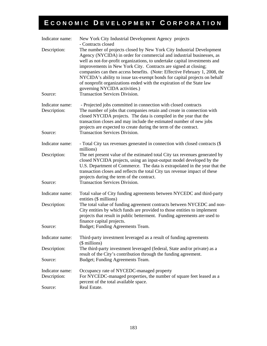### **E CONOMIC D EVELOPMENT C ORPORATION**

| Indicator name:                            | New York City Industrial Development Agency projects<br>- Contracts closed                                                                                                                                                                                                                                                                                                                                                                                                                                                                                           |
|--------------------------------------------|----------------------------------------------------------------------------------------------------------------------------------------------------------------------------------------------------------------------------------------------------------------------------------------------------------------------------------------------------------------------------------------------------------------------------------------------------------------------------------------------------------------------------------------------------------------------|
| Description:                               | The number of projects closed by New York City Industrial Development<br>Agency (NYCIDA) in order for commercial and industrial businesses, as<br>well as not-for-profit organizations, to undertake capital investments and<br>improvements in New York City. Contracts are signed at closing;<br>companies can then access benefits. (Note: Effective February 1, 2008, the<br>NYCIDA's ability to issue tax-exempt bonds for capital projects on behalf<br>of nonprofit organizations ended with the expiration of the State law<br>governing NYCIDA activities.) |
| Source:                                    | <b>Transaction Services Division.</b>                                                                                                                                                                                                                                                                                                                                                                                                                                                                                                                                |
| Indicator name:<br>Description:            | - Projected jobs committed in connection with closed contracts<br>The number of jobs that companies retain and create in connection with<br>closed NYCIDA projects. The data is compiled in the year that the<br>transaction closes and may include the estimated number of new jobs<br>projects are expected to create during the term of the contract.                                                                                                                                                                                                             |
| Source:                                    | <b>Transaction Services Division.</b>                                                                                                                                                                                                                                                                                                                                                                                                                                                                                                                                |
| Indicator name:                            | - Total City tax revenues generated in connection with closed contracts (\$<br>millions)                                                                                                                                                                                                                                                                                                                                                                                                                                                                             |
| Description:                               | The net present value of the estimated total City tax revenues generated by<br>closed NYCIDA projects, using an input-output model developed by the<br>U.S. Department of Commerce. The data is extrapolated in the year that the<br>transaction closes and reflects the total City tax revenue impact of these<br>projects during the term of the contract.                                                                                                                                                                                                         |
| Source:                                    | <b>Transaction Services Division.</b>                                                                                                                                                                                                                                                                                                                                                                                                                                                                                                                                |
| Indicator name:                            | Total value of City funding agreements between NYCEDC and third-party<br>entities (\$ millions)                                                                                                                                                                                                                                                                                                                                                                                                                                                                      |
| Description:                               | The total value of funding agreement contracts between NYCEDC and non-<br>City entities by which funds are provided to those entities to implement<br>projects that result in public betterment. Funding agreements are used to<br>finance capital projects.                                                                                                                                                                                                                                                                                                         |
| Source:                                    | Budget; Funding Agreements Team.                                                                                                                                                                                                                                                                                                                                                                                                                                                                                                                                     |
| Indicator name:                            | Third-party investment leveraged as a result of funding agreements<br>(\$ millions)                                                                                                                                                                                                                                                                                                                                                                                                                                                                                  |
| Description:<br>Source:                    | The third-party investment leveraged (federal, State and/or private) as a<br>result of the City's contribution through the funding agreement.<br>Budget; Funding Agreements Team.                                                                                                                                                                                                                                                                                                                                                                                    |
| Indicator name:<br>Description:<br>Source: | Occupancy rate of NYCEDC-managed property<br>For NYCEDC-managed properties, the number of square feet leased as a<br>percent of the total available space.<br>Real Estate.                                                                                                                                                                                                                                                                                                                                                                                           |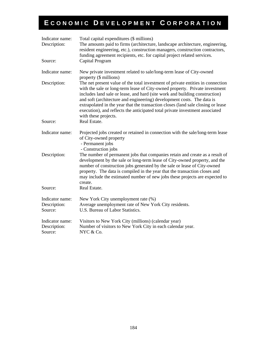### **E CONOMIC D EVELOPMENT C ORPORATION**

| Indicator name:<br>Description:            | Total capital expenditures (\$ millions)<br>The amounts paid to firms (architecture, landscape architecture, engineering,<br>resident engineering, etc.), construction managers, construction contractors,<br>funding agreement recipients, etc. for capital project related services.                                                                                                                                                                                                                              |
|--------------------------------------------|---------------------------------------------------------------------------------------------------------------------------------------------------------------------------------------------------------------------------------------------------------------------------------------------------------------------------------------------------------------------------------------------------------------------------------------------------------------------------------------------------------------------|
| Source:                                    | Capital Program                                                                                                                                                                                                                                                                                                                                                                                                                                                                                                     |
| Indicator name:                            | New private investment related to sale/long-term lease of City-owned<br>property (\$ millions)                                                                                                                                                                                                                                                                                                                                                                                                                      |
| Description:                               | The net present value of the total investment of private entities in connection<br>with the sale or long-term lease of City-owned property. Private investment<br>includes land sale or lease, and hard (site work and building construction)<br>and soft (architecture and engineering) development costs. The data is<br>extrapolated in the year that the transaction closes (land sale closing or lease<br>execution), and reflects the anticipated total private investment associated<br>with these projects. |
| Source:                                    | Real Estate.                                                                                                                                                                                                                                                                                                                                                                                                                                                                                                        |
| Indicator name:                            | Projected jobs created or retained in connection with the sale/long-term lease<br>of City-owned property<br>- Permanent jobs<br>- Construction jobs                                                                                                                                                                                                                                                                                                                                                                 |
| Description:                               | The number of permanent jobs that companies retain and create as a result of<br>development by the sale or long-term lease of City-owned property, and the<br>number of construction jobs generated by the sale or lease of City-owned<br>property. The data is compiled in the year that the transaction closes and<br>may include the estimated number of new jobs these projects are expected to<br>create.                                                                                                      |
| Source:                                    | Real Estate.                                                                                                                                                                                                                                                                                                                                                                                                                                                                                                        |
| Indicator name:<br>Description:<br>Source: | New York City unemployment rate (%)<br>Average unemployment rate of New York City residents.<br>U.S. Bureau of Labor Statistics.                                                                                                                                                                                                                                                                                                                                                                                    |
| Indicator name:<br>Description:<br>Source: | Visitors to New York City (millions) (calendar year)<br>Number of visitors to New York City in each calendar year.<br>NYC & Co.                                                                                                                                                                                                                                                                                                                                                                                     |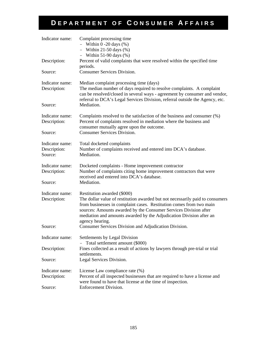### **D EPARTMENT OF C ONSUMER A FFAIRS**

| Indicator name:                            | Complaint processing time<br>Within $0 - 20$ days $(\%)$<br>- Within 21-50 days $(\%)$<br>- Within $51-90$ days $(\%)$                                                                                                                                                                                                                                                                                     |
|--------------------------------------------|------------------------------------------------------------------------------------------------------------------------------------------------------------------------------------------------------------------------------------------------------------------------------------------------------------------------------------------------------------------------------------------------------------|
| Description:                               | Percent of valid complaints that were resolved within the specified time<br>periods.                                                                                                                                                                                                                                                                                                                       |
| Source:                                    | <b>Consumer Services Division.</b>                                                                                                                                                                                                                                                                                                                                                                         |
| Indicator name:<br>Description:<br>Source: | Median complaint processing time (days)<br>The median number of days required to resolve complaints. A complaint<br>can be resolved/closed in several ways - agreement by consumer and vendor,<br>referral to DCA's Legal Services Division, referral outside the Agency, etc.<br>Mediation.                                                                                                               |
|                                            |                                                                                                                                                                                                                                                                                                                                                                                                            |
| Indicator name:<br>Description:            | Complaints resolved to the satisfaction of the business and consumer $(\%)$<br>Percent of complaints resolved in mediation where the business and<br>consumer mutually agree upon the outcome.                                                                                                                                                                                                             |
| Source:                                    | <b>Consumer Services Division.</b>                                                                                                                                                                                                                                                                                                                                                                         |
| Indicator name:<br>Description:<br>Source: | Total docketed complaints<br>Number of complaints received and entered into DCA's database.<br>Mediation.                                                                                                                                                                                                                                                                                                  |
| Indicator name:<br>Description:            | Docketed complaints - Home improvement contractor<br>Number of complaints citing home improvement contractors that were<br>received and entered into DCA's database.                                                                                                                                                                                                                                       |
| Source:                                    | Mediation.                                                                                                                                                                                                                                                                                                                                                                                                 |
| Indicator name:<br>Description:<br>Source: | Restitution awarded (\$000)<br>The dollar value of restitution awarded but not necessarily paid to consumers<br>from businesses in complaint cases. Restitution comes from two main<br>sources: Amounts awarded by the Consumer Services Division after<br>mediation and amounts awarded by the Adjudication Division after an<br>agency hearing.<br>Consumer Services Division and Adjudication Division. |
|                                            |                                                                                                                                                                                                                                                                                                                                                                                                            |
| Indicator name:                            | Settlements by Legal Division<br>Total settlement amount (\$000)                                                                                                                                                                                                                                                                                                                                           |
| Description:                               | Fines collected as a result of actions by lawyers through pre-trial or trial<br>settlements.                                                                                                                                                                                                                                                                                                               |
| Source:                                    | Legal Services Division.                                                                                                                                                                                                                                                                                                                                                                                   |
| Indicator name:<br>Description:            | License Law compliance rate (%)<br>Percent of all inspected businesses that are required to have a license and<br>were found to have that license at the time of inspection.                                                                                                                                                                                                                               |
| Source:                                    | Enforcement Division.                                                                                                                                                                                                                                                                                                                                                                                      |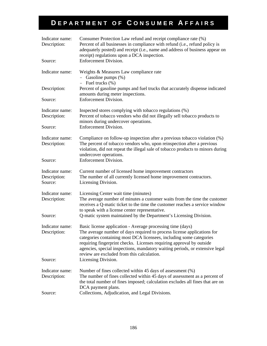### **D EPARTMENT OF C ONSUMER A FFAIRS**

| Indicator name:<br>Description:            | Consumer Protection Law refund and receipt compliance rate (%)<br>Percent of all businesses in compliance with refund (i.e., refund policy is<br>adequately posted) and receipt (i.e., name and address of business appear on<br>receipt) regulations upon a DCA inspection.                                                                                                                                       |
|--------------------------------------------|--------------------------------------------------------------------------------------------------------------------------------------------------------------------------------------------------------------------------------------------------------------------------------------------------------------------------------------------------------------------------------------------------------------------|
| Source:                                    | <b>Enforcement Division.</b>                                                                                                                                                                                                                                                                                                                                                                                       |
| Indicator name:                            | Weights & Measures Law compliance rate<br>$-$ Gasoline pumps $(\%)$<br>$-$ Fuel trucks $(\% )$                                                                                                                                                                                                                                                                                                                     |
| Description:                               | Percent of gasoline pumps and fuel trucks that accurately dispense indicated<br>amounts during meter inspections.                                                                                                                                                                                                                                                                                                  |
| Source:                                    | <b>Enforcement Division.</b>                                                                                                                                                                                                                                                                                                                                                                                       |
| Indicator name:<br>Description:            | Inspected stores complying with tobacco regulations (%)<br>Percent of tobacco vendors who did not illegally sell tobacco products to<br>minors during undercover operations.                                                                                                                                                                                                                                       |
| Source:                                    | <b>Enforcement Division.</b>                                                                                                                                                                                                                                                                                                                                                                                       |
| Indicator name:<br>Description:            | Compliance on follow-up inspection after a previous tobacco violation (%)<br>The percent of tobacco vendors who, upon reinspection after a previous<br>violation, did not repeat the illegal sale of tobacco products to minors during<br>undercover operations.                                                                                                                                                   |
| Source:                                    | <b>Enforcement Division.</b>                                                                                                                                                                                                                                                                                                                                                                                       |
| Indicator name:<br>Description:<br>Source: | Current number of licensed home improvement contractors<br>The number of all currently licensed home improvement contractors.<br>Licensing Division.                                                                                                                                                                                                                                                               |
| Indicator name:<br>Description:<br>Source: | Licensing Center wait time (minutes)<br>The average number of minutes a customer waits from the time the customer<br>receives a Q-matic ticket to the time the customer reaches a service window<br>to speak with a license center representative.<br>Q-matic system maintained by the Department's Licensing Division.                                                                                            |
|                                            |                                                                                                                                                                                                                                                                                                                                                                                                                    |
| Indicator name:<br>Description:            | Basic license application - Average processing time (days)<br>The average number of days required to process license applications for<br>categories containing most DCA licensees, including some categories<br>requiring fingerprint checks. Licenses requiring approval by outside<br>agencies, special inspections, mandatory waiting periods, or extensive legal<br>review are excluded from this calculation. |
| Source:                                    | Licensing Division.                                                                                                                                                                                                                                                                                                                                                                                                |
| Indicator name:<br>Description:            | Number of fines collected within 45 days of assessment (%)<br>The number of fines collected within 45 days of assessment as a percent of<br>the total number of fines imposed; calculation excludes all fines that are on<br>DCA payment plans.                                                                                                                                                                    |
| Source:                                    | Collections, Adjudication, and Legal Divisions.                                                                                                                                                                                                                                                                                                                                                                    |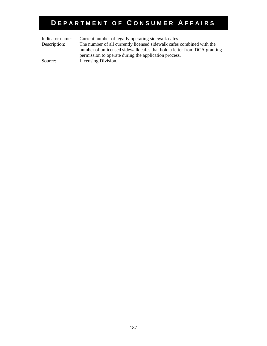### **D EPARTMENT OF C ONSUMER A FFAIRS**

| Indicator name: | Current number of legally operating sidewalk cafes                       |
|-----------------|--------------------------------------------------------------------------|
| Description:    | The number of all currently licensed sidewalk cafes combined with the    |
|                 | number of unlicensed sidewalk cafes that hold a letter from DCA granting |
|                 | permission to operate during the application process.                    |
| Source:         | Licensing Division.                                                      |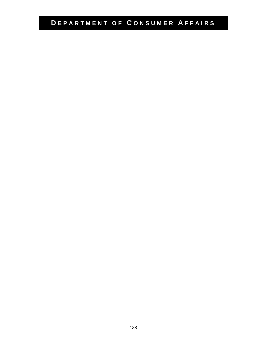### DEPARTMENT OF CONSUMER AFFAIRS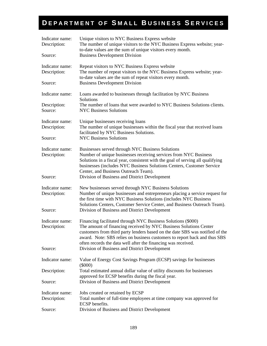| Indicator name:<br>Description:<br>Source: | Unique visitors to NYC Business Express website<br>The number of unique visitors to the NYC Business Express website; year-<br>to-date values are the sum of unique visitors every month.<br><b>Business Development Division</b>                                                                                                                                                                                |
|--------------------------------------------|------------------------------------------------------------------------------------------------------------------------------------------------------------------------------------------------------------------------------------------------------------------------------------------------------------------------------------------------------------------------------------------------------------------|
| Indicator name:<br>Description:<br>Source: | Repeat visitors to NYC Business Express website<br>The number of repeat visitors to the NYC Business Express website; year-<br>to-date values are the sum of repeat visitors every month.<br><b>Business Development Division</b>                                                                                                                                                                                |
|                                            |                                                                                                                                                                                                                                                                                                                                                                                                                  |
| Indicator name:                            | Loans awarded to businesses through facilitation by NYC Business<br>Solutions                                                                                                                                                                                                                                                                                                                                    |
| Description:<br>Source:                    | The number of loans that were awarded to NYC Business Solutions clients.<br><b>NYC Business Solutions</b>                                                                                                                                                                                                                                                                                                        |
| Indicator name:<br>Description:            | Unique businesses receiving loans<br>The number of unique businesses within the fiscal year that received loans<br>facilitated by NYC Business Solutions.                                                                                                                                                                                                                                                        |
| Source:                                    | <b>NYC Business Solutions</b>                                                                                                                                                                                                                                                                                                                                                                                    |
| Indicator name:<br>Description:            | Businesses served through NYC Business Solutions<br>Number of unique businesses receiving services from NYC Business<br>Solutions in a fiscal year, consistent with the goal of serving all qualifying<br>businesses (includes NYC Business Solutions Centers, Customer Service<br>Center, and Business Outreach Team).                                                                                          |
| Source:                                    | Division of Business and District Development                                                                                                                                                                                                                                                                                                                                                                    |
| Indicator name:<br>Description:<br>Source: | New businesses served through NYC Business Solutions<br>Number of unique businesses and entrepreneurs placing a service request for<br>the first time with NYC Business Solutions (includes NYC Business<br>Solutions Centers, Customer Service Center, and Business Outreach Team).<br>Division of Business and District Development                                                                            |
| Indicator name:<br>Description:<br>Source: | Financing facilitated through NYC Business Solutions (\$000)<br>The amount of financing received by NYC Business Solutions Center<br>customers from third party lenders based on the date SBS was notified of the<br>award. Note: SBS relies on business customers to report back and thus SBS<br>often records the data well after the financing was received.<br>Division of Business and District Development |
|                                            |                                                                                                                                                                                                                                                                                                                                                                                                                  |
| Indicator name:                            | Value of Energy Cost Savings Program (ECSP) savings for businesses<br>$(\$000)$                                                                                                                                                                                                                                                                                                                                  |
| Description:                               | Total estimated annual dollar value of utility discounts for businesses<br>approved for ECSP benefits during the fiscal year.                                                                                                                                                                                                                                                                                    |
| Source:                                    | Division of Business and District Development                                                                                                                                                                                                                                                                                                                                                                    |
| Indicator name:<br>Description:<br>Source: | Jobs created or retained by ECSP<br>Total number of full-time employees at time company was approved for<br>ECSP benefits.<br>Division of Business and District Development                                                                                                                                                                                                                                      |
|                                            |                                                                                                                                                                                                                                                                                                                                                                                                                  |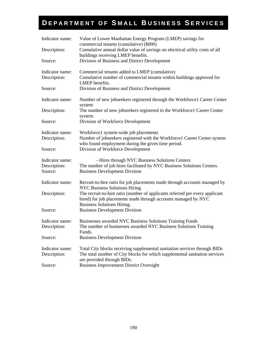| Indicator name:                 | Value of Lower Manhattan Energy Program (LMEP) savings for<br>commercial tenants (cumulative) (\$000)                                          |
|---------------------------------|------------------------------------------------------------------------------------------------------------------------------------------------|
| Description:                    | Cumulative annual dollar value of savings on electrical utility costs of all<br>buildings receiving LMEP benefits.                             |
| Source:                         | Division of Business and District Development                                                                                                  |
| Indicator name:<br>Description: | Commercial tenants added to LMEP (cumulative)<br>Cumulative number of commercial tenants within buildings approved for                         |
|                                 | LMEP benefits.                                                                                                                                 |
| Source:                         | Division of Business and District Development                                                                                                  |
| Indicator name:                 | Number of new jobseekers registered through the Workforce1 Career Center<br>system                                                             |
| Description:                    | The number of new jobseekers registered in the Workforce1 Career Center<br>system.                                                             |
| Source:                         | Division of Workforce Development                                                                                                              |
| Indicator name:                 | Workforce1 system-wide job placements                                                                                                          |
| Description:                    | Number of jobseekers registered with the Workforce1 Career Center system<br>who found employment during the given time period.                 |
| Source:                         | Division of Workforce Development                                                                                                              |
| Indicator name:                 | - Hires through NYC Business Solutions Centers                                                                                                 |
| Description:<br>Source:         | The number of job hires facilitated by NYC Business Solutions Centers.<br><b>Business Development Division</b>                                 |
| Indicator name:                 | Recruit-to-hire ratio for job placements made through accounts managed by<br><b>NYC Business Solutions Hiring</b>                              |
| Description:                    | The recruit-to-hire ratio (number of applicants referred per every applicant<br>hired) for job placements made through accounts managed by NYC |
| Source:                         | <b>Business Solutions Hiring.</b><br><b>Business Development Division</b>                                                                      |
| Indicator name:<br>Description: | Businesses awarded NYC Business Solutions Training Funds<br>The number of businesses awarded NYC Business Solutions Training                   |
|                                 | Funds.                                                                                                                                         |
| Source:                         | <b>Business Development Division</b>                                                                                                           |
| Indicator name:                 | Total City blocks receiving supplemental sanitation services through BIDs                                                                      |
| Description:                    | The total number of City blocks for which supplemental sanitation services<br>are provided through BIDs.                                       |
| Source:                         | <b>Business Improvement District Oversight</b>                                                                                                 |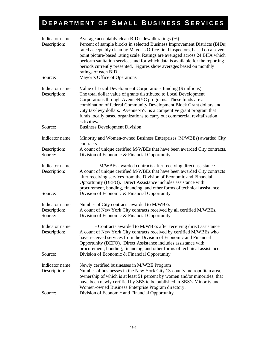| Indicator name:<br>Description:<br>Source: | Average acceptably clean BID sidewalk ratings (%)<br>Percent of sample blocks in selected Business Improvement Districts (BIDs)<br>rated acceptably clean by Mayor's Office field inspectors, based on a seven-<br>point picture-based rating scale. Ratings are averaged across 24 BIDs which<br>perform sanitation services and for which data is available for the reporting<br>periods currently presented. Figures show averages based on monthly<br>ratings of each BID.<br>Mayor's Office of Operations |
|--------------------------------------------|----------------------------------------------------------------------------------------------------------------------------------------------------------------------------------------------------------------------------------------------------------------------------------------------------------------------------------------------------------------------------------------------------------------------------------------------------------------------------------------------------------------|
| Indicator name:<br>Description:            | Value of Local Development Corporations funding (\$ millions)<br>The total dollar value of grants distributed to Local Development<br>Corporations through AvenueNYC programs. These funds are a<br>combination of federal Community Development Block Grant dollars and<br>City tax-levy dollars. AvenueNYC is a competitive grant program that<br>funds locally based organizations to carry out commercial revitalization<br>activities.                                                                    |
| Source:                                    | <b>Business Development Division</b>                                                                                                                                                                                                                                                                                                                                                                                                                                                                           |
| Indicator name:                            | Minority and Women-owned Business Enterprises (M/WBEs) awarded City<br>contracts                                                                                                                                                                                                                                                                                                                                                                                                                               |
| Description:<br>Source:                    | A count of unique certified M/WBEs that have been awarded City contracts.<br>Division of Economic & Financial Opportunity                                                                                                                                                                                                                                                                                                                                                                                      |
| Indicator name:<br>Description:<br>Source: | - M/WBEs awarded contracts after receiving direct assistance<br>A count of unique certified M/WBEs that have been awarded City contracts<br>after receiving services from the Division of Economic and Financial<br>Opportunity (DEFO). Direct Assistance includes assistance with<br>procurement, bonding, financing, and other forms of technical assistance.<br>Division of Economic & Financial Opportunity                                                                                                |
| Indicator name:<br>Description:<br>Source: | Number of City contracts awarded to M/WBEs<br>A count of New York City contracts received by all certified M/WBEs.<br>Division of Economic & Financial Opportunity                                                                                                                                                                                                                                                                                                                                             |
| Indicator name:<br>Description:<br>Source: | - Contracts awarded to M/WBEs after receiving direct assistance<br>A count of New York City contracts received by certified M/WBEs who<br>have received services from the Division of Economic and Financial<br>Opportunity (DEFO). Direct Assistance includes assistance with<br>procurement, bonding, financing, and other forms of technical assistance.<br>Division of Economic & Financial Opportunity                                                                                                    |
| Indicator name:<br>Description:            | Newly certified businesses in M/WBE Program<br>Number of businesses in the New York City 13-county metropolitan area,<br>ownership of which is at least 51 percent by women and/or minorities, that<br>have been newly certified by SBS to be published in SBS's Minority and<br>Women-owned Business Enterprise Program directory.                                                                                                                                                                            |
| Source:                                    | Division of Economic and Financial Opportunity                                                                                                                                                                                                                                                                                                                                                                                                                                                                 |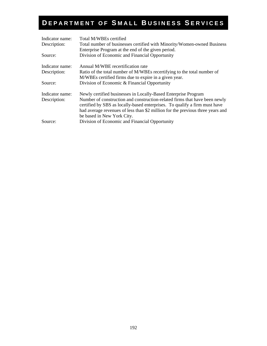| Indicator name: | Total M/WBEs certified                                                         |
|-----------------|--------------------------------------------------------------------------------|
| Description:    | Total number of businesses certified with Minority/Women-owned Business        |
|                 | Enterprise Program at the end of the given period.                             |
| Source:         | Division of Economic and Financial Opportunity                                 |
| Indicator name: | Annual M/WBE recertification rate                                              |
| Description:    | Ratio of the total number of M/WBEs recertifying to the total number of        |
|                 | M/WBEs certified firms due to expire in a given year.                          |
| Source:         | Division of Economic & Financial Opportunity                                   |
| Indicator name: | Newly certified businesses in Locally-Based Enterprise Program                 |
| Description:    | Number of construction and construction-related firms that have been newly     |
|                 | certified by SBS as locally-based enterprises. To qualify a firm must have     |
|                 | had average revenues of less than \$2 million for the previous three years and |
|                 | be based in New York City.                                                     |
| Source:         | Division of Economic and Financial Opportunity                                 |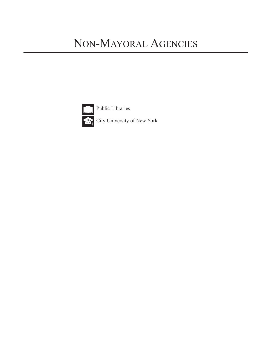# NON-MAYORAL AGENCIES



Public Libraries

City University of New York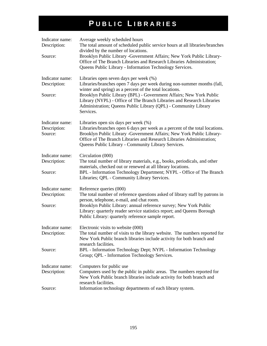## **P UBLIC L IBRARIES**

| Indicator name:<br>Description:<br>Source: | Average weekly scheduled hours<br>The total amount of scheduled public service hours at all libraries/branches<br>divided by the number of locations.<br>Brooklyn Public Library -Government Affairs; New York Public Library-<br>Office of The Branch Libraries and Research Libraries Administration;<br>Queens Public Library - Information Technology Services.                                           |
|--------------------------------------------|---------------------------------------------------------------------------------------------------------------------------------------------------------------------------------------------------------------------------------------------------------------------------------------------------------------------------------------------------------------------------------------------------------------|
| Indicator name:<br>Description:<br>Source: | Libraries open seven days per week (%)<br>Libraries/branches open 7 days per week during non-summer months (fall,<br>winter and spring) as a percent of the total locations.<br>Brooklyn Public Library (BPL) - Government Affairs; New York Public<br>Library (NYPL) - Office of The Branch Libraries and Research Libraries<br>Administration; Queens Public Library (QPL) - Community Library<br>Services. |
| Indicator name:<br>Description:<br>Source: | Libraries open six days per week (%)<br>Libraries/branches open 6 days per week as a percent of the total locations.<br>Brooklyn Public Library -Government Affairs; New York Public Library-<br>Office of The Branch Libraries and Research Libraries Administration;<br>Queens Public Library - Community Library Services.                                                                                 |
| Indicator name:<br>Description:<br>Source: | Circulation (000)<br>The total number of library materials, e.g., books, periodicals, and other<br>materials, checked out or renewed at all library locations.<br>BPL - Information Technology Department; NYPL - Office of The Branch<br>Libraries; QPL - Community Library Services.                                                                                                                        |
| Indicator name:<br>Description:<br>Source: | Reference queries (000)<br>The total number of reference questions asked of library staff by patrons in<br>person, telephone, e-mail, and chat room.<br>Brooklyn Public Library: annual reference survey; New York Public<br>Library: quarterly reader service statistics report; and Queens Borough<br>Public Library: quarterly reference sample report.                                                    |
| Indicator name:<br>Description:            | Electronic visits to website (000)<br>The total number of visits to the library website. The numbers reported for<br>New York Public branch libraries include activity for both branch and<br>research facilities.                                                                                                                                                                                            |
| Source:                                    | BPL - Information Technology Dept; NYPL - Information Technology<br>Group; QPL - Information Technology Services.                                                                                                                                                                                                                                                                                             |
| Indicator name:<br>Description:            | Computers for public use<br>Computers used by the public in public areas. The numbers reported for<br>New York Public branch libraries include activity for both branch and<br>research facilities.                                                                                                                                                                                                           |
| Source:                                    | Information technology departments of each library system.                                                                                                                                                                                                                                                                                                                                                    |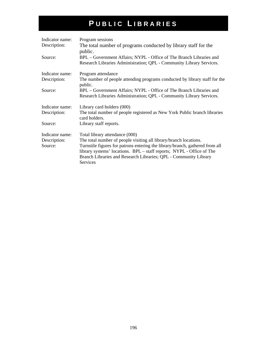## **P UBLIC L IBRARIES**

| Indicator name: | Program sessions                                                                                                                            |
|-----------------|---------------------------------------------------------------------------------------------------------------------------------------------|
| Description:    | The total number of programs conducted by library staff for the<br>public.                                                                  |
| Source:         | BPL – Government Affairs; NYPL - Office of The Branch Libraries and<br>Research Libraries Administration; QPL - Community Library Services. |
| Indicator name: | Program attendance                                                                                                                          |
| Description:    | The number of people attending programs conducted by library staff for the<br>public.                                                       |
| Source:         | BPL – Government Affairs; NYPL - Office of The Branch Libraries and<br>Research Libraries Administration; QPL - Community Library Services. |
| Indicator name: | Library card holders (000)                                                                                                                  |
| Description:    | The total number of people registered as New York Public branch libraries<br>card holders.                                                  |
| Source:         | Library staff reports.                                                                                                                      |
| Indicator name: | Total library attendance (000)                                                                                                              |
| Description:    | The total number of people visiting all library/branch locations.                                                                           |
| Source:         | Turnstile figures for patrons entering the library/branch, gathered from all                                                                |
|                 | library systems' locations. BPL – staff reports; NYPL - Office of The                                                                       |
|                 | Branch Libraries and Research Libraries; QPL - Community Library                                                                            |
|                 | Services                                                                                                                                    |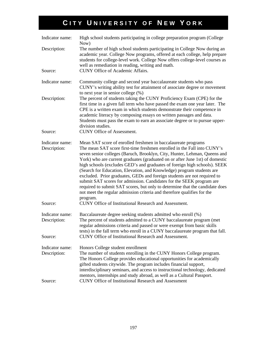### **C ITY U NIVERSITY OF N EW Y ORK**

| Indicator name:                 | High school students participating in college preparation program (College<br>Now)                                                                                                                                                                                                                                                                                                                                                                                                                                                                                                                                                                                                                                                                                                     |
|---------------------------------|----------------------------------------------------------------------------------------------------------------------------------------------------------------------------------------------------------------------------------------------------------------------------------------------------------------------------------------------------------------------------------------------------------------------------------------------------------------------------------------------------------------------------------------------------------------------------------------------------------------------------------------------------------------------------------------------------------------------------------------------------------------------------------------|
| Description:                    | The number of high school students participating in College Now during an<br>academic year. College Now programs, offered at each college, help prepare<br>students for college-level work. College Now offers college-level courses as<br>well as remediation in reading, writing and math.                                                                                                                                                                                                                                                                                                                                                                                                                                                                                           |
| Source:                         | CUNY Office of Academic Affairs.                                                                                                                                                                                                                                                                                                                                                                                                                                                                                                                                                                                                                                                                                                                                                       |
| Indicator name:                 | Community college and second year baccalaureate students who pass<br>CUNY's writing ability test for attainment of associate degree or movement<br>to next year in senior college $(\%)$                                                                                                                                                                                                                                                                                                                                                                                                                                                                                                                                                                                               |
| Description:                    | The percent of students taking the CUNY Proficiency Exam (CPE) for the<br>first time in a given fall term who have passed the exam one year later. The<br>CPE is a written exam in which students demonstrate their competence in<br>academic literacy by composing essays on written passages and data.<br>Students must pass the exam to earn an associate degree or to pursue upper-<br>division studies.                                                                                                                                                                                                                                                                                                                                                                           |
| Source:                         | <b>CUNY Office of Assessment.</b>                                                                                                                                                                                                                                                                                                                                                                                                                                                                                                                                                                                                                                                                                                                                                      |
| Indicator name:<br>Description: | Mean SAT score of enrolled freshmen in baccalaureate programs<br>The mean SAT score first-time freshmen enrolled in the Fall into CUNY's<br>seven senior colleges (Baruch, Brooklyn, City, Hunter, Lehman, Queens and<br>York) who are current graduates (graduated on or after June 1st) of domestic<br>high schools (excludes GED's and graduates of foreign high schools). SEEK<br>(Search for Education, Elevation, and Knowledge) program students are<br>excluded. Prior graduates, GEDs and foreign students are not required to<br>submit SAT scores for admission. Candidates for the SEEK program are<br>required to submit SAT scores, but only to determine that the candidate does<br>not meet the regular admission criteria and therefore qualifies for the<br>program. |
| Source:                         | CUNY Office of Institutional Research and Assessment.                                                                                                                                                                                                                                                                                                                                                                                                                                                                                                                                                                                                                                                                                                                                  |
| Indicator name:<br>Description: | Baccalaureate degree seeking students admitted who enroll (%)<br>The percent of students admitted to a CUNY baccalaureate program (met<br>regular admissions criteria and passed or were exempt from basic skills<br>tests) in the fall term who enroll in a CUNY baccalaureate program that fall.                                                                                                                                                                                                                                                                                                                                                                                                                                                                                     |
| Source:                         | CUNY Office of Institutional Research and Assessment.                                                                                                                                                                                                                                                                                                                                                                                                                                                                                                                                                                                                                                                                                                                                  |
| Indicator name:<br>Description: | Honors College student enrollment<br>The number of students enrolling in the CUNY Honors College program.<br>The Honors College provides educational opportunities for academically<br>gifted students citywide. The program includes financial support,<br>interdisciplinary seminars, and access to instructional technology, dedicated<br>mentors, internships and study abroad, as well as a Cultural Passport.                                                                                                                                                                                                                                                                                                                                                                    |
| Source:                         | <b>CUNY Office of Institutional Research and Assessment</b>                                                                                                                                                                                                                                                                                                                                                                                                                                                                                                                                                                                                                                                                                                                            |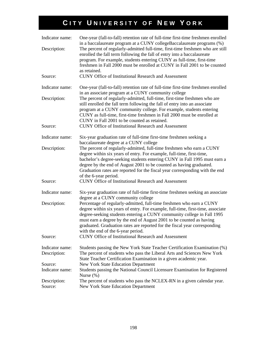### **C ITY U NIVERSITY OF N EW Y ORK**

| Indicator name:                 | One-year (fall-to-fall) retention rate of full-time first-time freshmen enrolled<br>in a baccalaureate program at a CUNY collegeBaccalaureate programs (%)                                                                                                                                                                                                                                                                    |
|---------------------------------|-------------------------------------------------------------------------------------------------------------------------------------------------------------------------------------------------------------------------------------------------------------------------------------------------------------------------------------------------------------------------------------------------------------------------------|
| Description:                    | The percent of regularly-admitted full-time, first-time freshmen who are still<br>enrolled the fall term following the fall of entry into a baccalaureate<br>program. For example, students entering CUNY as full-time, first-time<br>freshmen in Fall 2000 must be enrolled at CUNY in Fall 2001 to be counted<br>as retained.                                                                                               |
| Source:                         | <b>CUNY Office of Institutional Research and Assessment</b>                                                                                                                                                                                                                                                                                                                                                                   |
| Indicator name:                 | One-year (fall-to-fall) retention rate of full-time first-time freshmen enrolled<br>in an associate program at a CUNY community college                                                                                                                                                                                                                                                                                       |
| Description:                    | The percent of regularly-admitted, full-time, first-time freshmen who are<br>still enrolled the fall term following the fall of entry into an associate<br>program at a CUNY community college. For example, students entering<br>CUNY as full-time, first-time freshmen in Fall 2000 must be enrolled at<br>CUNY in Fall 2001 to be counted as retained.                                                                     |
| Source:                         | <b>CUNY Office of Institutional Research and Assessment</b>                                                                                                                                                                                                                                                                                                                                                                   |
| Indicator name:                 | Six-year graduation rate of full-time first-time freshmen seeking a<br>baccalaureate degree at a CUNY college                                                                                                                                                                                                                                                                                                                 |
| Description:                    | The percent of regularly-admitted, full-time freshmen who earn a CUNY<br>degree within six years of entry. For example, full-time, first-time,<br>bachelor's degree-seeking students entering CUNY in Fall 1995 must earn a<br>degree by the end of August 2001 to be counted as having graduated.<br>Graduation rates are reported for the fiscal year corresponding with the end<br>of the 6-year period.                   |
| Source:                         | <b>CUNY Office of Institutional Research and Assessment</b>                                                                                                                                                                                                                                                                                                                                                                   |
| Indicator name:                 | Six-year graduation rate of full-time first-time freshmen seeking an associate<br>degree at a CUNY community college                                                                                                                                                                                                                                                                                                          |
| Description:                    | Percentage of regularly-admitted, full-time freshmen who earn a CUNY<br>degree within six years of entry. For example, full-time, first-time, associate<br>degree-seeking students entering a CUNY community college in Fall 1995<br>must earn a degree by the end of August 2001 to be counted as having<br>graduated. Graduation rates are reported for the fiscal year corresponding<br>with the end of the 6-year period. |
| Source:                         | <b>CUNY Office of Institutional Research and Assessment</b>                                                                                                                                                                                                                                                                                                                                                                   |
| Indicator name:<br>Description: | Students passing the New York State Teacher Certification Examination (%)<br>The percent of students who pass the Liberal Arts and Sciences New York<br>State Teacher Certification Examination in a given academic year.                                                                                                                                                                                                     |
| Source:<br>Indicator name:      | New York State Education Department<br>Students passing the National Council Licensure Examination for Registered<br>Nurse $(\%)$                                                                                                                                                                                                                                                                                             |
| Description:<br>Source:         | The percent of students who pass the NCLEX-RN in a given calendar year.<br>New York State Education Department                                                                                                                                                                                                                                                                                                                |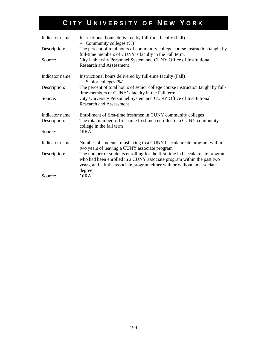### **C ITY U NIVERSITY OF N EW Y ORK**

| Indicator name: | Instructional hours delivered by full-time faculty (Fall)<br>Community colleges (%)                                                                                                                                                           |
|-----------------|-----------------------------------------------------------------------------------------------------------------------------------------------------------------------------------------------------------------------------------------------|
| Description:    | The percent of total hours of community college course instruction taught by<br>full-time members of CUNY's faculty in the Fall term.                                                                                                         |
| Source:         | City University Personnel System and CUNY Office of Institutional<br><b>Research and Assessment</b>                                                                                                                                           |
| Indicator name: | Instructional hours delivered by full-time faculty (Fall)<br>Senior colleges (%)                                                                                                                                                              |
| Description:    | The percent of total hours of senior college course instruction taught by full-<br>time members of CUNY's faculty in the Fall term.                                                                                                           |
| Source:         | City University Personnel System and CUNY Office of Institutional<br><b>Research and Assessment</b>                                                                                                                                           |
| Indicator name: | Enrollment of first-time freshmen in CUNY community colleges                                                                                                                                                                                  |
| Description:    | The total number of first-time freshmen enrolled in a CUNY community<br>college in the fall term                                                                                                                                              |
| Source:         | <b>OIRA</b>                                                                                                                                                                                                                                   |
| Indicator name: | Number of students transferring to a CUNY baccalaureate program within<br>two years of leaving a CUNY associate program                                                                                                                       |
| Description:    | The number of students enrolling for the first time in baccalaureate programs<br>who had been enrolled in a CUNY associate program within the past two<br>years, and left the associate program either with or without an associate<br>degree |
| Source:         | <b>OIRA</b>                                                                                                                                                                                                                                   |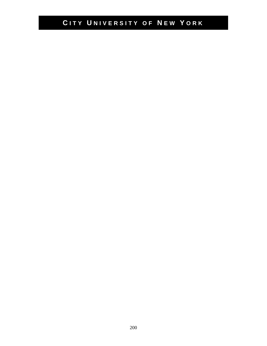### CITY UNIVERSITY OF NEW YORK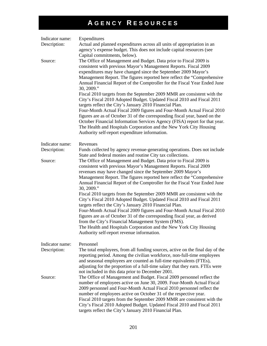### **A GENCY R ESOURCES**

| Indicator name:<br>Description:<br>Source: | Expenditures<br>Actual and planned expenditures across all units of appropriation in an<br>agency's expense budget. This does not include capital resources (see<br>Capital commitments, below).<br>The Office of Management and Budget. Data prior to Fiscal 2009 is<br>consistent with previous Mayor's Management Reports. Fiscal 2009<br>expenditures may have changed since the September 2009 Mayor's<br>Management Report. The figures reported here reflect the "Comprehensive"<br>Annual Financial Report of the Comptroller for the Fiscal Year Ended June<br>30, 2009."<br>Fiscal 2010 targets from the September 2009 MMR are consistent with the<br>City's Fiscal 2010 Adopted Budget. Updated Fiscal 2010 and Fiscal 2011<br>targets reflect the City's January 2010 Financial Plan.<br>Four-Month Actual Fiscal 2009 figures and Four-Month Actual Fiscal 2010<br>figures are as of October 31 of the corresponding fiscal year, based on the<br>October Financial Information Services Agency (FISA) report for that year.<br>The Health and Hospitals Corporation and the New York City Housing<br>Authority self-report expenditure information. |
|--------------------------------------------|--------------------------------------------------------------------------------------------------------------------------------------------------------------------------------------------------------------------------------------------------------------------------------------------------------------------------------------------------------------------------------------------------------------------------------------------------------------------------------------------------------------------------------------------------------------------------------------------------------------------------------------------------------------------------------------------------------------------------------------------------------------------------------------------------------------------------------------------------------------------------------------------------------------------------------------------------------------------------------------------------------------------------------------------------------------------------------------------------------------------------------------------------------------------|
| Indicator name:<br>Description:            | Revenues<br>Funds collected by agency revenue-generating operations. Does not include<br>State and federal monies and routine City tax collections.                                                                                                                                                                                                                                                                                                                                                                                                                                                                                                                                                                                                                                                                                                                                                                                                                                                                                                                                                                                                                |
| Source:                                    | The Office of Management and Budget. Data prior to Fiscal 2009 is<br>consistent with previous Mayor's Management Reports. Fiscal 2009<br>revenues may have changed since the September 2009 Mayor's<br>Management Report. The figures reported here reflect the "Comprehensive"<br>Annual Financial Report of the Comptroller for the Fiscal Year Ended June<br>30, 2009."                                                                                                                                                                                                                                                                                                                                                                                                                                                                                                                                                                                                                                                                                                                                                                                         |
|                                            | Fiscal 2010 targets from the September 2009 MMR are consistent with the<br>City's Fiscal 2010 Adopted Budget. Updated Fiscal 2010 and Fiscal 2011<br>targets reflect the City's January 2010 Financial Plan.                                                                                                                                                                                                                                                                                                                                                                                                                                                                                                                                                                                                                                                                                                                                                                                                                                                                                                                                                       |
|                                            | Four-Month Actual Fiscal 2009 figures and Four-Month Actual Fiscal 2010<br>figures are as of October 31 of the corresponding fiscal year, as derived<br>from the City's Financial Management System (FMS).<br>The Health and Hospitals Corporation and the New York City Housing<br>Authority self-report revenue information.                                                                                                                                                                                                                                                                                                                                                                                                                                                                                                                                                                                                                                                                                                                                                                                                                                     |
| Indicator name:<br>Description:            | Personnel<br>The total employees, from all funding sources, active on the final day of the<br>reporting period. Among the civilian workforce, non-full-time employees<br>and seasonal employees are counted as full-time equivalents (FTEs),<br>adjusting for the proportion of a full-time salary that they earn. FTEs were<br>not included in this data prior to December 2001.                                                                                                                                                                                                                                                                                                                                                                                                                                                                                                                                                                                                                                                                                                                                                                                  |
| Source:                                    | The Office of Management and Budget. Fiscal 2009 personnel reflect the<br>number of employees active on June 30, 2009. Four-Month Actual Fiscal<br>2009 personnel and Four-Month Actual Fiscal 2010 personnel reflect the<br>number of employees active on October 31 of the respective year.<br>Fiscal 2010 targets from the September 2009 MMR are consistent with the<br>City's Fiscal 2010 Adopted Budget. Updated Fiscal 2010 and Fiscal 2011<br>targets reflect the City's January 2010 Financial Plan.                                                                                                                                                                                                                                                                                                                                                                                                                                                                                                                                                                                                                                                      |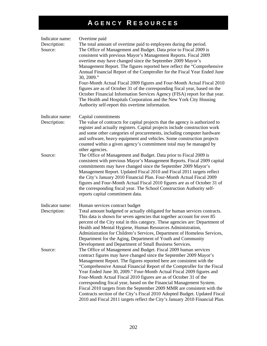### **A GENCY R ESOURCES**

| Indicator name:<br>Description:<br>Source: | Overtime paid<br>The total amount of overtime paid to employees during the period.<br>The Office of Management and Budget. Data prior to Fiscal 2009 is<br>consistent with previous Mayor's Management Reports. Fiscal 2009<br>overtime may have changed since the September 2009 Mayor's<br>Management Report. The figures reported here reflect the "Comprehensive<br>Annual Financial Report of the Comptroller for the Fiscal Year Ended June<br>30, 2009."<br>Four-Month Actual Fiscal 2009 figures and Four-Month Actual Fiscal 2010<br>figures are as of October 31 of the corresponding fiscal year, based on the<br>October Financial Information Services Agency (FISA) report for that year.<br>The Health and Hospitals Corporation and the New York City Housing<br>Authority self-report this overtime information. |
|--------------------------------------------|-----------------------------------------------------------------------------------------------------------------------------------------------------------------------------------------------------------------------------------------------------------------------------------------------------------------------------------------------------------------------------------------------------------------------------------------------------------------------------------------------------------------------------------------------------------------------------------------------------------------------------------------------------------------------------------------------------------------------------------------------------------------------------------------------------------------------------------|
| Indicator name:<br>Description:            | Capital commitments<br>The value of contracts for capital projects that the agency is authorized to<br>register and actually registers. Capital projects include construction work<br>and some other categories of procurements, including computer hardware<br>and software, heavy equipment and vehicles. Some construction projects<br>counted within a given agency's commitment total may be managed by<br>other agencies.                                                                                                                                                                                                                                                                                                                                                                                                   |
| Source:                                    | The Office of Management and Budget. Data prior to Fiscal 2009 is<br>consistent with previous Mayor's Management Reports. Fiscal 2009 capital<br>commitments may have changed since the September 2009 Mayor's<br>Management Report. Updated Fiscal 2010 and Fiscal 2011 targets reflect<br>the City's January 2010 Financial Plan. Four-Month Actual Fiscal 2009<br>figures and Four-Month Actual Fiscal 2010 figures are as of October 31 of<br>the corresponding fiscal year. The School Construction Authority self-<br>reports capital commitment data.                                                                                                                                                                                                                                                                      |
| Indicator name:<br>Description:            | Human services contract budget<br>Total amount budgeted or actually obligated for human services contracts.<br>This data is shown for seven agencies that together account for over 85<br>percent of the City total in this category. These agencies are: Department of<br>Health and Mental Hygiene, Human Resources Administration,<br>Administration for Children's Services, Department of Homeless Services,<br>Department for the Aging, Department of Youth and Community<br>Development and Department of Small Business Services.                                                                                                                                                                                                                                                                                        |
| Source:                                    | The Office of Management and Budget. Fiscal 2009 human services<br>contract figures may have changed since the September 2009 Mayor's<br>Management Report. The figures reported here are consistent with the<br>"Comprehensive Annual Financial Report of the Comptroller for the Fiscal<br>Year Ended June 30, 2009." Four-Month Actual Fiscal 2009 figures and<br>Four-Month Actual Fiscal 2010 figures are as of October 31 of the<br>corresponding fiscal year, based on the Financial Management System.<br>Fiscal 2010 targets from the September 2009 MMR are consistent with the<br>Contracts section of the City's Fiscal 2010 Adopted Budget. Updated Fiscal<br>2010 and Fiscal 2011 targets reflect the City's January 2010 Financial Plan.                                                                           |